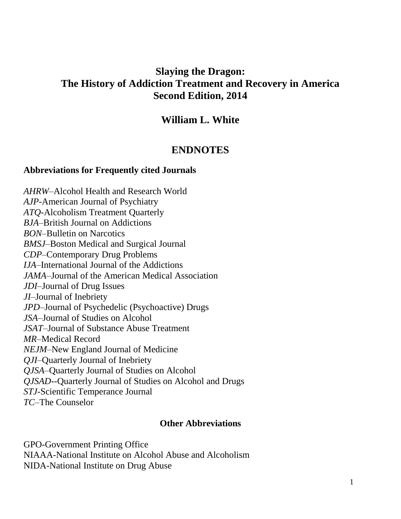# **Slaying the Dragon: The History of Addiction Treatment and Recovery in America Second Edition, 2014**

# **William L. White**

# **ENDNOTES**

## **Abbreviations for Frequently cited Journals**

*AHRW*–Alcohol Health and Research World *AJP*-American Journal of Psychiatry *ATQ*-Alcoholism Treatment Quarterly *BJA*–British Journal on Addictions *BON*–Bulletin on Narcotics *BMSJ*–Boston Medical and Surgical Journal *CDP*–Contemporary Drug Problems *IJA*–International Journal of the Addictions *JAMA*–Journal of the American Medical Association *JDI*–Journal of Drug Issues *JI*–Journal of Inebriety *JPD*–Journal of Psychedelic (Psychoactive) Drugs *JSA*–Journal of Studies on Alcohol *JSAT*–Journal of Substance Abuse Treatment *MR*–Medical Record *NEJM*–New England Journal of Medicine *QJI*–Quarterly Journal of Inebriety *QJSA*–Quarterly Journal of Studies on Alcohol *QJSAD*--Quarterly Journal of Studies on Alcohol and Drugs *STJ*-Scientific Temperance Journal *TC*–The Counselor

## **Other Abbreviations**

GPO-Government Printing Office NIAAA-National Institute on Alcohol Abuse and Alcoholism NIDA-National Institute on Drug Abuse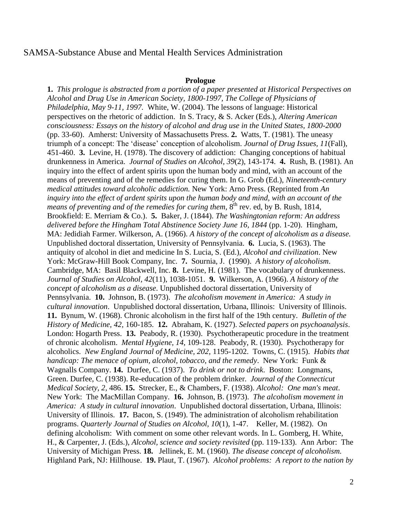### SAMSA-Substance Abuse and Mental Health Services Administration

#### **Prologue**

**1.** *This prologue is abstracted from a portion of a paper presented at Historical Perspectives on Alcohol and Drug Use in American Society, 1800-1997, The College of Physicians of Philadelphia, May 9-11, 1997.* White, W. (2004). The lessons of language: Historical perspectives on the rhetoric of addiction. In S. Tracy, & S. Acker (Eds.), *Altering American consciousness: Essays on the history of alcohol and drug use in the United States, 1800-2000* (pp. 33-60). Amherst: University of Massachusetts Press. **2.** Watts, T. (1981). The uneasy triumph of a concept: The 'disease' conception of alcoholism. *Journal of Drug Issues, 11*(Fall), 451-460.**3.** Levine, H. (1978). The discovery of addiction: Changing conceptions of habitual drunkenness in America. *Journal of Studies on Alcohol, 39*(2), 143-174. **4.** Rush, B. (1981). An inquiry into the effect of ardent spirits upon the human body and mind, with an account of the means of preventing and of the remedies for curing them. In G. Grob (Ed.), *Nineteenth-century medical attitudes toward alcoholic addiction.* New York: Arno Press. (Reprinted from *An inquiry into the effect of ardent spirits upon the human body and mind, with an account of the means of preventing and of the remedies for curing them*,  $8^{th}$  rev. ed. by B. Rush, 1814, Brookfield: E. Merriam & Co.). **5.** Baker, J. (1844). *The Washingtonian reform: An address delivered before the Hingham Total Abstinence Society June 16, 1844* (pp. 1-20). Hingham, MA: Jedidiah Farmer. Wilkerson, A. (1966). *A history of the concept of alcoholism as a disease.* Unpublished doctoral dissertation, University of Pennsylvania. **6.** Lucia, S. (1963). The antiquity of alcohol in diet and medicine In S. Lucia, S. (Ed.), *Alcohol and civilization*. New York: McGraw-Hill Book Company, Inc. **7.** Sournia, J. (1990). *A history of alcoholism*. Cambridge, MA: Basil Blackwell, Inc. **8.** Levine, H. (1981). The vocabulary of drunkenness. *Journal of Studies on Alcohol, 42*(11), 1038-1051. **9.** Wilkerson, A. (1966). *A history of the concept of alcoholism as a disease*. Unpublished doctoral dissertation, University of Pennsylvania. **10.** Johnson, B. (1973). *The alcoholism movement in America: A study in cultural innovation*. Unpublished doctoral dissertation, Urbana, Illinois: University of Illinois. **11.** Bynum, W. (1968). Chronic alcoholism in the first half of the 19th century. *Bulletin of the History of Medicine, 42,* 160-185. **12.** Abraham, K. (1927). *Selected papers on psychoanalysis*. London: Hogarth Press. **13.** Peabody, R. (1930). Psychotherapeutic procedure in the treatment of chronic alcoholism. *Mental Hygiene, 14*, 109-128. Peabody, R. (1930). Psychotherapy for alcoholics. *New England Journal of Medicine, 202*, 1195-1202. Towns, C. (1915). *Habits that handicap: The menace of opium, alcohol, tobacco, and the remedy*. New York: Funk & Wagnalls Company. **14.** Durfee, C. (1937). *To drink or not to drink*. Boston: Longmans, Green. Durfee, C. (1938). Re-education of the problem drinker. *Journal of the Connecticut Medical Society, 2,* 486. **15.** Strecker, E., & Chambers, F. (1938). *Alcohol: One man's meat*. New York: The MacMillan Company. **16.** Johnson, B. (1973). *The alcoholism movement in America: A study in cultural innovation*. Unpublished doctoral dissertation, Urbana, Illinois: University of Illinois. **17.** Bacon, S. (1949). The administration of alcoholism rehabilitation programs. *Quarterly Journal of Studies on Alcohol, 10*(1), 1-47. Keller, M. (1982). On defining alcoholism: With comment on some other relevant words. In L. Gomberg, H. White, H., & Carpenter, J. (Eds.), *Alcohol, science and society revisited* (pp. 119-133). Ann Arbor: The University of Michigan Press. **18.** Jellinek, E. M. (1960). *The disease concept of alcoholism.* Highland Park, NJ: Hillhouse.**19.** Plaut, T. (1967). *Alcohol problems: A report to the nation by*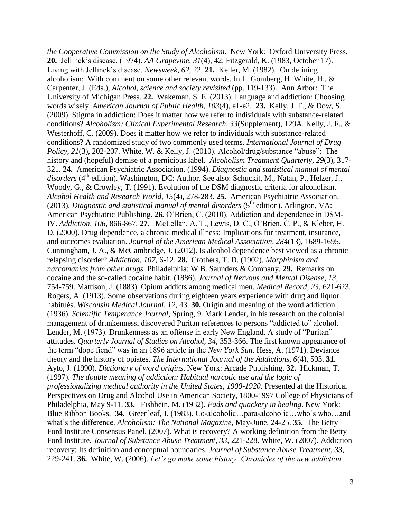*the Cooperative Commission on the Study of Alcoholism*. New York: Oxford University Press. **20.** Jellinek's disease. (1974). *AA Grapevine*, *31*(4), 42. Fitzgerald, K. (1983, October 17). Living with Jellinek's disease. *Newsweek*, *62*, 22. **21.** Keller, M. (1982). On defining alcoholism: With comment on some other relevant words. In L. Gomberg, H. White, H., & Carpenter, J. (Eds.), *Alcohol, science and society revisited* (pp. 119-133). Ann Arbor: The University of Michigan Press. **22.** Wakeman, S. E. (2013). Language and addiction: Choosing words wisely. *American Journal of Public Health, 103*(4), e1-e2. **23.** Kelly, J. F., & Dow, S. (2009). Stigma in addiction: Does it matter how we refer to individuals with substance-related conditions? *Alcoholism: Clinical Experimental Research, 33*(Supplement), 129A. Kelly, J. F., & Westerhoff, C. (2009). Does it matter how we refer to individuals with substance-related conditions? A randomized study of two commonly used terms. *International Journal of Drug Policy, 21*(3), 202-207. White, W. & Kelly, J. (2010). Alcohol/drug/substance "abuse": The history and (hopeful) demise of a pernicious label. *Alcoholism Treatment Quarterly, 29*(3), 317- 321. **24.** American Psychiatric Association. (1994). *Diagnostic and statistical manual of mental*  disorders (4<sup>th</sup> edition). Washington, DC: Author. See also: Schuckit, M., Natan, P., Helzer, J., Woody, G., & Crowley, T. (1991). Evolution of the DSM diagnostic criteria for alcoholism. *Alcohol Health and Research World, 15*(4), 278-283. **25.** American Psychiatric Association. (2013). *Diagnostic and statistical manual of mental disorders* (5<sup>th</sup> edition). Arlington, VA: American Psychiatric Publishing. **26.** O'Brien, C. (2010). Addiction and dependence in DSM-IV. *Addiction, 106,* 866-867. **27.** McLellan, A. T., Lewis, D. C., O'Brien, C. P., & Kleber, H. D. (2000). Drug dependence, a chronic medical illness: Implications for treatment, insurance, and outcomes evaluation. *Journal of the American Medical Association, 284*(13), 1689-1695. Cunningham, J. A., & McCambridge, J. (2012). Is alcohol dependence best viewed as a chronic relapsing disorder? *Addiction, 107*, 6-12. **28.** Crothers, T. D. (1902). *Morphinism and narcomanias from other drugs.* Philadelphia: W.B. Saunders & Company. **29.** Remarks on cocaine and the so-called cocaine habit. (1886). *Journal of Nervous and Mental Disease, 13*, 754-759. Mattison, J. (1883). Opium addicts among medical men. *Medical Record, 23*, 621-623. Rogers, A. (1913). Some observations during eighteen years experience with drug and liquor habitués. *Wisconsin Medical Journal, 12*, 43. **30.** Origin and meaning of the word addiction. (1936). *Scientific Temperance Journal,* Spring, 9. Mark Lender, in his research on the colonial management of drunkenness, discovered Puritan references to persons "addicted to" alcohol. Lender, M. (1973). Drunkenness as an offense in early New England. A study of "Puritan" attitudes. *Quarterly Journal of Studies on Alcohol, 34*, 353-366. The first known appearance of the term "dope fiend" was in an 1896 article in the *New York Sun*. Hess, A. (1971). Deviance theory and the history of opiates. *The International Journal of the Addictions, 6*(4), 593. **31.** Ayto, J. (1990). *Dictionary of word origins*. New York: Arcade Publishing. **32.** Hickman, T. (1997). *The double meaning of addiction: Habitual narcotic use and the logic of professionalizing medical authority in the United States, 1900-1920*. Presented at the Historical Perspectives on Drug and Alcohol Use in American Society, 1800-1997 College of Physicians of Philadelphia, May 9-11. **33.** Fishbein, M. (1932). *Fads and quackery in healing*. New York: Blue Ribbon Books.**34.** Greenleaf, J. (1983). Co-alcoholic…para-alcoholic…who's who…and what's the difference. *Alcoholism: The National Magazine*, May-June, 24-25. **35.** The Betty Ford Institute Consensus Panel. (2007). What is recovery? A working definition from the Betty Ford Institute. *Journal of Substance Abuse Treatment, 33,* 221-228. White, W. (2007). Addiction recovery: Its definition and conceptual boundaries. *Journal of Substance Abuse Treatment, 33*, 229-241. **36.** White, W. (2006). *Let's go make some history: Chronicles of the new addiction*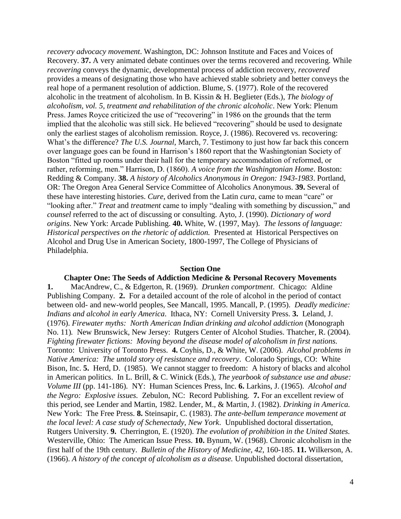*recovery advocacy movement*. Washington, DC: Johnson Institute and Faces and Voices of Recovery. **37.** A very animated debate continues over the terms recovered and recovering. While *recovering* conveys the dynamic, developmental process of addiction recovery, *recovered* provides a means of designating those who have achieved stable sobriety and better conveys the real hope of a permanent resolution of addiction. Blume, S. (1977). Role of the recovered alcoholic in the treatment of alcoholism. In B. Kissin & H. Beglieter (Eds.), *The biology of alcoholism, vol. 5, treatment and rehabilitation of the chronic alcoholic*. New York: Plenum Press. James Royce criticized the use of "recovering" in 1986 on the grounds that the term implied that the alcoholic was still sick. He believed "recovering" should be used to designate only the earliest stages of alcoholism remission. Royce, J. (1986). Recovered vs. recovering: What's the difference? *The U.S. Journal*, March, 7. Testimony to just how far back this concern over language goes can be found in Harrison's 1860 report that the Washingtonian Society of Boston "fitted up rooms under their hall for the temporary accommodation of reformed, or rather, reforming, men." Harrison, D. (1860). *A voice from the Washingtonian Home*. Boston: Redding & Company. **38.** *A history of Alcoholics Anonymous in Oregon: 1943-1983*. Portland, OR: The Oregon Area General Service Committee of Alcoholics Anonymous. **39.** Several of these have interesting histories. *Cure*, derived from the Latin *cura*, came to mean "care" or "looking after." *Treat* and *treatment* came to imply "dealing with something by discussion," and *counsel* referred to the act of discussing or consulting. Ayto, J. (1990). *Dictionary of word origins*. New York: Arcade Publishing. **40.** White, W. (1997, May). *The lessons of language: Historical perspectives on the rhetoric of addiction.* Presented at Historical Perspectives on Alcohol and Drug Use in American Society, 1800-1997, The College of Physicians of Philadelphia.

#### **Section One**

#### **Chapter One: The Seeds of Addiction Medicine & Personal Recovery Movements**

**1.** MacAndrew, C., & Edgerton, R. (1969). *Drunken comportment*. Chicago: Aldine Publishing Company. **2.** For a detailed account of the role of alcohol in the period of contact between old- and new-world peoples, See Mancall, 1995. Mancall, P. (1995). *Deadly medicine: Indians and alcohol in early America*. Ithaca, NY: Cornell University Press. **3.** Leland, J. (1976). *Firewater myths: North American Indian drinking and alcohol addiction* (Monograph No. 11)*.* New Brunswick, New Jersey: Rutgers Center of Alcohol Studies. Thatcher, R. (2004). *Fighting firewater fictions: Moving beyond the disease model of alcoholism in first nations.* Toronto: University of Toronto Press. **4.** Coyhis, D., & White, W. (2006). *Alcohol problems in Native America: The untold story of resistance and recovery*. Colorado Springs, CO: White Bison, Inc. **5.** Herd, D. (1985). We cannot stagger to freedom: A history of blacks and alcohol in American politics. In L. Brill, & C. Winick (Eds.), *The yearbook of substance use and abuse: Volume III* (pp. 141-186)*.* NY: Human Sciences Press, Inc. **6.** Larkins, J. (1965). *Alcohol and the Negro: Explosive issues.* Zebulon, NC: Record Publishing. **7.** For an excellent review of this period, see Lender and Martin, 1982. Lender, M., & Martin, J. (1982). *Drinking in America.* New York: The Free Press. **8.** Steinsapir, C. (1983). *The ante-bellum temperance movement at the local level: A case study of Schenectady, New York*. Unpublished doctoral dissertation, Rutgers University. **9.** Cherrington, E. (1920). *The evolution of prohibition in the United States.* Westerville, Ohio: The American Issue Press. **10.** Bynum, W. (1968). Chronic alcoholism in the first half of the 19th century. *Bulletin of the History of Medicine, 42*, 160-185. **11.** Wilkerson, A. (1966). *A history of the concept of alcoholism as a disease.* Unpublished doctoral dissertation,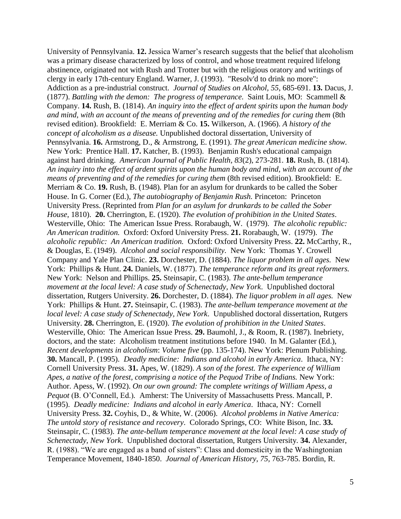University of Pennsylvania. **12.** Jessica Warner's research suggests that the belief that alcoholism was a primary disease characterized by loss of control, and whose treatment required lifelong abstinence, originated not with Rush and Trotter but with the religious oratory and writings of clergy in early 17th-century England. Warner, J. (1993). "Resolv'd to drink no more": Addiction as a pre-industrial construct. *Journal of Studies on Alcohol, 55*, 685-691. **13.** Dacus, J. (1877). *Battling with the demon: The progress of temperance*. Saint Louis, MO: Scammell & Company. **14.** Rush, B. (1814). *An inquiry into the effect of ardent spirits upon the human body and mind, with an account of the means of preventing and of the remedies for curing them* (8th revised edition). Brookfield: E. Merriam & Co. **15.** Wilkerson, A. (1966). *A history of the concept of alcoholism as a disease.* Unpublished doctoral dissertation, University of Pennsylvania. **16.** Armstrong, D., & Armstrong, E. (1991). *The great American medicine show.* New York: Prentice Hall. **17.** Katcher, B. (1993). Benjamin Rush's educational campaign against hard drinking. *American Journal of Public Health, 83*(2), 273-281. **18.** Rush, B. (1814). *An inquiry into the effect of ardent spirits upon the human body and mind, with an account of the means of preventing and of the remedies for curing them* (8th revised edition). Brookfield: E. Merriam & Co. **19.** Rush, B. (1948). Plan for an asylum for drunkards to be called the Sober House. In G. Corner (Ed.), *The autobiography of Benjamin Rush.* Princeton: Princeton University Press. (Reprinted from *Plan for an asylum for drunkards to be called the Sober House*, 1810). **20.** Cherrington, E. (1920). *The evolution of prohibition in the United States*. Westerville, Ohio: The American Issue Press. Rorabaugh, W. (1979). *The alcoholic republic: An American tradition.* Oxford: Oxford University Press. **21.** Rorabaugh, W. (1979). *The alcoholic republic: An American tradition.* Oxford: Oxford University Press. **22.** McCarthy, R., & Douglas, E. (1949). *Alcohol and social responsibility.* New York: Thomas Y. Crowell Company and Yale Plan Clinic. **23.** Dorchester, D. (1884). *The liquor problem in all ages.* New York: Phillips & Hunt. **24.** Daniels, W. (1877). *The temperance reform and its great reformers.* New York: Nelson and Phillips. **25.** Steinsapir, C. (1983). *The ante-bellum temperance movement at the local level: A case study of Schenectady, New York*. Unpublished doctoral dissertation, Rutgers University. **26.** Dorchester, D. (1884). *The liquor problem in all ages.* New York: Phillips & Hunt. **27.** Steinsapir, C. (1983). *The ante-bellum temperance movement at the local level: A case study of Schenectady, New York*. Unpublished doctoral dissertation, Rutgers University. **28.** Cherrington, E. (1920). *The evolution of prohibition in the United States*. Westerville, Ohio: The American Issue Press. **29.** Baumohl, J., & Room, R. (1987). Inebriety, doctors, and the state: Alcoholism treatment institutions before 1940. In M. Galanter (Ed.), *Recent developments in alcoholism*: *Volume five* (pp. 135-174). New York: Plenum Publishing. **30.** Mancall, P. (1995). *Deadly medicine: Indians and alcohol in early America*. Ithaca, NY: Cornell University Press. **31.** Apes, W. (1829). *A son of the forest. The experience of William*  Apes, a native of the forest, comprising a notice of the Pequod Tribe of Indians. New York: Author. Apess, W. (1992). *On our own ground: The complete writings of William Apess, a Pequot* (B. O'Connell, Ed.)*.* Amherst: The University of Massachusetts Press. Mancall, P. (1995). *Deadly medicine: Indians and alcohol in early America*. Ithaca, NY: Cornell University Press. **32.** Coyhis, D., & White, W. (2006). *Alcohol problems in Native America: The untold story of resistance and recovery*. Colorado Springs, CO: White Bison, Inc. **33.** Steinsapir, C. (1983). *The ante-bellum temperance movement at the local level: A case study of Schenectady, New York*. Unpublished doctoral dissertation, Rutgers University. **34.** Alexander, R. (1988). "We are engaged as a band of sisters": Class and domesticity in the Washingtonian Temperance Movement, 1840-1850. *Journal of American History, 75,* 763-785. Bordin, R.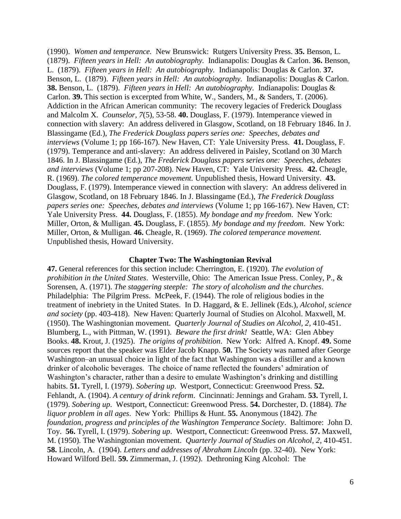(1990). *Women and temperance.* New Brunswick: Rutgers University Press. **35.** Benson, L. (1879). *Fifteen years in Hell: An autobiography.* Indianapolis: Douglas & Carlon. **36.** Benson, L. (1879). *Fifteen years in Hell: An autobiography.* Indianapolis: Douglas & Carlon. **37.**  Benson, L. (1879). *Fifteen years in Hell: An autobiography.* Indianapolis: Douglas & Carlon. **38.** Benson, L. (1879). *Fifteen years in Hell: An autobiography.* Indianapolis: Douglas & Carlon. **39.** This section is excerpted from White, W., Sanders, M., & Sanders, T. (2006). Addiction in the African American community: The recovery legacies of Frederick Douglass and Malcolm X. *Counselor, 7*(5), 53-58. **40.** Douglass, F. (1979). Intemperance viewed in connection with slavery: An address delivered in Glasgow, Scotland, on 18 February 1846. In J. Blassingame (Ed.), *The Frederick Douglass papers series one: Speeches, debates and interviews* (Volume 1; pp 166-167). New Haven, CT: Yale University Press. **41.** Douglass, F. (1979). Temperance and anti-slavery: An address delivered in Paisley, Scotland on 30 March 1846. In J. Blassingame (Ed.), *The Frederick Douglass papers series one: Speeches, debates and interviews* (Volume 1; pp 207-208). New Haven, CT: Yale University Press. **42.** Cheagle, R. (1969). *The colored temperance movement.* Unpublished thesis, Howard University. **43.** Douglass, F. (1979). Intemperance viewed in connection with slavery: An address delivered in Glasgow, Scotland, on 18 February 1846. In J. Blassingame (Ed.), *The Frederick Douglass papers series one: Speeches, debates and interviews* (Volume 1; pp 166-167). New Haven, CT: Yale University Press. **44.** Douglass, F. (1855). *My bondage and my freedom*. New York: Miller, Orton, & Mulligan. **45.** Douglass, F. (1855). *My bondage and my freedom*. New York: Miller, Orton, & Mulligan. **46.** Cheagle, R. (1969). *The colored temperance movement.* Unpublished thesis, Howard University.

#### **Chapter Two: The Washingtonian Revival**

**47.** General references for this section include: Cherrington, E. (1920). *The evolution of prohibition in the United States*. Westerville, Ohio: The American Issue Press. Conley, P., & Sorensen, A. (1971). *The staggering steeple: The story of alcoholism and the churches*. Philadelphia: The Pilgrim Press. McPeek, F. (1944). The role of religious bodies in the treatment of inebriety in the United States. In D. Haggard, & E. Jellinek (Eds.), *Alcohol, science and society* (pp. 403-418). New Haven: Quarterly Journal of Studies on Alcohol. Maxwell, M. (1950). The Washingtonian movement. *Quarterly Journal of Studies on Alcohol, 2*, 410-451. Blumberg, L., with Pittman, W. (1991). *Beware the first drink!* Seattle, WA: Glen Abbey Books. **48.** Krout, J. (1925). *The origins of prohibition*. New York: Alfred A. Knopf. **49.** Some sources report that the speaker was Elder Jacob Knapp. **50.** The Society was named after George Washington–an unusual choice in light of the fact that Washington was a distiller and a known drinker of alcoholic beverages. The choice of name reflected the founders' admiration of Washington's character, rather than a desire to emulate Washington's drinking and distilling habits. **51.** Tyrell, I. (1979). *Sobering up*. Westport, Connecticut: Greenwood Press. **52.** Fehlandt, A. (1904). *A century of drink reform*. Cincinnati: Jennings and Graham. **53.** Tyrell, I. (1979). *Sobering up*. Westport, Connecticut: Greenwood Press. **54.** Dorchester, D. (1884). *The liquor problem in all ages*. New York: Phillips & Hunt. **55.** Anonymous (1842). *The foundation, progress and principles of the Washington Temperance Society*. Baltimore: John D. Toy. **56.** Tyrell, I. (1979). *Sobering up*. Westport, Connecticut: Greenwood Press. **57.** Maxwell, M. (1950). The Washingtonian movement. *Quarterly Journal of Studies on Alcohol, 2*, 410-451. **58.** Lincoln, A. (1904). *Letters and addresses of Abraham Lincoln* (pp. 32-40). New York: Howard Wilford Bell. **59.** Zimmerman, J. (1992). Dethroning King Alcohol: The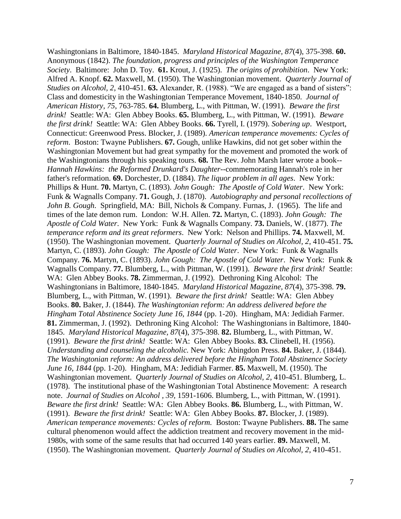Washingtonians in Baltimore, 1840-1845. *Maryland Historical Magazine, 87*(4), 375-398. **60.** Anonymous (1842). *The foundation, progress and principles of the Washington Temperance Society*. Baltimore: John D. Toy. **61.** Krout, J. (1925). *The origins of prohibition*. New York: Alfred A. Knopf. **62.** Maxwell, M. (1950). The Washingtonian movement. *Quarterly Journal of Studies on Alcohol, 2*, 410-451. **63.** Alexander, R. (1988). "We are engaged as a band of sisters": Class and domesticity in the Washingtonian Temperance Movement, 1840-1850. *Journal of American History, 75*, 763-785. **64.** Blumberg, L., with Pittman, W. (1991). *Beware the first drink!* Seattle: WA: Glen Abbey Books. **65.** Blumberg, L., with Pittman, W. (1991). *Beware the first drink!* Seattle: WA: Glen Abbey Books. **66.** Tyrell, I. (1979). *Sobering up*. Westport, Connecticut: Greenwood Press. Blocker, J. (1989). *American temperance movements: Cycles of reform*. Boston: Twayne Publishers. **67.** Gough, unlike Hawkins, did not get sober within the Washingtonian Movement but had great sympathy for the movement and promoted the work of the Washingtonians through his speaking tours. **68.** The Rev. John Marsh later wrote a book-- *Hannah Hawkins: the Reformed Drunkard's Daughter*--commemorating Hannah's role in her father's reformation. **69.** Dorchester, D. (1884). *The liquor problem in all ages*. New York: Phillips & Hunt. **70.** Martyn, C. (1893). *John Gough: The Apostle of Cold Water*. New York: Funk & Wagnalls Company. **71.** Gough, J. (1870). *Autobiography and personal recollections of John B. Gough*. Springfield, MA: Bill, Nichols & Company. Furnas, J. (1965). The life and times of the late demon rum. London: W.H. Allen. **72.** Martyn, C. (1893). *John Gough: The Apostle of Cold Water*. New York: Funk & Wagnalls Company. **73.** Daniels, W. (1877). *The temperance reform and its great reformers*. New York: Nelson and Phillips. **74.** Maxwell, M. (1950). The Washingtonian movement. *Quarterly Journal of Studies on Alcohol, 2*, 410-451. **75.** Martyn, C. (1893). *John Gough: The Apostle of Cold Water*. New York: Funk & Wagnalls Company. **76.** Martyn, C. (1893). *John Gough: The Apostle of Cold Water*. New York: Funk & Wagnalls Company. **77.** Blumberg, L., with Pittman, W. (1991). *Beware the first drink!* Seattle: WA: Glen Abbey Books. **78.** Zimmerman, J. (1992). Dethroning King Alcohol: The Washingtonians in Baltimore, 1840-1845. *Maryland Historical Magazine, 87*(4), 375-398. **79.** Blumberg, L., with Pittman, W. (1991). *Beware the first drink!* Seattle: WA: Glen Abbey Books. **80.** Baker, J. (1844). *The Washingtonian reform: An address delivered before the Hingham Total Abstinence Society June 16, 1844* (pp. 1-20). Hingham, MA: Jedidiah Farmer. **81.** Zimmerman, J. (1992). Dethroning King Alcohol: The Washingtonians in Baltimore, 1840- 1845. *Maryland Historical Magazine, 87*(4), 375-398. **82.** Blumberg, L., with Pittman, W. (1991). *Beware the first drink!* Seattle: WA: Glen Abbey Books. **83.** Clinebell, H. (1956). *Understanding and counseling the alcoholic.* New York: Abingdon Press. **84.** Baker, J. (1844). *The Washingtonian reform: An address delivered before the Hingham Total Abstinence Society June 16, 1844* (pp. 1-20). Hingham, MA: Jedidiah Farmer. **85.** Maxwell, M. (1950). The Washingtonian movement. *Quarterly Journal of Studies on Alcohol, 2*, 410-451. Blumberg, L. (1978). The institutional phase of the Washingtonian Total Abstinence Movement: A research note. *Journal of Studies on Alcohol , 39,* 1591-1606. Blumberg, L., with Pittman, W. (1991). *Beware the first drink!* Seattle: WA: Glen Abbey Books. **86.** Blumberg, L., with Pittman, W. (1991). *Beware the first drink!* Seattle: WA: Glen Abbey Books. **87.** Blocker, J. (1989). *American temperance movements: Cycles of reform.* Boston: Twayne Publishers. **88.** The same cultural phenomenon would affect the addiction treatment and recovery movement in the mid-1980s, with some of the same results that had occurred 140 years earlier. **89.** Maxwell, M. (1950). The Washingtonian movement. *Quarterly Journal of Studies on Alcohol, 2*, 410-451.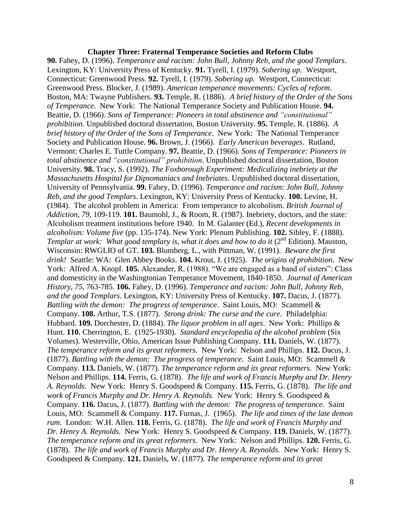#### **Chapter Three: Fraternal Temperance Societies and Reform Clubs**

**90.** Fahey, D. (1996). *Temperance and racism: John Bull, Johnny Reb, and the good Templars*. Lexington, KY: University Press of Kentucky. **91.** Tyrell, I. (1979). *Sobering up.* Westport, Connecticut: Greenwood Press. **92.** Tyrell, I. (1979). *Sobering up.* Westport, Connecticut: Greenwood Press. Blocker, J. (1989). *American temperance movements: Cycles of reform*. Boston, MA: Twayne Publishers. **93.** Temple, R. (1886). *A brief history of the Order of the Sons of Temperance*. New York: The National Temperance Society and Publication House. **94.** Beattie, D. (1966). *Sons of Temperance: Pioneers in total abstinence and "constitutional" prohibition*. Unpublished doctoral dissertation, Boston University. **95.** Temple, R. (1886). *A brief history of the Order of the Sons of Temperance*. New York: The National Temperance Society and Publication House. **96.** Brown, J. (1966). *Early American beverages*. Rutland, Vermont: Charles E. Tuttle Company. **97.** Beattie, D. (1966). *Sons of Temperance: Pioneers in total abstinence and "constitutional" prohibition*. Unpublished doctoral dissertation, Boston University. **98.** Tracy, S. (1992). *The Foxborough Experiment: Medicalizing inebriety at the Massachusetts Hospital for Dipsomaniacs and Inebriates*. Unpublished doctoral dissertation, University of Pennsylvania. **99.** Fahey, D. (1996). *Temperance and racism: John Bull, Johnny Reb, and the good Templars*. Lexington, KY: University Press of Kentucky. **100.** Levine, H. (1984). The alcohol problem in America: From temperance to alcoholism. *British Journal of Addiction*, *79,* 109-119. **101.** Baumohl, J., & Room, R. (1987). Inebriety, doctors, and the state: Alcoholism treatment institutions before 1940. In M. Galanter (Ed.), *Recent developments in alcoholism: Volume five* (pp. 135-174). New York: Plenum Publishing. **102.** Sibley, F. (1888). *Templar at work: What good templary is, what it does and how to do it (2<sup>nd</sup> Edition). Mauston,* Wisconsin: RWGLIO of GT. **103.** Blumberg, L., with Pittman, W. (1991). *Beware the first drink!* Seattle: WA: Glen Abbey Books. **104.** Krout, J. (1925). *The origins of prohibition.* New York: Alfred A. Knopf. **105.** Alexander, R. (1988). "We are engaged as a band of sisters": Class and domesticity in the Washingtonian Temperance Movement, 1840-1850. *Journal of American History, 75,* 763-785. **106.** Fahey, D. (1996). *Temperance and racism: John Bull, Johnny Reb, and the good Templars*. Lexington, KY: University Press of Kentucky. **107.** Dacus, J. (1877). *Battling with the demon: The progress of temperance*. Saint Louis, MO: Scammell & Company. **108.** Arthur, T.S. (1877). *Strong drink: The curse and the cure*. Philadelphia: Hubbard. **109.** Dorchester, D. (1884). *The liquor problem in all ages*. New York: Phillips & Hunt. **110.** Cherrington, E. (1925-1930). *Standard encyclopedia of the alcohol problem* (Six Volumes). Westerville, Ohio, American Issue Publishing Company. **111.** Daniels, W. (1877). *The temperance reform and its great reformers.* New York: Nelson and Phillips. **112.** Dacus, J. (1877). *Battling with the demon: The progress of temperance*. Saint Louis, MO: Scammell & Company. **113.** Daniels, W. (1877). *The temperance reform and its great reformers.* New York: Nelson and Phillips. **114.** Ferris, G. (1878). *The life and work of Francis Murphy and Dr. Henry A. Reynolds.* New York: Henry S. Goodspeed & Company. **115.** Ferris, G. (1878). *The life and work of Francis Murphy and Dr. Henry A. Reynolds.* New York: Henry S. Goodspeed & Company. **116.** Dacus, J. (1877). *Battling with the demon: The progress of temperance*. Saint Louis, MO: Scammell & Company. **117.** Furnas, J. (1965). *The life and times of the late demon rum*. London: W.H. Allen. **118.** Ferris, G. (1878). *The life and work of Francis Murphy and Dr. Henry A. Reynolds.* New York: Henry S. Goodspeed & Company. **119.** Daniels, W. (1877). *The temperance reform and its great reformers.* New York: Nelson and Phillips. **120.** Ferris, G. (1878). *The life and work of Francis Murphy and Dr. Henry A. Reynolds.* New York: Henry S. Goodspeed & Company. **121.** Daniels, W. (1877). *The temperance reform and its great*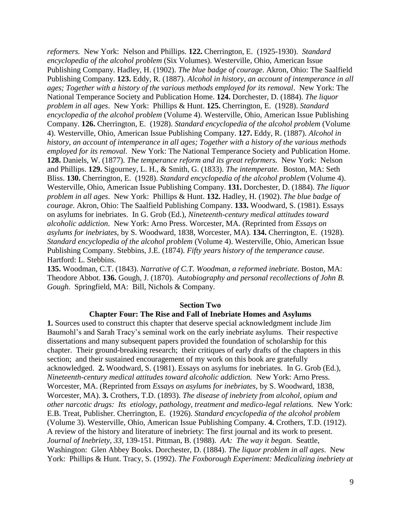*reformers.* New York: Nelson and Phillips. **122.** Cherrington, E. (1925-1930). *Standard encyclopedia of the alcohol problem* (Six Volumes). Westerville, Ohio, American Issue Publishing Company. Hadley, H. (1902). *The blue badge of courage*. Akron, Ohio: The Saalfield Publishing Company. **123.** Eddy, R. (1887). *Alcohol in history, an account of intemperance in all ages; Together with a history of the various methods employed for its removal*. New York: The National Temperance Society and Publication Home. **124.** Dorchester, D. (1884). *The liquor problem in all ages*. New York: Phillips & Hunt. **125.** Cherrington, E. (1928). *Standard encyclopedia of the alcohol problem* (Volume 4). Westerville, Ohio, American Issue Publishing Company. **126.** Cherrington, E. (1928). *Standard encyclopedia of the alcohol problem* (Volume 4). Westerville, Ohio, American Issue Publishing Company. **127.** Eddy, R. (1887). *Alcohol in history, an account of intemperance in all ages; Together with a history of the various methods employed for its removal*. New York: The National Temperance Society and Publication Home. **128.** Daniels, W. (1877). *The temperance reform and its great reformers.* New York: Nelson and Phillips. **129.** Sigourney, L. H., & Smith, G. (1833). *The intemperate.* Boston, MA: Seth Bliss. **130.** Cherrington, E. (1928). *Standard encyclopedia of the alcohol problem* (Volume 4). Westerville, Ohio, American Issue Publishing Company. **131.** Dorchester, D. (1884). *The liquor problem in all ages*. New York: Phillips & Hunt. **132.** Hadley, H. (1902). *The blue badge of courage*. Akron, Ohio: The Saalfield Publishing Company. **133.** Woodward, S. (1981). Essays on asylums for inebriates. In G. Grob (Ed.), *Nineteenth-century medical attitudes toward alcoholic addiction.* New York: Arno Press. Worcester, MA. (Reprinted from *Essays on asylums for inebriates,* by S. Woodward, 1838, Worcester, MA). **134.** Cherrington, E. (1928). *Standard encyclopedia of the alcohol problem* (Volume 4). Westerville, Ohio, American Issue Publishing Company. Stebbins, J.E. (1874). *Fifty years history of the temperance cause.*  Hartford: L. Stebbins.

**135.** Woodman, C.T. (1843). *Narrative of C.T. Woodman, a reformed inebriate.* Boston, MA: Theodore Abbot. **136.** Gough, J. (1870). *Autobiography and personal recollections of John B. Gough*. Springfield, MA: Bill, Nichols & Company.

#### **Section Two**

### **Chapter Four: The Rise and Fall of Inebriate Homes and Asylums**

**1.** Sources used to construct this chapter that deserve special acknowledgment include Jim Baumohl's and Sarah Tracy's seminal work on the early inebriate asylums. Their respective dissertations and many subsequent papers provided the foundation of scholarship for this chapter. Their ground-breaking research; their critiques of early drafts of the chapters in this section; and their sustained encouragement of my work on this book are gratefully acknowledged. **2.** Woodward, S. (1981). Essays on asylums for inebriates. In G. Grob (Ed.), *Nineteenth-century medical attitudes toward alcoholic addiction.* New York: Arno Press. Worcester, MA. (Reprinted from *Essays on asylums for inebriates,* by S. Woodward, 1838, Worcester, MA). **3.** Crothers, T.D. (1893). *The disease of inebriety from alcohol, opium and other narcotic drugs: Its etiology, pathology, treatment and medico-legal relations.* New York: E.B. Treat, Publisher. Cherrington, E. (1926). *Standard encyclopedia of the alcohol problem* (Volume 3). Westerville, Ohio, American Issue Publishing Company. **4.** Crothers, T.D. (1912). A review of the history and literature of inebriety: The first journal and its work to present. *Journal of Inebriety, 33*, 139-151. Pittman, B. (1988). *AA: The way it began.* Seattle, Washington: Glen Abbey Books. Dorchester, D. (1884). *The liquor problem in all ages*. New York: Phillips & Hunt. Tracy, S. (1992). *The Foxborough Experiment: Medicalizing inebriety at*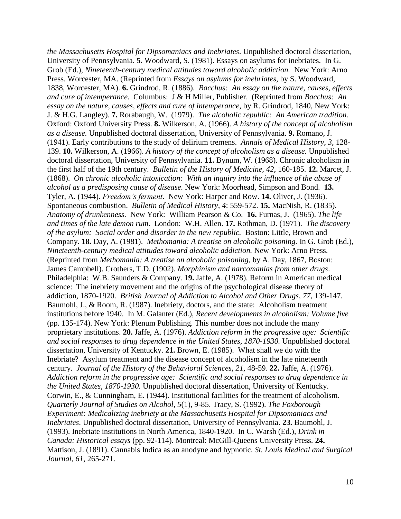*the Massachusetts Hospital for Dipsomaniacs and Inebriates*. Unpublished doctoral dissertation, University of Pennsylvania. **5.** Woodward, S. (1981). Essays on asylums for inebriates. In G. Grob (Ed.), *Nineteenth-century medical attitudes toward alcoholic addiction.* New York: Arno Press. Worcester, MA. (Reprinted from *Essays on asylums for inebriates,* by S. Woodward, 1838, Worcester, MA). **6.** Grindrod, R. (1886). *Bacchus: An essay on the nature, causes, effects and cure of intemperance*. Columbus: J & H Miller, Publisher. (Reprinted from *Bacchus: An essay on the nature, causes, effects and cure of intemperance,* by R. Grindrod, 1840, New York: J. & H.G. Langley). **7.** Rorabaugh, W. (1979). *The alcoholic republic: An American tradition.* Oxford: Oxford University Press. **8.** Wilkerson, A. (1966). *A history of the concept of alcoholism as a disease.* Unpublished doctoral dissertation, University of Pennsylvania. **9.** Romano, J. (1941). Early contributions to the study of delirium tremens. *Annals of Medical History*, *3,* 128- 139. **10.** Wilkerson, A. (1966). *A history of the concept of alcoholism as a disease.* Unpublished doctoral dissertation, University of Pennsylvania. **11.** Bynum, W. (1968). Chronic alcoholism in the first half of the 19th century. *Bulletin of the History of Medicine, 42*, 160-185. **12.** Marcet, J. (1868). *On chronic alcoholic intoxication: With an inquiry into the influence of the abuse of alcohol as a predisposing cause of disease.* New York: Moorhead, Simpson and Bond. **13.** Tyler, A. (1944). *Freedom's ferment*. New York: Harper and Row. **14.** Oliver, J. (1936). Spontaneous combustion. *Bulletin of Medical History, 4*: 559-572. **15.** MacNish, R. (1835). *Anatomy of drunkenness*. New York: William Pearson & Co. **16.** Furnas, J. (1965). *The life and times of the late demon rum*. London: W.H. Allen. **17.** Rothman, D. (1971). *The discovery of the asylum: Social order and disorder in the new republic.* Boston: Little, Brown and Company. **18.** Day, A. (1981). *Methomania: A treatise on alcoholic poisoning.* In G. Grob (Ed.), *Nineteenth-century medical attitudes toward alcoholic addiction.* New York: Arno Press. (Reprinted from *Methomania: A treatise on alcoholic poisoning,* by A. Day, 1867, Boston: James Campbell). Crothers, T.D. (1902). *Morphinism and narcomanias from other drugs*. Philadelphia: W.B. Saunders & Company. **19.** Jaffe, A. (1978). Reform in American medical science: The inebriety movement and the origins of the psychological disease theory of addiction, 1870-1920. *British Journal of Addiction to Alcohol and Other Drugs, 77,* 139-147. Baumohl, J., & Room, R. (1987). Inebriety, doctors, and the state: Alcoholism treatment institutions before 1940. In M. Galanter (Ed.), *Recent developments in alcoholism: Volume five*  (pp. 135-174). New York: Plenum Publishing. This number does not include the many proprietary institutions. **20.** Jaffe, A. (1976). *Addiction reform in the progressive age: Scientific and social responses to drug dependence in the United States, 1870-1930.* Unpublished doctoral dissertation, University of Kentucky. **21.** Brown, E. (1985). What shall we do with the Inebriate? Asylum treatment and the disease concept of alcoholism in the late nineteenth century. *Journal of the History of the Behavioral Sciences, 21,* 48-59. **22.** Jaffe, A. (1976). *Addiction reform in the progressive age: Scientific and social responses to drug dependence in the United States, 1870-1930.* Unpublished doctoral dissertation, University of Kentucky. Corwin, E., & Cunningham, E. (1944). Institutional facilities for the treatment of alcoholism. *Quarterly Journal of Studies on Alcohol*, *5*(1), 9-85. Tracy, S. (1992). *The Foxborough Experiment: Medicalizing inebriety at the Massachusetts Hospital for Dipsomaniacs and Inebriates*. Unpublished doctoral dissertation, University of Pennsylvania. **23.** Baumohl, J. (1993). Inebriate institutions in North America, 1840-1920. In C. Warsh (Ed.), *Drink in Canada: Historical essays* (pp. 92-114)*.* Montreal: McGill-Queens University Press. **24.** Mattison, J. (1891). Cannabis Indica as an anodyne and hypnotic. *St. Louis Medical and Surgical Journal*, *61*, 265-271.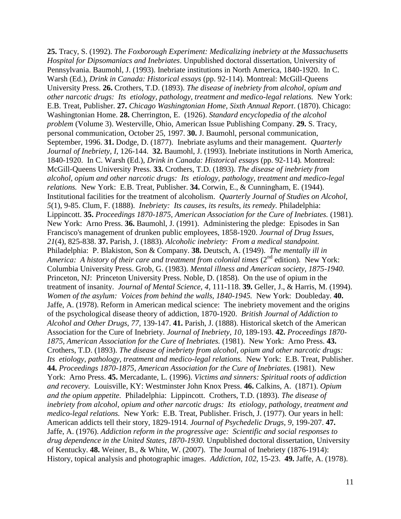**25.** Tracy, S. (1992). *The Foxborough Experiment: Medicalizing inebriety at the Massachusetts Hospital for Dipsomaniacs and Inebriates*. Unpublished doctoral dissertation, University of Pennsylvania. Baumohl, J. (1993). Inebriate institutions in North America, 1840-1920. In C. Warsh (Ed.), *Drink in Canada: Historical essays* (pp. 92-114)*.* Montreal: McGill-Queens University Press. **26.** Crothers, T.D. (1893). *The disease of inebriety from alcohol, opium and other narcotic drugs: Its etiology, pathology, treatment and medico-legal relations.* New York: E.B. Treat, Publisher. **27.** *Chicago Washingtonian Home, Sixth Annual Report*. (1870). Chicago: Washingtonian Home. **28.** Cherrington, E. (1926). *Standard encyclopedia of the alcohol problem* (Volume 3). Westerville, Ohio, American Issue Publishing Company. **29.** S. Tracy, personal communication, October 25, 1997. **30.** J. Baumohl, personal communication, September, 1996. **31.** Dodge, D. (1877). Inebriate asylums and their management. *Quarterly Journal of Inebriety, I*, 126-144. **32.** Baumohl, J. (1993). Inebriate institutions in North America, 1840-1920. In C. Warsh (Ed.), *Drink in Canada: Historical essays* (pp. 92-114)*.* Montreal: McGill-Queens University Press. **33.** Crothers, T.D. (1893). *The disease of inebriety from alcohol, opium and other narcotic drugs: Its etiology, pathology, treatment and medico-legal relations.* New York: E.B. Treat, Publisher. **34.** Corwin, E., & Cunningham, E. (1944). Institutional facilities for the treatment of alcoholism. *Quarterly Journal of Studies on Alcohol*, *5*(1), 9-85. Clum, F. (1888). *Inebriety: Its causes, its results, its remedy.* Philadelphia: Lippincott. **35.** *Proceedings 1870-1875, American Association for the Cure of Inebriates.* (1981). New York: Arno Press. **36.** Baumohl, J. (1991). Administering the pledge: Episodes in San Francisco's management of drunken public employees, 1858-1920. *Journal of Drug Issues, 21*(4), 825-838. **37.** Parish, J. (1883). *Alcoholic inebriety: From a medical standpoint.* Philadelphia: P. Blakiston, Son & Company. **38.** Deutsch, A. (1949). *The mentally ill in America: A history of their care and treatment from colonial times (2<sup>nd</sup> edition). New York:* Columbia University Press. Grob, G. (1983). *Mental illness and American society, 1875-1940.*  Princeton, NJ: Princeton University Press. Noble, D. (1858). On the use of opium in the treatment of insanity. *Journal of Mental Science, 4,* 111-118. **39.** Geller, J., & Harris, M. (1994). *Women of the asylum: Voices from behind the walls, 1840-1945.* New York: Doubleday. **40.** Jaffe, A. (1978). Reform in American medical science: The inebriety movement and the origins of the psychological disease theory of addiction, 1870-1920. *British Journal of Addiction to Alcohol and Other Drugs, 77,* 139-147. **41.** Parish, J. (1888). Historical sketch of the American Association for the Cure of Inebriety. *Journal of Inebriety, 10*, 189-193. **42.** *Proceedings 1870- 1875, American Association for the Cure of Inebriates.* (1981). New York: Arno Press. **43.** Crothers, T.D. (1893). *The disease of inebriety from alcohol, opium and other narcotic drugs: Its etiology, pathology, treatment and medico-legal relations.* New York: E.B. Treat, Publisher. **44.** *Proceedings 1870-1875, American Association for the Cure of Inebriates.* (1981). New York: Arno Press. **45.** Mercadante, L. (1996). *Victims and sinners: Spiritual roots of addiction and recovery.* Louisville, KY: Westminster John Knox Press. **46.** Calkins, A. (1871). *Opium and the opium appetite.* Philadelphia: Lippincott. Crothers, T.D. (1893). *The disease of inebriety from alcohol, opium and other narcotic drugs: Its etiology, pathology, treatment and medico-legal relations.* New York: E.B. Treat, Publisher. Frisch, J. (1977). Our years in hell: American addicts tell their story, 1829-1914. *Journal of Psychedelic Drugs, 9*, 199-207. **47.** Jaffe, A. (1976). *Addiction reform in the progressive age: Scientific and social responses to drug dependence in the United States, 1870-1930.* Unpublished doctoral dissertation, University of Kentucky. **48.** Weiner, B., & White, W. (2007). The Journal of Inebriety (1876-1914): History, topical analysis and photographic images. *Addiction*, *102*, 15-23. **49.** Jaffe, A. (1978).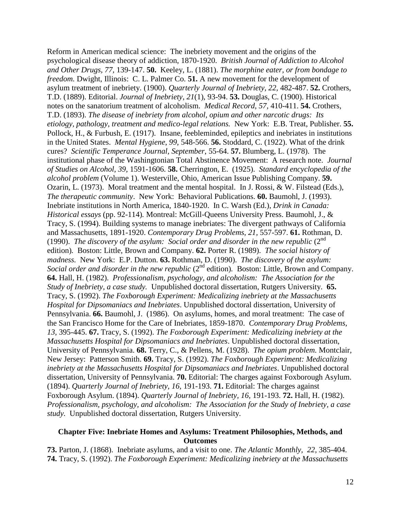Reform in American medical science: The inebriety movement and the origins of the psychological disease theory of addiction, 1870-1920. *British Journal of Addiction to Alcohol and Other Drugs, 77,* 139-147. **50.** Keeley, L. (1881). *The morphine eater, or from bondage to freedom.* Dwight, Illinois: C. L. Palmer Co. **51.** A new movement for the development of asylum treatment of inebriety. (1900). *Quarterly Journal of Inebriety, 22,* 482-487. **52.** Crothers, T.D. (1889). Editorial. *Journal of Inebriety*, *21*(1), 93-94. **53.** Douglas, C. (1900). Historical notes on the sanatorium treatment of alcoholism. *Medical Record*, *57,* 410-411. **54.** Crothers, T.D. (1893). *The disease of inebriety from alcohol, opium and other narcotic drugs: Its etiology, pathology, treatment and medico-legal relations.* New York: E.B. Treat, Publisher. **55.** Pollock, H., & Furbush, E. (1917). Insane, feebleminded, epileptics and inebriates in institutions in the United States. *Mental Hygiene*, *99,* 548-566. **56.** Stoddard, C. (1922). What of the drink cures? *Scientific Temperance Journal, September*, 55-64. **57.** Blumberg, L. (1978). The institutional phase of the Washingtonian Total Abstinence Movement: A research note. *Journal of Studies on Alcohol, 39*, 1591-1606. **58.** Cherrington, E. (1925). *Standard encyclopedia of the alcohol problem* (Volume 1). Westerville, Ohio, American Issue Publishing Company. **59.** Ozarin, L. (1973). Moral treatment and the mental hospital. In J. Rossi, & W. Filstead (Eds.), *The therapeutic community*. New York: Behavioral Publications. **60.** Baumohl, J. (1993). Inebriate institutions in North America, 1840-1920. In C. Warsh (Ed.), *Drink in Canada: Historical essays* (pp. 92-114)*.* Montreal: McGill-Queens University Press. Baumohl, J., & Tracy, S. (1994). Building systems to manage inebriates: The divergent pathways of California and Massachusetts, 1891-1920. *Contemporary Drug Problems*, *21,* 557-597. **61.** Rothman, D. (1990). *The discovery of the asylum: Social order and disorder in the new republic*  $(2^{nd}$ edition)*.* Boston: Little, Brown and Company. **62.** Porter R. (1989). *The social history of madness.* New York: E.P. Dutton. **63.** Rothman, D. (1990). *The discovery of the asylum: Social order and disorder in the new republic* (2<sup>nd</sup> edition). Boston: Little, Brown and Company. **64.** Hall, H. (1982). *Professionalism, psychology, and alcoholism: The Association for the Study of Inebriety, a case study.* Unpublished doctoral dissertation, Rutgers University. **65.** Tracy, S. (1992). *The Foxborough Experiment: Medicalizing inebriety at the Massachusetts Hospital for Dipsomaniacs and Inebriates*. Unpublished doctoral dissertation, University of Pennsylvania. **66.** Baumohl, J. (1986). On asylums, homes, and moral treatment: The case of the San Francisco Home for the Care of Inebriates, 1859-1870. *Contemporary Drug Problems, 13,* 395-445. **67.** Tracy, S. (1992). *The Foxborough Experiment: Medicalizing inebriety at the Massachusetts Hospital for Dipsomaniacs and Inebriates*. Unpublished doctoral dissertation, University of Pennsylvania. **68.** Terry, C., & Pellens, M. (1928). *The opium problem.* Montclair, New Jersey: Patterson Smith. **69.** Tracy, S. (1992). *The Foxborough Experiment: Medicalizing inebriety at the Massachusetts Hospital for Dipsomaniacs and Inebriates*. Unpublished doctoral dissertation, University of Pennsylvania. **70.** Editorial: The charges against Foxborough Asylum. (1894). *Quarterly Journal of Inebriety, 16,* 191-193. **71.** Editorial: The charges against Foxborough Asylum. (1894). *Quarterly Journal of Inebriety, 16,* 191-193. **72.** Hall, H. (1982). *Professionalism, psychology, and alcoholism: The Association for the Study of Inebriety, a case study.* Unpublished doctoral dissertation, Rutgers University.

### **Chapter Five: Inebriate Homes and Asylums: Treatment Philosophies, Methods, and Outcomes**

**73.** Parton, J. (1868). Inebriate asylums, and a visit to one. *The Atlantic Monthly, 22,* 385-404. **74.** Tracy, S. (1992). *The Foxborough Experiment: Medicalizing inebriety at the Massachusetts*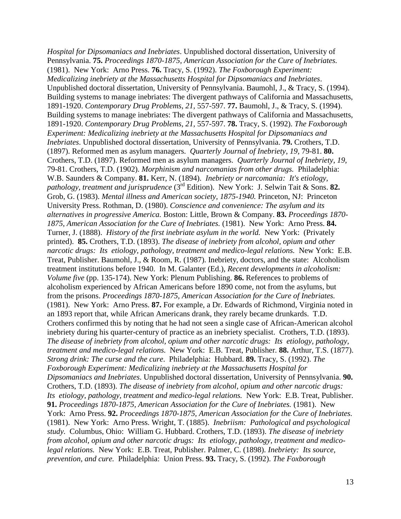*Hospital for Dipsomaniacs and Inebriates*. Unpublished doctoral dissertation, University of Pennsylvania. **75.** *Proceedings 1870-1875, American Association for the Cure of Inebriates.* (1981). New York: Arno Press. **76.** Tracy, S. (1992). *The Foxborough Experiment: Medicalizing inebriety at the Massachusetts Hospital for Dipsomaniacs and Inebriates*. Unpublished doctoral dissertation, University of Pennsylvania. Baumohl, J., & Tracy, S. (1994). Building systems to manage inebriates: The divergent pathways of California and Massachusetts, 1891-1920. *Contemporary Drug Problems*, *21,* 557-597. **77.** Baumohl, J., & Tracy, S. (1994). Building systems to manage inebriates: The divergent pathways of California and Massachusetts, 1891-1920. *Contemporary Drug Problems*, *21,* 557-597. **78.** Tracy, S. (1992). *The Foxborough Experiment: Medicalizing inebriety at the Massachusetts Hospital for Dipsomaniacs and Inebriates*. Unpublished doctoral dissertation, University of Pennsylvania. **79.** Crothers, T.D. (1897). Reformed men as asylum managers. *Quarterly Journal of Inebriety*, *19,* 79-81. **80.** Crothers, T.D. (1897). Reformed men as asylum managers. *Quarterly Journal of Inebriety*, *19,*  79-81. Crothers, T.D. (1902). *Morphinism and narcomanias from other drugs.* Philadelphia: W.B. Saunders & Company. **81.** Kerr, N. (1894). *Inebriety or narcomania: It's etiology, pathology, treatment and jurisprudence* (3rd Edition). New York: J. Selwin Tait & Sons. **82.** Grob, G. (1983). *Mental illness and American society, 1875-1940.* Princeton, NJ: Princeton University Press. Rothman, D. (1980). *Conscience and convenience: The asylum and its alternatives in progressive America.* Boston: Little, Brown & Company. **83.** *Proceedings 1870- 1875, American Association for the Cure of Inebriates.* (1981). New York: Arno Press. **84.** Turner, J. (1888). *History of the first inebriate asylum in the world.* New York: (Privately printed). **85.** Crothers, T.D. (1893). *The disease of inebriety from alcohol, opium and other narcotic drugs: Its etiology, pathology, treatment and medico-legal relations.* New York: E.B. Treat, Publisher. Baumohl, J., & Room, R. (1987). Inebriety, doctors, and the state: Alcoholism treatment institutions before 1940. In M. Galanter (Ed.), *Recent developments in alcoholism: Volume five* (pp. 135-174). New York: Plenum Publishing. **86.** References to problems of alcoholism experienced by African Americans before 1890 come, not from the asylums, but from the prisons. *Proceedings 1870-1875, American Association for the Cure of Inebriates.* (1981). New York: Arno Press. **87.** For example, a Dr. Edwards of Richmond, Virginia noted in an 1893 report that, while African Americans drank, they rarely became drunkards. T.D. Crothers confirmed this by noting that he had not seen a single case of African-American alcohol inebriety during his quarter-century of practice as an inebriety specialist. Crothers, T.D. (1893). *The disease of inebriety from alcohol, opium and other narcotic drugs: Its etiology, pathology, treatment and medico-legal relations.* New York: E.B. Treat, Publisher. **88.** Arthur, T.S. (1877). *Strong drink: The curse and the cure*. Philadelphia: Hubbard. **89.** Tracy, S. (1992). *The Foxborough Experiment: Medicalizing inebriety at the Massachusetts Hospital for Dipsomaniacs and Inebriates*. Unpublished doctoral dissertation, University of Pennsylvania. **90.** Crothers, T.D. (1893). *The disease of inebriety from alcohol, opium and other narcotic drugs: Its etiology, pathology, treatment and medico-legal relations.* New York: E.B. Treat, Publisher. **91.** *Proceedings 1870-1875, American Association for the Cure of Inebriates.* (1981). New York: Arno Press. **92.** *Proceedings 1870-1875, American Association for the Cure of Inebriates.* (1981). New York: Arno Press. Wright, T. (1885). *Inebriism: Pathological and psychological study.* Columbus, Ohio: William G. Hubbard. Crothers, T.D. (1893). *The disease of inebriety from alcohol, opium and other narcotic drugs: Its etiology, pathology, treatment and medicolegal relations.* New York: E.B. Treat, Publisher. Palmer, C. (1898). *Inebriety: Its source, prevention, and cure.* Philadelphia: Union Press. **93.** Tracy, S. (1992). *The Foxborough*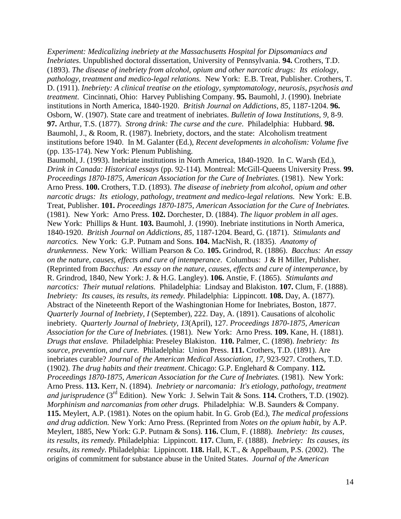*Experiment: Medicalizing inebriety at the Massachusetts Hospital for Dipsomaniacs and Inebriates*. Unpublished doctoral dissertation, University of Pennsylvania. **94.** Crothers, T.D. (1893). *The disease of inebriety from alcohol, opium and other narcotic drugs: Its etiology, pathology, treatment and medico-legal relations.* New York: E.B. Treat, Publisher. Crothers, T. D. (1911). *Inebriety: A clinical treatise on the etiology, symptomatology, neurosis, psychosis and treatment*. Cincinnati, Ohio: Harvey Publishing Company. **95.** Baumohl, J. (1990). Inebriate institutions in North America, 1840-1920. *British Journal on Addictions, 85,* 1187-1204. **96.** Osborn, W. (1907). State care and treatment of inebriates. *Bulletin of Iowa Institutions, 9,* 8-9. **97.** Arthur, T.S. (1877). *Strong drink: The curse and the cure*. Philadelphia: Hubbard. **98.** Baumohl, J., & Room, R. (1987). Inebriety, doctors, and the state: Alcoholism treatment institutions before 1940. In M. Galanter (Ed.), *Recent developments in alcoholism: Volume five*  (pp. 135-174). New York: Plenum Publishing.

Baumohl, J. (1993). Inebriate institutions in North America, 1840-1920. In C. Warsh (Ed.), *Drink in Canada: Historical essays* (pp. 92-114)*.* Montreal: McGill-Queens University Press. **99.** *Proceedings 1870-1875, American Association for the Cure of Inebriates.* (1981). New York: Arno Press. **100.** Crothers, T.D. (1893). *The disease of inebriety from alcohol, opium and other narcotic drugs: Its etiology, pathology, treatment and medico-legal relations.* New York: E.B. Treat, Publisher. **101.** *Proceedings 1870-1875, American Association for the Cure of Inebriates.* (1981). New York: Arno Press. **102.** Dorchester, D. (1884). *The liquor problem in all ages*. New York: Phillips & Hunt. **103.** Baumohl, J. (1990). Inebriate institutions in North America, 1840-1920. *British Journal on Addictions, 85,* 1187-1204. Beard, G. (1871). *Stimulants and narcotics.* New York: G.P. Putnam and Sons. **104.** MacNish, R. (1835). *Anatomy of drunkenness*. New York: William Pearson & Co. **105.** Grindrod, R. (1886). *Bacchus: An essay on the nature, causes, effects and cure of intemperance*. Columbus: J & H Miller, Publisher. (Reprinted from *Bacchus: An essay on the nature, causes, effects and cure of intemperance,* by R. Grindrod, 1840, New York: J. & H.G. Langley). **106.** Anstie, F. (1865). *Stimulants and narcotics: Their mutual relations.* Philadelphia: Lindsay and Blakiston. **107.** Clum, F. (1888). *Inebriety: Its causes, its results, its remedy. Philadelphia: Lippincott.* **108.** Day, A. (1877). Abstract of the Nineteenth Report of the Washingtonian Home for Inebriates, Boston, 1877. *Quarterly Journal of Inebriety, I* (September), 222. Day, A. (1891). Causations of alcoholic inebriety. *Quarterly Journal of Inebriety*, *13*(April), 127. *Proceedings 1870-1875, American Association for the Cure of Inebriates.* (1981). New York: Arno Press. **109.** Kane, H. (1881). *Drugs that enslave.* Philadelphia: Preseley Blakiston. **110.** Palmer, C. (1898). *Inebriety: Its source, prevention, and cure.* Philadelphia: Union Press. **111.** Crothers, T.D. (1891). Are inebriates curable? *Journal of the American Medical Association, 17,* 923-927. Crothers, T.D. (1902). *The drug habits and their treatment*. Chicago: G.P. Englehard & Company. **112.** *Proceedings 1870-1875, American Association for the Cure of Inebriates.* (1981). New York: Arno Press. **113.** Kerr, N. (1894). *Inebriety or narcomania: It's etiology, pathology, treatment*  and jurisprudence (3<sup>rd</sup> Edition). New York: J. Selwin Tait & Sons. **114.** Crothers, T.D. (1902). *Morphinism and narcomanias from other drugs.* Philadelphia: W.B. Saunders & Company. **115.** Meylert, A.P. (1981). Notes on the opium habit. In G. Grob (Ed.), *The medical professions and drug addiction.* New York: Arno Press. (Reprinted from *Notes on the opium habit,* by A.P. Meylert, 1885, New York: G.P. Putnam & Sons). **116.** Clum, F. (1888). *Inebriety: Its causes, its results, its remedy*. Philadelphia: Lippincott. **117.** Clum, F. (1888). *Inebriety: Its causes, its results, its remedy*. Philadelphia: Lippincott. **118.** Hall, K.T., & Appelbaum, P.S. (2002). The origins of commitment for substance abuse in the United States. *Journal of the American*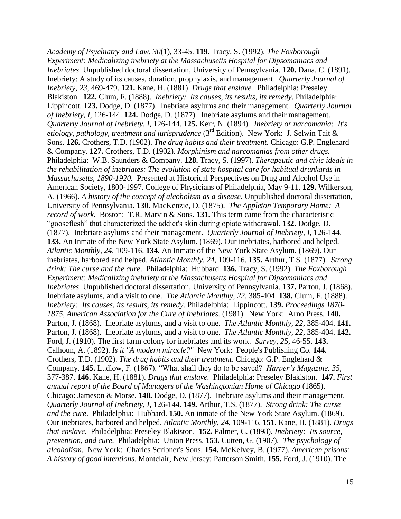*Academy of Psychiatry and Law, 30*(1), 33-45. **119.** Tracy, S. (1992). *The Foxborough Experiment: Medicalizing inebriety at the Massachusetts Hospital for Dipsomaniacs and Inebriates*. Unpublished doctoral dissertation, University of Pennsylvania. **120.** Dana, C. (1891). Inebriety: A study of its causes, duration, prophylaxis, and management. *Quarterly Journal of Inebriety*, *23,* 469-479. **121.** Kane, H. (1881). *Drugs that enslave.* Philadelphia: Preseley Blakiston. **122.** Clum, F. (1888). *Inebriety: Its causes, its results, its remedy*. Philadelphia: Lippincott. **123.** Dodge, D. (1877). Inebriate asylums and their management. *Quarterly Journal of Inebriety, I*, 126-144. **124.** Dodge, D. (1877). Inebriate asylums and their management. *Quarterly Journal of Inebriety, I*, 126-144. **125.** Kerr, N. (1894). *Inebriety or narcomania: It's*   $\widetilde{e}$ *etiology, pathology, treatment and jurisprudence* (3<sup>rd</sup> Edition). New York: J. Selwin Tait & Sons. **126.** Crothers, T.D. (1902). *The drug habits and their treatment*. Chicago: G.P. Englehard & Company. **127.** Crothers, T.D. (1902). *Morphinism and narcomanias from other drugs.* Philadelphia: W.B. Saunders & Company. **128.** Tracy, S. (1997). *Therapeutic and civic ideals in the rehabilitation of inebriates: The evolution of state hospital care for habitual drunkards in Massachusetts, 1890-1920.* Presented at Historical Perspectives on Drug and Alcohol Use in American Society, 1800-1997. College of Physicians of Philadelphia, May 9-11. **129.** Wilkerson, A. (1966). *A history of the concept of alcoholism as a disease.* Unpublished doctoral dissertation, University of Pennsylvania. **130.** MacKenzie, D. (1875). *The Appleton Temporary Home: A record of work.* Boston: T.R. Marvin & Sons. **131.** This term came from the characteristic "gooseflesh" that characterized the addict's skin during opiate withdrawal. **132.** Dodge, D. (1877). Inebriate asylums and their management. *Quarterly Journal of Inebriety, I*, 126-144. **133.** An Inmate of the New York State Asylum. (1869). Our inebriates, harbored and helped. *Atlantic Monthly, 24,* 109-116. **134.** An Inmate of the New York State Asylum. (1869). Our inebriates, harbored and helped. *Atlantic Monthly, 24,* 109-116. **135.** Arthur, T.S. (1877). *Strong drink: The curse and the cure*. Philadelphia: Hubbard. **136.** Tracy, S. (1992). *The Foxborough Experiment: Medicalizing inebriety at the Massachusetts Hospital for Dipsomaniacs and Inebriates*. Unpublished doctoral dissertation, University of Pennsylvania. **137.** Parton, J. (1868). Inebriate asylums, and a visit to one. *The Atlantic Monthly, 22,* 385-404. **138.** Clum, F. (1888). *Inebriety: Its causes, its results, its remedy.* Philadelphia: Lippincott. **139.** *Proceedings 1870- 1875, American Association for the Cure of Inebriates.* (1981). New York: Arno Press. **140.**  Parton, J. (1868). Inebriate asylums, and a visit to one. *The Atlantic Monthly, 22,* 385-404. **141.**  Parton, J. (1868). Inebriate asylums, and a visit to one. *The Atlantic Monthly, 22,* 385-404. **142.**  Ford, J. (1910). The first farm colony for inebriates and its work. *Survey, 25,* 46-55. **143.**  Calhoun, A. (1892). *Is it "A modern miracle?"* New York: People's Publishing Co. **144.**  Crothers, T.D. (1902). *The drug habits and their treatment*. Chicago: G.P. Englehard & Company. **145.** Ludlow, F. (1867). "What shall they do to be saved? *Harper's Magazine, 35,* 377-387. **146.** Kane, H. (1881). *Drugs that enslave.* Philadelphia: Preseley Blakiston. **147.** *First annual report of the Board of Managers of the Washingtonian Home of Chicago* (1865). Chicago: Jameson & Morse. **148.** Dodge, D. (1877). Inebriate asylums and their management. *Quarterly Journal of Inebriety, I,* 126-144. **149.** Arthur, T.S. (1877). *Strong drink: The curse and the cure*. Philadelphia: Hubbard. **150.** An inmate of the New York State Asylum. (1869). Our inebriates, harbored and helped. *Atlantic Monthly, 24*, 109-116. **151.** Kane, H. (1881). *Drugs that enslave.* Philadelphia: Preseley Blakiston. **152.** Palmer, C. (1898). *Inebriety: Its source, prevention, and cure.* Philadelphia: Union Press. **153.** Cutten, G. (1907). *The psychology of alcoholism*. New York: Charles Scribner's Sons. **154.** McKelvey, B. (1977). *American prisons: A history of good intentions.* Montclair, New Jersey: Patterson Smith. **155.** Ford, J. (1910). The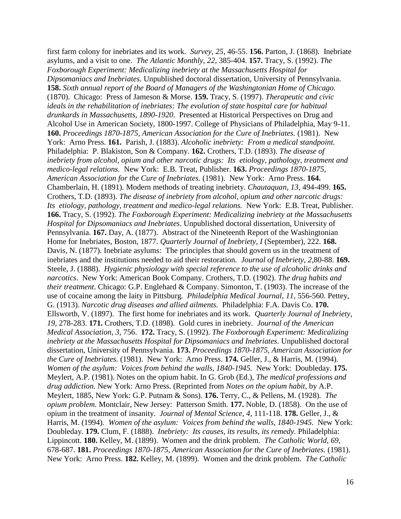first farm colony for inebriates and its work. *Survey, 25,* 46-55. **156.** Parton, J. (1868). Inebriate asylums, and a visit to one. *The Atlantic Monthly, 22,* 385-404. **157.** Tracy, S. (1992). *The Foxborough Experiment: Medicalizing inebriety at the Massachusetts Hospital for Dipsomaniacs and Inebriates*. Unpublished doctoral dissertation, University of Pennsylvania. **158.** *Sixth annual report of the Board of Managers of the Washingtonian Home of Chicago.* (1870). Chicago: Press of Jameson & Morse. **159.** Tracy, S. (1997). *Therapeutic and civic ideals in the rehabilitation of inebriates: The evolution of state hospital care for habitual drunkards in Massachusetts, 1890-1920*. Presented at Historical Perspectives on Drug and Alcohol Use in American Society, 1800-1997. College of Physicians of Philadelphia, May 9-11. **160.** *Proceedings 1870-1875, American Association for the Cure of Inebriates.* (1981). New York: Arno Press. **161.** Parish, J. (1883). *Alcoholic inebriety: From a medical standpoint.* Philadelphia: P. Blakiston, Son & Company. **162.** Crothers, T.D. (1893). *The disease of inebriety from alcohol, opium and other narcotic drugs: Its etiology, pathology, treatment and medico-legal relations.* New York: E.B. Treat, Publisher. **163.** *Proceedings 1870-1875, American Association for the Cure of Inebriates.* (1981). New York: Arno Press. **164.**  Chamberlain, H. (1891). Modern methods of treating inebriety. *Chautaquan, 13,* 494-499. **165.**  Crothers, T.D. (1893). *The disease of inebriety from alcohol, opium and other narcotic drugs: Its etiology, pathology, treatment and medico-legal relations.* New York: E.B. Treat, Publisher. **166.** Tracy, S. (1992). *The Foxborough Experiment: Medicalizing inebriety at the Massachusetts Hospital for Dipsomaniacs and Inebriates*. Unpublished doctoral dissertation, University of Pennsylvania. **167.** Day, A. (1877). Abstract of the Nineteenth Report of the Washingtonian Home for Inebriates, Boston, 1877. *Quarterly Journal of Inebriety, I* (September), 222. **168.**  Davis, N. (1877). Inebriate asylums: The principles that should govern us in the treatment of inebriates and the institutions needed to aid their restoration. *Journal of Inebriety, 2,*80-88. **169.**  Steele, J. (1888). *Hygienic physiology with special reference to the use of alcoholic drinks and narcotics*. New York: American Book Company. Crothers, T.D. (1902). *The drug habits and their treatment*. Chicago: G.P. Englehard & Company. Simonton, T. (1903). The increase of the use of cocaine among the laity in Pittsburg. *Philadelphia Medical Journal, 11,* 556-560*.* Pettey, G. (1913). *Narcotic drug diseases and allied ailments.* Philadelphia: F.A. Davis Co. **170.**  Ellsworth, V. (1897). The first home for inebriates and its work. *Quarterly Journal of Inebriety*, *19,* 278-283. **171.** Crothers, T.D. (1898). Gold cures in inebriety. *Journal of the American Medical Association*, *3*, 756. **172.** Tracy, S. (1992). *The Foxborough Experiment: Medicalizing inebriety at the Massachusetts Hospital for Dipsomaniacs and Inebriates*. Unpublished doctoral dissertation, University of Pennsylvania. **173.** *Proceedings 1870-1875, American Association for the Cure of Inebriates.* (1981). New York: Arno Press. **174.** Geller, J., & Harris, M. (1994). *Women of the asylum: Voices from behind the walls, 1840-1945.* New York: Doubleday. **175.**  Meylert, A.P. (1981). Notes on the opium habit. In G. Grob (Ed.), *The medical professions and drug addiction.* New York: Arno Press. (Reprinted from *Notes on the opium habit,* by A.P. Meylert, 1885, New York: G.P. Putnam & Sons). **176.** Terry, C., & Pellens, M. (1928). *The opium problem.* Montclair, New Jersey: Patterson Smith. **177.** Noble, D. (1858). On the use of opium in the treatment of insanity. *Journal of Mental Science, 4,* 111-118. **178.** Geller, J., & Harris, M. (1994). *Women of the asylum: Voices from behind the walls, 1840-1945.* New York: Doubleday. **179.** Clum, F. (1888). *Inebriety: Its causes, its results, its remedy.* Philadelphia: Lippincott. **180.** Kelley, M. (1899). Women and the drink problem. *The Catholic World*, *69,*  678-687. **181.** *Proceedings 1870-1875, American Association for the Cure of Inebriates.* (1981). New York: Arno Press. **182.** Kelley, M. (1899). Women and the drink problem. *The Catholic*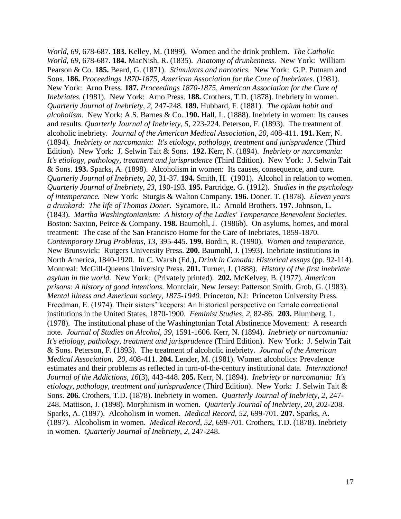*World*, *69,* 678-687. **183.** Kelley, M. (1899). Women and the drink problem. *The Catholic World*, *69,* 678-687. **184.** MacNish, R. (1835). *Anatomy of drunkenness*. New York: William Pearson & Co. **185.** Beard, G. (1871). *Stimulants and narcotics.* New York: G.P. Putnam and Sons. **186.** *Proceedings 1870-1875, American Association for the Cure of Inebriates.* (1981). New York: Arno Press. **187.** *Proceedings 1870-1875, American Association for the Cure of Inebriates.* (1981). New York: Arno Press. **188.** Crothers, T.D. (1878). Inebriety in women. *Quarterly Journal of Inebriety*, *2,* 247-248. **189.** Hubbard, F. (1881). *The opium habit and alcoholism.* New York: A.S. Barnes & Co. **190.** Hall, L. (1888). Inebriety in women: Its causes and results. *Quarterly Journal of Inebriety*, *5,* 223-224. Peterson, F. (1893). The treatment of alcoholic inebriety. *Journal of the American Medical Association, 20,* 408-411. **191.** Kerr, N. (1894). *Inebriety or narcomania: It's etiology, pathology, treatment and jurisprudence* (Third Edition). New York: J. Selwin Tait & Sons. **192.** Kerr, N. (1894). *Inebriety or narcomania: It's etiology, pathology, treatment and jurisprudence* (Third Edition). New York: J. Selwin Tait & Sons. **193.** Sparks, A. (1898). Alcoholism in women: Its causes, consequence, and cure. *Quarterly Journal of Inebriety, 20,* 31-37. **194.** Smith, H. (1901). Alcohol in relation to women. *Quarterly Journal of Inebriety, 23,* 190-193. **195.** Partridge, G. (1912). *Studies in the psychology of intemperance.* New York: Sturgis & Walton Company. **196.** Doner. T. (1878). *Eleven years a drunkard: The life of Thomas Doner*. Sycamore, IL: Arnold Brothers. **197.** Johnson, L. (1843). *Martha Washingtonianism: A history of the Ladies' Temperance Benevolent Societies*. Boston: Saxton, Peirce & Company. **198.** Baumohl, J. (1986b). On asylums, homes, and moral treatment: The case of the San Francisco Home for the Care of Inebriates, 1859-1870. *Contemporary Drug Problems, 13,* 395-445. **199.** Bordin, R. (1990). *Women and temperance.* New Brunswick: Rutgers University Press. **200.** Baumohl, J. (1993). Inebriate institutions in North America, 1840-1920. In C. Warsh (Ed.), *Drink in Canada: Historical essays* (pp. 92-114)*.* Montreal: McGill-Queens University Press. **201.** Turner, J. (1888). *History of the first inebriate asylum in the world.* New York: (Privately printed). **202.** McKelvey, B. (1977). *American prisons: A history of good intentions.* Montclair, New Jersey: Patterson Smith. Grob, G. (1983). *Mental illness and American society, 1875-1940.* Princeton, NJ: Princeton University Press. Freedman, E. (1974). Their sisters' keepers: An historical perspective on female correctional institutions in the United States, 1870-1900. *Feminist Studies*, *2,* 82-86. **203.** Blumberg, L. (1978). The institutional phase of the Washingtonian Total Abstinence Movement: A research note. *Journal of Studies on Alcohol, 39,* 1591-1606. Kerr, N. (1894). *Inebriety or narcomania: It's etiology, pathology, treatment and jurisprudence* (Third Edition). New York: J. Selwin Tait & Sons. Peterson, F. (1893). The treatment of alcoholic inebriety. *Journal of the American Medical Association, 20*, 408-411. **204.** Lender, M. (1981). Women alcoholics: Prevalence estimates and their problems as reflected in turn-of-the-century institutional data*. International Journal of the Addictions*, *16*(3), 443-448. **205.** Kerr, N. (1894). *Inebriety or narcomania: It's etiology, pathology, treatment and jurisprudence* (Third Edition). New York: J. Selwin Tait & Sons. **206.** Crothers, T.D. (1878). Inebriety in women. *Quarterly Journal of Inebriety*, *2,* 247- 248. Mattison, J. (1898). Morphinism in women. *Quarterly Journal of Inebriety*, *20,* 202-208. Sparks, A. (1897). Alcoholism in women. *Medical Record*, *52,* 699-701. **207.** Sparks, A. (1897). Alcoholism in women. *Medical Record*, *52,* 699-701. Crothers, T.D. (1878). Inebriety in women. *Quarterly Journal of Inebriety*, *2,* 247-248.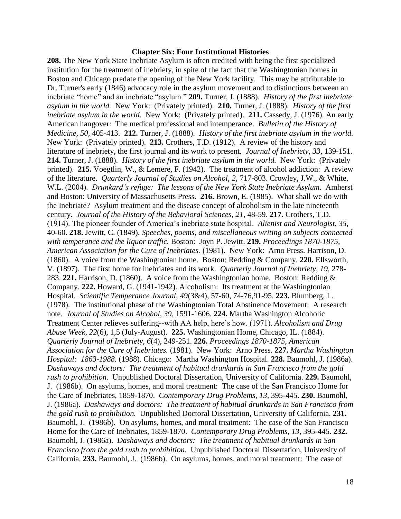#### **Chapter Six: Four Institutional Histories**

**208.** The New York State Inebriate Asylum is often credited with being the first specialized institution for the treatment of inebriety, in spite of the fact that the Washingtonian homes in Boston and Chicago predate the opening of the New York facility. This may be attributable to Dr. Turner's early (1846) advocacy role in the asylum movement and to distinctions between an inebriate "home" and an inebriate "asylum." **209.** Turner, J. (1888). *History of the first inebriate asylum in the world.* New York: (Privately printed). **210.** Turner, J. (1888). *History of the first inebriate asylum in the world.* New York: (Privately printed). **211.** Cassedy, J. (1976). An early American hangover: The medical professional and intemperance. *Bulletin of the History of Medicine, 50,* 405-413. **212.** Turner, J. (1888). *History of the first inebriate asylum in the world.* New York: (Privately printed). **213.** Crothers, T.D. (1912). A review of the history and literature of inebriety, the first journal and its work to present. *Journal of Inebriety, 33,* 139-151. **214.** Turner, J. (1888). *History of the first inebriate asylum in the world.* New York: (Privately printed). **215.** Voegtlin, W., & Lemere, F. (1942). The treatment of alcohol addiction: A review of the literature. *Quarterly Journal of Studies on Alcohol*, *2,* 717-803. Crowley, J.W., & White, W.L. (2004). *Drunkard's refuge: The lessons of the New York State Inebriate Asylum*. Amherst and Boston: University of Massachusetts Press. **216.** Brown, E. (1985). What shall we do with the Inebriate? Asylum treatment and the disease concept of alcoholism in the late nineteenth century. *Journal of the History of the Behavioral Sciences, 21*, 48-59. **217.** Crothers, T.D. (1914). The pioneer founder of America's inebriate state hospital. *Alienist and Neurologist*, *35,*  40-60. **218.** Jewitt, C. (1849). *Speeches, poems, and miscellaneous writing on subjects connected with temperance and the liquor traffic.* Boston: Joyn P. Jewitt. **219.** *Proceedings 1870-1875, American Association for the Cure of Inebriates.* (1981). New York: Arno Press. Harrison, D. (1860). A voice from the Washingtonian home. Boston: Redding & Company. **220.** Ellsworth, V. (1897). The first home for inebriates and its work. *Quarterly Journal of Inebriety*, *19,* 278- 283. **221.** Harrison, D. (1860). A voice from the Washingtonian home. Boston: Redding & Company. **222.** Howard, G. (1941-1942). Alcoholism: Its treatment at the Washingtonian Hospital. *Scientific Temperance Journal*, *49*(3&4), 57-60, 74-76,91-95. **223.** Blumberg, L. (1978). The institutional phase of the Washingtonian Total Abstinence Movement: A research note. *Journal of Studies on Alcohol, 39*, 1591-1606. **224.** Martha Washington Alcoholic Treatment Center relieves suffering--with AA help, here's how. (1971). *Alcoholism and Drug Abuse Week, 22*(6), 1,5 (July-August). **225.** Washingtonian Home, Chicago, IL. (1884). *Quarterly Journal of Inebriety, 6*(4), 249-251. **226.** *Proceedings 1870-1875, American Association for the Cure of Inebriates.* (1981). New York: Arno Press. **227.** *Martha Washington Hospital: 1863-1988.* (1988). Chicago: Martha Washington Hospital. **228.** Baumohl, J. (1986a). *Dashaways and doctors: The treatment of habitual drunkards in San Francisco from the gold rush to prohibition.* Unpublished Doctoral Dissertation, University of California. **229.** Baumohl, J. (1986b). On asylums, homes, and moral treatment: The case of the San Francisco Home for the Care of Inebriates, 1859-1870. *Contemporary Drug Problems, 13,* 395-445. **230.** Baumohl, J. (1986a). *Dashaways and doctors: The treatment of habitual drunkards in San Francisco from the gold rush to prohibition.* Unpublished Doctoral Dissertation, University of California. **231.** Baumohl, J. (1986b). On asylums, homes, and moral treatment: The case of the San Francisco Home for the Care of Inebriates, 1859-1870. *Contemporary Drug Problems, 13,* 395-445. **232.** Baumohl, J. (1986a). *Dashaways and doctors: The treatment of habitual drunkards in San Francisco from the gold rush to prohibition.* Unpublished Doctoral Dissertation, University of California. **233.** Baumohl, J. (1986b). On asylums, homes, and moral treatment: The case of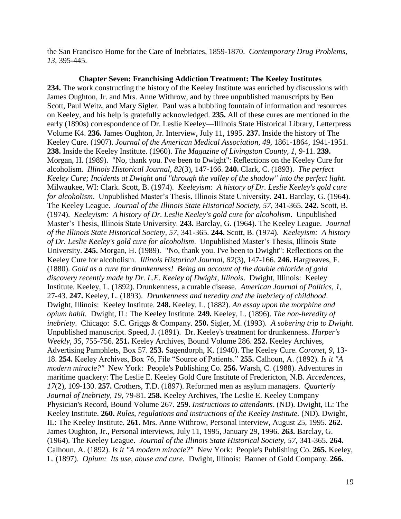the San Francisco Home for the Care of Inebriates, 1859-1870. *Contemporary Drug Problems, 13,* 395-445.

**Chapter Seven: Franchising Addiction Treatment: The Keeley Institutes 234.** The work constructing the history of the Keeley Institute was enriched by discussions with James Oughton, Jr. and Mrs. Anne Withrow, and by three unpublished manuscripts by Ben Scott, Paul Weitz, and Mary Sigler. Paul was a bubbling fountain of information and resources on Keeley, and his help is gratefully acknowledged. **235.** All of these cures are mentioned in the early (1890s) correspondence of Dr. Leslie Keeley—Illinois State Historical Library, Letterpress Volume K4. **236.** James Oughton, Jr. Interview, July 11, 1995. **237.** Inside the history of The Keeley Cure. (1907). *Journal of the American Medical Association, 49,* 1861-1864, 1941-1951. **238.** Inside the Keeley Institute. (1960). *The Magazine of Livingston County, 1,* 9-11. **239.** Morgan, H. (1989). "No, thank you. I've been to Dwight": Reflections on the Keeley Cure for alcoholism. *Illinois Historical Journal, 82*(3), 147-166. **240.** Clark, C. (1893). *The perfect Keeley Cure; Incidents at Dwight and "through the valley of the shadow" into the perfect light*. Milwaukee, WI: Clark. Scott, B. (1974). *Keeleyism: A history of Dr. Leslie Keeley's gold cure for alcoholism*. Unpublished Master's Thesis, Illinois State University. **241.** Barclay, G. (1964). The Keeley League. *Journal of the Illinois State Historical Society, 57,* 341-365. **242.** Scott, B. (1974). *Keeleyism: A history of Dr. Leslie Keeley's gold cure for alcoholism*. Unpublished Master's Thesis, Illinois State University. **243.** Barclay, G. (1964). The Keeley League. *Journal of the Illinois State Historical Society, 57,* 341-365. **244.** Scott, B. (1974). *Keeleyism: A history of Dr. Leslie Keeley's gold cure for alcoholism*. Unpublished Master's Thesis, Illinois State University. **245.** Morgan, H. (1989). "No, thank you. I've been to Dwight": Reflections on the Keeley Cure for alcoholism. *Illinois Historical Journal, 82*(3), 147-166. **246.** Hargreaves, F. (1880). *Gold as a cure for drunkenness! Being an account of the double chloride of gold discovery recently made by Dr. L.E. Keeley of Dwight, Illinois*. Dwight, Illinois: Keeley Institute. Keeley, L. (1892). Drunkenness, a curable disease. *American Journal of Politics, 1,*  27-43. **247.** Keeley, L. (1893). *Drunkenness and heredity and the inebriety of childhood*. Dwight, Illinois: Keeley Institute. **248.** Keeley, L. (1882). *An essay upon the morphine and opium habit.* Dwight, IL: The Keeley Institute. **249.** Keeley, L. (1896). *The non-heredity of inebriety*. Chicago: S.C. Griggs & Company. **250.** Sigler, M. (1993). *A sobering trip to Dwight*. Unpublished manuscript. Speed, J. (1891). Dr. Keeley's treatment for drunkenness. *Harper's Weekly, 35*, 755-756. **251.** Keeley Archives, Bound Volume 286. **252.** Keeley Archives, Advertising Pamphlets, Box 57. **253.** Sagendorph, K. (1940). The Keeley Cure. *Coronet*, *9*, 13- 18. **254.** Keeley Archives, Box 76, File "Source of Patients." **255.** Calhoun, A. (1892). *Is it "A modern miracle?"* New York: People's Publishing Co. **256.** Warsh, C. (1988). Adventures in maritime quackery: The Leslie E. Keeley Gold Cure Institute of Fredericton, N.B. *Accedences*, *17*(2), 109-130. **257.** Crothers, T.D. (1897). Reformed men as asylum managers. *Quarterly Journal of Inebriety, 19*, 79-81. **258.** Keeley Archives, The Leslie E. Keeley Company Physician's Record, Bound Volume 267. **259.** *Instructions to attendants*. (ND). Dwight, IL: The Keeley Institute. **260.** *Rules, regulations and instructions of the Keeley Institute.* (ND). Dwight, IL: The Keeley Institute. **261.** Mrs. Anne Withrow, Personal interview, August 25, 1995. **262.** James Oughton, Jr., Personal interviews, July 11, 1995, January 29, 1996. **263.** Barclay, G. (1964). The Keeley League. *Journal of the Illinois State Historical Society, 57,* 341-365. **264.** Calhoun, A. (1892). *Is it "A modern miracle?"* New York: People's Publishing Co. **265.** Keeley, L. (1897). *Opium: Its use, abuse and cure.* Dwight, Illinois: Banner of Gold Company. **266.**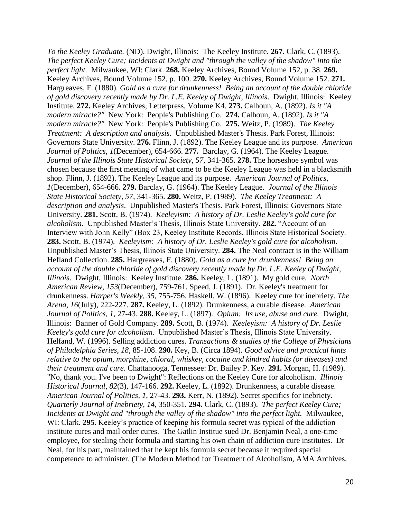*To the Keeley Graduate.* (ND). Dwight, Illinois: The Keeley Institute. **267.** Clark, C. (1893). *The perfect Keeley Cure; Incidents at Dwight and "through the valley of the shadow" into the perfect light.* Milwaukee, WI: Clark. **268.** Keeley Archives, Bound Volume 152, p. 38. **269.**  Keeley Archives, Bound Volume 152, p. 100. **270.** Keeley Archives, Bound Volume 152. **271.** Hargreaves, F. (1880). *Gold as a cure for drunkenness! Being an account of the double chloride of gold discovery recently made by Dr. L.E. Keeley of Dwight, Illinois*. Dwight, Illinois: Keeley Institute. **272.** Keeley Archives, Letterpress, Volume K4. **273.** Calhoun, A. (1892). *Is it "A modern miracle?"* New York: People's Publishing Co. **274.** Calhoun, A. (1892). *Is it "A modern miracle?"* New York: People's Publishing Co. **275.** Weitz, P. (1989). *The Keeley Treatment: A description and analysis*. Unpublished Master's Thesis. Park Forest, Illinois: Governors State University. **276.** Flinn, J. (1892). The Keeley League and its purpose. *American Journal of Politics*, *1*(December), 654-666. **277.** Barclay, G. (1964). The Keeley League. *Journal of the Illinois State Historical Society, 57,* 341-365. **278.** The horseshoe symbol was chosen because the first meeting of what came to be the Keeley League was held in a blacksmith shop. Flinn, J. (1892). The Keeley League and its purpose. *American Journal of Politics*, *1*(December), 654-666. **279.** Barclay, G. (1964). The Keeley League. *Journal of the Illinois State Historical Society, 57,* 341-365. **280.** Weitz, P. (1989). *The Keeley Treatment: A description and analysis*. Unpublished Master's Thesis. Park Forest, Illinois: Governors State University. **281.** Scott, B. (1974). *Keeleyism: A history of Dr. Leslie Keeley's gold cure for alcoholism*. Unpublished Master's Thesis, Illinois State University. **282.** "Account of an Interview with John Kelly" (Box 23, Keeley Institute Records, Illinois State Historical Society. **283.** Scott, B. (1974). *Keeleyism: A history of Dr. Leslie Keeley's gold cure for alcoholism*. Unpublished Master's Thesis, Illinois State University. **284.** The Neal contract is in the William Hefland Collection. **285.** Hargreaves, F. (1880). *Gold as a cure for drunkenness! Being an account of the double chloride of gold discovery recently made by Dr. L.E. Keeley of Dwight, Illinois*. Dwight, Illinois: Keeley Institute. **286.** Keeley, L. (1891). My gold cure. *North American Review*, *153*(December), 759-761. Speed, J. (1891). Dr. Keeley's treatment for drunkenness. *Harper's Weekly, 35*, 755-756. Haskell, W. (1896). Keeley cure for inebriety. *The Arena*, *16*(July), 222-227. **287.** Keeley, L. (1892). Drunkenness, a curable disease. *American Journal of Politics, 1,* 27-43. **288.** Keeley, L. (1897). *Opium: Its use, abuse and cure.* Dwight, Illinois: Banner of Gold Company. **289.** Scott, B. (1974). *Keeleyism: A history of Dr. Leslie Keeley's gold cure for alcoholism*. Unpublished Master's Thesis, Illinois State University. Helfand, W. (1996). Selling addiction cures. *Transactions & studies of the College of Physicians of Philadelphia Series, 18,* 85-108. **290.** Key, B. (Circa 1894). *Good advice and practical hints relative to the opium, morphine, chloral, whiskey, cocaine and kindred habits (or diseases) and their treatment and cure*. Chattanooga, Tennessee: Dr. Bailey P. Key. **291.** Morgan, H. (1989). "No, thank you. I've been to Dwight": Reflections on the Keeley Cure for alcoholism. *Illinois Historical Journal, 82*(3), 147-166. **292.** Keeley, L. (1892). Drunkenness, a curable disease. *American Journal of Politics, 1*, 27-43. **293.** Kerr, N. (1892). Secret specifics for inebriety. *Quarterly Journal of Inebriety, 14,* 350-351. **294.** Clark, C. (1893). *The perfect Keeley Cure; Incidents at Dwight and "through the valley of the shadow" into the perfect light.* Milwaukee, WI: Clark. **295.** Keeley's practice of keeping his formula secret was typical of the addiction institute cures and mail order cures. The Gatlin Institue sued Dr. Benjamin Neal, a one-time employee, for stealing their formula and starting his own chain of addiction cure institutes. Dr Neal, for his part, maintained that he kept his formula secret because it required special competence to administer. (The Modern Method for Treatment of Alcoholism, AMA Archives,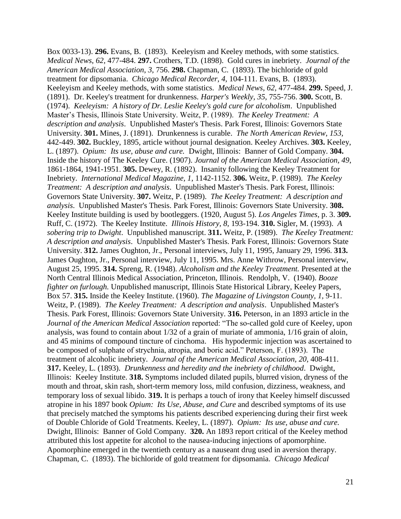Box 0033-13). **296.** Evans, B. (1893). Keeleyism and Keeley methods, with some statistics. *Medical News*, *62,* 477-484. **297.** Crothers, T.D. (1898). Gold cures in inebriety. *Journal of the American Medical Association*, *3*, 756. **298.** Chapman, C. (1893). The bichloride of gold treatment for dipsomania. *Chicago Medical Recorder, 4,* 104-111. Evans, B. (1893). Keeleyism and Keeley methods, with some statistics. *Medical News*, *62,* 477-484. **299.** Speed, J. (1891). Dr. Keeley's treatment for drunkenness. *Harper's Weekly, 35*, 755-756. **300.** Scott, B. (1974). *Keeleyism: A history of Dr. Leslie Keeley's gold cure for alcoholism*. Unpublished Master's Thesis, Illinois State University. Weitz, P. (1989). *The Keeley Treatment: A description and analysis*. Unpublished Master's Thesis. Park Forest, Illinois: Governors State University. **301.** Mines, J. (1891). Drunkenness is curable. *The North American Review*, *153,*  442-449. **302.** Buckley, 1895, article without journal designation. Keeley Archives. **303.** Keeley, L. (1897). *Opium: Its use, abuse and cure.* Dwight, Illinois: Banner of Gold Company. **304.** Inside the history of The Keeley Cure. (1907). *Journal of the American Medical Association, 49*, 1861-1864, 1941-1951. **305.** Dewey, R. (1892). Insanity following the Keeley Treatment for Inebriety. *International Medical Magazine, 1*, 1142-1152. **306.** Weitz, P. (1989). *The Keeley Treatment: A description and analysis*. Unpublished Master's Thesis. Park Forest, Illinois: Governors State University. **307.** Weitz, P. (1989). *The Keeley Treatment: A description and analysis*. Unpublished Master's Thesis. Park Forest, Illinois: Governors State University. **308.** Keeley Institute building is used by bootleggers. (1920, August 5). *Los Angeles Times*, p. 3. **309.** Ruff, C. (1972). The Keeley Institute. *Illinois History, 8,* 193-194. **310.** Sigler, M. (1993). *A sobering trip to Dwight*. Unpublished manuscript. **311.** Weitz, P. (1989). *The Keeley Treatment: A description and analysis*. Unpublished Master's Thesis. Park Forest, Illinois: Governors State University. **312.** James Oughton, Jr., Personal interviews, July 11, 1995, January 29, 1996. **313.** James Oughton, Jr., Personal interview, July 11, 1995. Mrs. Anne Withrow, Personal interview, August 25, 1995. **314.** Spreng, R. (1948). *Alcoholism and the Keeley Treatment.* Presented at the North Central Illinois Medical Association, Princeton, Illinois. Rendolph, V. (1940). *Booze fighter on furlough.* Unpublished manuscript, Illinois State Historical Library, Keeley Papers, Box 57. **315.** Inside the Keeley Institute. (1960). *The Magazine of Livingston County, 1,* 9-11. Weitz, P. (1989). *The Keeley Treatment: A description and analysis*. Unpublished Master's Thesis. Park Forest, Illinois: Governors State University. **316.** Peterson, in an 1893 article in the *Journal of the American Medical Association* reported: "The so-called gold cure of Keeley, upon analysis, was found to contain about 1/32 of a grain of muriate of ammonia, 1/16 grain of aloin, and 45 minims of compound tincture of cinchoma. His hypodermic injection was ascertained to be composed of sulphate of strychnia, atropia, and boric acid." Peterson, F. (1893). The treatment of alcoholic inebriety. *Journal of the American Medical Association, 20,* 408-411. **317.** Keeley, L. (1893). *Drunkenness and heredity and the inebriety of childhood*. Dwight, Illinois: Keeley Institute. **318.** Symptoms included dilated pupils, blurred vision, dryness of the mouth and throat, skin rash, short-term memory loss, mild confusion, dizziness, weakness, and temporary loss of sexual libido. **319.** It is perhaps a touch of irony that Keeley himself discussed atropine in his 1897 book *Opium: Its Use, Abuse, and Cure* and described symptoms of its use that precisely matched the symptoms his patients described experiencing during their first week of Double Chloride of Gold Treatments. Keeley, L. (1897). *Opium: Its use, abuse and cure.* Dwight, Illinois: Banner of Gold Company. **320.** An 1893 report critical of the Keeley method attributed this lost appetite for alcohol to the nausea-inducing injections of apomorphine. Apomorphine emerged in the twentieth century as a nauseant drug used in aversion therapy. Chapman, C. (1893). The bichloride of gold treatment for dipsomania. *Chicago Medical*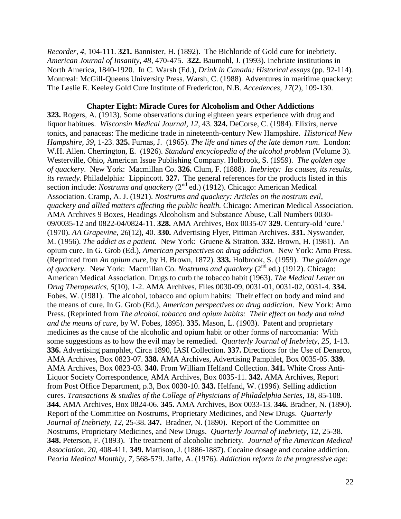*Recorder, 4,* 104-111. **321.** Bannister, H. (1892). The Bichloride of Gold cure for inebriety. *American Journal of Insanity, 48,* 470-475. **322.** Baumohl, J. (1993). Inebriate institutions in North America, 1840-1920. In C. Warsh (Ed.), *Drink in Canada: Historical essays* (pp. 92-114)*.* Montreal: McGill-Queens University Press. Warsh, C. (1988). Adventures in maritime quackery: The Leslie E. Keeley Gold Cure Institute of Fredericton, N.B. *Accedences*, *17*(2), 109-130.

#### **Chapter Eight: Miracle Cures for Alcoholism and Other Addictions**

**323.** Rogers, A. (1913). Some observations during eighteen years experience with drug and liquor habitues. *Wisconsin Medical Journal, 12*, 43. **324.** DeCorse, C. (1984). Elixirs, nerve tonics, and panaceas: The medicine trade in nineteenth-century New Hampshire. *Historical New Hampshire, 39,* 1-23. **325.** Furnas, J. (1965). *The life and times of the late demon rum*. London: W.H. Allen. Cherrington, E. (1926). *Standard encyclopedia of the alcohol problem* (Volume 3). Westerville, Ohio, American Issue Publishing Company. Holbrook, S. (1959). *The golden age of quackery*. New York: Macmillan Co. **326.** Clum, F. (1888). *Inebriety: Its causes, its results, its remedy.* Philadelphia: Lippincott. **327.** The general references for the products listed in this section include: *Nostrums and quackery*  $(2^{nd}$  ed.) (1912). Chicago: American Medical Association. Cramp, A. J. (1921). *Nostrums and quackery: Articles on the nostrum evil, quackery and allied matters affecting the public health.* Chicago: American Medical Association. AMA Archives 9 Boxes, Headings Alcoholism and Substance Abuse, Call Numbers 0030- 09/0035-12 and 0822-04/0824-11. **328.** AMA Archives, Box 0035-07 **329.** Century-old 'cure.' (1970). *AA Grapevine, 26*(12), 40. **330.** Advertising Flyer, Pittman Archives. **331.** Nyswander, M. (1956). *The addict as a patient.* New York: Gruene & Stratton. **332.** Brown, H. (1981). An opium cure. In G. Grob (Ed.), *American perspectives on drug addiction.* New York: Arno Press. (Reprinted from *An opium cure*, by H. Brown, 1872). **333.** Holbrook, S. (1959). *The golden age of quackery.* New York: Macmillan Co. *Nostrums and quackery* (2<sup>nd</sup> ed.) (1912). Chicago: American Medical Association. Drugs to curb the tobacco habit (1963). *The Medical Letter on Drug Therapeutics*, *5*(10), 1-2. AMA Archives, Files 0030-09, 0031-01, 0031-02, 0031-4. **334.**  Fobes, W. (1981). The alcohol, tobacco and opium habits: Their effect on body and mind and the means of cure. In G. Grob (Ed.), *American perspectives on drug addiction*. New York: Arno Press. (Reprinted from *The alcohol, tobacco and opium habits: Their effect on body and mind and the means of cure,* by W. Fobes, 1895). **335.** Mason, L. (1903). Patent and proprietary medicines as the cause of the alcoholic and opium habit or other forms of narcomania: With some suggestions as to how the evil may be remedied. *Quarterly Journal of Inebriety, 25*, 1-13. **336.** Advertising pamphlet, Circa 1890, IASI Collection. **337.** Directions for the Use of Denarco, AMA Archives, Box 0823-07. **338.** AMA Archives, Advertising Pamphlet, Box 0035-05. **339.** AMA Archives, Box 0823-03. **340.** From William Helfand Collection. **341.** White Cross Anti-Liquor Society Correspondence, AMA Archives, Box 0035-11. **342.** AMA Archives, Report from Post Office Department, p.3, Box 0030-10. **343.** Helfand, W. (1996). Selling addiction cures. *Transactions & studies of the College of Physicians of Philadelphia Series, 18,* 85-108. **344.** AMA Archives, Box 0824-06. **345.** AMA Archives, Box 0033-13. **346.** Bradner, N. (1890). Report of the Committee on Nostrums, Proprietary Medicines, and New Drugs. *Quarterly Journal of Inebriety, 12*, 25-38. **347.** Bradner, N. (1890). Report of the Committee on Nostrums, Proprietary Medicines, and New Drugs. *Quarterly Journal of Inebriety, 12*, 25-38. **348.** Peterson, F. (1893). The treatment of alcoholic inebriety. *Journal of the American Medical Association, 20,* 408-411. **349.** Mattison, J. (1886-1887). Cocaine dosage and cocaine addiction. *Peoria Medical Monthly*, *7,* 568-579. Jaffe, A. (1976). *Addiction reform in the progressive age:*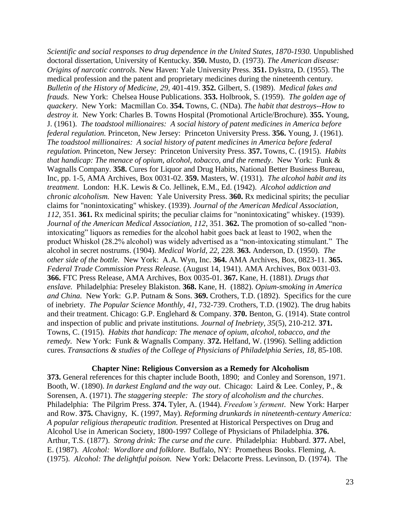*Scientific and social responses to drug dependence in the United States, 1870-1930.* Unpublished doctoral dissertation, University of Kentucky. **350.** Musto, D. (1973). *The American disease: Origins of narcotic controls.* New Haven: Yale University Press. **351.** Dykstra, D. (1955). The medical profession and the patent and proprietary medicines during the nineteenth century. *Bulletin of the History of Medicine, 29,* 401-419. **352.** Gilbert, S. (1989). *Medical fakes and frauds.* New York: Chelsea House Publications. **353.** Holbrook, S. (1959). *The golden age of quackery*. New York: Macmillan Co. **354.** Towns, C. (NDa). *The habit that destroys--How to destroy it.* New York: Charles B. Towns Hospital (Promotional Article/Brochure). **355.** Young, J. (1961). *The toadstool millionaires: A social history of patent medicines in America before federal regulation.* Princeton, New Jersey: Princeton University Press. **356.** Young, J. (1961). *The toadstool millionaires: A social history of patent medicines in America before federal regulation.* Princeton, New Jersey: Princeton University Press. **357.** Towns, C. (1915). *Habits that handicap: The menace of opium, alcohol, tobacco, and the remedy*. New York: Funk & Wagnalls Company. **358.** Cures for Liquor and Drug Habits, National Better Business Bureau, Inc, pp. 1-5, AMA Archives, Box 0031-02. **359.** Masters, W. (1931). *The alcohol habit and its treatment*. London: H.K. Lewis & Co. Jellinek, E.M., Ed. (1942). *Alcohol addiction and chronic alcoholism.* New Haven: Yale University Press. **360.** Rx medicinal spirits; the peculiar claims for "nonintoxicating" whiskey. (1939). *Journal of the American Medical Association, 112*, 351. **361.** Rx medicinal spirits; the peculiar claims for "nonintoxicating" whiskey. (1939). *Journal of the American Medical Association, 112*, 351. **362.** The promotion of so-called "nonintoxicating" liquors as remedies for the alcohol habit goes back at least to 1902, when the product Whiskol (28.2% alcohol) was widely advertised as a "non-intoxicating stimulant." The alcohol in secret nostrums. (1904). *Medical World, 22,* 228. **363.** Anderson, D. (1950). *The other side of the bottle.* New York: A.A. Wyn, Inc. **364.** AMA Archives, Box, 0823-11. **365.**  *Federal Trade Commission Press Release.* (August 14, 1941). AMA Archives, Box 0031-03. **366.** FTC Press Release, AMA Archives, Box 0035-01. **367.** Kane, H. (1881). *Drugs that enslave.* Philadelphia: Preseley Blakiston. **368.** Kane, H. (1882). *Opium-smoking in America and China.* New York: G.P. Putnam & Sons. **369.** Crothers, T.D. (1892). Specifics for the cure of inebriety. *The Popular Science Monthly, 41,* 732-739. Crothers, T.D. (1902). The drug habits and their treatment. Chicago: G.P. Englehard & Company. **370.** Benton, G. (1914). State control and inspection of public and private institutions. *Journal of Inebriety, 35*(5), 210-212. **371.** Towns, C. (1915). *Habits that handicap: The menace of opium, alcohol, tobacco, and the remedy*. New York: Funk & Wagnalls Company. **372.** Helfand, W. (1996). Selling addiction cures. *Transactions & studies of the College of Physicians of Philadelphia Series, 18,* 85-108.

#### **Chapter Nine: Religious Conversion as a Remedy for Alcoholism**

**373.** General references for this chapter include Booth, 1890; and Conley and Sorenson, 1971. Booth, W. (1890). *In darkest England and the way out*. Chicago: Laird & Lee*.* Conley, P., & Sorensen, A. (1971). *The staggering steeple: The story of alcoholism and the churches*. Philadelphia: The Pilgrim Press. **374.** Tyler, A. (1944). *Freedom's ferment*. New York: Harper and Row. **375.** Chavigny, K. (1997, May). *Reforming drunkards in nineteenth-century America: A popular religious therapeutic tradition.* Presented at Historical Perspectives on Drug and Alcohol Use in American Society, 1800-1997 College of Physicians of Philadelphia. **376.** Arthur, T.S. (1877). *Strong drink: The curse and the cure*. Philadelphia: Hubbard. **377.** Abel, E. (1987). *Alcohol: Wordlore and folklore.* Buffalo, NY: Prometheus Books. Fleming, A. (1975). *Alcohol: The delightful poison.* New York: Delacorte Press. Levinson, D. (1974). The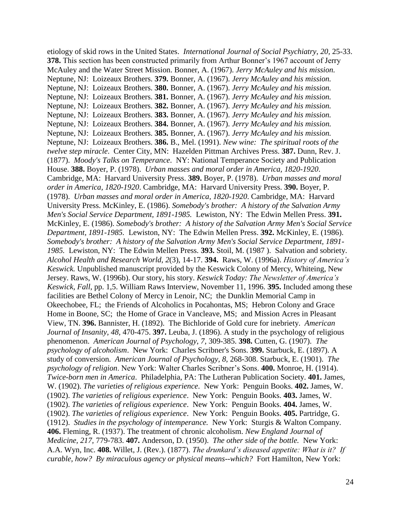etiology of skid rows in the United States. *International Journal of Social Psychiatry*, *20,* 25-33. **378.** This section has been constructed primarily from Arthur Bonner's 1967 account of Jerry McAuley and the Water Street Mission. Bonner, A. (1967). *Jerry McAuley and his mission.* Neptune, NJ: Loizeaux Brothers. **379.** Bonner, A. (1967). *Jerry McAuley and his mission.* Neptune, NJ: Loizeaux Brothers. **380.** Bonner, A. (1967). *Jerry McAuley and his mission.* Neptune, NJ: Loizeaux Brothers. **381.** Bonner, A. (1967). *Jerry McAuley and his mission.* Neptune, NJ: Loizeaux Brothers. **382.** Bonner, A. (1967). *Jerry McAuley and his mission.* Neptune, NJ: Loizeaux Brothers. **383.** Bonner, A. (1967). *Jerry McAuley and his mission.* Neptune, NJ: Loizeaux Brothers. **384.** Bonner, A. (1967). *Jerry McAuley and his mission.* Neptune, NJ: Loizeaux Brothers. **385.** Bonner, A. (1967). *Jerry McAuley and his mission.* Neptune, NJ: Loizeaux Brothers. **386.** B., Mel. (1991). *New wine: The spiritual roots of the twelve step miracle*. Center City, MN: Hazelden Pittman Archives Press. **387.** Dunn, Rev. J. (1877). *Moody's Talks on Temperance*. NY: National Temperance Society and Publication House. **388.** Boyer, P. (1978). *Urban masses and moral order in America, 1820-1920*. Cambridge, MA: Harvard University Press. **389.** Boyer, P. (1978). *Urban masses and moral order in America, 1820-1920*. Cambridge, MA: Harvard University Press. **390.** Boyer, P. (1978). *Urban masses and moral order in America, 1820-1920*. Cambridge, MA: Harvard University Press. McKinley, E. (1986). *Somebody's brother: A history of the Salvation Army Men's Social Service Department, 1891-1985.* Lewiston, NY: The Edwin Mellen Press. **391.**  McKinley, E. (1986). *Somebody's brother: A history of the Salvation Army Men's Social Service Department, 1891-1985.* Lewiston, NY: The Edwin Mellen Press. **392.** McKinley, E. (1986). *Somebody's brother: A history of the Salvation Army Men's Social Service Department, 1891- 1985.* Lewiston, NY: The Edwin Mellen Press. **393.** Stoil, M. (1987 ). Salvation and sobriety. *Alcohol Health and Research World, 2*(3), 14-17. **394.** Raws, W. (1996a). *History of America's Keswick.* Unpublished manuscript provided by the Keswick Colony of Mercy, Whiteing, New Jersey. Raws, W. (1996b). Our story, his story. *Keswick Today: The Newsletter of America's Keswick, Fall*, pp. 1,5. William Raws Interview, November 11, 1996. **395.** Included among these facilities are Bethel Colony of Mercy in Lenoir, NC; the Dunklin Memorial Camp in Okeechobee, FL; the Friends of Alcoholics in Pocahontas, MS; Hebron Colony and Grace Home in Boone, SC; the Home of Grace in Vancleave, MS; and Mission Acres in Pleasant View, TN. **396.** Bannister, H. (1892). The Bichloride of Gold cure for inebriety. *American Journal of Insanity, 48,* 470-475. **397.** Leuba, J. (1896). A study in the psychology of religious phenomenon. *American Journal of Psychology*, *7,* 309-385. **398.** Cutten, G. (1907). *The psychology of alcoholism*. New York: Charles Scribner's Sons. **399.** Starbuck, E. (1897). A study of conversion. *American Journal of Psychology, 8,* 268-308. Starbuck, E. (1901). *The psychology of religion*. New York: Walter Charles Scribner's Sons. **400.** Monroe, H. (1914). *Twice-born men in America*. Philadelphia, PA: The Lutheran Publication Society. **401.** James, W. (1902). *The varieties of religious experience*. New York: Penguin Books. **402.** James, W. (1902). *The varieties of religious experience*. New York: Penguin Books. **403.** James, W. (1902). *The varieties of religious experience*. New York: Penguin Books. **404.** James, W. (1902). *The varieties of religious experience*. New York: Penguin Books. **405.** Partridge, G. (1912). *Studies in the psychology of intemperance.* New York: Sturgis & Walton Company. **406.** Fleming, R. (1937). The treatment of chronic alcoholism. *New England Journal of Medicine, 217,* 779-783. **407.** Anderson, D. (1950). *The other side of the bottle.* New York: A.A. Wyn, Inc. **408.** Willet, J. (Rev.). (1877). *The drunkard's diseased appetite: What is it? If curable, how? By miraculous agency or physical means--which?* Fort Hamilton, New York: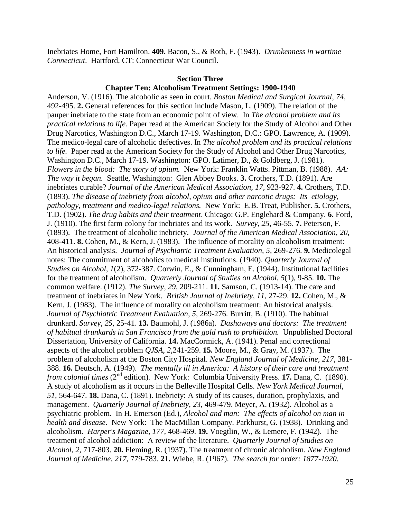Inebriates Home, Fort Hamilton. **409.** Bacon, S., & Roth, F. (1943). *Drunkenness in wartime Connecticut*. Hartford, CT: Connecticut War Council.

#### **Section Three**

#### **Chapter Ten: Alcoholism Treatment Settings: 1900-1940**

Anderson, V. (1916). The alcoholic as seen in court. *Boston Medical and Surgical Journal, 74,*  492-495. **2.** General references for this section include Mason, L. (1909). The relation of the pauper inebriate to the state from an economic point of view. In *The alcohol problem and its practical relations to life.* Paper read at the American Society for the Study of Alcohol and Other Drug Narcotics, Washington D.C., March 17-19. Washington, D.C.: GPO. Lawrence, A. (1909). The medico-legal care of alcoholic defectives. In *The alcohol problem and its practical relations to life.* Paper read at the American Society for the Study of Alcohol and Other Drug Narcotics, Washington D.C., March 17-19. Washington: GPO. Latimer, D., & Goldberg, J. (1981). *Flowers in the blood: The story of opium.* New York: Franklin Watts. Pittman, B. (1988). *AA: The way it began.* Seattle, Washington: Glen Abbey Books. **3.** Crothers, T.D. (1891). Are inebriates curable? *Journal of the American Medical Association, 17,* 923-927. **4.** Crothers, T.D. (1893). *The disease of inebriety from alcohol, opium and other narcotic drugs: Its etiology, pathology, treatment and medico-legal relations.* New York: E.B. Treat, Publisher. **5.** Crothers, T.D. (1902). *The drug habits and their treatment*. Chicago: G.P. Englehard & Company. **6.** Ford, J. (1910). The first farm colony for inebriates and its work. *Survey, 25,* 46-55. **7.** Peterson, F. (1893). The treatment of alcoholic inebriety. *Journal of the American Medical Association, 20,*  408-411. **8.** Cohen, M., & Kern, J. (1983). The influence of morality on alcoholism treatment: An historical analysis. *Journal of Psychiatric Treatment Evaluation, 5,* 269-276. **9.** Medicolegal notes: The commitment of alcoholics to medical institutions. (1940). *Quarterly Journal of Studies on Alcohol*, *1*(2), 372-387. Corwin, E., & Cunningham, E. (1944). Institutional facilities for the treatment of alcoholism. *Quarterly Journal of Studies on Alcohol*, *5*(1), 9-85. **10.** The common welfare. (1912). *The Survey, 29*, 209-211. **11.** Samson, C. (1913-14). The care and treatment of inebriates in New York. *British Journal of Inebriety, 11,* 27-29. **12.** Cohen, M., & Kern, J. (1983). The influence of morality on alcoholism treatment: An historical analysis. *Journal of Psychiatric Treatment Evaluation, 5,* 269-276. Burritt, B. (1910). The habitual drunkard. *Survey, 25,* 25-41. **13.** Baumohl, J. (1986a). *Dashaways and doctors: The treatment of habitual drunkards in San Francisco from the gold rush to prohibition.* Unpublished Doctoral Dissertation, University of California. **14.** MacCormick, A. (1941). Penal and correctional aspects of the alcohol problem *QJSA*, *2,*241-259. **15.** Moore, M., & Gray, M. (1937). The problem of alcoholism at the Boston City Hospital. *New England Journal of Medicine, 217,* 381- 388. **16.** Deutsch, A. (1949). *The mentally ill in America: A history of their care and treatment from colonial times* (2<sup>nd</sup> edition). New York: Columbia University Press. **17.** Dana, C. (1890). A study of alcoholism as it occurs in the Belleville Hospital Cells. *New York Medical Journal, 51,* 564-647. **18.** Dana, C. (1891). Inebriety: A study of its causes, duration, prophylaxis, and management. *Quarterly Journal of Inebriety*, *23,* 469-479. Meyer, A. (1932). Alcohol as a psychiatric problem. In H. Emerson (Ed.), *Alcohol and man: The effects of alcohol on man in health and disease.* New York: The MacMillan Company. Parkhurst, G. (1938). Drinking and alcoholism. *Harper's Magazine, 177,* 468-469. **19.** Voegtlin, W., & Lemere, F. (1942). The treatment of alcohol addiction: A review of the literature. *Quarterly Journal of Studies on Alcohol*, *2,* 717-803. **20.** Fleming, R. (1937). The treatment of chronic alcoholism. *New England Journal of Medicine, 217,* 779-783. **21.** Wiebe, R. (1967). *The search for order: 1877-1920.*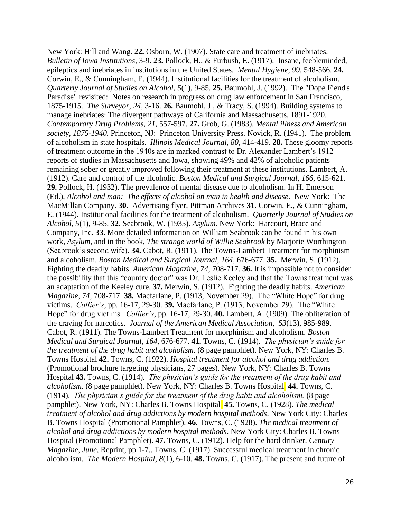New York: Hill and Wang. **22.** Osborn, W. (1907). State care and treatment of inebriates. *Bulletin of Iowa Institutions,* 3-9. **23.** Pollock, H., & Furbush, E. (1917). Insane, feebleminded, epileptics and inebriates in institutions in the United States. *Mental Hygiene*, *99,* 548-566. **24.** Corwin, E., & Cunningham, E. (1944). Institutional facilities for the treatment of alcoholism. *Quarterly Journal of Studies on Alcohol*, *5*(1), 9-85. **25.** Baumohl, J. (1992). The "Dope Fiend's Paradise" revisited: Notes on research in progress on drug law enforcement in San Francisco, 1875-1915. *The Surveyor, 24,* 3-16. **26.** Baumohl, J., & Tracy, S. (1994). Building systems to manage inebriates: The divergent pathways of California and Massachusetts, 1891-1920. *Contemporary Drug Problems*, *21,* 557-597. **27.** Grob, G. (1983). *Mental illness and American society, 1875-1940.* Princeton, NJ: Princeton University Press. Novick, R. (1941). The problem of alcoholism in state hospitals. *Illinois Medical Journal, 80,* 414-419. **28.** These gloomy reports of treatment outcome in the 1940s are in marked contrast to Dr. Alexander Lambert's 1912 reports of studies in Massachusetts and Iowa, showing 49% and 42% of alcoholic patients remaining sober or greatly improved following their treatment at these institutions. Lambert, A. (1912). Care and control of the alcoholic. *Boston Medical and Surgical Journal, 166,* 615-621. **29.** Pollock, H. (1932). The prevalence of mental disease due to alcoholism. In H. Emerson (Ed.), *Alcohol and man: The effects of alcohol on man in health and disease.* New York: The MacMillan Company. **30.** Advertising flyer, Pittman Archives **31.** Corwin, E., & Cunningham, E. (1944). Institutional facilities for the treatment of alcoholism. *Quarterly Journal of Studies on Alcohol*, *5*(1), 9-85. **32.** Seabrook, W. (1935). *Asylum.* New York: Harcourt, Brace and Company, Inc. **33.** More detailed information on William Seabrook can be found in his own work, *Asylum*, and in the book, *The strange world of Willie Seabrook* by Marjorie Worthington (Seabrook's second wife). **34.** Cabot, R. (1911). The Towns-Lambert Treatment for morphinism and alcoholism. *Boston Medical and Surgical Journal, 164,* 676-677. **35.** Merwin, S. (1912). Fighting the deadly habits. *American Magazine, 74,* 708-717. **36.** It is impossible not to consider the possibility that this "country doctor" was Dr. Leslie Keeley and that the Towns treatment was an adaptation of the Keeley cure. **37.** Merwin, S. (1912). Fighting the deadly habits. *American Magazine, 74,* 708-717. **38.** Macfarlane, P. (1913, November 29). The "White Hope" for drug victims. *Collier's*, pp. 16-17, 29-30. **39.** Macfarlane, P. (1913, November 29). The "White Hope" for drug victims. *Collier's*, pp. 16-17, 29-30. **40.** Lambert, A. (1909). The obliteration of the craving for narcotics. *Journal of the American Medical Association, 53*(13), 985-989. Cabot, R. (1911). The Towns-Lambert Treatment for morphinism and alcoholism. *Boston Medical and Surgical Journal, 164,* 676-677. **41.** Towns, C. (1914). *The physician's guide for the treatment of the drug habit and alcoholism.* (8 page pamphlet). New York, NY: Charles B. Towns Hospital **42.** Towns, C. (1922). *Hospital treatment for alcohol and drug addiction.* (Promotional brochure targeting physicians, 27 pages). New York, NY: Charles B. Towns Hospital **43.** Towns, C. (1914). *The physician's guide for the treatment of the drug habit and alcoholism.* (8 page pamphlet). New York, NY: Charles B. Towns Hospital **44.** Towns, C. (1914). *The physician's guide for the treatment of the drug habit and alcoholism.* (8 page pamphlet). New York, NY: Charles B. Towns Hospital **45.** Towns, C. (1928). *The medical treatment of alcohol and drug addictions by modern hospital methods*. New York City: Charles B. Towns Hospital (Promotional Pamphlet). **46.** Towns, C. (1928). *The medical treatment of alcohol and drug addictions by modern hospital methods*. New York City: Charles B. Towns Hospital (Promotional Pamphlet). **47.** Towns, C. (1912). Help for the hard drinker. *Century Magazine*, *June,* Reprint, pp 1-7.. Towns, C. (1917). Successful medical treatment in chronic alcoholism. *The Modern Hospital, 8*(1), 6-10. **48.** Towns, C. (1917). The present and future of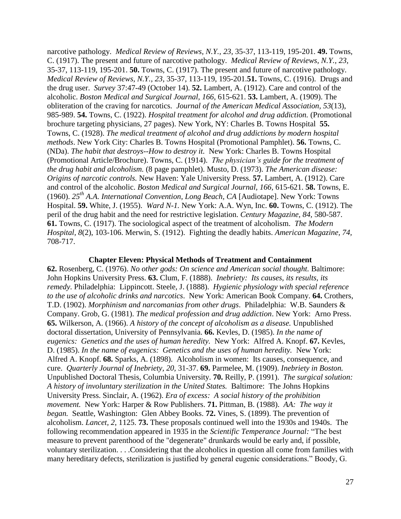narcotive pathology. *Medical Review of Reviews, N.Y., 23,* 35-37, 113-119, 195-201. **49.** Towns, C. (1917). The present and future of narcotive pathology. *Medical Review of Reviews, N.Y., 23,*  35-37, 113-119, 195-201. **50.** Towns, C. (1917). The present and future of narcotive pathology. *Medical Review of Reviews, N.Y., 23,* 35-37, 113-119, 195-201.**51.** Towns, C. (1916). Drugs and the drug user. *Survey* 37:47-49 (October 14). **52.** Lambert, A. (1912). Care and control of the alcoholic. *Boston Medical and Surgical Journal, 166,* 615-621. **53.** Lambert, A. (1909). The obliteration of the craving for narcotics. *Journal of the American Medical Association, 53*(13), 985-989. **54.** Towns, C. (1922). *Hospital treatment for alcohol and drug addiction.* (Promotional brochure targeting physicians, 27 pages). New York, NY: Charles B. Towns Hospital **55.** Towns, C. (1928). *The medical treatment of alcohol and drug addictions by modern hospital methods*. New York City: Charles B. Towns Hospital (Promotional Pamphlet). **56.** Towns, C. (NDa). *The habit that destroys--How to destroy it.* New York: Charles B. Towns Hospital (Promotional Article/Brochure). Towns, C. (1914). *The physician's guide for the treatment of the drug habit and alcoholism.* (8 page pamphlet). Musto, D. (1973). *The American disease: Origins of narcotic controls.* New Haven: Yale University Press. **57.** Lambert, A. (1912). Care and control of the alcoholic. *Boston Medical and Surgical Journal, 166,* 615-621. **58.** Towns, E. (1960). *25th A.A. International Convention, Long Beach, CA* [Audiotape]. New York: Towns Hospital. **59.** White, J. (1955). *Ward N-1.* New York: A.A. Wyn, Inc. **60.** Towns, C. (1912). The peril of the drug habit and the need for restrictive legislation. *Century Magazine, 84,* 580-587. **61.** Towns, C. (1917). The sociological aspect of the treatment of alcoholism. *The Modern Hospital, 8*(2), 103-106. Merwin, S. (1912). Fighting the deadly habits. *American Magazine, 74,* 708-717.

#### **Chapter Eleven: Physical Methods of Treatment and Containment**

**62.** Rosenberg, C. (1976). *No other gods: On science and American social thought.* Baltimore: John Hopkins University Press. **63.** Clum, F. (1888). *Inebriety: Its causes, its results, its remedy*. Philadelphia: Lippincott. Steele, J. (1888). *Hygienic physiology with special reference to the use of alcoholic drinks and narcotics*. New York: American Book Company. **64.** Crothers, T.D. (1902). *Morphinism and narcomanias from other drugs*. Philadelphia: W.B. Saunders & Company. Grob, G. (1981). *The medical profession and drug addiction*. New York: Arno Press. **65.** Wilkerson, A. (1966). *A history of the concept of alcoholism as a disease.* Unpublished doctoral dissertation, University of Pennsylvania. **66.** Kevles, D. (1985). *In the name of eugenics: Genetics and the uses of human heredity.* New York: Alfred A. Knopf. **67.** Kevles, D. (1985). *In the name of eugenics: Genetics and the uses of human heredity.* New York: Alfred A. Knopf. **68.** Sparks, A. (1898). Alcoholism in women: Its causes, consequence, and cure. *Quarterly Journal of Inebriety, 20,* 31-37. **69.** Parmelee, M. (1909). *Inebriety in Boston.* Unpublished Doctoral Thesis, Columbia University. **70.** Reilly, P. (1991). *The surgical solution: A history of involuntary sterilization in the United States.* Baltimore: The Johns Hopkins University Press. Sinclair, A. (1962). *Era of excess: A social history of the prohibition movement.* New York: Harper & Row Publishers. **71.** Pittman, B. (1988). *AA: The way it began.* Seattle, Washington: Glen Abbey Books. **72.** Vines, S. (1899). The prevention of alcoholism. *Lancet, 2*, 1125. **73.** These proposals continued well into the 1930s and 1940s. The following recommendation appeared in 1935 in the *Scientific Temperance Journal:* "The best measure to prevent parenthood of the "degenerate" drunkards would be early and, if possible, voluntary sterilization. . . .Considering that the alcoholics in question all come from families with many hereditary defects, sterilization is justified by general eugenic considerations." Boody, G.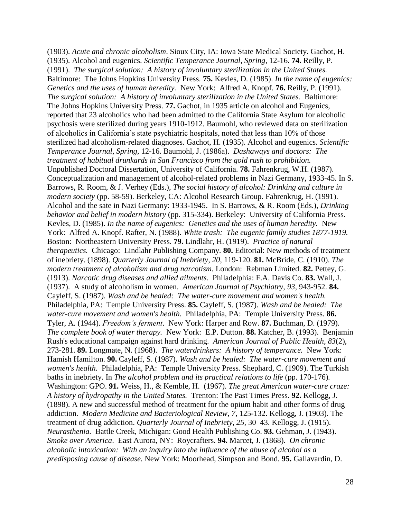(1903). *Acute and chronic alcoholism*. Sioux City, IA: Iowa State Medical Society. Gachot, H. (1935). Alcohol and eugenics. *Scientific Temperance Journal*, *Spring,* 12-16. **74.** Reilly, P. (1991). *The surgical solution: A history of involuntary sterilization in the United States.* Baltimore: The Johns Hopkins University Press. **75.** Kevles, D. (1985). *In the name of eugenics: Genetics and the uses of human heredity.* New York: Alfred A. Knopf. **76.** Reilly, P. (1991). *The surgical solution: A history of involuntary sterilization in the United States.* Baltimore: The Johns Hopkins University Press. **77.** Gachot, in 1935 article on alcohol and Eugenics, reported that 23 alcoholics who had been admitted to the California State Asylum for alcoholic psychosis were sterilized during years 1910-1912. Baumohl, who reviewed data on sterilization of alcoholics in California's state psychiatric hospitals, noted that less than 10% of those sterilized had alcoholism-related diagnoses. Gachot, H. (1935). Alcohol and eugenics. *Scientific Temperance Journal*, *Spring,* 12-16. Baumohl, J. (1986a). *Dashaways and doctors: The treatment of habitual drunkards in San Francisco from the gold rush to prohibition.* Unpublished Doctoral Dissertation, University of California. **78.** Fahrenkrug, W.H. (1987). Conceptualization and management of alcohol-related problems in Nazi Germany, 1933-45. In S. Barrows, R. Room, & J. Verhey (Eds.), *The social history of alcohol: Drinking and culture in modern society* (pp. 58-59). Berkeley, CA: Alcohol Research Group. Fahrenkrug, H. (1991). Alcohol and the sate in Nazi Germany: 1933-1945. In S. Barrows, & R. Room (Eds.), *Drinking behavior and belief in modern history* (pp. 315-334). Berkeley: University of California Press. Kevles, D. (1985). *In the name of eugenics: Genetics and the uses of human heredity.* New York: Alfred A. Knopf. Rafter, N. (1988). *White trash: The eugenic family studies 1877-1919.* Boston: Northeastern University Press. **79.** Lindlahr, H. (1919). *Practice of natural therapeutics.* Chicago: Lindlahr Publishing Company. **80.** Editorial: New methods of treatment of inebriety. (1898). *Quarterly Journal of Inebriety*, *20,* 119-120. **81.** McBride, C. (1910). *The modern treatment of alcoholism and drug narcotism.* London: Rebman Limited. **82.** Pettey, G. (1913). *Narcotic drug diseases and allied ailments.* Philadelphia: F.A. Davis Co. **83.** Wall, J. (1937). A study of alcoholism in women. *American Journal of Psychiatry, 93,* 943-952. **84.** Cayleff, S. (1987). *Wash and be healed: The water-cure movement and women's health.* Philadelphia, PA: Temple University Press. **85.** Cayleff, S. (1987). *Wash and be healed: The water-cure movement and women's health.* Philadelphia, PA: Temple University Press. **86.** Tyler, A. (1944). *Freedom's ferment*. New York: Harper and Row. **87.** Buchman, D. (1979). *The complete book of water therapy.* New York: E.P. Dutton. **88.** Katcher, B. (1993). Benjamin Rush's educational campaign against hard drinking. *American Journal of Public Health, 83*(2), 273-281. **89.** Longmate, N. (1968). *The waterdrinkers: A history of temperance.* New York: Hamish Hamilton. **90.** Cayleff, S. (1987). *Wash and be healed: The water-cure movement and women's health.* Philadelphia, PA: Temple University Press. Shephard, C. (1909). The Turkish baths in inebriety. In *The alcohol problem and its practical relations to life* (pp. 170-176). Washington: GPO. **91.** Weiss, H., & Kemble, H. (1967). *The great American water-cure craze: A history of hydropathy in the United States.* Trenton: The Past Times Press. **92.** Kellogg, J. (1898). A new and successful method of treatment for the opium habit and other forms of drug addiction. *Modern Medicine and Bacteriological Review, 7,* 125-132. Kellogg, J. (1903). The treatment of drug addiction. *Quarterly Journal of Inebriety, 25,* 30–43. Kellogg, J. (1915). *Neurasthenia.* Battle Creek, Michigan: Good Health Publishing Co. **93.** Gehman, J. (1943). *Smoke over America*. East Aurora, NY: Roycrafters. **94.** Marcet, J. (1868). *On chronic alcoholic intoxication: With an inquiry into the influence of the abuse of alcohol as a predisposing cause of disease.* New York: Moorhead, Simpson and Bond. **95.** Gallavardin, D.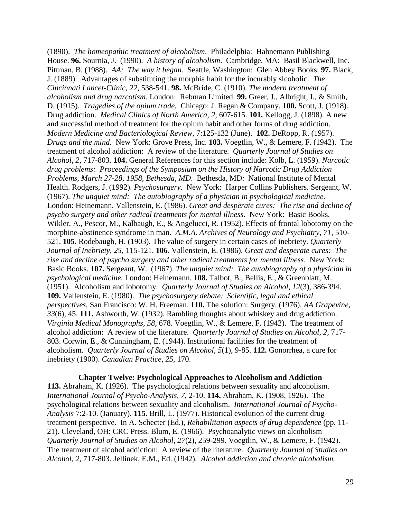(1890). *The homeopathic treatment of alcoholism*. Philadelphia: Hahnemann Publishing House. **96.** Sournia, J. (1990). *A history of alcoholism*. Cambridge, MA: Basil Blackwell, Inc. Pittman, B. (1988). *AA: The way it began.* Seattle, Washington: Glen Abbey Books. **97.** Black, J. (1889). Advantages of substituting the morphia habit for the incurably slcoholic. *The Cincinnati Lancet-Clinic, 22,* 538-541. **98.** McBride, C. (1910). *The modern treatment of alcoholism and drug narcotism.* London: Rebman Limited. **99.** Greer, J., Albright, I., & Smith, D. (1915). *Tragedies of the opium trade.* Chicago: J. Regan & Company. **100.** Scott, J. (1918). Drug addiction. *Medical Clinics of North America, 2,* 607-615. **101.** Kellogg, J. (1898). A new and successful method of treatment for the opium habit and other forms of drug addiction. *Modern Medicine and Bacteriological Review,* 7:125-132 (June). **102.** DeRopp, R. (1957). *Drugs and the mind.* New York: Grove Press, Inc. **103.** Voegtlin, W., & Lemere, F. (1942). The treatment of alcohol addiction: A review of the literature. *Quarterly Journal of Studies on Alcohol*, *2,* 717-803. **104.** General References for this section include: Kolb, L. (1959). *Narcotic drug problems: Proceedings of the Symposium on the History of Narcotic Drug Addiction Problems, March 27-28, 1958, Bethesda, MD*. Bethesda, MD: National Institute of Mental Health. Rodgers, J. (1992). *Psychosurgery.* New York: Harper Collins Publishers. Sergeant, W. (1967). *The unquiet mind: The autobiography of a physician in psychological medicine.*  London: Heinemann. Vallenstein, E. (1986). *Great and desperate cures: The rise and decline of psycho surgery and other radical treatments for mental illness*. New York: Basic Books. Wikler, A., Pescor, M., Kalbaugh, E., & Angelucci, R. (1952). Effects of frontal lobotomy on the morphine-abstinence syndrome in man. *A.M.A. Archives of Neurology and Psychiatry*, *71,* 510- 521. **105.** Rodebaugh, H. (1903). The value of surgery in certain cases of inebriety. *Quarterly Journal of Inebriety, 25,* 115-121. **106.** Vallenstein, E. (1986). *Great and desperate cures: The rise and decline of psycho surgery and other radical treatments for mental illness*. New York: Basic Books. **107.** Sergeant, W. (1967). *The unquiet mind: The autobiography of a physician in psychological medicine.* London: Heinemann. **108.** Talbot, B., Bellis, E., & Greenblatt, M. (1951). Alcoholism and lobotomy. *Quarterly Journal of Studies on Alcohol, 12*(3), 386-394. **109.** Vallenstein, E. (1980). *The psychosurgery debate: Scientific, legal and ethical perspectives.* San Francisco: W. H. Freeman. **110.** The solution: Surgery. (1976). *AA Grapevine, 33*(6), 45. **111.** Ashworth, W. (1932). Rambling thoughts about whiskey and drug addiction. *Virginia Medical Monographs, 58,* 678. Voegtlin, W., & Lemere, F. (1942). The treatment of alcohol addiction: A review of the literature. *Quarterly Journal of Studies on Alcohol*, *2,* 717- 803. Corwin, E., & Cunningham, E. (1944). Institutional facilities for the treatment of alcoholism. *Quarterly Journal of Studies on Alcohol*, *5*(1), 9-85. **112.** Gonorrhea, a cure for inebriety (1900). *Canadian Practice*, *25,* 170.

**Chapter Twelve: Psychological Approaches to Alcoholism and Addiction 113.** Abraham, K. (1926). The psychological relations between sexuality and alcoholism. *International Journal of Psycho-Analysis, 7,* 2-10. **114.** Abraham, K. (1908, 1926). The psychological relations between sexuality and alcoholism. *International Journal of Psycho-Analysis* 7:2-10. (January). **115.** Brill, L. (1977). Historical evolution of the current drug treatment perspective. In A. Schecter (Ed.), *Rehabilitation aspects of drug dependence* (pp. 11- 21). Cleveland, OH: CRC Press. Blum, E. (1966). Psychoanalytic views on alcoholism *Quarterly Journal of Studies on Alcohol, 27*(2), 259-299. Voegtlin, W., & Lemere, F. (1942). The treatment of alcohol addiction: A review of the literature. *Quarterly Journal of Studies on Alcohol*, *2,* 717-803. Jellinek, E.M., Ed. (1942). *Alcohol addiction and chronic alcoholism.*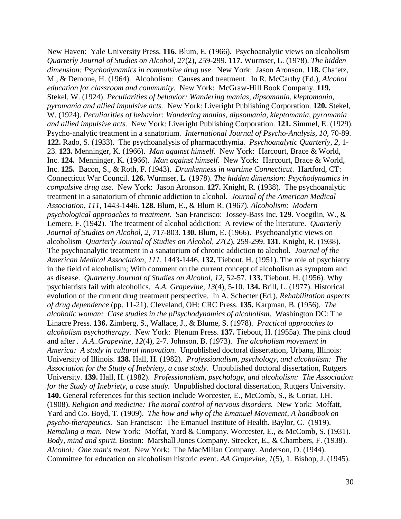New Haven: Yale University Press. **116.** Blum, E. (1966). Psychoanalytic views on alcoholism *Quarterly Journal of Studies on Alcohol, 27*(2), 259-299. **117.** Wurmser, L. (1978). *The hidden dimension: Psychodynamics in compulsive drug use*. New York: Jason Aronson. **118.** Chafetz, M., & Demone, H. (1964). Alcoholism: Causes and treatment. In R. McCarthy (Ed.), *Alcohol education for classroom and community.* New York: McGraw-Hill Book Company. **119.** Stekel, W. (1924). *Peculiarities of behavior: Wandering manias, dipsomania, kleptomania, pyromania and allied impulsive acts.* New York: Liveright Publishing Corporation. **120.** Stekel, W. (1924). *Peculiarities of behavior: Wandering manias, dipsomania, kleptomania, pyromania and allied impulsive acts.* New York: Liveright Publishing Corporation. **121.** Simmel, E. (1929). Psycho-analytic treatment in a sanatorium. *International Journal of Psycho-Analysis, 10,* 70-89. **122.** Rado, S. (1933). The psychoanalysis of pharmacothymia. *Psychoanalytic Quarterly*, *2,* 1- 23. **123.** Menninger, K. (1966). *Man against himself.* New York: Harcourt, Brace & World, Inc. **124.** Menninger, K. (1966). *Man against himself.* New York: Harcourt, Brace & World, Inc. **125.** Bacon, S., & Roth, F. (1943). *Drunkenness in wartime Connecticut*. Hartford, CT: Connecticut War Council. **126.** Wurmser, L. (1978). *The hidden dimension: Psychodynamics in compulsive drug use*. New York: Jason Aronson. **127.** Knight, R. (1938). The psychoanalytic treatment in a sanatorium of chronic addiction to alcohol. *Journal of the American Medical Association*, *111,* 1443-1446. **128.** Blum, E., & Blum R. (1967). *Alcoholism: Modern psychological approaches to treatment.* San Francisco: Jossey-Bass Inc. **129.** Voegtlin, W., & Lemere, F. (1942). The treatment of alcohol addiction: A review of the literature. *Quarterly Journal of Studies on Alcohol*, *2,* 717-803. **130.** Blum, E. (1966). Psychoanalytic views on alcoholism *Quarterly Journal of Studies on Alcohol, 27*(2), 259-299. **131.** Knight, R. (1938). The psychoanalytic treatment in a sanatorium of chronic addiction to alcohol. *Journal of the American Medical Association*, *111,* 1443-1446. **132.** Tiebout, H. (1951). The role of psychiatry in the field of alcoholism; With comment on the current concept of alcoholism as symptom and as disease. *Quarterly Journal of Studies on Alcohol, 12,* 52-57. **133.** Tiebout, H. (1956). Why psychiatrists fail with alcoholics. *A.A. Grapevine, 13*(4), 5-10. **134.** Brill, L. (1977). Historical evolution of the current drug treatment perspective. In A. Schecter (Ed.), *Rehabilitation aspects of drug dependence* (pp. 11-21). Cleveland, OH: CRC Press. **135.** Karpman, B. (1956). *The alcoholic woman: Case studies in the pPsychodynamics of alcoholism*. Washington DC: The Linacre Press. **136.** Zimberg, S., Wallace, J., & Blume, S. (1978). *Practical approaches to alcoholism psychotherapy.* New York: Plenum Press. **137.** Tiebout, H. (1955a). The pink cloud and after *. A.A..Grapevine, 12*(4), 2-7. Johnson, B. (1973). *The alcoholism movement in America: A study in cultural innovation*. Unpublished doctoral dissertation, Urbana, Illinois: University of Illinois. **138.** Hall, H. (1982). *Professionalism, psychology, and alcoholism: The Association for the Study of Inebriety, a case study.* Unpublished doctoral dissertation, Rutgers University. **139.** Hall, H. (1982). *Professionalism, psychology, and alcoholism: The Association for the Study of Inebriety, a case study.* Unpublished doctoral dissertation, Rutgers University. **140.** General references for this section include Worcester, E., McComb, S., & Coriat, I.H. (1908). *Religion and medicine: The moral control of nervous disorders.* New York: Moffatt, Yard and Co. Boyd, T. (1909). *The how and why of the Emanuel Movement, A handbook on psycho-therapeutics.* San Francisco: The Emanuel Institute of Health. Baylor, C. (1919). *Remaking a man.* New York: Moffat, Yard & Company. Worcester, E., & McComb, S. (1931). *Body, mind and spirit.* Boston: Marshall Jones Company. Strecker, E., & Chambers, F. (1938). *Alcohol: One man's meat*. New York: The MacMillan Company. Anderson, D. (1944). Committee for education on alcoholism historic event. *AA Grapevine, 1*(5), 1. Bishop, J. (1945).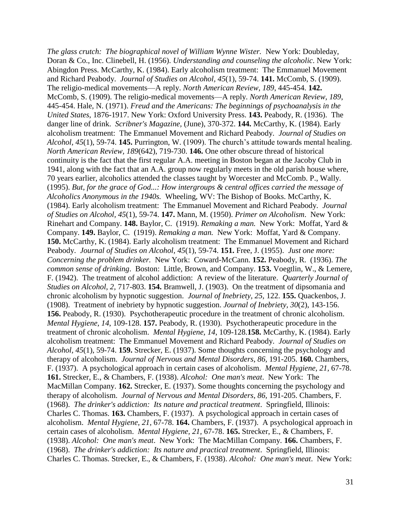*The glass crutch: The biographical novel of William Wynne Wister.* New York: Doubleday, Doran & Co., Inc. Clinebell, H. (1956). *Understanding and counseling the alcoholic*. New York: Abingdon Press. McCarthy, K. (1984). Early alcoholism treatment: The Emmanuel Movement and Richard Peabody. *Journal of Studies on Alcohol, 45*(1), 59-74. **141.** McComb, S. (1909). The religio-medical movements—A reply. *North American Review, 189*, 445-454. **142.**  McComb, S. (1909). The religio-medical movements—A reply. *North American Review, 189*, 445-454. Hale, N. (1971). *Freud and the Americans: The beginnings of psychoanalysis in the United States*, 1876-1917. New York: Oxford University Press. **143.** Peabody, R. (1936). The danger line of drink. *Scribner's Magazine,* (June), 370-372. **144.** McCarthy, K. (1984). Early alcoholism treatment: The Emmanuel Movement and Richard Peabody. *Journal of Studies on Alcohol, 45*(1), 59-74. **145.** Purrington, W. (1909). The church's attitude towards mental healing. *North American Review, 189*(642), 719-730. **146.** One other obscure thread of historical continuity is the fact that the first regular A.A. meeting in Boston began at the Jacoby Club in 1941, along with the fact that an A.A. group now regularly meets in the old parish house where, 70 years earlier, alcoholics attended the classes taught by Worcester and McComb. P., Wally. (1995). *But, for the grace of God...: How intergroups & central offices carried the message of Alcoholics Anonymous in the 1940s.* Wheeling, WV: The Bishop of Books. McCarthy, K. (1984). Early alcoholism treatment: The Emmanuel Movement and Richard Peabody. *Journal of Studies on Alcohol, 45*(1), 59-74. **147.** Mann, M. (1950). *Primer on Alcoholism*. New York: Rinehart and Company. **148.** Baylor, C. (1919). *Remaking a man.* New York: Moffat, Yard & Company. **149.** Baylor, C. (1919). *Remaking a man.* New York: Moffat, Yard & Company. **150.** McCarthy, K. (1984). Early alcoholism treatment: The Emmanuel Movement and Richard Peabody. *Journal of Studies on Alcohol, 45*(1), 59-74. **151.** Free, J. (1955). *Just one more: Concerning the problem drinker.* New York: Coward-McCann. **152.** Peabody, R. (1936). *The common sense of drinking*. Boston: Little, Brown, and Company. **153.** Voegtlin, W., & Lemere, F. (1942). The treatment of alcohol addiction: A review of the literature. *Quarterly Journal of Studies on Alcohol*, *2,* 717-803. **154.** Bramwell, J. (1903). On the treatment of dipsomania and chronic alcoholism by hypnotic suggestion. *Journal of Inebriety, 25,* 122. **155.** Quackenbos, J. (1908). Treatment of inebriety by hypnotic suggestion. *Journal of Inebriety, 30*(2), 143-156. **156.** Peabody, R. (1930). Psychotherapeutic procedure in the treatment of chronic alcoholism. *Mental Hygiene, 14*, 109-128. **157.** Peabody, R. (1930). Psychotherapeutic procedure in the treatment of chronic alcoholism. *Mental Hygiene, 14*, 109-128.**158.** McCarthy, K. (1984). Early alcoholism treatment: The Emmanuel Movement and Richard Peabody. *Journal of Studies on Alcohol, 45*(1), 59-74. **159.** Strecker, E. (1937). Some thoughts concerning the psychology and therapy of alcoholism. *Journal of Nervous and Mental Disorders*, *86,* 191-205. **160.** Chambers, F. (1937). A psychological approach in certain cases of alcoholism. *Mental Hygiene, 21,* 67-78. **161.** Strecker, E., & Chambers, F. (1938). *Alcohol: One man's meat*. New York: The MacMillan Company. **162.** Strecker, E. (1937). Some thoughts concerning the psychology and therapy of alcoholism. *Journal of Nervous and Mental Disorders*, *86,* 191-205. Chambers, F. (1968). *The drinker's addiction: Its nature and practical treatment*. Springfield, Illinois: Charles C. Thomas. **163.** Chambers, F. (1937). A psychological approach in certain cases of alcoholism. *Mental Hygiene, 21,* 67-78. **164.** Chambers, F. (1937). A psychological approach in certain cases of alcoholism. *Mental Hygiene, 21,* 67-78. **165.** Strecker, E., & Chambers, F. (1938). *Alcohol: One man's meat*. New York: The MacMillan Company. **166.** Chambers, F. (1968). *The drinker's addiction: Its nature and practical treatment*. Springfield, Illinois: Charles C. Thomas. Strecker, E., & Chambers, F. (1938). *Alcohol: One man's meat*. New York: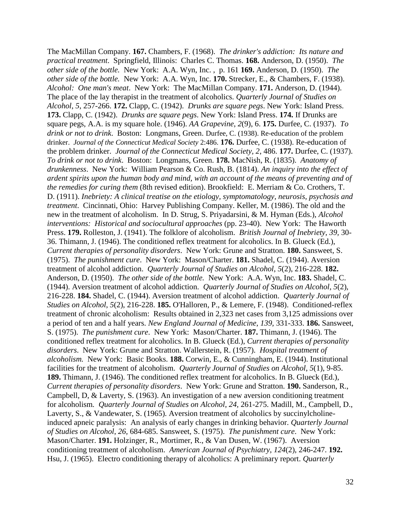The MacMillan Company. **167.** Chambers, F. (1968). *The drinker's addiction: Its nature and practical treatment*. Springfield, Illinois: Charles C. Thomas. **168.** Anderson, D. (1950). *The other side of the bottle.* New York: A.A. Wyn, Inc. , p. 161 **169.** Anderson, D. (1950). *The other side of the bottle.* New York: A.A. Wyn, Inc. **170.** Strecker, E., & Chambers, F. (1938). *Alcohol: One man's meat*. New York: The MacMillan Company. **171.** Anderson, D. (1944). The place of the lay therapist in the treatment of alcoholics. *Quarterly Journal of Studies on Alcohol*, *5*, 257-266. **172.** Clapp, C. (1942). *Drunks are square pegs*. New York: Island Press. **173.** Clapp, C. (1942). *Drunks are square pegs*. New York: Island Press. **174.** If Drunks are square pegs, A.A. is my square hole. (1946). *AA Grapevine*, *2*(9), 6. **175.** Durfee, C. (1937). *To drink or not to drink*. Boston: Longmans, Green. Durfee, C. (1938). Re-education of the problem drinker. *Journal of the Connecticut Medical Society* 2:486. **176.** Durfee, C. (1938). Re-education of the problem drinker. *Journal of the Connecticut Medical Society, 2*, 486. **177.** Durfee, C. (1937). *To drink or not to drink*. Boston: Longmans, Green. **178.** MacNish, R. (1835). *Anatomy of drunkenness*. New York: William Pearson & Co. Rush, B. (1814). *An inquiry into the effect of ardent spirits upon the human body and mind, with an account of the means of preventing and of the remedies for curing them* (8th revised edition). Brookfield: E. Merriam & Co. Crothers, T. D. (1911). *Inebriety: A clinical treatise on the etiology, symptomatology, neurosis, psychosis and treatment*. Cincinnati, Ohio: Harvey Publishing Company. Keller, M. (1986). The old and the new in the treatment of alcoholism. In D. Strug, S. Priyadarsini, & M. Hyman (Eds.), *Alcohol interventions: Historical and sociocultural approaches* (pp. 23-40). New York: The Haworth Press. **179.** Rolleston, J. (1941). The folklore of alcoholism. *British Journal of Inebriety, 39,* 30- 36. Thimann, J. (1946). The conditioned reflex treatment for alcoholics. In B. Glueck (Ed.), *Current therapies of personality disorders*. New York: Grune and Stratton. **180.** Sansweet, S. (1975). *The punishment cure*. New York: Mason/Charter. **181.** Shadel, C. (1944). Aversion treatment of alcohol addiction. *Quarterly Journal of Studies on Alcohol*, *5*(2), 216-228. **182.** Anderson, D. (1950). *The other side of the bottle.* New York: A.A. Wyn, Inc. **183.** Shadel, C. (1944). Aversion treatment of alcohol addiction. *Quarterly Journal of Studies on Alcohol*, *5*(2), 216-228. **184.** Shadel, C. (1944). Aversion treatment of alcohol addiction. *Quarterly Journal of Studies on Alcohol*, *5*(2), 216-228. **185.** O'Halloren, P., & Lemere, F. (1948). Conditioned-reflex treatment of chronic alcoholism: Results obtained in 2,323 net cases from 3,125 admissions over a period of ten and a half years. *New England Journal of Medicine*, *139,* 331-333. **186.** Sansweet, S. (1975). *The punishment cure*. New York: Mason/Charter. **187.** Thimann, J. (1946). The conditioned reflex treatment for alcoholics. In B. Glueck (Ed.), *Current therapies of personality disorders*. New York: Grune and Stratton. Wallerstein, R. (1957). *Hospital treatment of alcoholism.* New York: Basic Books. **188.** Corwin, E., & Cunningham, E. (1944). Institutional facilities for the treatment of alcoholism. *Quarterly Journal of Studies on Alcohol*, *5*(1), 9-85. **189.** Thimann, J. (1946). The conditioned reflex treatment for alcoholics. In B. Glueck (Ed.), *Current therapies of personality disorders*. New York: Grune and Stratton. **190.** Sanderson, R., Campbell, D, & Laverty, S. (1963). An investigation of a new aversion conditioning treatment for alcoholism*. Quarterly Journal of Studies on Alcohol*, *24,* 261-275. Madill, M., Campbell, D., Laverty, S., & Vandewater, S. (1965). Aversion treatment of alcoholics by succinylcholineinduced apneic paralysis: An analysis of early changes in drinking behavior. *Quarterly Journal of Studies on Alcohol*, *26,* 684-685. Sansweet, S. (1975). *The punishment cure*. New York: Mason/Charter. **191.** Holzinger, R., Mortimer, R., & Van Dusen, W. (1967). Aversion conditioning treatment of alcoholism. *American Journal of Psychiatry, 124*(2), 246-247. **192.** Hsu, J. (1965). Electro conditioning therapy of alcoholics: A preliminary report. *Quarterly*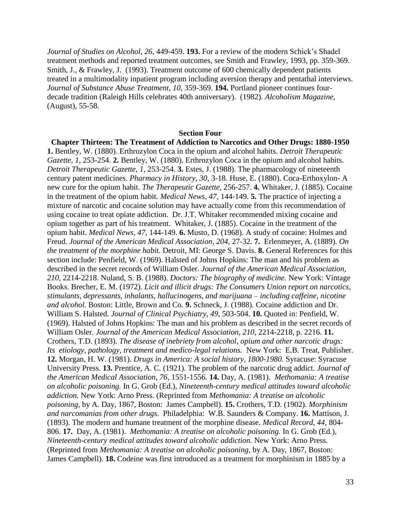*Journal of Studies on Alcohol*, *26,* 449-459. **193.** For a review of the modern Schick's Shadel treatment methods and reported treatment outcomes, see Smith and Frawley, 1993, pp. 359-369. Smith, J., & Frawley, J. (1993). Treatment outcome of 600 chemically dependent patients treated in a multimodality inpatient program including aversion therapy and pentathal interviews. *Journal of Substance Abuse Treatment, 10*, 359-369. **194.** Portland pioneer continues fourdecade tradition (Raleigh Hills celebrates 40th anniversary). (1982). *Alcoholism Magazine,*  (August), 55-58.

#### **Section Four**

**Chapter Thirteen: The Treatment of Addiction to Narcotics and Other Drugs: 1880-1950 1.** Bentley, W. (1880). Erthrozylon Coca in the opium and alcohol habits. *Detroit Therapeutic Gazette, 1,* 253-254. **2.** Bentley, W. (1880). Erthrozylon Coca in the opium and alcohol habits. *Detroit Therapeutic Gazette, 1,* 253-254. **3.** Estes, J. (1988). The pharmacology of nineteenth century patent medicines. *Pharmacy in History, 30,* 3-18. Huse, E. (1880). Coca-Erthoxylon- A new cure for the opium habit. *The Therapeutic Gazette,* 256-257. **4.** Whitaker, J. (1885). Cocaine in the treatment of the opium habit. *Medical News, 47,* 144-149. **5.** The practice of injecting a mixture of narcotic and cocaine solution may have actually come from this recommendation of using cocaine to treat opiate addiction. Dr. J.T. Whitaker recommended mixing cocaine and opium together as part of his treatment. Whitaker, J. (1885). Cocaine in the treatment of the opium habit. *Medical News, 47,* 144-149. **6.** Musto, D. (1968). A study of cocaine: Holmes and Freud. *Journal of the American Medical Association, 204,* 27-32. **7.** Erlenmeyer, A. (1889). *On the treatment of the morphine habit.* Detroit, MI: George S. Davis. **8.** General References for this section include: Penfield, W. (1969). Halsted of Johns Hopkins: The man and his problem as described in the secret records of William Osler. *Journal of the American Medical Association, 210,* 2214-2218. Nuland, S. B. (1988). *Doctors: The biography of medicine.* New York: Vintage Books. Brecher, E. M. (1972). *Licit and illicit drugs: The Consumers Union report on narcotics, stimulants, depressants, inhalants, hallucinogens, and marijuana – including caffeine, nicotine and alcohol.* Boston: Little, Brown and Co. **9.** Schneck, J. (1988). Cocaine addiction and Dr. William S. Halsted. *Journal of Clinical Psychiatry, 49,* 503-504. **10.** Quoted in: Penfield, W. (1969). Halsted of Johns Hopkins: The man and his problem as described in the secret records of William Osler. *Journal of the American Medical Association, 210, 2214-2218, p. 2216.* 11. Crothers, T.D. (1893). *The disease of inebriety from alcohol, opium and other narcotic drugs: Its etiology, pathology, treatment and medico-legal relations.* New York: E.B. Treat, Publisher. **12.** Morgan, H. W. (1981). *Drugs in America: A social history, 1800-1980*. Syracuse: Syracuse University Press. **13.** Prentice, A. C. (1921). The problem of the narcotic drug addict. *Journal of the American Medical Association, 76*, 1551-1556. **14.** Day, A. (1981). *Methomania: A treatise on alcoholic poisoning.* In G. Grob (Ed.), *Nineteenth-century medical attitudes toward alcoholic addiction.* New York: Arno Press. (Reprinted from *Methomania: A treatise on alcoholic poisoning,* by A. Day, 1867, Boston: James Campbell). **15.** Crothers, T.D. (1902). *Morphinism and narcomanias from other drugs*. Philadelphia: W.B. Saunders & Company. **16.** Mattison, J. (1893). The modern and humane treatment of the morphine disease. *Medical Record, 44,* 804- 806. **17.** Day, A. (1981). *Methomania: A treatise on alcoholic poisoning.* In G. Grob (Ed.), *Nineteenth-century medical attitudes toward alcoholic addiction.* New York: Arno Press. (Reprinted from *Methomania: A treatise on alcoholic poisoning,* by A. Day, 1867, Boston: James Campbell). **18.** Codeine was first introduced as a treatment for morphinism in 1885 by a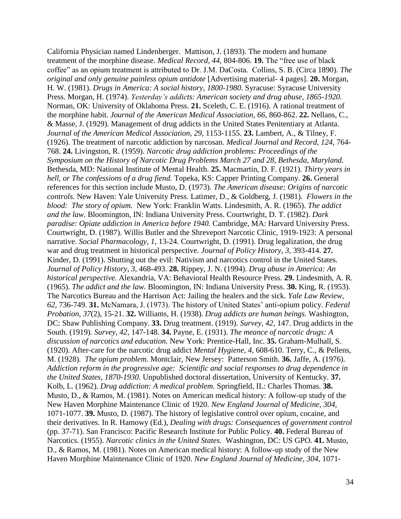California Physician named Lindenberger. Mattison, J. (1893). The modern and humane treatment of the morphine disease. *Medical Record, 44,* 804-806. **19.** The "free use of black coffee" as an opium treatment is attributed to Dr. J.M. DaCosta. Collins, S. B. (Circa 1890). *The original and only genuine painless opium antidote* [Advertising material- 4 pages]. **20.** Morgan, H. W. (1981). *Drugs in America: A social history, 1800-1980*. Syracuse: Syracuse University Press. Morgan, H. (1974). *Yesterday's addicts: American society and drug abuse, 1865-1920.* Norman, OK: University of Oklahoma Press. **21.** Sceleth, C. E. (1916). A rational treatment of the morphine habit. *Journal of the American Medical Association, 66,* 860-862. **22.** Nellans, C., & Masse, J. (1929). Management of drug addicts in the United States Penitentiary at Atlanta. *Journal of the American Medical Association, 29,* 1153-1155. **23.** Lambert, A., & Tilney, F. (1926). The treatment of narcotic addiction by narcosan. *Medical Journal and Record, 124,* 764- 768. **24.** Livingston, R. (1959). *Narcotic drug addiction problems: Proceedings of the Symposium on the History of Narcotic Drug Problems March 27 and 28, Bethesda, Maryland.*  Bethesda, MD: National Institute of Mental Health. **25.** Macmartin, D. F. (1921). *Thirty years in hell, or The confessions of a drug fiend.* Topeka, KS: Capper Printing Company. **26.** General references for this section include Musto, D. (1973). *The American disease: Origins of narcotic controls.* New Haven: Yale University Press. Latimer, D., & Goldberg, J. (1981). *Flowers in the blood: The story of opium.* New York: Franklin Watts. Lindesmith, A. R. (1965). *The addict and the law.* Bloomington, IN: Indiana University Press. Courtwright, D. T. (1982). *Dark paradise: Opiate addiction in America before 1940.* Cambridge, MA: Harvard University Press. Courtwright, D. (1987). Willis Butler and the Shreveport Narcotic Clinic, 1919-1923: A personal narrative. *Social Pharmacology, 1,* 13-24. Courtwright, D. (1991). Drug legalization, the drug war and drug treatment in historical perspective. *Journal of Policy History, 3,* 393-414. **27.**  Kinder, D. (1991). Shutting out the evil: Nativism and narcotics control in the United States. *Journal of Policy History, 3,* 468-493. **28.** Rippey, J. N. (1994). *Drug abuse in America: An historical perspective.* Alexandria, VA: Behavioral Health Resource Press. **29.** Lindesmith, A. R. (1965). *The addict and the law.* Bloomington, IN: Indiana University Press. **30.** King, R. (1953). The Narcotics Bureau and the Harrison Act: Jailing the healers and the sick. *Yale Law Review, 62,* 736-749. **31.** McNamara, J. (1973). The history of United States' anti-opium policy. *Federal Probation, 37*(2), 15-21. **32.** Williams, H. (1938). *Drug addicts are human beings.* Washington, DC: Shaw Publishing Company. **33.** Drug treatment. (1919). *Survey, 42,* 147. Drug addicts in the South. (1919). *Survey, 42,* 147-148. **34.** Payne, E. (1931). *The meance of narcotic drugs: A discussion of narcotics and education.* New York: Prentice-Hall, Inc. **35.** Graham-Mulhall, S. (1920). After-care for the narcotic drug addict *Mental Hygiene, 4,* 608-610. Terry, C., & Pellens, M. (1928). *The opium problem.* Montclair, New Jersey: Patterson Smith. **36.** Jaffe, A. (1976). *Addiction reform in the progressive age: Scientific and social responses to drug dependence in the United States, 1870-1930.* Unpublished doctoral dissertation, University of Kentucky. **37.** Kolb, L. (1962). *Drug addiction: A medical problem.* Springfield, IL: Charles Thomas. **38.**  Musto, D., & Ramos, M. (1981). Notes on American medical history: A follow-up study of the New Haven Morphine Maintenance Clinic of 1920. *New England Journal of Medicine, 304,*  1071-1077. **39.** Musto, D. (1987). The history of legislative control over opium, cocaine, and their derivatives. In R. Hamowy (Ed.), *Dealing with drugs: Consequences of government control*  (pp. 37-71). San Francisco: Pacific Research Institute for Public Policy. **40.** Federal Bureau of Narcotics. (1955). *Narcotic clinics in the United States.* Washington, DC: US GPO. **41.** Musto, D., & Ramos, M. (1981). Notes on American medical history: A follow-up study of the New Haven Morphine Maintenance Clinic of 1920. *New England Journal of Medicine, 304,* 1071-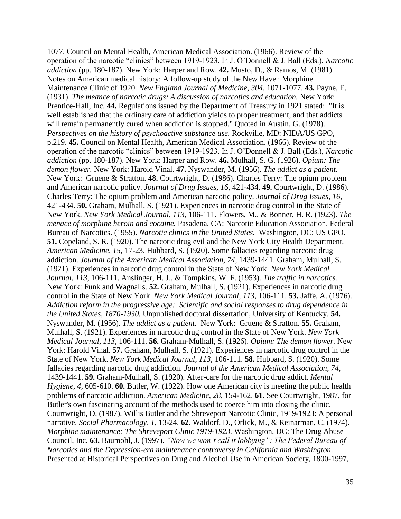1077. Council on Mental Health, American Medical Association. (1966). Review of the operation of the narcotic "clinics" between 1919-1923. In J. O'Donnell & J. Ball (Eds.), *Narcotic addiction* (pp. 180-187). New York: Harper and Row. **42.** Musto, D., & Ramos, M. (1981). Notes on American medical history: A follow-up study of the New Haven Morphine Maintenance Clinic of 1920. *New England Journal of Medicine, 304,* 1071-1077. **43.** Payne, E. (1931). *The meance of narcotic drugs: A discussion of narcotics and education.* New York: Prentice-Hall, Inc. **44.** Regulations issued by the Department of Treasury in 1921 stated: "It is well established that the ordinary care of addiction yields to proper treatment, and that addicts will remain permanently cured when addiction is stopped." Quoted in Austin, G. (1978). *Perspectives on the history of psychoactive substance use.* Rockville, MD: NIDA/US GPO, p.219. **45.** Council on Mental Health, American Medical Association. (1966). Review of the operation of the narcotic "clinics" between 1919-1923. In J. O'Donnell & J. Ball (Eds.), *Narcotic addiction* (pp. 180-187). New York: Harper and Row. **46.** Mulhall, S. G. (1926). *Opium: The demon flower.* New York: Harold Vinal. **47.** Nyswander, M. (1956). *The addict as a patient.* New York: Gruene & Stratton. **48.** Courtwright, D. (1986). Charles Terry: The opium problem and American narcotic policy. *Journal of Drug Issues, 16,* 421-434. **49.** Courtwright, D. (1986). Charles Terry: The opium problem and American narcotic policy. *Journal of Drug Issues, 16,*  421-434. **50.** Graham, Mulhall, S. (1921). Experiences in narcotic drug control in the State of New York. *New York Medical Journal, 113,* 106-111. Flowers, M., & Bonner, H. R. (1923). *The menace of morphine heroin and cocaine.* Pasadena, CA: Narcotic Education Association. Federal Bureau of Narcotics. (1955). *Narcotic clinics in the United States.* Washington, DC: US GPO. **51.** Copeland, S. R. (1920). The narcotic drug evil and the New York City Health Department. *American Medicine, 15,* 17-23. Hubbard, S. (1920). Some fallacies regarding narcotic drug addiction. *Journal of the American Medical Association*, 74, 1439-1441. Graham, Mulhall, S. (1921). Experiences in narcotic drug control in the State of New York. *New York Medical Journal, 113,* 106-111. Anslinger, H. J., & Tompkins, W. F. (1953). *The traffic in narcotics.*  New York: Funk and Wagnalls. **52.** Graham, Mulhall, S. (1921). Experiences in narcotic drug control in the State of New York. *New York Medical Journal, 113,* 106-111. **53.** Jaffe, A. (1976). *Addiction reform in the progressive age: Scientific and social responses to drug dependence in the United States, 1870-1930.* Unpublished doctoral dissertation, University of Kentucky. **54.** Nyswander, M. (1956). *The addict as a patient.* New York: Gruene & Stratton. **55.** Graham, Mulhall, S. (1921). Experiences in narcotic drug control in the State of New York. *New York Medical Journal, 113,* 106-111. **56.** Graham-Mulhall, S. (1926). *Opium: The demon flower.* New York: Harold Vinal. **57.** Graham, Mulhall, S. (1921). Experiences in narcotic drug control in the State of New York. *New York Medical Journal, 113,* 106-111. **58.** Hubbard, S. (1920). Some fallacies regarding narcotic drug addiction. *Journal of the American Medical Association, 74,*  1439-1441. **59.** Graham-Mulhall, S. (1920). After-care for the narcotic drug addict. *Mental Hygiene, 4,* 605-610. **60.** Butler, W. (1922). How one American city is meeting the public health problems of narcotic addiction. *American Medicine, 28,* 154-162. **61.** See Courtwright, 1987, for Butler's own fascinating account of the methods used to coerce him into closing the clinic. Courtwright, D. (1987). Willis Butler and the Shreveport Narcotic Clinic, 1919-1923: A personal narrative. *Social Pharmacology, 1,* 13-24. **62.** Waldorf, D., Orlick, M., & Reinarman, C. (1974). *Morphine maintenance: The Shreveport Clinic 1919-1923.* Washington, DC: The Drug Abuse Council, Inc. **63.** Baumohl, J. (1997). *"Now we won't call it lobbying": The Federal Bureau of Narcotics and the Depression-era maintenance controversy in California and Washington*. Presented at Historical Perspectives on Drug and Alcohol Use in American Society, 1800-1997,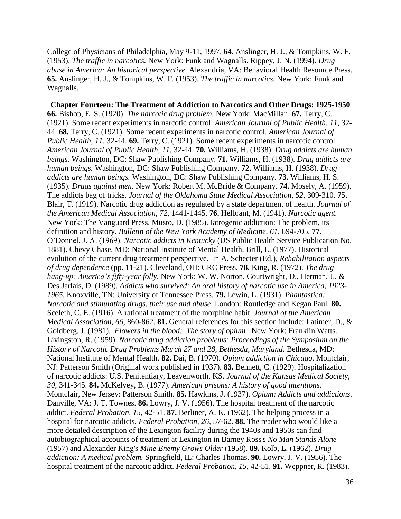College of Physicians of Philadelphia, May 9-11, 1997. **64.** Anslinger, H. J., & Tompkins, W. F. (1953). *The traffic in narcotics.* New York: Funk and Wagnalls. Rippey, J. N. (1994). *Drug abuse in America: An historical perspective.* Alexandria, VA: Behavioral Health Resource Press. **65.** Anslinger, H. J., & Tompkins, W. F. (1953). *The traffic in narcotics.* New York: Funk and Wagnalls.

**Chapter Fourteen: The Treatment of Addiction to Narcotics and Other Drugs: 1925-1950 66.** Bishop, E. S. (1920). *The narcotic drug problem.* New York: MacMillan. **67.** Terry, C. (1921). Some recent experiments in narcotic control. *American Journal of Public Health, 11,* 32- 44. **68.** Terry, C. (1921). Some recent experiments in narcotic control. *American Journal of Public Health, 11,* 32-44. **69.** Terry, C. (1921). Some recent experiments in narcotic control. *American Journal of Public Health, 11,* 32-44. **70.** Williams, H. (1938). *Drug addicts are human beings.* Washington, DC: Shaw Publishing Company. **71.** Williams, H. (1938). *Drug addicts are human beings.* Washington, DC: Shaw Publishing Company. **72.** Williams, H. (1938). *Drug addicts are human beings.* Washington, DC: Shaw Publishing Company. **73.** Williams, H. S. (1935). *Drugs against men.* New York: Robert M. McBride & Company. **74.** Mosely, A. (1959). The addicts bag of tricks. *Journal of the Oklahoma State Medical Association, 52,* 309-310. **75.**  Blair, T. (1919). Narcotic drug addiction as regulated by a state department of health. *Journal of the American Medical Association, 72,* 1441-1445. **76.** Helbrant, M. (1941). *Narcotic agent.*  New York: The Vanguard Press. Musto, D. (1985). Iatrogenic addiction: The problem, its definition and history. *Bulletin of the New York Academy of Medicine*, 61, 694-705. **77.** O'Donnel, J. A. (1969). *Narcotic addicts in Kentucky* (US Public Health Service Publication No. 1881). Chevy Chase, MD: National Institute of Mental Health. Brill, L. (1977). Historical evolution of the current drug treatment perspective. In A. Schecter (Ed.), *Rehabilitation aspects of drug dependence* (pp. 11-21). Cleveland, OH: CRC Press. **78.** King, R. (1972). *The drug hang-up: America's fifty-year folly*. New York: W. W. Norton. Courtwright, D., Herman, J., & Des Jarlais, D. (1989). *Addicts who survived: An oral history of narcotic use in America, 1923- 1965.* Knoxville, TN: University of Tennessee Press. **79.** Lewin, L. (1931). *Phantastica: Narcotic and stimulating drugs, their use and abuse*. London: Routledge and Kegan Paul. **80.**  Sceleth, C. E. (1916). A rational treatment of the morphine habit. *Journal of the American Medical Association, 66,* 860-862. **81.** General references for this section include: Latimer, D., & Goldberg, J. (1981). *Flowers in the blood: The story of opium.* New York: Franklin Watts. Livingston, R. (1959). *Narcotic drug addiction problems: Proceedings of the Symposium on the History of Narcotic Drug Problems March 27 and 28, Bethesda, Maryland.* Bethesda, MD: National Institute of Mental Health. **82.** Dai, B. (1970). *Opium addiction in Chicago*. Montclair, NJ: Patterson Smith (Original work published in 1937). **83.** Bennett, C. (1929). Hospitalization of narcotic addicts: U.S. Penitentiary, Leavenworth, KS. *Journal of the Kansas Medical Society, 30,* 341-345. **84.** McKelvey, B. (1977). *American prisons: A history of good intentions.* Montclair, New Jersey: Patterson Smith. **85.** Hawkins, J. (1937). *Opium: Addicts and addictions*. Danville, VA: J. T. Townes. **86.** Lowry, J. V. (1956). The hospital treatment of the narcotic addict. *Federal Probation, 15,* 42-51. **87.** Berliner, A. K. (1962). The helping process in a hospital for narcotic addicts. *Federal Probation, 26,* 57-62. **88.** The reader who would like a more detailed description of the Lexington facility during the 1940s and 1950s can find autobiographical accounts of treatment at Lexington in Barney Ross's *No Man Stands Alone* (1957) and Alexander King's *Mine Enemy Grows Older* (1958). **89.** Kolb, L. (1962). *Drug addiction: A medical problem.* Springfield, IL: Charles Thomas. **90.** Lowry, J. V. (1956). The hospital treatment of the narcotic addict. *Federal Probation, 15,* 42-51. **91.** Weppner, R. (1983).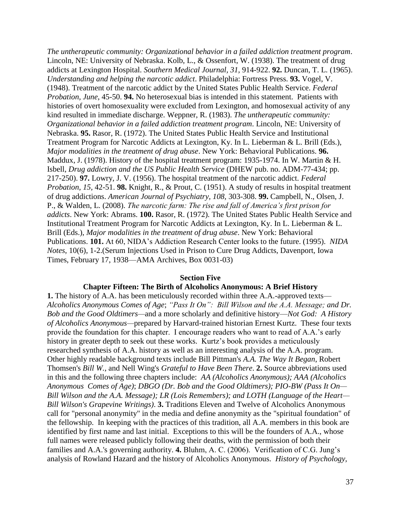*The untherapeutic community: Organizational behavior in a failed addiction treatment program*. Lincoln, NE: University of Nebraska. Kolb, L., & Ossenfort, W. (1938). The treatment of drug addicts at Lexington Hospital. *Southern Medical Journal, 31,* 914-922. **92.** Duncan, T. L. (1965). *Understanding and helping the narcotic addict*. Philadelphia: Fortress Press. **93.** Vogel, V. (1948). Treatment of the narcotic addict by the United States Public Health Service. *Federal Probation, June*, 45-50. **94.** No heterosexual bias is intended in this statement. Patients with histories of overt homosexuality were excluded from Lexington, and homosexual activity of any kind resulted in immediate discharge. Weppner, R. (1983). *The untherapeutic community: Organizational behavior in a failed addiction treatment program*. Lincoln, NE: University of Nebraska. **95.** Rasor, R. (1972). The United States Public Health Service and Institutional Treatment Program for Narcotic Addicts at Lexington, Ky. In L. Lieberman & L. Brill (Eds.), *Major modalities in the treatment of drug abuse*. New York: Behavioral Publications. **96.**  Maddux, J. (1978). History of the hospital treatment program: 1935-1974. In W. Martin & H. Isbell, *Drug addiction and the US Public Health Service* (DHEW pub. no. ADM-77-434; pp. 217-250). **97.** Lowry, J. V. (1956). The hospital treatment of the narcotic addict. *Federal Probation, 15,* 42-51. **98.** Knight, R., & Prout, C. (1951). A study of results in hospital treatment of drug addictions. *American Journal of Psychiatry, 108,* 303-308. **99.** Campbell, N., Olsen, J. P., & Walden, L. (2008). *The narcotic farm: The rise and fall of America's first prison for addicts*. New York: Abrams. **100.** Rasor, R. (1972). The United States Public Health Service and Institutional Treatment Program for Narcotic Addicts at Lexington, Ky. In L. Lieberman & L. Brill (Eds.), *Major modalities in the treatment of drug abuse*. New York: Behavioral Publications. **101.** At 60, NIDA's Addiction Research Center looks to the future. (1995). *NIDA Notes*, 10(6), 1-2.(Serum Injections Used in Prison to Cure Drug Addicts, Davenport, Iowa Times, February 17, 1938—AMA Archives, Box 0031-03)

## **Section Five**

### **Chapter Fifteen: The Birth of Alcoholics Anonymous: A Brief History**

**1.** The history of A.A. has been meticulously recorded within three A.A.-approved texts— *Alcoholics Anonymous Comes of Age*; *"Pass It On": Bill Wilson and the A.A. Message; and Dr. Bob and the Good Oldtimers—*and a more scholarly and definitive history—*Not God: A History of Alcoholics Anonymous—*prepared by Harvard-trained historian Ernest Kurtz. These four texts provide the foundation for this chapter. I encourage readers who want to read of A.A.'s early history in greater depth to seek out these works. Kurtz's book provides a meticulously researched synthesis of A.A. history as well as an interesting analysis of the A.A. program. Other highly readable background texts include Bill Pittman's *A.A. The Way It Began*, Robert Thomsen's *Bill W.*, and Nell Wing's *Grateful to Have Been There*. **2.** Source abbreviations used in this and the following three chapters include: *AA (Alcoholics Anonymous); AAA (Alcoholics Anonymous Comes of Age)*; *DBGO (Dr. Bob and the Good Oldtimers); PIO-BW (Pass It On— Bill Wilson and the A.A. Message); LR (Lois Remembers); and LOTH (Language of the Heart— Bill Wilson's Grapevine Writings)*. **3.** Traditions Eleven and Twelve of Alcoholics Anonymous call for "personal anonymity" in the media and define anonymity as the "spiritual foundation" of the fellowship. In keeping with the practices of this tradition, all A.A. members in this book are identified by first name and last initial. Exceptions to this will be the founders of A.A., whose full names were released publicly following their deaths, with the permission of both their families and A.A.'s governing authority. **4.** Bluhm, A. C. (2006). Verification of C.G. Jung's analysis of Rowland Hazard and the history of Alcoholics Anonymous. *History of Psychology,*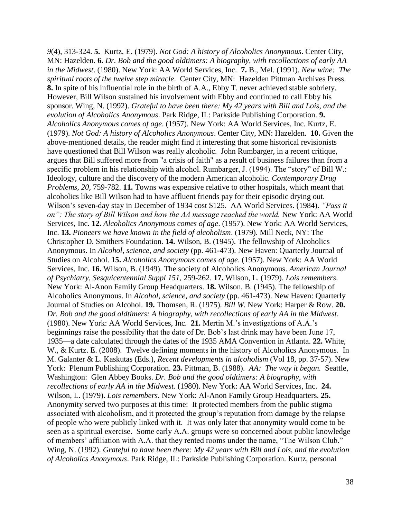*9*(4), 313-324. **5.** Kurtz, E. (1979). *Not God: A history of Alcoholics Anonymous*. Center City, MN: Hazelden. **6.** *Dr. Bob and the good oldtimers: A biography, with recollections of early AA in the Midwest*. (1980). New York: AA World Services, Inc. **7.** B., Mel. (1991). *New wine: The spiritual roots of the twelve step miracle*. Center City, MN: Hazelden Pittman Archives Press. **8.** In spite of his influential role in the birth of A.A., Ebby T. never achieved stable sobriety. However, Bill Wilson sustained his involvement with Ebby and continued to call Ebby his sponsor. Wing, N. (1992). *Grateful to have been there: My 42 years with Bill and Lois, and the evolution of Alcoholics Anonymous*. Park Ridge, IL: Parkside Publishing Corporation. **9.**  *Alcoholics Anonymous comes of age*. (1957). New York: AA World Services, Inc. Kurtz, E. (1979). *Not God: A history of Alcoholics Anonymous*. Center City, MN: Hazelden. **10.** Given the above-mentioned details, the reader might find it interesting that some historical revisionists have questioned that Bill Wilson was really alcoholic. John Rumbarger, in a recent critique, argues that Bill suffered more from "a crisis of faith" as a result of business failures than from a specific problem in his relationship with alcohol. Rumbarger, J. (1994). The "story" of Bill W.: Ideology, culture and the discovery of the modern American alcoholic. *Contemporary Drug Problems, 20,* 759-782. **11.** Towns was expensive relative to other hospitals, which meant that alcoholics like Bill Wilson had to have affluent friends pay for their episodic drying out. Wilson's seven-day stay in December of 1934 cost \$125. AA World Services. (1984). *"Pass it on": The story of Bill Wilson and how the AA message reached the world.* New York: AA World Services, Inc. **12.** *Alcoholics Anonymous comes of age*. (1957). New York: AA World Services, Inc. **13.** *Pioneers we have known in the field of alcoholism*. (1979). Mill Neck, NY: The Christopher D. Smithers Foundation. **14.** Wilson, B. (1945). The fellowship of Alcoholics Anonymous. In *Alcohol, science, and society* (pp. 461-473). New Haven: Quarterly Journal of Studies on Alcohol. **15.** *Alcoholics Anonymous comes of age*. (1957). New York: AA World Services, Inc. **16.** Wilson, B. (1949). The society of Alcoholics Anonymous. *American Journal of Psychiatry, Sesquicentennial Suppl 151*, 259-262. **17.** Wilson, L. (1979). *Lois remembers*. New York: Al-Anon Family Group Headquarters. **18.** Wilson, B. (1945). The fellowship of Alcoholics Anonymous. In *Alcohol, science, and society* (pp. 461-473). New Haven: Quarterly Journal of Studies on Alcohol. **19.** Thomsen, R. (1975). *Bill W.* New York: Harper & Row. **20.**  *Dr. Bob and the good oldtimers: A biography, with recollections of early AA in the Midwest*. (1980). New York: AA World Services, Inc. **21.** Mertin M.'s investigations of A.A.'s beginnings raise the possibility that the date of Dr. Bob's last drink may have been June 17, 1935—a date calculated through the dates of the 1935 AMA Convention in Atlanta. **22.** White, W., & Kurtz. E. (2008). Twelve defining moments in the history of Alcoholics Anonymous. In M. Galanter & L. Kaskutas (Eds.), *Recent developments in alcoholism* (Vol 18, pp. 37-57). New York: Plenum Publishing Corporation. **23.** Pittman, B. (1988). *AA: The way it began.* Seattle, Washington: Glen Abbey Books. *Dr. Bob and the good oldtimers: A biography, with recollections of early AA in the Midwest*. (1980). New York: AA World Services, Inc. **24.**  Wilson, L. (1979). *Lois remembers*. New York: Al-Anon Family Group Headquarters. **25.**  Anonymity served two purposes at this time: It protected members from the public stigma associated with alcoholism, and it protected the group's reputation from damage by the relapse of people who were publicly linked with it. It was only later that anonymity would come to be seen as a spiritual exercise. Some early A.A. groups were so concerned about public knowledge of members' affiliation with A.A. that they rented rooms under the name, "The Wilson Club." Wing, N. (1992). *Grateful to have been there: My 42 years with Bill and Lois, and the evolution of Alcoholics Anonymous*. Park Ridge, IL: Parkside Publishing Corporation. Kurtz, personal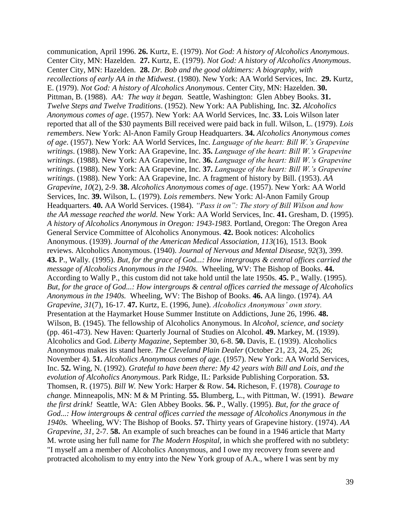communication, April 1996. **26.** Kurtz, E. (1979). *Not God: A history of Alcoholics Anonymous*. Center City, MN: Hazelden. **27.** Kurtz, E. (1979). *Not God: A history of Alcoholics Anonymous*. Center City, MN: Hazelden. **28.** *Dr. Bob and the good oldtimers: A biography, with recollections of early AA in the Midwest*. (1980). New York: AA World Services, Inc. **29.** Kurtz, E. (1979). *Not God: A history of Alcoholics Anonymous*. Center City, MN: Hazelden. **30.**  Pittman, B. (1988). *AA: The way it began.* Seattle, Washington: Glen Abbey Books. **31.**  *Twelve Steps and Twelve Traditions*. (1952). New York: AA Publishing, Inc. **32.** *Alcoholics Anonymous comes of age*. (1957). New York: AA World Services, Inc. **33.** Lois Wilson later reported that all of the \$30 payments Bill received were paid back in full. Wilson, L. (1979). *Lois remembers*. New York: Al-Anon Family Group Headquarters. **34.** *Alcoholics Anonymous comes of age*. (1957). New York: AA World Services, Inc. *Language of the heart: Bill W.'s Grapevine writings*. (1988). New York: AA Grapevine, Inc. **35.** *Language of the heart: Bill W.'s Grapevine writings*. (1988). New York: AA Grapevine, Inc. **36.** *Language of the heart: Bill W.'s Grapevine writings*. (1988). New York: AA Grapevine, Inc. **37.** *Language of the heart: Bill W.'s Grapevine writings*. (1988). New York: AA Grapevine, Inc. A fragment of history by Bill. (1953). *AA Grapevine, 10*(2), 2-9. **38.** *Alcoholics Anonymous comes of age*. (1957). New York: AA World Services, Inc. **39.** Wilson, L. (1979). *Lois remembers*. New York: Al-Anon Family Group Headquarters. **40.** AA World Services. (1984). *"Pass it on": The story of Bill Wilson and how the AA message reached the world.* New York: AA World Services, Inc. **41.** Gresham, D. (1995). *A history of Alcoholics Anonymous in Oregon: 1943-1983.* Portland, Oregon: The Oregon Area General Service Committee of Alcoholics Anonymous. **42.** Book notices: Alcoholics Anonymous. (1939). *Journal of the American Medical Association, 113*(16), 1513. Book reviews. Alcoholics Anonymous. (1940). *Journal of Nervous and Mental Disease, 92*(3), 399. **43.** P., Wally. (1995). *But, for the grace of God...: How intergroups & central offices carried the message of Alcoholics Anonymous in the 1940s.* Wheeling, WV: The Bishop of Books. **44.**  According to Wally P., this custom did not take hold until the late 1950s. **45.** P., Wally. (1995). *But, for the grace of God...: How intergroups & central offices carried the message of Alcoholics Anonymous in the 1940s.* Wheeling, WV: The Bishop of Books. **46.** AA lingo. (1974). *AA Grapevine, 31*(7), 16-17. **47.** Kurtz, E. (1996, June). *Alcoholics Anonymous' own story.*  Presentation at the Haymarket House Summer Institute on Addictions, June 26, 1996. **48.**  Wilson, B. (1945). The fellowship of Alcoholics Anonymous. In *Alcohol, science, and society* (pp. 461-473). New Haven: Quarterly Journal of Studies on Alcohol. **49.** Markey, M. (1939). Alcoholics and God. *Liberty Magazine,* September 30, 6-8. **50.** Davis, E. (1939). Alcoholics Anonymous makes its stand here. *The Cleveland Plain Dealer* (October 21, 23, 24, 25, 26; November 4). **51.** *Alcoholics Anonymous comes of age*. (1957). New York: AA World Services, Inc. **52.** Wing, N. (1992). *Grateful to have been there: My 42 years with Bill and Lois, and the evolution of Alcoholics Anonymous*. Park Ridge, IL: Parkside Publishing Corporation. **53.**  Thomsen, R. (1975). *Bill W.* New York: Harper & Row. **54.** Richeson, F. (1978). *Courage to change.* Minneapolis, MN: M & M Printing. **55.** Blumberg, L., with Pittman, W. (1991). *Beware the first drink!* Seattle, WA: Glen Abbey Books. **56.** P., Wally. (1995). *But, for the grace of God...: How intergroups & central offices carried the message of Alcoholics Anonymous in the 1940s.* Wheeling, WV: The Bishop of Books. **57.** Thirty years of Grapevine history. (1974). *AA Grapevine, 31,* 2-7. **58.** An example of such breaches can be found in a 1946 article that Marty M. wrote using her full name for *The Modern Hospital,* in which she proffered with no subtlety: "I myself am a member of Alcoholics Anonymous, and I owe my recovery from severe and protracted alcoholism to my entry into the New York group of A.A., where I was sent by my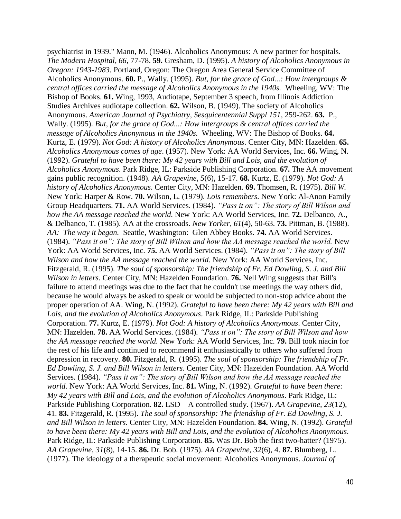psychiatrist in 1939." Mann, M. (1946). Alcoholics Anonymous: A new partner for hospitals. *The Modern Hospital, 66*, 77-78. **59.** Gresham, D. (1995). *A history of Alcoholics Anonymous in Oregon: 1943-1983.* Portland, Oregon: The Oregon Area General Service Committee of Alcoholics Anonymous. **60.** P., Wally. (1995). *But, for the grace of God...: How intergroups & central offices carried the message of Alcoholics Anonymous in the 1940s.* Wheeling, WV: The Bishop of Books. **61.** Wing, 1993, Audiotape, September 3 speech, from Illinois Addiction Studies Archives audiotape collection. **62.** Wilson, B. (1949). The society of Alcoholics Anonymous. *American Journal of Psychiatry, Sesquicentennial Suppl 151*, 259-262. **63.** P., Wally. (1995). *But, for the grace of God...: How intergroups & central offices carried the message of Alcoholics Anonymous in the 1940s.* Wheeling, WV: The Bishop of Books. **64.**  Kurtz, E. (1979). *Not God: A history of Alcoholics Anonymous*. Center City, MN: Hazelden. **65.**  *Alcoholics Anonymous comes of age*. (1957). New York: AA World Services, Inc. **66.** Wing, N. (1992). *Grateful to have been there: My 42 years with Bill and Lois, and the evolution of Alcoholics Anonymous*. Park Ridge, IL: Parkside Publishing Corporation. **67.** The AA movement gains public recognition. (1948). *AA Grapevine, 5*(6), 15-17. **68.** Kurtz, E. (1979). *Not God: A history of Alcoholics Anonymous*. Center City, MN: Hazelden. **69.** Thomsen, R. (1975). *Bill W.* New York: Harper & Row. **70.** Wilson, L. (1979). *Lois remembers*. New York: Al-Anon Family Group Headquarters. **71.** AA World Services. (1984). *"Pass it on": The story of Bill Wilson and how the AA message reached the world.* New York: AA World Services, Inc. **72.** Delbanco, A., & Delbanco, T. (1985). AA at the crossroads. *New Yorker, 61*(4), 50-63. **73.** Pittman, B. (1988). *AA: The way it began.* Seattle, Washington: Glen Abbey Books. **74.** AA World Services. (1984). *"Pass it on": The story of Bill Wilson and how the AA message reached the world.* New York: AA World Services, Inc. **75.** AA World Services. (1984). *"Pass it on": The story of Bill Wilson and how the AA message reached the world.* New York: AA World Services, Inc. Fitzgerald, R. (1995). *The soul of sponsorship: The friendship of Fr. Ed Dowling, S. J. and Bill Wilson in letters*. Center City, MN: Hazelden Foundation. **76.** Nell Wing suggests that Bill's failure to attend meetings was due to the fact that he couldn't use meetings the way others did, because he would always be asked to speak or would be subjected to non-stop advice about the proper operation of AA. Wing, N. (1992). *Grateful to have been there: My 42 years with Bill and Lois, and the evolution of Alcoholics Anonymous*. Park Ridge, IL: Parkside Publishing Corporation. **77.** Kurtz, E. (1979). *Not God: A history of Alcoholics Anonymous*. Center City, MN: Hazelden. **78.** AA World Services. (1984). *"Pass it on": The story of Bill Wilson and how the AA message reached the world.* New York: AA World Services, Inc. **79.** Bill took niacin for the rest of his life and continued to recommend it enthusiastically to others who suffered from depression in recovery. **80.** Fitzgerald, R. (1995). *The soul of sponsorship: The friendship of Fr. Ed Dowling, S. J. and Bill Wilson in letters*. Center City, MN: Hazelden Foundation. AA World Services. (1984). *"Pass it on": The story of Bill Wilson and how the AA message reached the world.* New York: AA World Services, Inc. **81.** Wing, N. (1992). *Grateful to have been there: My 42 years with Bill and Lois, and the evolution of Alcoholics Anonymous*. Park Ridge, IL: Parkside Publishing Corporation. **82.** LSD—A controlled study. (1967). *AA Grapevine, 23*(12), 41. **83.** Fitzgerald, R. (1995). *The soul of sponsorship: The friendship of Fr. Ed Dowling, S. J. and Bill Wilson in letters*. Center City, MN: Hazelden Foundation. **84.** Wing, N. (1992). *Grateful to have been there: My 42 years with Bill and Lois, and the evolution of Alcoholics Anonymous*. Park Ridge, IL: Parkside Publishing Corporation. **85.** Was Dr. Bob the first two-hatter? (1975). *AA Grapevine, 31*(8)*,* 14-15. **86.** Dr. Bob. (1975). *AA Grapevine, 32*(6), 4. **87.** Blumberg, L. (1977). The ideology of a therapeutic social movement: Alcoholics Anonymous. *Journal of*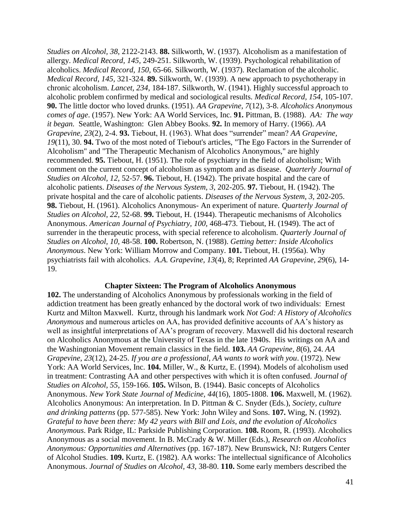*Studies on Alcohol, 38,* 2122-2143. **88.** Silkworth, W. (1937). Alcoholism as a manifestation of allergy. *Medical Record, 145,* 249-251. Silkworth, W. (1939). Psychological rehabilitation of alcoholics. *Medical Record, 150,* 65-66. Silkworth, W. (1937). Reclamation of the alcoholic. *Medical Record, 145,* 321-324. **89.** Silkworth, W. (1939). A new approach to psychotherapy in chronic alcoholism. *Lancet, 234,* 184-187. Silkworth, W. (1941). Highly successful approach to alcoholic problem confirmed by medical and sociological results. *Medical Record, 154,* 105-107. **90.** The little doctor who loved drunks. (1951). *AA Grapevine, 7*(12), 3-8. *Alcoholics Anonymous comes of age*. (1957). New York: AA World Services, Inc. **91.** Pittman, B. (1988). *AA: The way it began.* Seattle, Washington: Glen Abbey Books. **92.** In memory of Harry. (1966). *AA Grapevine, 23*(2), 2-4. **93.** Tiebout, H. (1963). What does "surrender" mean? *AA Grapevine, 19*(11), 30. **94.** Two of the most noted of Tiebout's articles, "The Ego Factors in the Surrender of Alcoholism" and "The Therapeutic Mechanism of Alcoholics Anonymous," are highly recommended. **95.** Tiebout, H. (1951). The role of psychiatry in the field of alcoholism; With comment on the current concept of alcoholism as symptom and as disease. *Quarterly Journal of Studies on Alcohol, 12,* 52-57. **96.** Tiebout, H. (1942). The private hospital and the care of alcoholic patients. *Diseases of the Nervous System, 3,* 202-205. **97.** Tiebout, H. (1942). The private hospital and the care of alcoholic patients. *Diseases of the Nervous System, 3,* 202-205. **98.** Tiebout, H. (1961). Alcoholics Anonymous- An experiment of nature. *Quarterly Journal of Studies on Alcohol, 22,* 52-68. **99.** Tiebout, H. (1944). Therapeutic mechanisms of Alcoholics Anonymous. *American Journal of Psychiatry, 100,* 468-473. Tiebout, H. (1949). The act of surrender in the therapeutic process, with special reference to alcoholism. *Quarterly Journal of Studies on Alcohol, 10,* 48-58. **100.** Robertson, N. (1988). *Getting better: Inside Alcoholics Anonymous*. New York: William Morrow and Company. **101.** Tiebout, H. (1956a). Why psychiatrists fail with alcoholics. *A.A. Grapevine, 13*(4), 8; Reprinted *AA Grapevine, 29*(6), 14- 19.

### **Chapter Sixteen: The Program of Alcoholics Anonymous**

**102.** The understanding of Alcoholics Anonymous by professionals working in the field of addiction treatment has been greatly enhanced by the doctoral work of two individuals: Ernest Kurtz and Milton Maxwell. Kurtz, through his landmark work *Not God: A History of Alcoholics Anonymous* and numerous articles on AA, has provided definitive accounts of AA's history as well as insightful interpretations of AA's program of recovery. Maxwell did his doctoral research on Alcoholics Anonymous at the University of Texas in the late 1940s. His writings on AA and the Washingtonian Movement remain classics in the field. **103.** *AA Grapevine, 8*(6), 24. *AA Grapevine, 23*(12), 24-25. *If you are a professional, AA wants to work with you*. (1972). New York: AA World Services, Inc. **104.** Miller, W., & Kurtz, E. (1994). Models of alcoholism used in treatment: Contrasting AA and other perspectives with which it is often confused. *Journal of Studies on Alcohol, 55*, 159-166. **105.** Wilson, B. (1944). Basic concepts of Alcoholics Anonymous. *New York State Journal of Medicine, 44*(16), 1805-1808. **106.** Maxwell, M. (1962). Alcoholics Anonymous: An interpretation. In D. Pittman & C. Snyder (Eds.), *Society, culture and drinking patterns* (pp. 577-585). New York: John Wiley and Sons. **107.** Wing, N. (1992). *Grateful to have been there: My 42 years with Bill and Lois, and the evolution of Alcoholics Anonymous*. Park Ridge, IL: Parkside Publishing Corporation. **108.** Room, R. (1993). Alcoholics Anonymous as a social movement. In B. McCrady & W. Miller (Eds.), *Research on Alcoholics Anonymous: Opportunities and Alternatives* (pp. 167-187). New Brunswick, NJ: Rutgers Center of Alcohol Studies. **109.** Kurtz, E. (1982). AA works: The intellectual significance of Alcoholics Anonymous. *Journal of Studies on Alcohol, 43,* 38-80. **110.** Some early members described the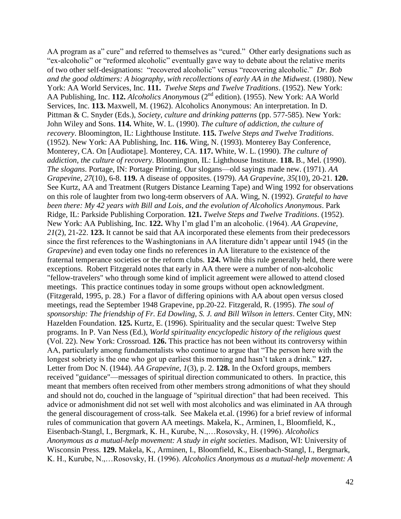AA program as a" cure" and referred to themselves as "cured." Other early designations such as "ex-alcoholic" or "reformed alcoholic" eventually gave way to debate about the relative merits of two other self-designations: "recovered alcoholic" versus "recovering alcoholic." *Dr. Bob and the good oldtimers: A biography, with recollections of early AA in the Midwest*. (1980). New York: AA World Services, Inc. **111.** *Twelve Steps and Twelve Traditions*. (1952). New York: AA Publishing, Inc. **112.** *Alcoholics Anonymous* (2nd edition). (1955). New York: AA World Services, Inc. **113.** Maxwell, M. (1962). Alcoholics Anonymous: An interpretation. In D. Pittman & C. Snyder (Eds.), *Society, culture and drinking patterns* (pp. 577-585). New York: John Wiley and Sons. **114.** White, W. L. (1990). *The culture of addiction, the culture of recovery*. Bloomington, IL: Lighthouse Institute. **115.** *Twelve Steps and Twelve Traditions*. (1952). New York: AA Publishing, Inc. **116.** Wing, N. (1993). Monterey Bay Conference, Monterey, CA. On [Audiotape]. Monterey, CA. **117.** White, W. L. (1990). *The culture of addiction, the culture of recovery*. Bloomington, IL: Lighthouse Institute. **118.** B., Mel. (1990). *The slogans*. Portage, IN: Portage Printing. Our slogans—old sayings made new. (1971). *AA Grapevine, 27*(10), 6-8. **119.** A disease of opposites. (1979). *AA Grapevine, 35*(10), 20-21. **120.** See Kurtz, AA and Treatment (Rutgers Distance Learning Tape) and Wing 1992 for observations on this role of laughter from two long-term observers of AA. Wing, N. (1992). *Grateful to have been there: My 42 years with Bill and Lois, and the evolution of Alcoholics Anonymous*. Park Ridge, IL: Parkside Publishing Corporation. **121.** *Twelve Steps and Twelve Traditions*. (1952). New York: AA Publishing, Inc. **122.** Why I'm glad I'm an alcoholic. (1964). *AA Grapevine, 21*(2), 21-22. **123.** It cannot be said that AA incorporated these elements from their predecessors since the first references to the Washingtonians in AA literature didn't appear until 1945 (in the *Grapevine*) and even today one finds no references in AA literature to the existence of the fraternal temperance societies or the reform clubs. **124.** While this rule generally held, there were exceptions. Robert Fitzgerald notes that early in AA there were a number of non-alcoholic "fellow-travelers" who through some kind of implicit agreement were allowed to attend closed meetings. This practice continues today in some groups without open acknowledgment. (Fitzgerald, 1995, p. 28.) For a flavor of differing opinions with AA about open versus closed meetings, read the September 1948 Grapevine, pp.20-22. Fitzgerald, R. (1995). *The soul of sponsorship: The friendship of Fr. Ed Dowling, S. J. and Bill Wilson in letters*. Center City, MN: Hazelden Foundation. **125.** Kurtz, E. (1996). Spirituality and the secular quest: Twelve Step programs. In P. Van Ness (Ed.), *World spirituality encyclopedic history of the religious quest*  (Vol. 22). New York: Crossroad. **126.** This practice has not been without its controversy within AA, particularly among fundamentalists who continue to argue that "The person here with the longest sobriety is the one who got up earliest this morning and hasn't taken a drink." **127.** Letter from Doc N. (1944). *AA Grapevine, 1*(3), p. 2. **128.** In the Oxford groups, members received "guidance"—messages of spiritual direction communicated to others. In practice, this meant that members often received from other members strong admonitions of what they should and should not do, couched in the language of "spiritual direction" that had been received. This advice or admonishment did not set well with most alcoholics and was eliminated in AA through the general discouragement of cross-talk. See Makela et.al. (1996) for a brief review of informal rules of communication that govern AA meetings. Makela, K., Arminen, I., Bloomfield, K., Eisenbach-Stangl, I., Bergmark, K. H., Kurube, N.,…Rosovsky, H. (1996). *Alcoholics Anonymous as a mutual-help movement: A study in eight societies*. Madison, WI: University of Wisconsin Press. **129.** Makela, K., Arminen, I., Bloomfield, K., Eisenbach-Stangl, I., Bergmark, K. H., Kurube, N.,…Rosovsky, H. (1996). *Alcoholics Anonymous as a mutual-help movement: A*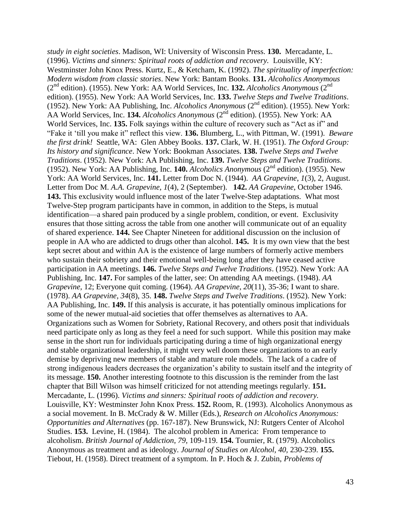*study in eight societies*. Madison, WI: University of Wisconsin Press. **130.** Mercadante, L. (1996). *Victims and sinners: Spiritual roots of addiction and recovery.* Louisville, KY: Westminster John Knox Press. Kurtz, E., & Ketcham, K. (1992). *The spirituality of imperfection: Modern wisdom from classic stories*. New York: Bantam Books. **131.** *Alcoholics Anonymous* (2nd edition). (1955). New York: AA World Services, Inc. **132.** *Alcoholics Anonymous* (2nd edition). (1955). New York: AA World Services, Inc. **133.** *Twelve Steps and Twelve Traditions*. (1952). New York: AA Publishing, Inc. *Alcoholics Anonymous* (2nd edition). (1955). New York: AA World Services, Inc. 134. *Alcoholics Anonymous* (2<sup>nd</sup> edition). (1955). New York: AA World Services, Inc. **135.** Folk sayings within the culture of recovery such as "Act as if" and "Fake it 'till you make it" reflect this view. **136.** Blumberg, L., with Pittman, W. (1991). *Beware the first drink!* Seattle, WA: Glen Abbey Books. **137.** Clark, W. H. (1951). *The Oxford Group: Its history and significance*. New York: Bookman Associates. **138.** *Twelve Steps and Twelve Traditions*. (1952). New York: AA Publishing, Inc. **139.** *Twelve Steps and Twelve Traditions*. (1952). New York: AA Publishing, Inc. **140.** *Alcoholics Anonymous* (2nd edition). (1955). New York: AA World Services, Inc. **141.** Letter from Doc N. (1944). *AA Grapevine*, *1*(3), 2, August. Letter from Doc M. *A.A. Grapevine*, *1*(4), 2 (September). **142.** *AA Grapevine*, October 1946. **143.** This exclusivity would influence most of the later Twelve-Step adaptations. What most Twelve-Step program participants have in common, in addition to the Steps, is mutual identification—a shared pain produced by a single problem, condition, or event. Exclusivity ensures that those sitting across the table from one another will communicate out of an equality of shared experience. **144.** See Chapter Nineteen for additional discussion on the inclusion of people in AA who are addicted to drugs other than alcohol. **145.** It is my own view that the best kept secret about and within AA is the existence of large numbers of formerly active members who sustain their sobriety and their emotional well-being long after they have ceased active participation in AA meetings. **146.** *Twelve Steps and Twelve Traditions*. (1952). New York: AA Publishing, Inc. **147.** For samples of the latter, see: On attending AA meetings. (1948). *AA Grapevine,* 12; Everyone quit coming. (1964). *AA Grapevine, 20*(11), 35-36; I want to share. (1978). *AA Grapevine, 34*(8), 35. **148.** *Twelve Steps and Twelve Traditions*. (1952). New York: AA Publishing, Inc. **149.** If this analysis is accurate, it has potentially ominous implications for some of the newer mutual-aid societies that offer themselves as alternatives to AA. Organizations such as Women for Sobriety, Rational Recovery, and others posit that individuals need participate only as long as they feel a need for such support. While this position may make sense in the short run for individuals participating during a time of high organizational energy and stable organizational leadership, it might very well doom these organizations to an early demise by depriving new members of stable and mature role models. The lack of a cadre of strong indigenous leaders decreases the organization's ability to sustain itself and the integrity of its message. **150.** Another interesting footnote to this discussion is the reminder from the last chapter that Bill Wilson was himself criticized for not attending meetings regularly. **151.** Mercadante, L. (1996). *Victims and sinners: Spiritual roots of addiction and recovery.* Louisville, KY: Westminster John Knox Press. **152.** Room, R. (1993). Alcoholics Anonymous as a social movement. In B. McCrady & W. Miller (Eds.), *Research on Alcoholics Anonymous: Opportunities and Alternatives* (pp. 167-187). New Brunswick, NJ: Rutgers Center of Alcohol Studies. **153.** Levine, H. (1984). The alcohol problem in America: From temperance to alcoholism. *British Journal of Addiction*, *79,* 109-119. **154.** Tournier, R. (1979). Alcoholics Anonymous as treatment and as ideology. *Journal of Studies on Alcohol, 40,* 230-239. **155.** Tiebout, H. (1958). Direct treatment of a symptom. In P. Hoch & J. Zubin, *Problems of*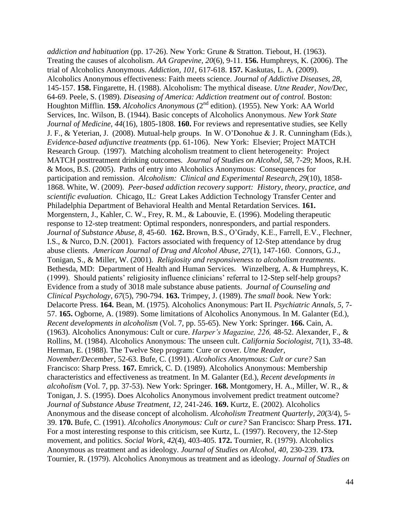*addiction and habituation* (pp. 17-26). New York: Grune & Stratton. Tiebout, H. (1963). Treating the causes of alcoholism. *AA Grapevine, 20*(6), 9-11. **156.** Humphreys, K. (2006). The trial of Alcoholics Anonymous. *Addiction, 101,* 617-618. **157.** Kaskutas, L. A. (2009). Alcoholics Anonymous effectiveness: Faith meets science. *Journal of Addictive Diseases, 28*, 145-157. **158.** Fingarette, H. (1988). Alcoholism: The mythical disease. *Utne Reader, Nov/Dec,*  64-69. Peele, S. (1989). *Diseasing of America: Addiction treatment out of control.* Boston: Houghton Mifflin. **159.** *Alcoholics Anonymous* (2<sup>nd</sup> edition). (1955). New York: AA World Services, Inc. Wilson, B. (1944). Basic concepts of Alcoholics Anonymous. *New York State Journal of Medicine, 44*(16), 1805-1808. **160.** For reviews and representative studies, see Kelly J. F., & Yeterian, J. (2008). Mutual-help groups. In W. O'Donohue & J. R. Cunningham (Eds.), *Evidence-based adjunctive treatments* (pp. 61-106). New York: Elsevier; Project MATCH Research Group. (1997). Matching alcoholism treatment to client heterogeneity: Project MATCH posttreatment drinking outcomes. *Journal of Studies on Alcohol*, *58*, 7-29; Moos, R.H. & Moos, B.S. (2005). Paths of entry into Alcoholics Anonymous: Consequences for participation and remission. *Alcoholism: Clinical and Experimental Research*, *29*(10), 1858- 1868. White, W. (2009). *Peer-based addiction recovery support: History, theory, practice, and scientific evaluation.* Chicago, IL: Great Lakes Addiction Technology Transfer Center and Philadelphia Department of Behavioral Health and Mental Retardation Services. **161.** Morgenstern, J., Kahler, C. W., Frey, R. M., & Labouvie, E. (1996). Modeling therapeutic response to 12-step treatment: Optimal responders, nonresponders, and partial responders. *Journal of Substance Abuse, 8,* 45-60. **162.** Brown, B.S., O'Grady, K.E., Farrell, E.V., Flechner, I.S., & Nurco, D.N. (2001). Factors associated with frequency of 12-Step attendance by drug abuse clients. *American Journal of Drug and Alcohol Abuse*, *27*(1), 147-160. Connors, G.J., Tonigan, S., & Miller, W. (2001). *Religiosity and responsiveness to alcoholism treatments*. Bethesda, MD: Department of Health and Human Services. Winzelberg, A. & Humphreys, K. (1999). Should patients' religiosity influence clinicians' referral to 12-Step self-help groups? Evidence from a study of 3018 male substance abuse patients. *Journal of Counseling and Clinical Psychology*, *67*(5), 790-794. **163.** Trimpey, J. (1989). *The small book.* New York: Delacorte Press. **164.** Bean, M. (1975). Alcoholics Anonymous: Part II. *Psychiatric Annals, 5,* 7- 57. **165.** Ogborne, A. (1989). Some limitations of Alcoholics Anonymous. In M. Galanter (Ed.), *Recent developments in alcoholism* (Vol. 7, pp. 55-65). New York: Springer. **166.** Cain, A. (1963). Alcoholics Anonymous: Cult or cure. *Harper's Magazine, 226,* 48-52. Alexander, F., & Rollins, M. (1984). Alcoholics Anonymous: The unseen cult. *California Sociologist, 7*(1), 33-48. Herman, E. (1988). The Twelve Step program: Cure or cover. *Utne Reader, November/December,* 52-63. Bufe, C. (1991). *Alcoholics Anonymous: Cult or cure?* San Francisco: Sharp Press. **167.** Emrick, C. D. (1989). Alcoholics Anonymous: Membership characteristics and effectiveness as treatment. In M. Galanter (Ed.), *Recent developments in alcoholism* (Vol. 7, pp. 37-53). New York: Springer. **168.** Montgomery, H. A., Miller, W. R., & Tonigan, J. S. (1995). Does Alcoholics Anonymous involvement predict treatment outcome? *Journal of Substance Abuse Treatment, 12,* 241-246. **169.** Kurtz, E. (2002). Alcoholics Anonymous and the disease concept of alcoholism. *Alcoholism Treatment Quarterly, 20*(3/4), 5- 39. **170.** Bufe, C. (1991). *Alcoholics Anonymous: Cult or cure?* San Francisco: Sharp Press. **171.** For a most interesting response to this criticism, see Kurtz, L. (1997). Recovery, the 12-Step movement, and politics. *Social Work, 42*(4), 403-405. **172.** Tournier, R. (1979). Alcoholics Anonymous as treatment and as ideology. *Journal of Studies on Alcohol, 40,* 230-239. **173.**  Tournier, R. (1979). Alcoholics Anonymous as treatment and as ideology. *Journal of Studies on*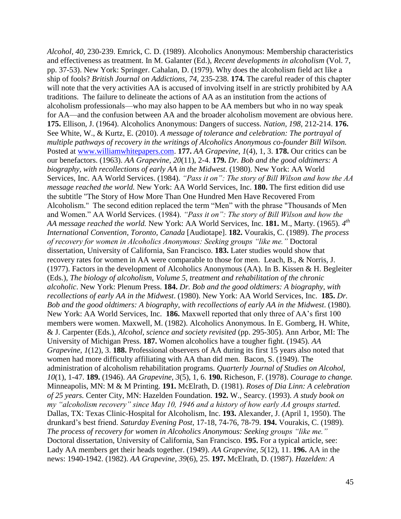*Alcohol, 40,* 230-239. Emrick, C. D. (1989). Alcoholics Anonymous: Membership characteristics and effectiveness as treatment. In M. Galanter (Ed.), *Recent developments in alcoholism* (Vol. 7, pp. 37-53). New York: Springer. Cahalan, D. (1979). Why does the alcoholism field act like a ship of fools? *British Journal on Addictions, 74,* 235-238. **174.** The careful reader of this chapter will note that the very activities AA is accused of involving itself in are strictly prohibited by AA traditions. The failure to delineate the actions of AA as an institution from the actions of alcoholism professionals—who may also happen to be AA members but who in no way speak for AA—and the confusion between AA and the broader alcoholism movement are obvious here. **175.** Ellison, J. (1964). Alcoholics Anonymous: Dangers of success. *Nation, 198,* 212-214. **176.** See White, W., & Kurtz, E. (2010). *A message of tolerance and celebration: The portrayal of multiple pathways of recovery in the writings of Alcoholics Anonymous co-founder Bill Wilson.*  Posted at [www.williamwhitepapers.com.](http://www.williamwhitepapers.com/) **177.** *AA Grapevine, 1*(4), 1, 3. **178.** Our critics can be our benefactors. (1963). *AA Grapevine, 20*(11), 2-4. **179.** *Dr. Bob and the good oldtimers: A biography, with recollections of early AA in the Midwest*. (1980). New York: AA World Services, Inc. AA World Services. (1984). *"Pass it on": The story of Bill Wilson and how the AA message reached the world.* New York: AA World Services, Inc. **180.** The first edition did use the subtitle "The Story of How More Than One Hundred Men Have Recovered From Alcoholism." The second edition replaced the term "Men" with the phrase "Thousands of Men and Women." AA World Services. (1984). *"Pass it on": The story of Bill Wilson and how the AA message reached the world.* New York: AA World Services, Inc. **181.** M., Marty. (1965). *4 th International Convention, Toronto, Canada* [Audiotape]. **182.** Vourakis, C. (1989). *The process of recovery for women in Alcoholics Anonymous: Seeking groups "like me."* Doctoral dissertation, University of California, San Francisco. **183.** Later studies would show that recovery rates for women in AA were comparable to those for men. Leach, B., & Norris, J. (1977). Factors in the development of Alcoholics Anonymous (AA). In B. Kissen & H. Begleiter (Eds.), *The biology of alcoholism, Volume 5, treatment and rehabilitation of the chronic alcoholic*. New York: Plenum Press. **184.** *Dr. Bob and the good oldtimers: A biography, with recollections of early AA in the Midwest*. (1980). New York: AA World Services, Inc. **185.** *Dr. Bob and the good oldtimers: A biography, with recollections of early AA in the Midwest*. (1980). New York: AA World Services, Inc. **186.** Maxwell reported that only three of AA's first 100 members were women. Maxwell, M. (1982). Alcoholics Anonymous. In E. Gomberg, H. White, & J. Carpenter (Eds.), *Alcohol, science and society revisited* (pp. 295-305). Ann Arbor, MI: The University of Michigan Press. **187.** Women alcoholics have a tougher fight. (1945). *AA Grapevine, 1*(12), 3. **188.** Professional observers of AA during its first 15 years also noted that women had more difficulty affiliating with AA than did men. Bacon, S. (1949). The administration of alcoholism rehabilitation programs. *Quarterly Journal of Studies on Alcohol, 10*(1), 1-47. **189.** (1946). *AA Grapevine, 3*(5), 1, 6. **190.** Richeson, F. (1978). *Courage to change.*  Minneapolis, MN: M & M Printing. **191.** McElrath, D. (1981). *Roses of Dia Linn: A celebration of 25 years.* Center City, MN: Hazelden Foundation. **192.** W., Searcy. (1993). *A study book on my "alcoholism recovery" since May 10, 1946 and a history of how early AA groups started.*  Dallas, TX: Texas Clinic-Hospital for Alcoholism, Inc. **193.** Alexander, J. (April 1, 1950). The drunkard's best friend. *Saturday Evening Post,* 17-18, 74-76, 78-79. **194.** Vourakis, C. (1989). *The process of recovery for women in Alcoholics Anonymous: Seeking groups "like me."*  Doctoral dissertation, University of California, San Francisco. **195.** For a typical article, see: Lady AA members get their heads together. (1949). *AA Grapevine, 5*(12), 11. **196.** AA in the news: 1940-1942. (1982). *AA Grapevine, 39*(6), 25. **197.** McElrath, D. (1987). *Hazelden: A*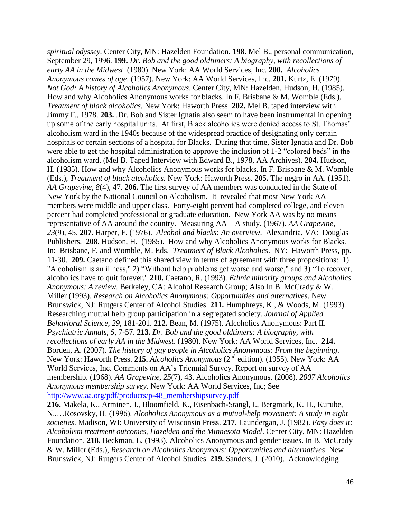*spiritual odyssey.* Center City, MN: Hazelden Foundation. **198.** Mel B., personal communication, September 29, 1996. **199.** *Dr. Bob and the good oldtimers: A biography, with recollections of early AA in the Midwest*. (1980). New York: AA World Services, Inc. **200.** *Alcoholics Anonymous comes of age*. (1957). New York: AA World Services, Inc. **201.** Kurtz, E. (1979). *Not God: A history of Alcoholics Anonymous*. Center City, MN: Hazelden. Hudson, H. (1985). How and why Alcoholics Anonymous works for blacks. In F. Brisbane & M. Womble (Eds.), *Treatment of black alcoholics.* New York: Haworth Press. **202.** Mel B. taped interview with Jimmy F., 1978. **203.** .Dr. Bob and Sister Ignatia also seem to have been instrumental in opening up some of the early hospital units. At first, Black alcoholics were denied access to St. Thomas' alcoholism ward in the 1940s because of the widespread practice of designating only certain hospitals or certain sections of a hospital for Blacks. During that time, Sister Ignatia and Dr. Bob were able to get the hospital administration to approve the inclusion of 1-2 "colored beds" in the alcoholism ward. (Mel B. Taped Interview with Edward B., 1978, AA Archives). **204.** Hudson, H. (1985). How and why Alcoholics Anonymous works for blacks. In F. Brisbane & M. Womble (Eds.), *Treatment of black alcoholics.* New York: Haworth Press. **205.** The negro in AA. (1951). *AA Grapevine, 8*(4), 47. **206.** The first survey of AA members was conducted in the State of New York by the National Council on Alcoholism. It revealed that most New York AA members were middle and upper class. Forty-eight percent had completed college, and eleven percent had completed professional or graduate education. New York AA was by no means representative of AA around the country. Measuring AA—A study. (1967). *AA Grapevine, 23*(9), 45. **207.** Harper, F. (1976). *Alcohol and blacks: An overview*. Alexandria, VA: Douglas Publishers. **208.** Hudson, H. (1985). How and why Alcoholics Anonymous works for Blacks. In: Brisbane, F. and Womble, M. Eds. *Treatment of Black Alcoholics*. NY: Haworth Press, pp. 11-30. **209.** Caetano defined this shared view in terms of agreement with three propositions: 1) "Alcoholism is an illness," 2) "Without help problems get worse and worse," and 3) "To recover, alcoholics have to quit forever." **210.** Caetano, R. (1993). *Ethnic minority groups and Alcoholics Anonymous: A review*. Berkeley, CA: Alcohol Research Group; Also In B. McCrady & W. Miller (1993). *Research on Alcoholics Anonymous: Opportunities and alternatives*. New Brunswick, NJ: Rutgers Center of Alcohol Studies. **211.** Humphreys, K., & Woods, M. (1993). Researching mutual help group participation in a segregated society. *Journal of Applied Behavioral Science, 29,* 181-201. **212.** Bean, M. (1975). Alcoholics Anonymous: Part II. *Psychiatric Annals, 5,* 7-57. **213.** *Dr. Bob and the good oldtimers: A biography, with recollections of early AA in the Midwest*. (1980). New York: AA World Services, Inc. **214.** Borden, A. (2007). *The history of gay people in Alcoholics Anonymous: From the beginning*. New York: Haworth Press. 215. *Alcoholics Anonymous* (2<sup>nd</sup> edition). (1955). New York: AA World Services, Inc. Comments on AA's Triennial Survey. Report on survey of AA membership. (1968). *AA Grapevine, 25*(7), 43. Alcoholics Anonymous. (2008). *2007 Alcoholics Anonymous membership survey*. New York: AA World Services, Inc; See [http://www.aa.org/pdf/products/p-48\\_membershipsurvey.pdf](http://www.aa.org/pdf/products/p-48_membershipsurvey.pdf)

**216.** Makela, K., Arminen, I., Bloomfield, K., Eisenbach-Stangl, I., Bergmark, K. H., Kurube, N.,…Rosovsky, H. (1996). *Alcoholics Anonymous as a mutual-help movement: A study in eight societies*. Madison, WI: University of Wisconsin Press. **217.** Laundergan, J. (1982). *Easy does it: Alcoholism treatment outcomes, Hazelden and the Minnesota Model*. Center City, MN: Hazelden Foundation. **218.** Beckman, L. (1993). Alcoholics Anonymous and gender issues. In B. McCrady & W. Miller (Eds.), *Research on Alcoholics Anonymous: Opportunities and alternatives*. New Brunswick, NJ: Rutgers Center of Alcohol Studies. **219.** Sanders, J. (2010). Acknowledging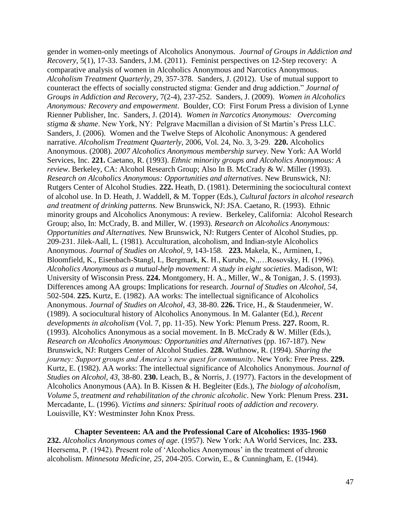gender in women-only meetings of Alcoholics Anonymous*. Journal of Groups in Addiction and Recovery*, 5(1), 17-33. Sanders, J.M. (2011). Feminist perspectives on 12-Step recovery: A comparative analysis of women in Alcoholics Anonymous and Narcotics Anonymous. *Alcoholism Treatment Quarterly*, 29, 357-378. Sanders, J. (2012). Use of mutual support to counteract the effects of socially constructed stigma: Gender and drug addiction." *Journal of Groups in Addiction and Recovery*, 7(2-4), 237-252. Sanders, J. (2009). *Women in Alcoholics Anonymous: Recovery and empowerment*. Boulder, CO: First Forum Press a division of Lynne Rienner Publisher, Inc. Sanders, J. (2014). *Women in Narcotics Anonymous: Overcoming stigma & shame*. New York, NY: Pelgrave Macmillan a division of St Martin's Press LLC. Sanders, J. (2006). Women and the Twelve Steps of Alcoholic Anonymous: A gendered narrative. *Alcoholism Treatment Quarterly*, 2006, Vol. 24, No. 3, 3-29. **220.** Alcoholics Anonymous. (2008). *2007 Alcoholics Anonymous membership survey*. New York: AA World Services, Inc. **221.** Caetano, R. (1993). *Ethnic minority groups and Alcoholics Anonymous: A review*. Berkeley, CA: Alcohol Research Group; Also In B. McCrady & W. Miller (1993). *Research on Alcoholics Anonymous: Opportunities and alternatives*. New Brunswick, NJ: Rutgers Center of Alcohol Studies. **222.** Heath, D. (1981). Determining the sociocultural context of alcohol use. In D. Heath, J. Waddell, & M. Topper (Eds.), *Cultural factors in alcohol research and treatment of drinking patterns.* New Brunswick, NJ: JSA. Caetano, R. (1993). Ethnic minority groups and Alcoholics Anonymous: A review. Berkeley, California: Alcohol Research Group; also, In: McCrady, B. and Miller, W. (1993). *Research on Alcoholics Anonymous: Opportunities and Alternatives.* New Brunswick, NJ: Rutgers Center of Alcohol Studies, pp. 209-231. Jilek-Aall, L. (1981). Acculturation, alcoholism, and Indian-style Alcoholics Anonymous. *Journal of Studies on Alcohol, 9*, 143-158. **223.** Makela, K., Arminen, I., Bloomfield, K., Eisenbach-Stangl, I., Bergmark, K. H., Kurube, N.,…Rosovsky, H. (1996). *Alcoholics Anonymous as a mutual-help movement: A study in eight societies*. Madison, WI: University of Wisconsin Press. **224.** Montgomery, H. A., Miller, W., & Tonigan, J. S. (1993). Differences among AA groups: Implications for research. *Journal of Studies on Alcohol, 54,*  502-504. **225.** Kurtz, E. (1982). AA works: The intellectual significance of Alcoholics Anonymous. *Journal of Studies on Alcohol, 43,* 38-80. **226.** Trice, H., & Staudenmeier, W. (1989). A sociocultural history of Alcoholics Anonymous. In M. Galanter (Ed.), *Recent developments in alcoholism* (Vol. 7, pp. 11-35). New York: Plenum Press. **227.** Room, R. (1993). Alcoholics Anonymous as a social movement. In B. McCrady & W. Miller (Eds.), *Research on Alcoholics Anonymous: Opportunities and Alternatives* (pp. 167-187). New Brunswick, NJ: Rutgers Center of Alcohol Studies. **228.** Wuthnow, R. (1994). *Sharing the journey: Support groups and America's new quest for community*. New York: Free Press. **229.** Kurtz, E. (1982). AA works: The intellectual significance of Alcoholics Anonymous. *Journal of Studies on Alcohol, 43,* 38-80. **230.** Leach, B., & Norris, J. (1977). Factors in the development of Alcoholics Anonymous (AA). In B. Kissen & H. Begleiter (Eds.), *The biology of alcoholism, Volume 5, treatment and rehabilitation of the chronic alcoholic*. New York: Plenum Press. **231.** Mercadante, L. (1996). *Victims and sinners: Spiritual roots of addiction and recovery.* Louisville, KY: Westminster John Knox Press.

**Chapter Seventeen: AA and the Professional Care of Alcoholics: 1935-1960 232.** *Alcoholics Anonymous comes of age*. (1957). New York: AA World Services, Inc. **233.** Heersema, P. (1942). Present role of 'Alcoholics Anonymous' in the treatment of chronic alcoholism. *Minnesota Medicine, 25*, 204-205. Corwin, E., & Cunningham, E. (1944).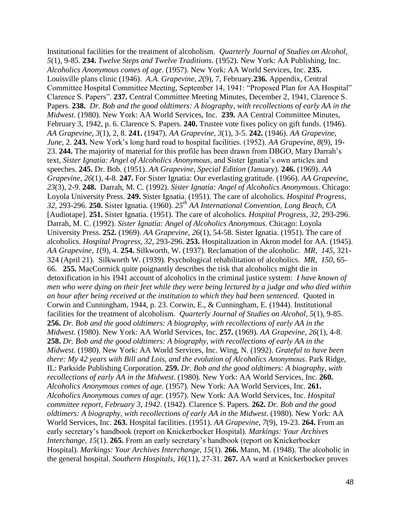Institutional facilities for the treatment of alcoholism. *Quarterly Journal of Studies on Alcohol*, *5*(1), 9-85. **234.** *Twelve Steps and Twelve Traditions*. (1952). New York: AA Publishing, Inc. *Alcoholics Anonymous comes of age*. (1957). New York: AA World Services, Inc. **235.** Louisville plans clinic (1946). *A.A. Grapevine*, *2*(9), 7, February.**236.** Appendix, Central Committee Hospital Committee Meeting, September 14, 1941: "Proposed Plan for AA Hospital" Clarence S. Papers". **237.** Central Committee Meeting Minutes, December 2, 1941, Clarence S. Papers. **238.** *Dr. Bob and the good oldtimers: A biography, with recollections of early AA in the Midwest*. (1980). New York: AA World Services, Inc. **239.** AA Central Committee Minutes, February 3, 1942, p. 6. Clarence S. Papers. **240.** Trustee vote fixes policy on gift funds. (1946). *AA Grapevine, 3*(1), 2, 8. **241.** (1947). *AA Grapevine, 3*(1), 3-5. **242.** (1946). *AA Grapevine, June*, 2. **243.** New York's long hard road to hospital facilities. (1952). *AA Grapevine, 8*(9), 19- 23. **244.** The majority of material for this profile has been drawn from DBGO, Mary Darrah's text, *Sister Ignatia: Angel of Alcoholics Anonymous,* and Sister Ignatia's own articles and speeches. **245.** Dr. Bob. (1951). *AA Grapevine, Special Edition* (January). **246.** (1969). *AA Grapevine, 26*(1), 4-8. **247.** For Sister Ignatia: Our everlasting gratitude. (1966). *AA Grapevine, 23*(3), 2-9. **248.** Darrah, M. C. (1992). *Sister Ignatia: Angel of Alcoholics Anonymous*. Chicago: Loyola University Press. **249.** Sister Ignatia. (1951). The care of alcoholics. *Hospital Progress, 32,* 293-296. **250.** Sister Ignatia. (1960). *25th AA International Convention, Long Beach, CA*  [Audiotape]. **251.** Sister Ignatia. (1951). The care of alcoholics. *Hospital Progress, 32,* 293-296. Darrah, M. C. (1992). *Sister Ignatia: Angel of Alcoholics Anonymous*. Chicago: Loyola University Press. **252.** (1969). *AA Grapevine, 26*(1), 54-58. Sister Ignatia. (1951). The care of alcoholics. *Hospital Progress, 32,* 293-296. **253.** Hospitalization in Akron model for AA. (1945). *AA Grapevine, 1*(9), 4. **254.** Silkworth, W. (1937). Reclamation of the alcoholic. *MR, 145*, 321- 324 (April 21). Silkworth W. (1939). Psychological rehabilitation of alcoholics. *MR, 150*, 65- 66. **255.** MacCormick quite poignantly describes the risk that alcoholics might die in detoxification in his 1941 account of alcoholics in the criminal justice system: *I have known of men who were dying on their feet while they were being lectured by a judge and who died within an hour after being received at the institution to which they had been sentenced.* Quoted in Corwin and Cunningham, 1944, p. 23. Corwin, E., & Cunningham, E. (1944). Institutional facilities for the treatment of alcoholism. *Quarterly Journal of Studies on Alcohol*, *5*(1), 9-85. **256.** *Dr. Bob and the good oldtimers: A biography, with recollections of early AA in the Midwest*. (1980). New York: AA World Services, Inc. **257.** (1969). *AA Grapevine, 26*(1), 4-8. **258.** *Dr. Bob and the good oldtimers: A biography, with recollections of early AA in the Midwest*. (1980). New York: AA World Services, Inc. Wing, N. (1992). *Grateful to have been there: My 42 years with Bill and Lois, and the evolution of Alcoholics Anonymous*. Park Ridge, IL: Parkside Publishing Corporation. **259.** *Dr. Bob and the good oldtimers: A biography, with recollections of early AA in the Midwest*. (1980). New York: AA World Services, Inc. **260.**  *Alcoholics Anonymous comes of age*. (1957). New York: AA World Services, Inc. **261.** *Alcoholics Anonymous comes of age*. (1957). New York: AA World Services, Inc. *Hospital committee report, February 3, 1942*. (1942). Clarence S. Papers. **262.** *Dr. Bob and the good oldtimers: A biography, with recollections of early AA in the Midwest*. (1980). New York: AA World Services, Inc. **263.** Hospital facilities. (1951). *AA Grapevine, 7*(9), 19-23. **264.** From an early secretary's handbook (report on Knickerbocker Hospital). *Markings: Your Archives Interchange, 15*(1). **265.** From an early secretary's handbook (report on Knickerbocker Hospital). *Markings: Your Archives Interchange, 15*(1). **266.** Mann, M. (1948). The alcoholic in the general hospital. *Southern Hospitals, 16*(11), 27-31. **267.** AA ward at Knickerbocker proves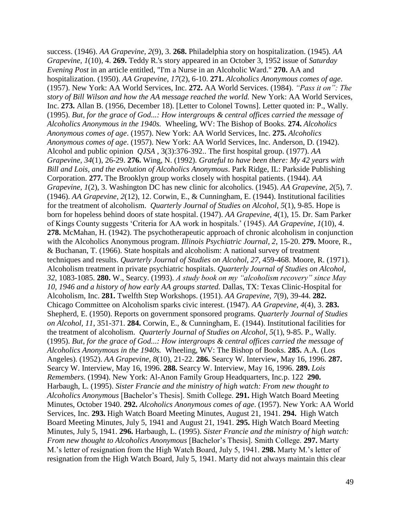success. (1946). *AA Grapevine, 2*(9), 3. **268.** Philadelphia story on hospitalization. (1945). *AA Grapevine, 1*(10), 4. **269.** Teddy R.'s story appeared in an October 3, 1952 issue of *Saturday Evening Post* in an article entitled, "I'm a Nurse in an Alcoholic Ward." **270.** AA and hospitalization. (1950). *AA Grapevine, 17*(2), 6-10. **271.** *Alcoholics Anonymous comes of age*. (1957). New York: AA World Services, Inc. **272.** AA World Services. (1984). *"Pass it on": The story of Bill Wilson and how the AA message reached the world.* New York: AA World Services, Inc. **273.** Allan B. (1956, December 18). [Letter to Colonel Towns]. Letter quoted in: P., Wally. (1995). *But, for the grace of God...: How intergroups & central offices carried the message of Alcoholics Anonymous in the 1940s.* Wheeling, WV: The Bishop of Books. **274.** *Alcoholics Anonymous comes of age*. (1957). New York: AA World Services, Inc. **275.** *Alcoholics Anonymous comes of age*. (1957). New York: AA World Services, Inc. Anderson, D. (1942). Alcohol and public opinion *QJSA* , 3(3):376-392.. The first hospital group. (1977). *AA Grapevine, 34*(1), 26-29. **276.** Wing, N. (1992). *Grateful to have been there: My 42 years with Bill and Lois, and the evolution of Alcoholics Anonymous*. Park Ridge, IL: Parkside Publishing Corporation. **277.** The Brooklyn group works closely with hospital patients. (1944). *AA Grapevine, 1*(2), 3. Washington DC has new clinic for alcoholics. (1945). *AA Grapevine, 2*(5), 7. (1946). *AA Grapevine, 2*(12), 12. Corwin, E., & Cunningham, E. (1944). Institutional facilities for the treatment of alcoholism. *Quarterly Journal of Studies on Alcohol*, *5*(1), 9-85. Hope is born for hopeless behind doors of state hospital. (1947). *AA Grapevine, 4*(1), 15. Dr. Sam Parker of Kings County suggests 'Criteria for AA work in hospitals.' (1945). *AA Grapevine, 1*(10), 4. **278.** McMahan, H. (1942). The psychotherapeutic approach of chronic alcoholism in conjunction with the Alcoholics Anonymous program. *Illinois Psychiatric Journal, 2*, 15-20. **279.** Moore, R., & Buchanan, T. (1966). State hospitals and alcoholism: A national survey of treatment techniques and results. *Quarterly Journal of Studies on Alcohol, 27*, 459-468. Moore, R. (1971). Alcoholism treatment in private psychiatric hospitals. *Quarterly Journal of Studies on Alcohol, 32*, 1083-1085. **280.** W., Searcy. (1993). *A study book on my "alcoholism recovery" since May 10, 1946 and a history of how early AA groups started.* Dallas, TX: Texas Clinic-Hospital for Alcoholism, Inc. **281.** Twelfth Step Workshops. (1951). *AA Grapevine, 7*(9), 39-44. **282.**  Chicago Committee on Alcoholism sparks civic interest. (1947). *AA Grapevine, 4*(4), 3. **283.** Shepherd, E. (1950). Reports on government sponsored programs. *Quarterly Journal of Studies on Alcohol, 11*, 351-371. **284.** Corwin, E., & Cunningham, E. (1944). Institutional facilities for the treatment of alcoholism. *Quarterly Journal of Studies on Alcohol*, *5*(1), 9-85. P., Wally. (1995). *But, for the grace of God...: How intergroups & central offices carried the message of Alcoholics Anonymous in the 1940s.* Wheeling, WV: The Bishop of Books. **285.** A.A. (Los Angeles). (1952). *AA Grapevine, 8*(10), 21-22. **286.** Searcy W. Interview, May 16, 1996. **287.**  Searcy W. Interview, May 16, 1996. **288.** Searcy W. Interview, May 16, 1996. **289.** *Lois Remembers.* (1994). New York: Al-Anon Family Group Headquarters, Inc.p. 122 **290.** Harbaugh, L. (1995). *Sister Francie and the ministry of high watch: From new thought to Alcoholics Anonymous* [Bachelor's Thesis]. Smith College. **291.** High Watch Board Meeting Minutes, October 1940. **292.** *Alcoholics Anonymous comes of age*. (1957). New York: AA World Services, Inc. **293.** High Watch Board Meeting Minutes, August 21, 1941. **294.** High Watch Board Meeting Minutes, July 5, 1941 and August 21, 1941. **295.** High Watch Board Meeting Minutes, July 5, 1941. **296.** Harbaugh, L. (1995). *Sister Francie and the ministry of high watch: From new thought to Alcoholics Anonymous* [Bachelor's Thesis]. Smith College. **297.** Marty M.'s letter of resignation from the High Watch Board, July 5, 1941. **298.** Marty M.'s letter of resignation from the High Watch Board, July 5, 1941. Marty did not always maintain this clear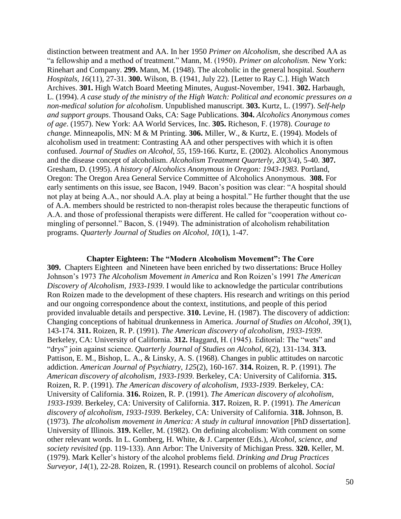distinction between treatment and AA. In her 1950 *Primer on Alcoholism,* she described AA as "a fellowship and a method of treatment." Mann, M. (1950). *Primer on alcoholism.* New York: Rinehart and Company. **299.** Mann, M. (1948). The alcoholic in the general hospital. *Southern Hospitals, 16*(11), 27-31. **300.** Wilson, B. (1941, July 22). [Letter to Ray C.]. High Watch Archives. **301.** High Watch Board Meeting Minutes, August-November, 1941. **302.** Harbaugh, L. (1994). *A case study of the ministry of the High Watch: Political and economic pressures on a non-medical solution for alcoholism*. Unpublished manuscript. **303.** Kurtz, L. (1997). *Self-help and support groups*. Thousand Oaks, CA: Sage Publications. **304.** *Alcoholics Anonymous comes of age*. (1957). New York: AA World Services, Inc. **305.** Richeson, F. (1978). *Courage to change.* Minneapolis, MN: M & M Printing. **306.** Miller, W., & Kurtz, E. (1994). Models of alcoholism used in treatment: Contrasting AA and other perspectives with which it is often confused. *Journal of Studies on Alcohol, 55*, 159-166. Kurtz, E. (2002). Alcoholics Anonymous and the disease concept of alcoholism. *Alcoholism Treatment Quarterly, 20*(3/4), 5-40. **307.** Gresham, D. (1995). *A history of Alcoholics Anonymous in Oregon: 1943-1983.* Portland, Oregon: The Oregon Area General Service Committee of Alcoholics Anonymous.**308.** For early sentiments on this issue, see Bacon, 1949. Bacon's position was clear: "A hospital should not play at being A.A., nor should A.A. play at being a hospital." He further thought that the use of A.A. members should be restricted to non-therapist roles because the therapeutic functions of A.A. and those of professional therapists were different. He called for "cooperation without comingling of personnel." Bacon, S. (1949). The administration of alcoholism rehabilitation programs. *Quarterly Journal of Studies on Alcohol, 10*(1), 1-47.

**Chapter Eighteen: The "Modern Alcoholism Movement": The Core**

**309.** Chapters Eighteen and Nineteen have been enriched by two dissertations: Bruce Holley Johnson's 1973 *The Alcoholism Movement in America* and Ron Roizen's 1991 *The American Discovery of Alcoholism, 1933-1939*. I would like to acknowledge the particular contributions Ron Roizen made to the development of these chapters. His research and writings on this period and our ongoing correspondence about the context, institutions, and people of this period provided invaluable details and perspective. **310.** Levine, H. (1987). The discovery of addiction: Changing conceptions of habitual drunkenness in America. *Journal of Studies on Alcohol, 39*(1), 143-174. **311.** Roizen, R. P. (1991). *The American discovery of alcoholism, 1933-1939*. Berkeley, CA: University of California. **312.** Haggard, H. (1945). Editorial: The "wets" and "drys" join against science. *Quarterly Journal of Studies on Alcohol, 6*(2), 131-134. **313.** Pattison, E. M., Bishop, L. A., & Linsky, A. S. (1968). Changes in public attitudes on narcotic addiction. *American Journal of Psychiatry, 125*(2), 160-167. **314.** Roizen, R. P. (1991). *The American discovery of alcoholism, 1933-1939*. Berkeley, CA: University of California. **315.** Roizen, R. P. (1991). *The American discovery of alcoholism, 1933-1939*. Berkeley, CA: University of California. **316.** Roizen, R. P. (1991). *The American discovery of alcoholism, 1933-1939*. Berkeley, CA: University of California. **317.** Roizen, R. P. (1991). *The American discovery of alcoholism, 1933-1939*. Berkeley, CA: University of California. **318.** Johnson, B. (1973). *The alcoholism movement in America: A study in cultural innovation* [PhD dissertation]. University of Illinois. **319.** Keller, M. (1982). On defining alcoholism: With comment on some other relevant words. In L. Gomberg, H. White, & J. Carpenter (Eds.), *Alcohol, science, and society revisited* (pp. 119-133). Ann Arbor: The University of Michigan Press. **320.** Keller, M. (1979). Mark Keller's history of the alcohol problems field. *Drinking and Drug Practices Surveyor, 14*(1), 22-28. Roizen, R. (1991). Research council on problems of alcohol. *Social*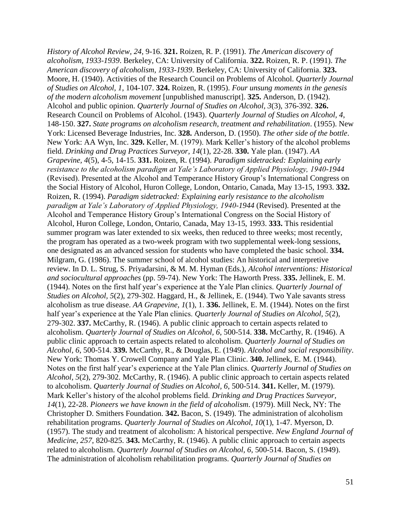*History of Alcohol Review, 24*, 9-16. **321.** Roizen, R. P. (1991). *The American discovery of alcoholism, 1933-1939*. Berkeley, CA: University of California. **322.** Roizen, R. P. (1991). *The American discovery of alcoholism, 1933-1939*. Berkeley, CA: University of California. **323.** Moore, H. (1940). Activities of the Research Council on Problems of Alcohol. *Quarterly Journal of Studies on Alcohol, 1*, 104-107. **324.** Roizen, R. (1995). *Four unsung moments in the genesis of the modern alcoholism movement* [unpublished manuscript]. **325.** Anderson, D. (1942). Alcohol and public opinion. *Quarterly Journal of Studies on Alcohol, 3*(3), 376-392. **326.** Research Council on Problems of Alcohol. (1943). *Quarterly Journal of Studies on Alcohol, 4*, 148-150. **327.** *State programs on alcoholism research, treatment and rehabilitation*. (1955). New York: Licensed Beverage Industries, Inc. **328.** Anderson, D. (1950). *The other side of the bottle*. New York: AA Wyn, Inc. **329.** Keller, M. (1979). Mark Keller's history of the alcohol problems field. *Drinking and Drug Practices Surveyor, 14*(1), 22-28. **330.** Yale plan. (1947). *AA Grapevine, 4*(5), 4-5, 14-15. **331.** Roizen, R. (1994). *Paradigm sidetracked: Explaining early resistance to the alcoholism paradigm at Yale's Laboratory of Applied Physiology, 1940-1944*  (Revised). Presented at the Alcohol and Temperance History Group's International Congress on the Social History of Alcohol, Huron College, London, Ontario, Canada, May 13-15, 1993. **332.**  Roizen, R. (1994). *Paradigm sidetracked: Explaining early resistance to the alcoholism paradigm at Yale's Laboratory of Applied Physiology, 1940-1944* (Revised). Presented at the Alcohol and Temperance History Group's International Congress on the Social History of Alcohol, Huron College, London, Ontario, Canada, May 13-15, 1993. **333.** This residential summer program was later extended to six weeks, then reduced to three weeks; most recently, the program has operated as a two-week program with two supplemental week-long sessions, one designated as an advanced session for students who have completed the basic school. **334.** Milgram, G. (1986). The summer school of alcohol studies: An historical and interpretive review. In D. L. Strug, S. Priyadarsini, & M. M. Hyman (Eds.), *Alcohol interventions: Historical and sociocultural approaches* (pp. 59-74). New York: The Haworth Press. **335.** Jellinek, E. M. (1944). Notes on the first half year's experience at the Yale Plan clinics. *Quarterly Journal of Studies on Alcohol, 5*(2), 279-302. Haggard, H., & Jellinek, E. (1944). Two Yale savants stress alcoholism as true disease. *AA Grapevine, 1*(1), 1. **336.** Jellinek, E. M. (1944). Notes on the first half year's experience at the Yale Plan clinics. *Quarterly Journal of Studies on Alcohol, 5*(2), 279-302. **337.** McCarthy, R. (1946). A public clinic approach to certain aspects related to alcoholism. *Quarterly Journal of Studies on Alcohol, 6*, 500-514. **338.** McCarthy, R. (1946). A public clinic approach to certain aspects related to alcoholism. *Quarterly Journal of Studies on Alcohol, 6*, 500-514. **339.** McCarthy, R., & Douglas, E. (1949). *Alcohol and social responsibility*. New York: Thomas Y. Crowell Company and Yale Plan Clinic. **340.** Jellinek, E. M. (1944). Notes on the first half year's experience at the Yale Plan clinics. *Quarterly Journal of Studies on Alcohol, 5*(2), 279-302. McCarthy, R. (1946). A public clinic approach to certain aspects related to alcoholism. *Quarterly Journal of Studies on Alcohol, 6*, 500-514. **341.** Keller, M. (1979). Mark Keller's history of the alcohol problems field. *Drinking and Drug Practices Surveyor, 14*(1), 22-28. *Pioneers we have known in the field of alcoholism*. (1979). Mill Neck, NY: The Christopher D. Smithers Foundation. **342.** Bacon, S. (1949). The administration of alcoholism rehabilitation programs. *Quarterly Journal of Studies on Alcohol, 10*(1), 1-47. Myerson, D. (1957). The study and treatment of alcoholism: A historical perspective. *New England Journal of Medicine, 257*, 820-825. **343.** McCarthy, R. (1946). A public clinic approach to certain aspects related to alcoholism. *Quarterly Journal of Studies on Alcohol, 6*, 500-514. Bacon, S. (1949). The administration of alcoholism rehabilitation programs. *Quarterly Journal of Studies on*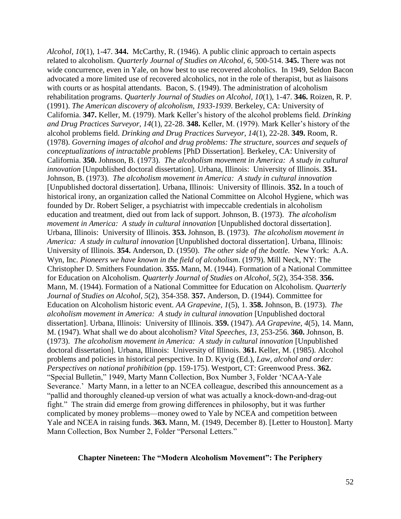*Alcohol, 10*(1), 1-47. **344.** McCarthy, R. (1946). A public clinic approach to certain aspects related to alcoholism. *Quarterly Journal of Studies on Alcohol, 6*, 500-514. **345.** There was not wide concurrence, even in Yale, on how best to use recovered alcoholics. In 1949, Seldon Bacon advocated a more limited use of recovered alcoholics, not in the role of therapist, but as liaisons with courts or as hospital attendants. Bacon, S. (1949). The administration of alcoholism rehabilitation programs. *Quarterly Journal of Studies on Alcohol, 10*(1), 1-47. **346.** Roizen, R. P. (1991). *The American discovery of alcoholism, 1933-1939*. Berkeley, CA: University of California. **347.** Keller, M. (1979). Mark Keller's history of the alcohol problems field. *Drinking and Drug Practices Surveyor, 14*(1), 22-28. **348.** Keller, M. (1979). Mark Keller's history of the alcohol problems field. *Drinking and Drug Practices Surveyor, 14*(1), 22-28. **349.** Room, R. (1978). *Governing images of alcohol and drug problems: The structure, sources and sequels of conceptualizations of intractable problems* [PhD Dissertation]. Berkeley, CA: University of California. **350.** Johnson, B. (1973). *The alcoholism movement in America: A study in cultural innovation* [Unpublished doctoral dissertation]. Urbana, Illinois: University of Illinois. **351.** Johnson, B. (1973). *The alcoholism movement in America: A study in cultural innovation* [Unpublished doctoral dissertation]. Urbana, Illinois: University of Illinois. **352.** In a touch of historical irony, an organization called the National Committee on Alcohol Hygiene, which was founded by Dr. Robert Seliger, a psychiatrist with impeccable credentials in alcoholism education and treatment, died out from lack of support. Johnson, B. (1973). *The alcoholism movement in America: A study in cultural innovation* [Unpublished doctoral dissertation]. Urbana, Illinois: University of Illinois. **353.** Johnson, B. (1973). *The alcoholism movement in America: A study in cultural innovation* [Unpublished doctoral dissertation]. Urbana, Illinois: University of Illinois. **354.** Anderson, D. (1950). *The other side of the bottle.* New York: A.A. Wyn, Inc. *Pioneers we have known in the field of alcoholism*. (1979). Mill Neck, NY: The Christopher D. Smithers Foundation. **355.** Mann, M. (1944). Formation of a National Committee for Education on Alcoholism. *Quarterly Journal of Studies on Alcohol, 5*(2), 354-358. **356.** Mann, M. (1944). Formation of a National Committee for Education on Alcoholism. *Quarterly Journal of Studies on Alcohol, 5*(2), 354-358. **357.** Anderson, D. (1944). Committee for Education on Alcoholism historic event. *AA Grapevine, 1*(5), 1. **358.** Johnson, B. (1973). *The alcoholism movement in America: A study in cultural innovation* [Unpublished doctoral dissertation]. Urbana, Illinois: University of Illinois. **359.** (1947). *AA Grapevine, 4*(5), 14. Mann, M. (1947). What shall we do about alcoholism? *Vital Speeches, 13*, 253-256. **360.** Johnson, B. (1973). *The alcoholism movement in America: A study in cultural innovation* [Unpublished doctoral dissertation]. Urbana, Illinois: University of Illinois. **361.** Keller, M. (1985). Alcohol problems and policies in historical perspective. In D. Kyvig (Ed.), *Law, alcohol and order: Perspectives on national prohibition* (pp. 159-175). Westport, CT: Greenwood Press. **362.** "Special Bulletin," 1949, Marty Mann Collection, Box Number 3, Folder 'NCAA-Yale Severance.' Marty Mann, in a letter to an NCEA colleague, described this announcement as a "pallid and thoroughly cleaned-up version of what was actually a knock-down-and-drag-out fight." The strain did emerge from growing differences in philosophy, but it was further complicated by money problems—money owed to Yale by NCEA and competition between Yale and NCEA in raising funds. **363.** Mann, M. (1949, December 8). [Letter to Houston]. Marty Mann Collection, Box Number 2, Folder "Personal Letters."

# **Chapter Nineteen: The "Modern Alcoholism Movement": The Periphery**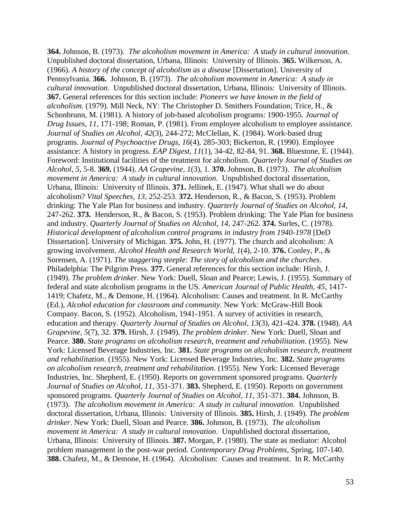**364.** Johnson, B. (1973). *The alcoholism movement in America: A study in cultural innovation*. Unpublished doctoral dissertation, Urbana, Illinois: University of Illinois. **365.** Wilkerson, A. (1966). *A history of the concept of alcoholism as a disease* [Dissertation]. University of Pennsylvania. **366.** Johnson, B. (1973). *The alcoholism movement in America: A study in cultural innovation*. Unpublished doctoral dissertation, Urbana, Illinois: University of Illinois. **367.** General references for this section include: *Pioneers we have known in the field of alcoholism*. (1979). Mill Neck, NY: The Christopher D. Smithers Foundation; Trice, H., & Schonbrunn, M. (1981). A history of job-based alcoholism programs: 1900-1955. *Journal of Drug Issues, 11*, 171-198; Roman, P. (1981). From employee alcoholism to employee assistance. *Journal of Studies on Alcohol, 42*(3), 244-272; McClellan, K. (1984). Work-based drug programs. *Journal of Psychoactive Drugs, 16*(4), 285-303; Bickerton, R. (1990). Employee assistance: A history in progress. *EAP Digest, 11*(1), 34-42, 82-84, 91. **368.** Bluestone, E. (1944). Foreword: Institutional facilities of the treatment for alcoholism. *Quarterly Journal of Studies on Alcohol, 5*, 5-8. **369.** (1944). *AA Grapevine, 1*(3), 1. **370.** Johnson, B. (1973). *The alcoholism movement in America: A study in cultural innovation*. Unpublished doctoral dissertation, Urbana, Illinois: University of Illinois. **371.** Jellinek, E. (1947). What shall we do about alcoholism? *Vital Speeches, 13*, 252-253. **372.** Henderson, R., & Bacon, S. (1953). Problem drinking: The Yale Plan for business and industry. *Quarterly Journal of Studies on Alcohol, 14*, 247-262. **373.** Henderson, R., & Bacon, S. (1953). Problem drinking: The Yale Plan for business and industry. *Quarterly Journal of Studies on Alcohol, 14*, 247-262. **374.** Surles, C. (1978). *Historical development of alcoholism control programs in industry from 1940-1978* [DeD Dissertation]. University of Michigan. **375.** John, H. (1977). The church and alcoholism: A growing involvement. *Alcohol Health and Research World, 1*(4), 2-10. **376.** Conley, P., & Sorensen, A. (1971). *The staggering steeple: The story of alcoholism and the churches*. Philadelphia: The Pilgrim Press. **377.** General references for this section include: Hirsh, J. (1949). *The problem drinker*. New York: Duell, Sloan and Pearce; Lewis, J. (1955). Summary of federal and state alcoholism programs in the US. *American Journal of Public Health, 45*, 1417- 1419; Chafetz, M., & Demone, H. (1964). Alcoholism: Causes and treatment. In R. McCarthy (Ed.), *Alcohol education for classroom and community*. New York: McGraw-Hill Book Company. Bacon, S. (1952). Alcoholism, 1941-1951. A survey of activities in research, education and therapy. *Quarterly Journal of Studies on Alcohol, 13*(3), 421-424. **378.** (1948). *AA Grapevine, 5*(7), 32. **379.** Hirsh, J. (1949). *The problem drinker*. New York: Duell, Sloan and Pearce. **380.** *State programs on alcoholism research, treatment and rehabilitation*. (1955). New York: Licensed Beverage Industries, Inc. **381.** *State programs on alcoholism research, treatment and rehabilitation*. (1955). New York: Licensed Beverage Industries, Inc. **382.** *State programs on alcoholism research, treatment and rehabilitation*. (1955). New York: Licensed Beverage Industries, Inc. Shepherd, E. (1950). Reports on government sponsored programs. *Quarterly Journal of Studies on Alcohol, 11*, 351-371. **383.** Shepherd, E. (1950). Reports on government sponsored programs. *Quarterly Journal of Studies on Alcohol, 11*, 351-371. **384.** Johnson, B. (1973). *The alcoholism movement in America: A study in cultural innovation*. Unpublished doctoral dissertation, Urbana, Illinois: University of Illinois. **385.** Hirsh, J. (1949). *The problem drinker*. New York: Duell, Sloan and Pearce. **386.** Johnson, B. (1973). *The alcoholism movement in America: A study in cultural innovation*. Unpublished doctoral dissertation, Urbana, Illinois: University of Illinois. **387.** Morgan, P. (1980). The state as mediator: Alcohol problem management in the post-war period. *Contemporary Drug Problems,* Spring, 107-140. **388.** Chafetz, M., & Demone, H. (1964). Alcoholism: Causes and treatment. In R. McCarthy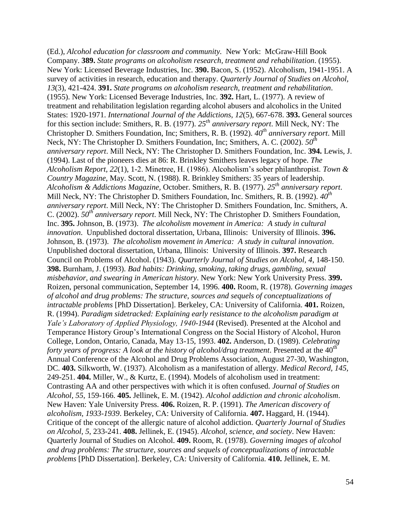(Ed.), *Alcohol education for classroom and community.* New York: McGraw-Hill Book Company. **389.** *State programs on alcoholism research, treatment and rehabilitation*. (1955). New York: Licensed Beverage Industries, Inc. **390.** Bacon, S. (1952). Alcoholism, 1941-1951. A survey of activities in research, education and therapy. *Quarterly Journal of Studies on Alcohol, 13*(3), 421-424. **391.** *State programs on alcoholism research, treatment and rehabilitation*. (1955). New York: Licensed Beverage Industries, Inc. **392.** Hart, L. (1977). A review of treatment and rehabilitation legislation regarding alcohol abusers and alcoholics in the United States: 1920-1971. *International Journal of the Addictions, 12*(5), 667-678. **393.** General sources for this section include: Smithers, R. B. (1977). *25th anniversary report*. Mill Neck, NY: The Christopher D. Smithers Foundation, Inc; Smithers, R. B. (1992). *40th anniversary report*. Mill Neck, NY: The Christopher D. Smithers Foundation, Inc; Smithers, A. C. (2002). *50th anniversary report*. Mill Neck, NY: The Christopher D. Smithers Foundation, Inc. **394.** Lewis, J. (1994). Last of the pioneers dies at 86: R. Brinkley Smithers leaves legacy of hope. *The Alcoholism Report, 22*(1), 1-2. Minetree, H. (1986). Alcoholism's sober philanthropist. *Town & Country Magazine*, May. Scott, N. (1988). R. Brinkley Smithers: 35 years of leadership. *Alcoholism & Addictions Magazine,* October. Smithers, R. B. (1977). *25th anniversary report*. Mill Neck, NY: The Christopher D. Smithers Foundation, Inc. Smithers, R. B. (1992). *40th anniversary report*. Mill Neck, NY: The Christopher D. Smithers Foundation, Inc. Smithers, A. C. (2002). *50th anniversary report*. Mill Neck, NY: The Christopher D. Smithers Foundation, Inc. **395.** Johnson, B. (1973). *The alcoholism movement in America: A study in cultural innovation*. Unpublished doctoral dissertation, Urbana, Illinois: University of Illinois. **396.** Johnson, B. (1973). *The alcoholism movement in America: A study in cultural innovation*. Unpublished doctoral dissertation, Urbana, Illinois: University of Illinois. **397.** Research Council on Problems of Alcohol. (1943). *Quarterly Journal of Studies on Alcohol, 4*, 148-150. **398.** Burnham, J. (1993). *Bad habits: Drinking, smoking, taking drugs, gambling, sexual misbehavior, and swearing in American history*. New York: New York University Press. **399.** Roizen, personal communication, September 14, 1996. **400.** Room, R. (1978). *Governing images of alcohol and drug problems: The structure, sources and sequels of conceptualizations of intractable problems* [PhD Dissertation]. Berkeley, CA: University of California. **401.** Roizen, R. (1994). *Paradigm sidetracked: Explaining early resistance to the alcoholism paradigm at Yale's Laboratory of Applied Physiology, 1940-1944* (Revised). Presented at the Alcohol and Temperance History Group's International Congress on the Social History of Alcohol, Huron College, London, Ontario, Canada, May 13-15, 1993. **402.** Anderson, D. (1989). *Celebrating forty years of progress: A look at the history of alcohol/drug treatment*. Presented at the 40<sup>th</sup> Annual Conference of the Alcohol and Drug Problems Association, August 27-30, Washington, DC. **403.** Silkworth, W. (1937). Alcoholism as a manifestation of allergy. *Medical Record, 145,*  249-251. **404.** Miller, W., & Kurtz, E. (1994). Models of alcoholism used in treatment: Contrasting AA and other perspectives with which it is often confused. *Journal of Studies on Alcohol, 55*, 159-166. **405.** Jellinek, E. M. (1942). *Alcohol addiction and chronic alcoholism*. New Haven: Yale University Press. **406.** Roizen, R. P. (1991). *The American discovery of alcoholism, 1933-1939*. Berkeley, CA: University of California. **407.** Haggard, H. (1944). Critique of the concept of the allergic nature of alcohol addiction. *Quarterly Journal of Studies on Alcohol, 5*, 233-241. **408.** Jellinek, E. (1945). *Alcohol, science, and society*. New Haven: Quarterly Journal of Studies on Alcohol. **409.** Room, R. (1978). *Governing images of alcohol and drug problems: The structure, sources and sequels of conceptualizations of intractable problems* [PhD Dissertation]. Berkeley, CA: University of California. **410.** Jellinek, E. M.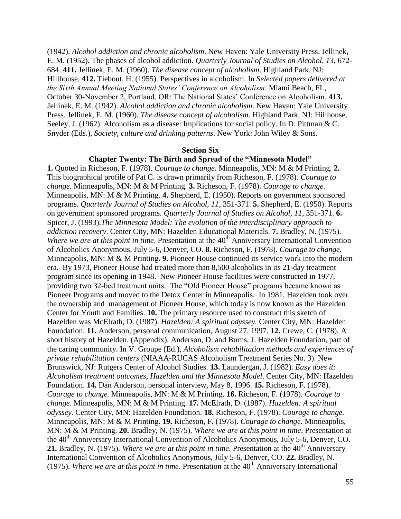(1942). *Alcohol addiction and chronic alcoholism*. New Haven: Yale University Press. Jellinek, E. M. (1952). The phases of alcohol addiction. *Quarterly Journal of Studies on Alcohol, 13*, 672- 684. **411.** Jellinek, E. M. (1960). *The disease concept of alcoholism*. Highland Park, NJ: Hillhouse. **412.** Tiebout, H. (1955). Perspectives in alcoholism. In *Selected papers delivered at the Sixth Annual Meeting National States' Conference on Alcoholism*. Miami Beach, FL, October 30-November 2, Portland, OR: The National States' Conference on Alcoholism. **413.** Jellinek, E. M. (1942). *Alcohol addiction and chronic alcoholism*. New Haven: Yale University Press. Jellinek, E. M. (1960). *The disease concept of alcoholism*. Highland Park, NJ: Hillhouse. Seeley, J. (1962). Alcoholism as a disease: Implications for social policy. In D. Pittman & C. Snyder (Eds.), *Society, culture and drinking patterns*. New York: John Wiley & Sons.

#### **Section Six**

## **Chapter Twenty: The Birth and Spread of the "Minnesota Model"**

**1.** Quoted in Richeson, F. (1978). *Courage to change.* Minneapolis, MN: M & M Printing. **2.**  This biographical profile of Pat C. is drawn primarily from Richeson, F. (1978). *Courage to change.* Minneapolis, MN: M & M Printing. **3.** Richeson, F. (1978). *Courage to change.*  Minneapolis, MN: M & M Printing. **4.** Shepherd, E. (1950). Reports on government sponsored programs. *Quarterly Journal of Studies on Alcohol, 11*, 351-371. **5.** Shepherd, E. (1950). Reports on government sponsored programs. *Quarterly Journal of Studies on Alcohol, 11*, 351-371. **6.**  Spicer, J. (1993).*The Minnesota Model: The evolution of the interdisciplinary approach to addiction recovery*. Center City, MN: Hazelden Educational Materials. **7.** Bradley, N. (1975). *Where we are at this point in time.* Presentation at the 40<sup>th</sup> Anniversary International Convention of Alcoholics Anonymous, July 5-6, Denver, CO. **8.** Richeson, F. (1978). *Courage to change.*  Minneapolis, MN: M & M Printing. **9.** Pioneer House continued its service work into the modern era. By 1973, Pioneer House had treated more than 8,500 alcoholics in its 21-day treatment program since its opening in 1948. New Pioneer House facilities were constructed in 1977, providing two 32-bed treatment units. The "Old Pioneer House" programs became known as Pioneer Programs and moved to the Detox Center in Minneapolis. In 1981, Hazelden took over the ownership and management of Pioneer House, which today is now known as the Hazelden Center for Youth and Families. **10.** The primary resource used to construct this sketch of Hazelden was McElrath, D. (1987). *Hazelden: A spiritual odyssey.* Center City, MN: Hazelden Foundation. **11.** Anderson, personal communication, August 27, 1997. **12.** Crewe, C. (1978). A short history of Hazelden. (Appendix). Anderson, D. and Burns, J. Hazelden Foundation, part of the caring community. In V. Groupe (Ed.), *Alcoholism rehabilitation methods and experiences of private rehabilitation centers* (NIAAA-RUCAS Alcoholism Treatment Series No. 3). New Brunswick, NJ: Rutgers Center of Alcohol Studies. **13.** Laundergan, J. (1982). *Easy does it: Alcoholism treatment outcomes, Hazelden and the Minnesota Model*. Center City, MN: Hazelden Foundation. **14.** Dan Anderson, personal interview, May 8, 1996. **15.** Richeson, F. (1978). *Courage to change.* Minneapolis, MN: M & M Printing. **16.** Richeson, F. (1978). *Courage to change.* Minneapolis, MN: M & M Printing. **17.** McElrath, D. (1987). *Hazelden: A spiritual odyssey.* Center City, MN: Hazelden Foundation. **18.** Richeson, F. (1978). *Courage to change.*  Minneapolis, MN: M & M Printing. **19.** Richeson, F. (1978). *Courage to change.* Minneapolis, MN: M & M Printing. **20.** Bradley, N. (1975). *Where we are at this point in time*. Presentation at the 40<sup>th</sup> Anniversary International Convention of Alcoholics Anonymous, July 5-6, Denver, CO. 21. Bradley, N. (1975). *Where we are at this point in time*. Presentation at the 40<sup>th</sup> Anniversary International Convention of Alcoholics Anonymous, July 5-6, Denver, CO. **22.** Bradley, N. (1975). *Where we are at this point in time*. Presentation at the 40<sup>th</sup> Anniversary International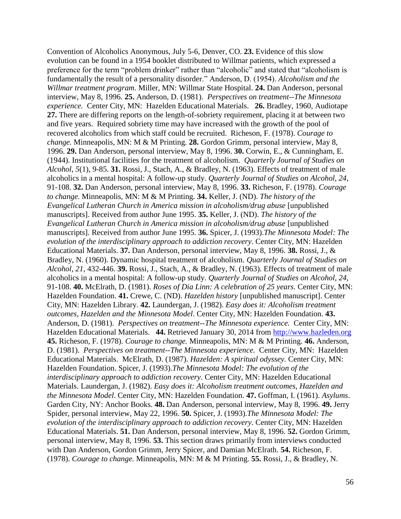Convention of Alcoholics Anonymous, July 5-6, Denver, CO. **23.** Evidence of this slow evolution can be found in a 1954 booklet distributed to Willmar patients, which expressed a preference for the term "problem drinker" rather than "alcoholic" and stated that "alcoholism is fundamentally the result of a personality disorder." Anderson, D. (1954). *Alcoholism and the Willmar treatment program*. Miller, MN: Willmar State Hospital. **24.** Dan Anderson, personal interview, May 8, 1996. **25.** Anderson, D. (1981). *Perspectives on treatment--The Minnesota experience.* Center City, MN: Hazelden Educational Materials. **26.** Bradley, 1960, Audiotape **27.** There are differing reports on the length-of-sobriety requirement, placing it at between two and five years. Required sobriety time may have increased with the growth of the pool of recovered alcoholics from which staff could be recruited. Richeson, F. (1978). *Courage to change.* Minneapolis, MN: M & M Printing. **28.** Gordon Grimm, personal interview, May 8, 1996. **29.** Dan Anderson, personal interview, May 8, 1996. **30.** Corwin, E., & Cunningham, E. (1944). Institutional facilities for the treatment of alcoholism. *Quarterly Journal of Studies on Alcohol*, *5*(1), 9-85. **31.** Rossi, J., Stach, A., & Bradley, N. (1963). Effects of treatment of male alcoholics in a mental hospital: A follow-up study. *Quarterly Journal of Studies on Alcohol, 24*, 91-108. **32.** Dan Anderson, personal interview, May 8, 1996. **33.** Richeson, F. (1978). *Courage to change.* Minneapolis, MN: M & M Printing. **34.** Keller, J. (ND). *The history of the Evangelical Lutheran Church in America mission in alcoholism/drug abuse* [unpublished manuscripts]. Received from author June 1995. **35.** Keller, J. (ND). *The history of the Evangelical Lutheran Church in America mission in alcoholism/drug abuse* [unpublished manuscripts]. Received from author June 1995. **36.** Spicer, J. (1993).*The Minnesota Model: The evolution of the interdisciplinary approach to addiction recovery*. Center City, MN: Hazelden Educational Materials. **37.** Dan Anderson, personal interview, May 8, 1996. **38.** Rossi, J., & Bradley, N. (1960). Dynamic hospital treatment of alcoholism. *Quarterly Journal of Studies on Alcohol, 21*, 432-446. **39.** Rossi, J., Stach, A., & Bradley, N. (1963). Effects of treatment of male alcoholics in a mental hospital: A follow-up study. *Quarterly Journal of Studies on Alcohol, 24*, 91-108. **40.** McElrath, D. (1981). *Roses of Dia Linn: A celebration of 25 years.* Center City, MN: Hazelden Foundation. **41.** Crewe, C. (ND). *Hazelden history* [unpublished manuscript]. Center City, MN: Hazelden Library. **42.** Laundergan, J. (1982). *Easy does it: Alcoholism treatment outcomes, Hazelden and the Minnesota Model*. Center City, MN: Hazelden Foundation. **43.** Anderson, D. (1981). *Perspectives on treatment--The Minnesota experience.* Center City, MN: Hazelden Educational Materials. **44.** Retrieved January 30, 2014 from [http://www.hazleden.org](http://www.hazleden.org/) **45.** Richeson, F. (1978). *Courage to change.* Minneapolis, MN: M & M Printing. **46.** Anderson, D. (1981). *Perspectives on treatment--The Minnesota experience.* Center City, MN: Hazelden Educational Materials. McElrath, D. (1987). *Hazelden: A spiritual odyssey.* Center City, MN: Hazelden Foundation. Spicer, J. (1993).*The Minnesota Model: The evolution of the interdisciplinary approach to addiction recovery*. Center City, MN: Hazelden Educational Materials. Laundergan, J. (1982). *Easy does it: Alcoholism treatment outcomes, Hazelden and the Minnesota Model*. Center City, MN: Hazelden Foundation. **47.** Goffman, I. (1961). *Asylums*. Garden City, NY: Anchor Books. **48.** Dan Anderson, personal interview, May 8, 1996. **49.** Jerry Spider, personal interview, May 22, 1996. **50.** Spicer, J. (1993).*The Minnesota Model: The evolution of the interdisciplinary approach to addiction recovery*. Center City, MN: Hazelden Educational Materials. **51.** Dan Anderson, personal interview, May 8, 1996. **52.** Gordon Grimm, personal interview, May 8, 1996. **53.** This section draws primarily from interviews conducted with Dan Anderson, Gordon Grimm, Jerry Spicer, and Damian McElrath. **54.** Richeson, F. (1978). *Courage to change.* Minneapolis, MN: M & M Printing. **55.** Rossi, J., & Bradley, N.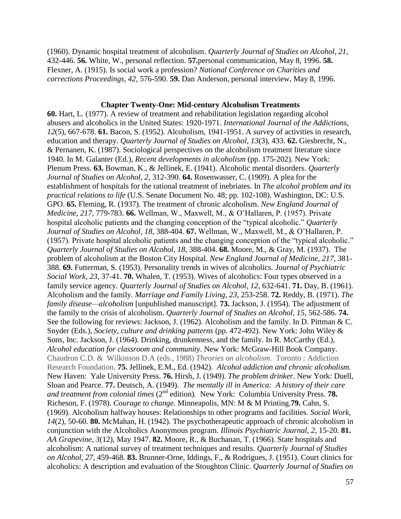(1960). Dynamic hospital treatment of alcoholism. *Quarterly Journal of Studies on Alcohol, 21*, 432-446. **56.** White, W., personal reflection. **57.**personal communication, May 8, 1996. **58.** Flexner, A. (1915). Is social work a profession? *National Conference on Charities and corrections Proceedings, 42*, 576-590. **59.** Dan Anderson, personal interview, May 8, 1996.

# **Chapter Twenty-One: Mid-century Alcoholism Treatments**

**60.** Hart, L. (1977). A review of treatment and rehabilitation legislation regarding alcohol abusers and alcoholics in the United States: 1920-1971. *International Journal of the Addictions, 12*(5), 667-678. **61.** Bacon, S. (1952). Alcoholism, 1941-1951. A survey of activities in research, education and therapy. *Quarterly Journal of Studies on Alcohol, 13*(3), 433. **62.** Giesbrecht, N., & Pernanen, K. (1987). Sociological perspectives on the alcoholism treatment literature since 1940. In M. Galanter (Ed.), *Recent developments in alcoholism* (pp. 175-202). New York: Plenum Press. **63.** Bowman, K., & Jellinek, E. (1941). Alcoholic mental disorders. *Quarterly Journal of Studies on Alcohol, 2*, 312-390. **64.** Rosenwasser, C. (1909). A plea for the establishment of hospitals for the rational treatment of inebriates. In *The alcohol problem and its practical relations to life* (U.S. Senate Document No. 48; pp. 102-108). Washington, DC: U.S. GPO. **65.** Fleming, R. (1937). The treatment of chronic alcoholism. *New England Journal of Medicine, 217,* 779-783. **66.** Wellman, W., Maxwell, M., & O'Hallaren, P. (1957). Private hospital alcoholic patients and the changing conception of the "typical alcoholic." *Quarterly Journal of Studies on Alcohol, 18*, 388-404. **67.** Wellman, W., Maxwell, M., & O'Hallaren, P. (1957). Private hospital alcoholic patients and the changing conception of the "typical alcoholic." *Quarterly Journal of Studies on Alcohol, 18*, 388-404. **68.** Moore, M., & Gray, M. (1937). The problem of alcoholism at the Boston City Hospital. *New England Journal of Medicine, 217,* 381- 388. **69.** Futterman, S. (1953). Personality trends in wives of alcoholics. *Journal of Psychiatric Social Work, 23*, 37-41. **70.** Whalen, T. (1953). Wives of alcoholics: Four types observed in a family service agency. *Quarterly Journal of Studies on Alcohol, 12*, 632-641. **71.** Day, B. (1961). Alcoholism and the family. *Marriage and Family Living, 23*, 253-258. **72.** Reddy, B. (1971). *The family disease—alcoholism* [unpublished manuscript]. **73.** Jackson, J. (1954). The adjustment of the family to the crisis of alcoholism. *Quarterly Journal of Studies on Alcohol, 15*, 562-586. **74.** See the following for reviews: Jackson, J. (1962). Alcoholism and the family. In D. Pittman & C. Snyder (Eds.), *Society, culture and drinking patterns* (pp. 472-492). New York: John Wiley & Sons, Inc. Jackson, J. (1964). Drinking, drunkenness, and the family. In R. McCarthy (Ed.), *Alcohol education for classroom and community*. New York: McGraw-Hill Book Company. Chaudron C.D. & Wilkinson D.A (eds., 1988) *Theories on alcoholism*. Toronto : Addiction Research Foundation. **75.** Jellinek, E.M., Ed. (1942). *Alcohol addiction and chronic alcoholism.* New Haven: Yale University Press. **76.** Hirsh, J. (1949). *The problem drinker*. New York: Duell, Sloan and Pearce. **77.** Deutsch, A. (1949). *The mentally ill in America: A history of their care and treatment from colonial times (2<sup>nd</sup> edition).* New York: Columbia University Press. **78.** Richeson, F. (1978). *Courage to change.* Minneapolis, MN: M & M Printing.**79.** Cahn, S. (1969). Alcoholism halfway houses: Relationships to other programs and facilities. *Social Work, 14*(2), 50-60. **80.** McMahan, H. (1942). The psychotherapeutic approach of chronic alcoholism in conjunction with the Alcoholics Anonymous program. *Illinois Psychiatric Journal, 2*, 15-20. **81.** *AA Grapevine, 3*(12), May 1947. **82.** Moore, R., & Buchanan, T. (1966). State hospitals and alcoholism: A national survey of treatment techniques and results. *Quarterly Journal of Studies on Alcohol, 27*, 459-468. **83.** Brunner-Orne, Iddings, F., & Rodrigues, J. (1951). Court clinics for alcoholics: A description and evaluation of the Stoughton Clinic. *Quarterly Journal of Studies on*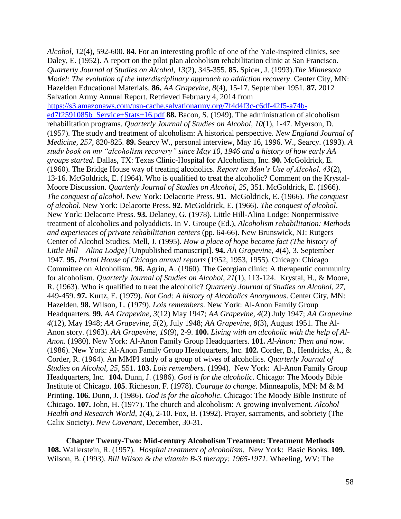*Alcohol, 12*(4), 592-600. **84.** For an interesting profile of one of the Yale-inspired clinics, see Daley, E. (1952). A report on the pilot plan alcoholism rehabilitation clinic at San Francisco. *Quarterly Journal of Studies on Alcohol, 13*(2), 345-355. **85.** Spicer, J. (1993).*The Minnesota Model: The evolution of the interdisciplinary approach to addiction recovery*. Center City, MN: Hazelden Educational Materials. **86.** *AA Grapevine, 8*(4), 15-17. September 1951. **87.** 2012 Salvation Army Annual Report. Retrieved February 4, 2014 from [https://s3.amazonaws.com/usn-cache.salvationarmy.org/7f4d4f3c-c6df-42f5-a74b](https://s3.amazonaws.com/usn-cache.salvationarmy.org/7f4d4f3c-c6df-42f5-a74b-ed7f2591085b_Service+Stats+16.pdf)[ed7f2591085b\\_Service+Stats+16.pdf](https://s3.amazonaws.com/usn-cache.salvationarmy.org/7f4d4f3c-c6df-42f5-a74b-ed7f2591085b_Service+Stats+16.pdf) **88.** Bacon, S. (1949). The administration of alcoholism rehabilitation programs. *Quarterly Journal of Studies on Alcohol, 10*(1), 1-47. Myerson, D. (1957). The study and treatment of alcoholism: A historical perspective. *New England Journal of Medicine, 257*, 820-825. **89.** Searcy W., personal interview, May 16, 1996. W., Searcy. (1993). *A study book on my "alcoholism recovery" since May 10, 1946 and a history of how early AA groups started.* Dallas, TX: Texas Clinic-Hospital for Alcoholism, Inc. **90.** McGoldrick, E. (1960). The Bridge House way of treating alcoholics. *Report on Man's Use of Alcohol, 43*(2), 13-16. McGoldrick, E. (1964). Who is qualified to treat the alcoholic? Comment on the Krystal-Moore Discussion. *Quarterly Journal of Studies on Alcohol, 25*, 351. McGoldrick, E. (1966). *The conquest of alcohol*. New York: Delacorte Press. **91.** McGoldrick, E. (1966). *The conquest of alcohol*. New York: Delacorte Press. **92.** McGoldrick, E. (1966). *The conquest of alcohol*. New York: Delacorte Press. **93.** Delaney, G. (1978). Little Hill-Alina Lodge: Nonpermissive treatment of alcoholics and polyaddicts. In V. Groupe (Ed.), *Alcoholism rehabilitation: Methods and experiences of private rehabilitation centers* (pp. 64-66). New Brunswick, NJ: Rutgers Center of Alcohol Studies. Mell, J. (1995). *How a place of hope became fact (The history of Little Hill – Alina Lodge)* [Unpublished manuscript]. **94.** *AA Grapevine, 4*(4), 3. September 1947. **95.** *Portal House of Chicago annual reports* (1952, 1953, 1955). Chicago: Chicago Committee on Alcoholism. **96.** Agrin, A. (1960). The Georgian clinic: A therapeutic community for alcoholism. *Quarterly Journal of Studies on Alcohol, 21*(1), 113-124. Krystal, H., & Moore, R. (1963). Who is qualified to treat the alcoholic? *Quarterly Journal of Studies on Alcohol, 27*, 449-459. **97.** Kurtz, E. (1979). *Not God: A history of Alcoholics Anonymous*. Center City, MN: Hazelden. **98.** Wilson, L. (1979). *Lois remembers*. New York: Al-Anon Family Group Headquarters. **99.** *AA Grapevine, 3*(12) May 1947; *AA Grapevine, 4*(2) July 1947; *AA Grapevine 4*(12), May 1948; *AA Grapevine, 5*(2), July 1948; *AA Grapevine, 8*(3), August 1951. The Al-Anon story. (1963). *AA Grapevine, 19*(9), 2-9. **100.** *Living with an alcoholic with the help of Al-Anon*. (1980). New York: Al-Anon Family Group Headquarters. **101.** *Al-Anon: Then and now*. (1986). New York: Al-Anon Family Group Headquarters, Inc. **102.** Corder, B., Hendricks, A., & Corder, R. (1964). An MMPI study of a group of wives of alcoholics. *Quarterly Journal of Studies on Alcohol, 25*, 551. **103.** *Lois remembers.* (1994). New York: Al-Anon Family Group Headquarters, Inc. **104.** Dunn, J. (1986). *God is for the alcoholic*. Chicago: The Moody Bible Institute of Chicago. **105**. Richeson, F. (1978). *Courage to change.* Minneapolis, MN: M & M Printing. **106.** Dunn, J. (1986). *God is for the alcoholic*. Chicago: The Moody Bible Institute of Chicago. **107.** John, H. (1977). The church and alcoholism: A growing involvement. *Alcohol Health and Research World, 1*(4), 2-10. Fox, B. (1992). Prayer, sacraments, and sobriety (The Calix Society). *New Covenant*, December, 30-31.

**Chapter Twenty-Two: Mid-century Alcoholism Treatment: Treatment Methods 108.** Wallerstein, R. (1957). *Hospital treatment of alcoholism.* New York: Basic Books. **109.**  Wilson, B. (1993). *Bill Wilson & the vitamin B-3 therapy: 1965-1971*. Wheeling, WV: The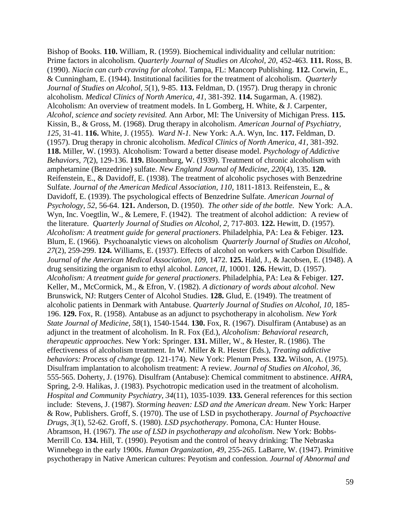Bishop of Books. **110.** William, R. (1959). Biochemical individuality and cellular nutrition: Prime factors in alcoholism. *Quarterly Journal of Studies on Alcohol, 20*, 452-463. **111.** Ross, B. (1990). *Niacin can curb craving for alcohol*. Tampa, FL: Mancorp Publishing. **112.** Corwin, E., & Cunningham, E. (1944). Institutional facilities for the treatment of alcoholism. *Quarterly Journal of Studies on Alcohol*, *5*(1), 9-85. **113.** Feldman, D. (1957). Drug therapy in chronic alcoholism. *Medical Clinics of North America, 41*, 381-392. **114.** Sugarman, A. (1982). Alcoholism: An overview of treatment models. In L Gomberg, H. White, & J. Carpenter, *Alcohol, science and society revisited.* Ann Arbor, MI: The University of Michigan Press. **115.** Kissin, B., & Gross, M. (1968). Drug therapy in alcoholism. *American Journal of Psychiatry, 125*, 31-41. **116.** White, J. (1955). *Ward N-1.* New York: A.A. Wyn, Inc. **117.** Feldman, D. (1957). Drug therapy in chronic alcoholism. *Medical Clinics of North America, 41*, 381-392. **118.** Miller, W. (1993). Alcoholism: Toward a better disease model. *Psychology of Addictive Behaviors, 7*(2), 129-136. **119.** Bloomburg, W. (1939). Treatment of chronic alcoholism with amphetamine (Benzedrine) sulfate. *New England Journal of Medicine, 220*(4), 135. **120.** Reifenstein, E., & Davidoff, E. (1938). The treatment of alcoholic psychoses with Benzedrine Sulfate. *Journal of the American Medical Association, 110*, 1811-1813. Reifenstein, E., & Davidoff, E. (1939). The psychological effects of Benzedrine Sulfate. *American Journal of Psychology, 52*, 56-64. **121.** Anderson, D. (1950). *The other side of the bottle.* New York: A.A. Wyn, Inc. Voegtlin, W., & Lemere, F. (1942). The treatment of alcohol addiction: A review of the literature. *Quarterly Journal of Studies on Alcohol*, *2,* 717-803. **122.** Hewitt, D. (1957). *Alcoholism: A treatment guide for general practioners*. Philadelphia, PA: Lea & Febiger. **123.** Blum, E. (1966). Psychoanalytic views on alcoholism *Quarterly Journal of Studies on Alcohol, 27*(2), 259-299. **124.** Williams, E. (1937). Effects of alcohol on workers with Carbon Disulfide. *Journal of the American Medical Association, 109*, 1472. **125.** Hald, J., & Jacobsen, E. (1948). A drug sensitizing the organism to ethyl alcohol. *Lancet, II*, 10001. **126.** Hewitt, D. (1957). *Alcoholism: A treatment guide for general practioners*. Philadelphia, PA: Lea & Febiger. **127.** Keller, M., McCormick, M., & Efron, V. (1982). *A dictionary of words about alcohol.* New Brunswick, NJ: Rutgers Center of Alcohol Studies. **128.** Glud, E. (1949). The treatment of alcoholic patients in Denmark with Antabuse. *Quarterly Journal of Studies on Alcohol, 10*, 185- 196. **129.** Fox, R. (1958). Antabuse as an adjunct to psychotherapy in alcoholism. *New York State Journal of Medicine, 58*(1), 1540-1544. **130.** Fox, R. (1967). Disulfiram (Antabuse) as an adjunct in the treatment of alcoholism. In R. Fox (Ed.), *Alcoholism: Behavioral research, therapeutic approaches*. New York: Springer. **131.** Miller, W., & Hester, R. (1986). The effectiveness of alcoholism treatment. In W. Miller & R. Hester (Eds.), *Treating addictive behaviors: Process of change* (pp. 121-174)*.* New York: Plenum Press. **132.** Wilson, A. (1975). Disulfram implantation to alcoholism treatment: A review. *Journal of Studies on Alcohol, 36*, 555-565. Doherty, J. (1976). Disulfram (Antabuse): Chemical commitment to abstinence. *AHRA*, Spring, 2-9. Halikas, J. (1983). Psychotropic medication used in the treatment of alcoholism. *Hospital and Community Psychiatry, 34*(11), 1035-1039. **133.** General references for this section include: Stevens, J. (1987). *Storming heaven: LSD and the American dream*. New York: Harper & Row, Publishers. Groff, S. (1970). The use of LSD in psychotherapy. *Journal of Psychoactive Drugs, 3*(1), 52-62. Groff, S. (1980). *LSD psychotherapy*. Pomona, CA: Hunter House. Abramson, H. (1967). *The use of LSD in psychotherapy and alcoholism*. New York: Bobbs-Merrill Co. **134.** Hill, T. (1990). Peyotism and the control of heavy drinking: The Nebraska Winnebego in the early 1900s. *Human Organization, 49*, 255-265. LaBarre, W. (1947). Primitive psychotherapy in Native American cultures: Peyotism and confession. *Journal of Abnormal and*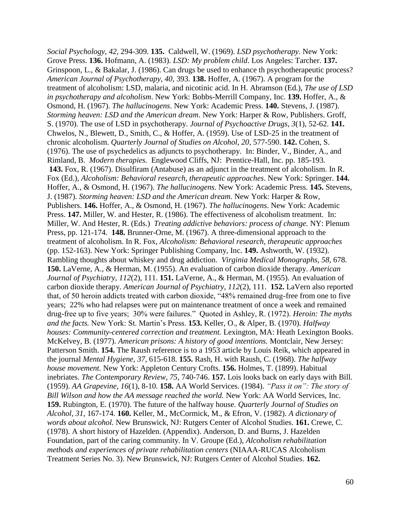*Social Psychology, 42*, 294-309. **135.** Caldwell, W. (1969). *LSD psychotherapy.* New York: Grove Press. **136.** Hofmann, A. (1983). *LSD: My problem child*. Los Angeles: Tarcher. **137.** Grinspoon, L., & Bakalar, J. (1986). Can drugs be used to enhance th psychotherapeutic process? *American Journal of Psychotherapy, 40*, 393. **138.** Hoffer, A. (1967). A program for the treatment of alcoholism: LSD, malaria, and nicotinic acid. In H. Abramson (Ed.), *The use of LSD in psychotherapy and alcoholism*. New York: Bobbs-Merrill Company, Inc. **139.** Hoffer, A., & Osmond, H. (1967). *The hallucinogens*. New York: Academic Press. **140.** Stevens, J. (1987). *Storming heaven: LSD and the American dream*. New York: Harper & Row, Publishers. Groff, S. (1970). The use of LSD in psychotherapy. *Journal of Psychoactive Drugs, 3*(1), 52-62. **141.** Chwelos, N., Blewett, D., Smith, C., & Hoffer, A. (1959). Use of LSD-25 in the treatment of chronic alcoholism. *Quarterly Journal of Studies on Alcohol, 20*, 577-590. **142.** Cohen, S. (1976). The use of psychedelics as adjuncts to psychotherapy. In: Binder, V., Binder, A., and Rimland, B. *Modern therapies.* Englewood Cliffs, NJ: Prentice-Hall, Inc. pp. 185-193. **143.** Fox, R. (1967). Disulfiram (Antabuse) as an adjunct in the treatment of alcoholism. In R. Fox (Ed.), *Alcoholism: Behavioral research, therapeutic approaches*. New York: Springer. **144.** Hoffer, A., & Osmond, H. (1967). *The hallucinogens*. New York: Academic Press. **145.** Stevens, J. (1987). *Storming heaven: LSD and the American dream*. New York: Harper & Row, Publishers. **146.** Hoffer, A., & Osmond, H. (1967). *The hallucinogens*. New York: Academic Press. **147.** Miller, W. and Hester, R. (1986). The effectiveness of alcoholism treatment. In: Miller, W. And Hester, R. (Eds.) *Treating addictive behaviors: process of change.* NY: Plenum Press, pp. 121-174. **148.** Brunner-Orne, M. (1967). A three-dimensional approach to the treatment of alcoholism. In R. Fox, *Alcoholism: Behavioral research, therapeutic approaches*  (pp. 152-163). New York: Springer Publishing Company, Inc. **149.** Ashworth, W. (1932). Rambling thoughts about whiskey and drug addiction. *Virginia Medical Monographs, 58,* 678. **150.** LaVerne, A., & Herman, M. (1955). An evaluation of carbon dioxide therapy. *American Journal of Psychiatry, 112*(2), 111. **151.** LaVerne, A., & Herman, M. (1955). An evaluation of carbon dioxide therapy. *American Journal of Psychiatry, 112*(2), 111. **152.** LaVern also reported that, of 50 heroin addicts treated with carbon dioxide, "48% remained drug-free from one to five years; 22% who had relapses were put on maintenance treatment of once a week and remained drug-free up to five years; 30% were failures." Quoted in Ashley, R. (1972). *Heroin: The myths and the facts.* New York: St. Martin's Press. **153.** Keller, O., & Alper, B. (1970). *Halfway houses: Community-centered correction and treatment. Lexington, MA: Heath Lexington Books.* McKelvey, B. (1977). *American prisons: A history of good intentions.* Montclair, New Jersey: Patterson Smith. **154.** The Raush reference is to a 1953 article by Louis Reik, which appeared in the journal *Mental Hygiene, 37*, 615-618. **155.** Rash, H. with Raush, C. (1968). *The halfway house movement.* New York: Appleton Century Crofts. **156.** Holmes, T. (1899). Habitual inebriates. *The Contemporary Review, 75*, 740-746. **157.** Lois looks back on early days with Bill. (1959). *AA Grapevine, 16*(1), 8-10. **158.** AA World Services. (1984). *"Pass it on": The story of Bill Wilson and how the AA message reached the world.* New York: AA World Services, Inc. **159.** Rubington, E. (1970). The future of the halfway house. *Quarterly Journal of Studies on Alcohol, 31*, 167-174. **160.** Keller, M., McCormick, M., & Efron, V. (1982). *A dictionary of words about alcohol.* New Brunswick, NJ: Rutgers Center of Alcohol Studies. **161.** Crewe, C. (1978). A short history of Hazelden. (Appendix). Anderson, D. and Burns, J. Hazelden Foundation, part of the caring community. In V. Groupe (Ed.), *Alcoholism rehabilitation methods and experiences of private rehabilitation centers* (NIAAA-RUCAS Alcoholism Treatment Series No. 3). New Brunswick, NJ: Rutgers Center of Alcohol Studies. **162.**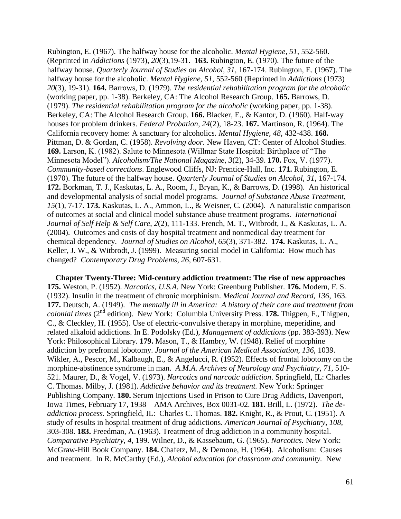Rubington, E. (1967). The halfway house for the alcoholic. *Mental Hygiene, 51*, 552-560. (Reprinted in *Addictions* (1973), *20*(3),19-31. **163.** Rubington, E. (1970). The future of the halfway house. *Quarterly Journal of Studies on Alcohol, 31*, 167-174. Rubington, E. (1967). The halfway house for the alcoholic. *Mental Hygiene, 51*, 552-560 (Reprinted in *Addictions* (1973) *20*(3), 19-31). **164.** Barrows, D. (1979). *The residential rehabilitation program for the alcoholic* (working paper, pp. 1-38). Berkeley, CA: The Alcohol Research Group. **165.** Barrows, D. (1979). *The residential rehabilitation program for the alcoholic* (working paper, pp. 1-38). Berkeley, CA: The Alcohol Research Group. **166.** Blacker, E., & Kantor, D. (1960). Half-way houses for problem drinkers. *Federal Probation, 24*(2), 18-23. **167.** Martinson, R. (1964). The California recovery home: A sanctuary for alcoholics. *Mental Hygiene, 48*, 432-438. **168.** Pittman, D. & Gordan, C. (1958). *Revolving door.* New Haven, CT: Center of Alcohol Studies. **169.** Larson, K. (1982). Salute to Minnesota (Willmar State Hospital: Birthplace of "The Minnesota Model"). *Alcoholism/The National Magazine, 3*(2), 34-39. **170.** Fox, V. (1977). *Community-based corrections*. Englewood Cliffs, NJ: Prentice-Hall, Inc. **171.** Rubington, E. (1970). The future of the halfway house. *Quarterly Journal of Studies on Alcohol, 31*, 167-174. **172.** Borkman, T. J., Kaskutas, L. A., Room, J., Bryan, K., & Barrows, D. (1998). An historical and developmental analysis of social model programs. *Journal of Substance Abuse Treatment*, *15*(1), 7-17. **173.** Kaskutas, L. A., Ammon, L., & Weisner, C. (2004). A naturalistic comparison of outcomes at social and clinical model substance abuse treatment programs. *International Journal of Self Help & Self Care*, *2*(2), 111-133. French, M. T., Witbrodt, J., & Kaskutas, L. A. (2004). Outcomes and costs of day hospital treatment and nonmedical day treatment for chemical dependency. *Journal of Studies on Alcohol*, *65*(3), 371-382. **174.** Kaskutas, L. A., Keller, J. W., & Witbrodt, J. (1999). Measuring social model in California: How much has changed? *Contemporary Drug Problems*, *26*, 607-631.

**Chapter Twenty-Three: Mid-century addiction treatment: The rise of new approaches 175.** Weston, P. (1952). *Narcotics, U.S.A.* New York: Greenburg Publisher. **176.** Modern, F. S. (1932). Insulin in the treatment of chronic morphinism. *Medical Journal and Record, 136*, 163. **177.** Deutsch, A. (1949). *The mentally ill in America: A history of their care and treatment from colonial times* (2<sup>nd</sup> edition). New York: Columbia University Press. 178. Thigpen, F., Thigpen, C., & Cleckley, H. (1955). Use of electric-convulsive therapy in morphine, meperidine, and related alkaloid addictions. In E. Podolsky (Ed.), *Management of addictions* (pp. 383-393). New York: Philosophical Library. **179.** Mason, T., & Hambry, W. (1948). Relief of morphine addiction by prefrontal lobotomy. *Journal of the American Medical Association, 136*, 1039. Wikler, A., Pescor, M., Kalbaugh, E., & Angelucci, R. (1952). Effects of frontal lobotomy on the morphine-abstinence syndrome in man. *A.M.A. Archives of Neurology and Psychiatry*, *71,* 510- 521. Maurer, D., & Vogel, V. (1973). *Narcotics and narcotic addiction*. Springfield, IL: Charles C. Thomas. Milby, J. (1981). *Addictive behavior and its treatment.* New York: Springer Publishing Company. **180.** Serum Injections Used in Prison to Cure Drug Addicts, Davenport, Iowa Times, February 17, 1938—AMA Archives, Box 0031-02. **181.** Brill, L. (1972). *The deaddiction process.* Springfield, IL: Charles C. Thomas. **182.** Knight, R., & Prout, C. (1951). A study of results in hospital treatment of drug addictions. *American Journal of Psychiatry, 108,*  303-308. **183.** Freedman, A. (1963). Treatment of drug addiction in a community hospital. *Comparative Psychiatry, 4*, 199. Wilner, D., & Kassebaum, G. (1965). *Narcotics.* New York: McGraw-Hill Book Company. **184.** Chafetz, M., & Demone, H. (1964). Alcoholism: Causes and treatment. In R. McCarthy (Ed.), *Alcohol education for classroom and community.* New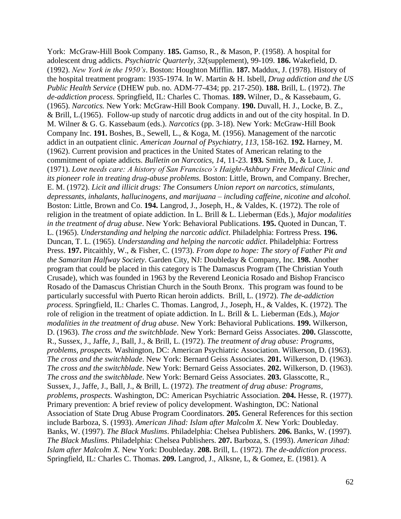York: McGraw-Hill Book Company. **185.** Gamso, R., & Mason, P. (1958). A hospital for adolescent drug addicts. *Psychiatric Quarterly, 32*(supplement), 99-109. **186.** Wakefield, D. (1992). *New York in the 1950's*. Boston: Houghton Mifflin. **187.** Maddux, J. (1978). History of the hospital treatment program: 1935-1974. In W. Martin & H. Isbell, *Drug addiction and the US Public Health Service* (DHEW pub. no. ADM-77-434; pp. 217-250). **188.** Brill, L. (1972). *The de-addiction process*. Springfield, IL: Charles C. Thomas. **189.** Wilner, D., & Kassebaum, G. (1965). *Narcotics.* New York: McGraw-Hill Book Company. **190.** Duvall, H. J., Locke, B. Z., & Brill, L.(1965). Follow-up study of narcotic drug addicts in and out of the city hospital. In D. M. Wilner & G. G. Kassebaum (eds.). *Narcotics* (pp. 3-18). New York: McGraw-Hill Book Company Inc. **191.** Boshes, B., Sewell, L., & Koga, M. (1956). Management of the narcotic addict in an outpatient clinic. *American Journal of Psychiatry, 113*, 158-162. **192.** Harney, M. (1962). Current provision and practices in the United States of American relating to the commitment of opiate addicts. *Bulletin on Narcotics, 14*, 11-23. **193.** Smith, D., & Luce, J. (1971). *Love needs care: A history of San Francisco's Haight-Ashbury Free Medical Clinic and its pioneer role in treating drug-abuse problems.* Boston: Little, Brown, and Company. Brecher, E. M. (1972). *Licit and illicit drugs: The Consumers Union report on narcotics, stimulants, depressants, inhalants, hallucinogens, and marijuana – including caffeine, nicotine and alcohol.*  Boston: Little, Brown and Co. **194.** Langrod, J., Joseph, H., & Valdes, K. (1972). The role of religion in the treatment of opiate addiction. In L. Brill & L. Lieberman (Eds.), *Major modalities in the treatment of drug abuse*. New York: Behavioral Publications. **195.** Quoted in Duncan, T. L. (1965). *Understanding and helping the narcotic addict*. Philadelphia: Fortress Press. **196.** Duncan, T. L. (1965). *Understanding and helping the narcotic addict*. Philadelphia: Fortress Press. **197.** Pitcaithly, W., & Fisher, C. (1973). *From dope to hope: The story of Father Pit and the Samaritan Halfway Society*. Garden City, NJ: Doubleday & Company, Inc. **198.** Another program that could be placed in this category is The Damascus Program (The Christian Youth Crusade), which was founded in 1963 by the Reverend Leonicia Rosado and Bishop Francisco Rosado of the Damascus Christian Church in the South Bronx. This program was found to be particularly successful with Puerto Rican heroin addicts. Brill, L. (1972). *The de-addiction process*. Springfield, IL: Charles C. Thomas. Langrod, J., Joseph, H., & Valdes, K. (1972). The role of religion in the treatment of opiate addiction. In L. Brill & L. Lieberman (Eds.), *Major modalities in the treatment of drug abuse*. New York: Behavioral Publications. **199.** Wilkerson, D. (1963). *The cross and the switchblade*. New York: Bernard Geiss Associates. **200.** Glasscotte, R., Sussex, J., Jaffe, J., Ball, J., & Brill, L. (1972). *The treatment of drug abuse: Programs, problems, prospects.* Washington, DC: American Psychiatric Association. Wilkerson, D. (1963). *The cross and the switchblade*. New York: Bernard Geiss Associates. **201.** Wilkerson, D. (1963). *The cross and the switchblade*. New York: Bernard Geiss Associates. **202.** Wilkerson, D. (1963). *The cross and the switchblade*. New York: Bernard Geiss Associates. **203.** Glasscotte, R., Sussex, J., Jaffe, J., Ball, J., & Brill, L. (1972). *The treatment of drug abuse: Programs, problems, prospects.* Washington, DC: American Psychiatric Association. **204.** Hesse, R. (1977). Primary prevention: A brief review of policy development. Washington, DC: National Association of State Drug Abuse Program Coordinators. **205.** General References for this section include Barboza, S. (1993). *American Jihad: Islam after Malcolm X.* New York: Doubleday. Banks, W. (1997). *The Black Muslims*. Philadelphia: Chelsea Publishers. **206.** Banks, W. (1997). *The Black Muslims*. Philadelphia: Chelsea Publishers. **207.** Barboza, S. (1993). *American Jihad: Islam after Malcolm X.* New York: Doubleday. **208.** Brill, L. (1972). *The de-addiction process*. Springfield, IL: Charles C. Thomas. **209.** Langrod, J., Alksne, L, & Gomez, E. (1981). A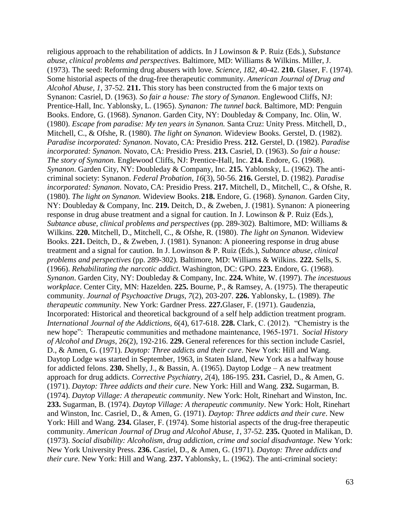religious approach to the rehabilitation of addicts. In J Lowinson & P. Ruiz (Eds.), *Substance abuse, clinical problems and perspectives.* Baltimore, MD: Williams & Wilkins. Miller, J. (1973). The seed: Reforming drug abusers with love. *Science, 182*, 40-42. **210.** Glaser, F. (1974). Some historial aspects of the drug-free therapeutic community. *American Journal of Drug and Alcohol Abuse, 1*, 37-52. **211.** This story has been constructed from the 6 major texts on Synanon: Casriel, D. (1963). *So fair a house: The story of Synanon*. Englewood Cliffs, NJ: Prentice-Hall, Inc. Yablonsky, L. (1965). *Synanon: The tunnel back*. Baltimore, MD: Penguin Books. Endore, G. (1968). *Synanon*. Garden City, NY: Doubleday & Company, Inc. Olin, W. (1980). *Escape from paradise: My ten years in Synanon.* Santa Cruz: Unity Press. Mitchell, D., Mitchell, C., & Ofshe, R. (1980). *The light on Synanon.* Wideview Books. Gerstel, D. (1982). *Paradise incorporated: Synanon*. Novato, CA: Presidio Press. **212.** Gerstel, D. (1982). *Paradise incorporated: Synanon*. Novato, CA: Presidio Press. **213.** Casriel, D. (1963). *So fair a house: The story of Synanon*. Englewood Cliffs, NJ: Prentice-Hall, Inc. **214.** Endore, G. (1968). *Synanon*. Garden City, NY: Doubleday & Company, Inc. **215.** Yablonsky, L. (1962). The anticriminal society: Synanon. *Federal Probation, 16*(3), 50-56. **216.** Gerstel, D. (1982). *Paradise incorporated: Synanon*. Novato, CA: Presidio Press. **217.** Mitchell, D., Mitchell, C., & Ofshe, R. (1980). *The light on Synanon.* Wideview Books. **218.** Endore, G. (1968). *Synanon*. Garden City, NY: Doubleday & Company, Inc. **219.** Deitch, D., & Zweben, J. (1981). Synanon: A pioneering response in drug abuse treatment and a signal for caution. In J. Lowinson & P. Ruiz (Eds.), *Subtance abuse, clinical problems and perspectives* (pp. 289-302)*.* Baltimore, MD: Williams & Wilkins. **220.** Mitchell, D., Mitchell, C., & Ofshe, R. (1980). *The light on Synanon.* Wideview Books. **221.** Deitch, D., & Zweben, J. (1981). Synanon: A pioneering response in drug abuse treatment and a signal for caution. In J. Lowinson & P. Ruiz (Eds.), *Subtance abuse, clinical problems and perspectives* (pp. 289-302)*.* Baltimore, MD: Williams & Wilkins. **222.** Sells, S. (1966). *Rehabilitating the narcotic addict*. Washington, DC: GPO. **223.** Endore, G. (1968). *Synanon*. Garden City, NY: Doubleday & Company, Inc. **224.** White, W. (1997). *The incestuous workplace*. Center City, MN: Hazelden. **225.** Bourne, P., & Ramsey, A. (1975). The therapeutic community. *Journal of Psychoactive Drugs, 7*(2), 203-207. **226.** Yablonsky, L. (1989). *The therapeutic community*. New York: Gardner Press. **227.**Glaser, F. (1971). Gaudenzia, Incorporated: Historical and theoretical background of a self help addiction treatment program. *International Journal of the Addictions, 6*(4), 617-618. **228.** Clark, C. (2012). "Chemistry is the new hope": Therapeutic communities and methadone maintenance, 1965-1971. *Social History of Alcohol and Drugs*, 26(2), 192-216. **229.** General references for this section include Casriel, D., & Amen, G. (1971). *Daytop: Three addicts and their cure*. New York: Hill and Wang. Daytop Lodge was started in September, 1963, in Staten Island, New York as a halfway house for addicted felons. **230.** Shelly, J., & Bassin, A. (1965). Daytop Lodge – A new treatment approach for drug addicts. *Corrective Psychiatry, 2*(4), 186-195. **231.** Casriel, D., & Amen, G. (1971). *Daytop: Three addicts and their cure*. New York: Hill and Wang. **232.** Sugarman, B. (1974). *Daytop Village: A therapeutic community*. New York: Holt, Rinehart and Winston, Inc. **233.** Sugarman, B. (1974). *Daytop Village: A therapeutic community*. New York: Holt, Rinehart and Winston, Inc. Casriel, D., & Amen, G. (1971). *Daytop: Three addicts and their cure*. New York: Hill and Wang. **234.** Glaser, F. (1974). Some historial aspects of the drug-free therapeutic community. *American Journal of Drug and Alcohol Abuse, 1*, 37-52. **235.** Quoted in Malikan, D. (1973). *Social disability: Alcoholism, drug addiction, crime and social disadvantage*. New York: New York University Press. **236.** Casriel, D., & Amen, G. (1971). *Daytop: Three addicts and their cure*. New York: Hill and Wang. **237.** Yablonsky, L. (1962). The anti-criminal society: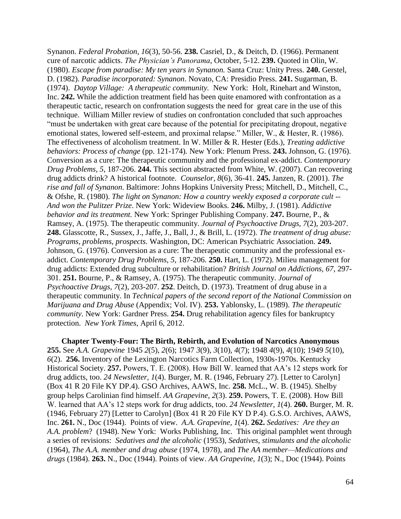Synanon. *Federal Probation, 16*(3), 50-56. **238.** Casriel, D., & Deitch, D. (1966). Permanent cure of narcotic addicts. *The Physician's Panorama*, October, 5-12. **239.** Quoted in Olin, W. (1980). *Escape from paradise: My ten years in Synanon.* Santa Cruz: Unity Press. **240.** Gerstel, D. (1982). *Paradise incorporated: Synanon*. Novato, CA: Presidio Press. **241.** Sugarman, B. (1974). *Daytop Village: A therapeutic community.* New York: Holt, Rinehart and Winston, Inc. **242.** While the addiction treatment field has been quite enamored with confrontation as a therapeutic tactic, research on confrontation suggests the need for great care in the use of this technique. William Miller review of studies on confrontation concluded that such approaches "must be undertaken with great care because of the potential for precipitating dropout, negative emotional states, lowered self-esteem, and proximal relapse." Miller, W., & Hester, R. (1986). The effectiveness of alcoholism treatment. In W. Miller & R. Hester (Eds.), *Treating addictive behaviors: Process of change* (pp. 121-174)*.* New York: Plenum Press. **243.** Johnson, G. (1976). Conversion as a cure: The therapeutic community and the professional ex-addict. *Contemporary Drug Problems, 5*, 187-206. **244.** This section abstracted from White, W. (2007). Can recovering drug addicts drink? A historical footnote. *Counselor*, *8*(6), 36-41. **245.** Janzen, R. (2001). *The rise and fall of Synanon*. Baltimore: Johns Hopkins University Press; Mitchell, D., Mitchell, C., & Ofshe, R. (1980). *The light on Synanon: How a country weekly exposed a corporate cult -- And won the Pulitzer Prize*. New York: Wideview Books. **246.** Milby, J. (1981). *Addictive behavior and its treatment.* New York: Springer Publishing Company. **247.** Bourne, P., & Ramsey, A. (1975). The therapeutic community. *Journal of Psychoactive Drugs, 7*(2), 203-207. **248.** Glasscotte, R., Sussex, J., Jaffe, J., Ball, J., & Brill, L. (1972). *The treatment of drug abuse: Programs, problems, prospects.* Washington, DC: American Psychiatric Association. **249.** Johnson, G. (1976). Conversion as a cure: The therapeutic community and the professional exaddict. *Contemporary Drug Problems, 5*, 187-206. **250.** Hart, L. (1972). Milieu management for drug addicts: Extended drug subculture or rehabilitation? *British Journal on Addictions, 67*, 297- 301. **251.** Bourne, P., & Ramsey, A. (1975). The therapeutic community. *Journal of Psychoactive Drugs, 7*(2), 203-207. **252**. Deitch, D. (1973). Treatment of drug abuse in a therapeutic community. In *Technical papers of the second report of the National Commission on Marijuana and Drug Abuse* (Appendix; Vol. IV). **253.** Yablonsky, L. (1989). *The therapeutic community*. New York: Gardner Press. **254.** Drug rehabilitation agency files for bankruptcy protection. *New York Times*, April 6, 2012.

**Chapter Twenty-Four: The Birth, Rebirth, and Evolution of Narcotics Anonymous 255.** See *A.A. Grapevine* 1945 *2*(5), *2*(6); 1947 *3*(9), *3*(10), *4*(7); 1948 *4*(9), *4*(10); 1949 *5*(10), *6*(2). **256.** Inventory of the Lexington Narcotics Farm Collection, 1930s-1970s. Kentucky Historical Society. **257.** Powers, T. E. (2008). How Bill W. learned that AA's 12 steps work for drug addicts, too. *24 Newsletter, 1*(4). Burger, M. R. (1946, February 27). [Letter to Carolyn] (Box 41 R 20 File KY DP.4). GSO Archives, AAWS, Inc. **258.** McL., W. B. (1945). Shelby group helps Carolinian find himself. *AA Grapevine*, *2*(3). **259.** Powers, T. E. (2008). How Bill W. learned that AA's 12 steps work for drug addicts, too. *24 Newsletter, 1*(4). **260.** Burger, M. R. (1946, February 27) [Letter to Carolyn] (Box 41 R 20 File KY D P.4). G.S.O. Archives, AAWS, Inc. **261.** N., Doc (1944). Points of view. *A.A. Grapevine, 1*(4). **262.** *Sedatives: Are they an A.A. problem*? (1948). New York: Works Publishing, Inc. This original pamphlet went through a series of revisions: *Sedatives and the alcoholic* (1953), *Sedatives, stimulants and the alcoholic* (1964), *The A.A. member and drug abuse* (1974, 1978), and *The AA member—Medications and drugs* (1984). **263.** N., Doc (1944). Points of view. *AA Grapevine*, *1*(3); N., Doc (1944). Points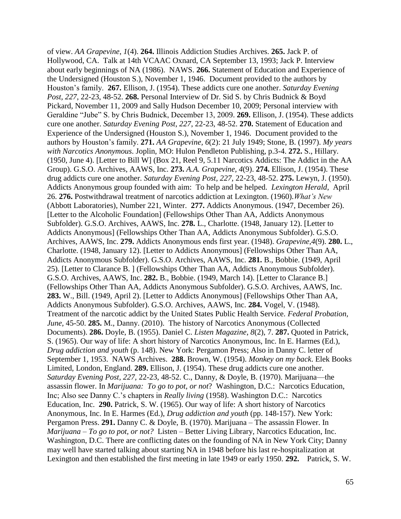of view. *AA Grapevine*, *1*(4). **264.** Illinois Addiction Studies Archives. **265.** Jack P. of Hollywood, CA. Talk at 14th VCAAC Oxnard, CA September 13, 1993; Jack P. Interview about early beginnings of NA (1986). NAWS. **266.** Statement of Education and Experience of the Undersigned (Houston S.), November 1, 1946. Document provided to the authors by Houston's family. **267.** Ellison, J. (1954). These addicts cure one another. *Saturday Evening Post, 227*, 22-23, 48-52. **268.** Personal Interview of Dr. Sid S. by Chris Budnick & Boyd Pickard, November 11, 2009 and Sally Hudson December 10, 2009; Personal interview with Geraldine "Jube" S. by Chris Budnick, December 13, 2009. **269.** Ellison, J. (1954). These addicts cure one another. *Saturday Evening Post*, *227*, 22-23, 48-52. **270.** Statement of Education and Experience of the Undersigned (Houston S.), November 1, 1946. Document provided to the authors by Houston's family. **271.** *AA Grapevine, 6*(2): 21 July 1949; Stone, B. (1997). *My years with Narcotics Anonymous*. Joplin, MO: Hulon Pendleton Publishing, p.3-4. **272.** S., Hillary. (1950, June 4). [Letter to Bill W] (Box 21, Reel 9, 5.11 Narcotics Addicts: The Addict in the AA Group). G.S.O. Archives, AAWS, Inc. **273.** *A.A. Grapevine, 4*(9). **274.** Ellison, J. (1954). These drug addicts cure one another. *Saturday Evening Post, 227,* 22-23, 48-52. **275.** Lewyn, J. (1950). Addicts Anonymous group founded with aim: To help and be helped. *Lexington Herald*, April 26. **276.** Postwithdrawal treatment of narcotics addiction at Lexington. (1960).*What's New*  (Abbott Laboratories), Number 221, Winter. **277.** Addicts Anonymous. (1947, December 26). [Letter to the Alcoholic Foundation] (Fellowships Other Than AA, Addicts Anonymous Subfolder). G.S.O. Archives, AAWS, Inc. **278.** L., Charlotte. (1948, January 12). [Letter to Addicts Anonymous] (Fellowships Other Than AA, Addicts Anonymous Subfolder). G.S.O. Archives, AAWS, Inc. **279.** Addicts Anonymous ends first year. (1948). *Grapevine,4*(9). **280.** L., Charlotte. (1948, January 12). [Letter to Addicts Anonymous] (Fellowships Other Than AA, Addicts Anonymous Subfolder). G.S.O. Archives, AAWS, Inc. **281.** B., Bobbie. (1949, April 25). [Letter to Clarance B. ] (Fellowships Other Than AA, Addicts Anonymous Subfolder). G.S.O. Archives, AAWS, Inc. **282.** B., Bobbie. (1949, March 14). [Letter to Clarance B.] (Fellowships Other Than AA, Addicts Anonymous Subfolder). G.S.O. Archives, AAWS, Inc. **283.** W., Bill. (1949, April 2). [Letter to Addicts Anonymous] (Fellowships Other Than AA, Addicts Anonymous Subfolder). G.S.O. Archives, AAWS, Inc. **284.** Vogel, V. (1948). Treatment of the narcotic addict by the United States Public Health Service. *Federal Probation, June,* 45-50. **285.** M., Danny. (2010). The history of Narcotics Anonymous (Collected Documents). **286.** Doyle, B. (1955). Daniel C. *Listen Magazine*, *8*(2), 7. **287.** Quoted in Patrick, S. (1965). Our way of life: A short history of Narcotics Anonymous, Inc. In E. Harmes (Ed.), *Drug addiction and youth* (p. 148). New York: Pergamon Press; Also in Danny C. letter of September 1, 1953. NAWS Archives. **288.** Brown, W. (1954). *Monkey on my back*. Elek Books Limited, London, England. **289.** Ellison, J. (1954). These drug addicts cure one another. *Saturday Evening Post, 227,* 22-23, 48-52. C., Danny, & Doyle, B. (1970). Marijuana—the assassin flower. In *Marijuana: To go to pot, or not*? Washington, D.C.: Narcotics Education, Inc; Also see Danny C.'s chapters in *Really living* (1958). Washington D.C.: Narcotics Education, Inc. **290.** Patrick, S. W. (1965). Our way of life: A short history of Narcotics Anonymous, Inc. In E. Harmes (Ed.), *Drug addiction and youth* (pp. 148-157). New York: Pergamon Press. **291.** Danny C. & Doyle, B. (1970). Marijuana – The assassin Flower. In *Marijuana – To go to pot, or not?* Listen – Better Living Library, Narcotics Education, Inc. Washington, D.C. There are conflicting dates on the founding of NA in New York City; Danny may well have started talking about starting NA in 1948 before his last re-hospitalization at Lexington and then established the first meeting in late 1949 or early 1950. **292.** Patrick, S. W.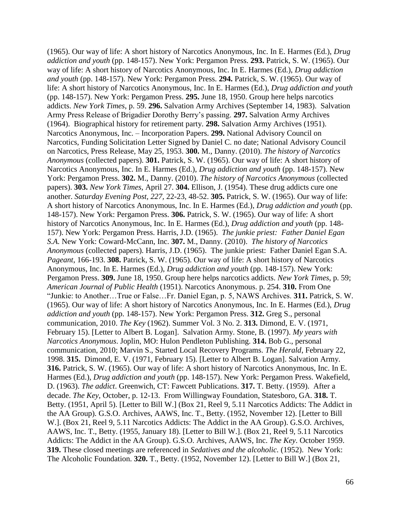(1965). Our way of life: A short history of Narcotics Anonymous, Inc. In E. Harmes (Ed.), *Drug addiction and youth* (pp. 148-157). New York: Pergamon Press. **293.** Patrick, S. W. (1965). Our way of life: A short history of Narcotics Anonymous, Inc. In E. Harmes (Ed.), *Drug addiction and youth* (pp. 148-157). New York: Pergamon Press. **294.** Patrick, S. W. (1965). Our way of life: A short history of Narcotics Anonymous, Inc. In E. Harmes (Ed.), *Drug addiction and youth* (pp. 148-157). New York: Pergamon Press. **295.** June 18, 1950. Group here helps narcotics addicts. *New York Times*, p. 59. **296.** Salvation Army Archives (September 14, 1983). Salvation Army Press Release of Brigadier Dorothy Berry's passing. **297.** Salvation Army Archives (1964). Biographical history for retirement party. **298.** Salvation Army Archives (1951). Narcotics Anonymous, Inc. – Incorporation Papers. **299.** National Advisory Council on Narcotics, Funding Solicitation Letter Signed by Daniel C. no date; National Advisory Council on Narcotics, Press Release, May 25, 1953. **300.** M., Danny. (2010). *The history of Narcotics Anonymous* (collected papers). **301.** Patrick, S. W. (1965). Our way of life: A short history of Narcotics Anonymous, Inc. In E. Harmes (Ed.), *Drug addiction and youth* (pp. 148-157). New York: Pergamon Press. **302.** M., Danny. (2010). *The history of Narcotics Anonymous* (collected papers). **303.** *New York Times*, April 27. **304.** Ellison, J. (1954). These drug addicts cure one another. *Saturday Evening Post, 227,* 22-23, 48-52. **305.** Patrick, S. W. (1965). Our way of life: A short history of Narcotics Anonymous, Inc. In E. Harmes (Ed.), *Drug addiction and youth* (pp. 148-157). New York: Pergamon Press. **306.** Patrick, S. W. (1965). Our way of life: A short history of Narcotics Anonymous, Inc. In E. Harmes (Ed.), *Drug addiction and youth* (pp. 148- 157). New York: Pergamon Press. Harris, J.D. (1965). *The junkie priest: Father Daniel Egan S.A.* New York: Coward-McCann, Inc. **307.** M., Danny. (2010). *The history of Narcotics Anonymous* (collected papers). Harris, J.D. (1965). The junkie priest: Father Daniel Egan S.A. *Pageant*, 166-193. **308.** Patrick, S. W. (1965). Our way of life: A short history of Narcotics Anonymous, Inc. In E. Harmes (Ed.), *Drug addiction and youth* (pp. 148-157). New York: Pergamon Press. **309.** June 18, 1950. Group here helps narcotics addicts. *New York Times*, p. 59; *American Journal of Public Health* (1951). Narcotics Anonymous. p. 254. **310.** From One "Junkie: to Another…True or False…Fr. Daniel Egan, p. 5, NAWS Archives. **311.** Patrick, S. W. (1965). Our way of life: A short history of Narcotics Anonymous, Inc. In E. Harmes (Ed.), *Drug addiction and youth* (pp. 148-157). New York: Pergamon Press. **312.** Greg S., personal communication, 2010. *The Key* (1962). Summer Vol. 3 No. 2. **313.** Dimond, E. V. (1971, February 15). [Letter to Albert B. Logan]. Salvation Army. Stone, B. (1997). *My years with Narcotics Anonymous*. Joplin, MO: Hulon Pendleton Publishing. **314.** Bob G., personal communication, 2010; Marvin S., Started Local Recovery Programs. *The Herald*, February 22, 1998. **315.** Dimond, E. V. (1971, February 15). [Letter to Albert B. Logan]. Salvation Army. **316.** Patrick, S. W. (1965). Our way of life: A short history of Narcotics Anonymous, Inc. In E. Harmes (Ed.), *Drug addiction and youth* (pp. 148-157). New York: Pergamon Press. Wakefield, D. (1963). *The addict*. Greenwich, CT: Fawcett Publications. **317.** T. Betty. (1959). After a decade. *The Key*, October, p. 12-13. From Willingway Foundation, Statesboro, GA. **318.** T. Betty. (1951, April 5). [Letter to Bill W.] (Box 21, Reel 9, 5.11 Narcotics Addicts: The Addict in the AA Group). G.S.O. Archives, AAWS, Inc. T., Betty. (1952, November 12). [Letter to Bill W.]. (Box 21, Reel 9, 5.11 Narcotics Addicts: The Addict in the AA Group). G.S.O. Archives, AAWS, Inc. T., Betty. (1955, January 18). [Letter to Bill W.]. (Box 21, Reel 9, 5.11 Narcotics Addicts: The Addict in the AA Group). G.S.O. Archives, AAWS, Inc. *The Key*. October 1959. **319.** These closed meetings are referenced in *Sedatives and the alcoholic.* (1952). New York: The Alcoholic Foundation. **320.** T., Betty. (1952, November 12). [Letter to Bill W.] (Box 21,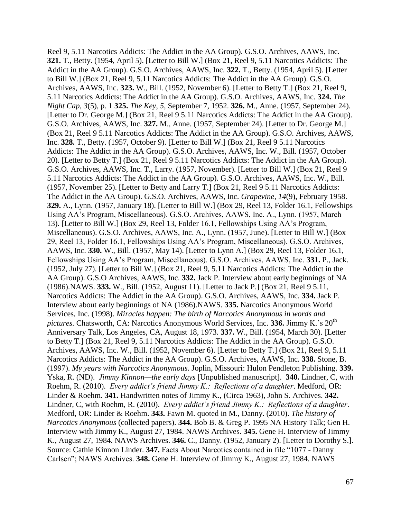Reel 9, 5.11 Narcotics Addicts: The Addict in the AA Group). G.S.O. Archives, AAWS, Inc. **321.** T., Betty. (1954, April 5). [Letter to Bill W.] (Box 21, Reel 9, 5.11 Narcotics Addicts: The Addict in the AA Group). G.S.O. Archives, AAWS, Inc. **322.** T., Betty. (1954, April 5). [Letter to Bill W.] (Box 21, Reel 9, 5.11 Narcotics Addicts: The Addict in the AA Group). G.S.O. Archives, AAWS, Inc. **323.** W., Bill. (1952, November 6). [Letter to Betty T.] (Box 21, Reel 9, 5.11 Narcotics Addicts: The Addict in the AA Group). G.S.O. Archives, AAWS, Inc. **324.** *The Night Cap, 3*(5), p. 1 **325.** *The Key*, *5*, September 7, 1952. **326.** M., Anne. (1957, September 24). [Letter to Dr. George M.] (Box 21, Reel 9 5.11 Narcotics Addicts: The Addict in the AA Group). G.S.O. Archives, AAWS, Inc. **327.** M., Anne. (1957, September 24). [Letter to Dr. George M.] (Box 21, Reel 9 5.11 Narcotics Addicts: The Addict in the AA Group). G.S.O. Archives, AAWS, Inc. **328.** T., Betty. (1957, October 9). [Letter to Bill W.] (Box 21, Reel 9 5.11 Narcotics Addicts: The Addict in the AA Group). G.S.O. Archives, AAWS, Inc. W., Bill. (1957, October 20). [Letter to Betty T.] (Box 21, Reel 9 5.11 Narcotics Addicts: The Addict in the AA Group). G.S.O. Archives, AAWS, Inc. T., Larry. (1957, November). [Letter to Bill W.] (Box 21, Reel 9 5.11 Narcotics Addicts: The Addict in the AA Group). G.S.O. Archives, AAWS, Inc. W., Bill. (1957, November 25). [Letter to Betty and Larry T.] (Box 21, Reel 9 5.11 Narcotics Addicts: The Addict in the AA Group). G.S.O. Archives, AAWS, Inc. *Grapevine, 14*(9), February 1958. **329.** A., Lynn. (1957, January 18). [Letter to Bill W.] (Box 29, Reel 13, Folder 16.1, Fellowships Using AA's Program, Miscellaneous). G.S.O. Archives, AAWS, Inc. A., Lynn. (1957, March 13). [Letter to Bill W.] (Box 29, Reel 13, Folder 16.1, Fellowships Using AA's Program, Miscellaneous). G.S.O. Archives, AAWS, Inc. A., Lynn. (1957, June). [Letter to Bill W.] (Box 29, Reel 13, Folder 16.1, Fellowships Using AA's Program, Miscellaneous). G.S.O. Archives, AAWS, Inc. **330.** W., Bill. (1957, May 14). [Letter to Lynn A.] (Box 29, Reel 13, Folder 16.1, Fellowships Using AA's Program, Miscellaneous). G.S.O. Archives, AAWS, Inc. **331.** P., Jack. (1952, July 27). [Letter to Bill W.] (Box 21, Reel 9, 5.11 Narcotics Addicts: The Addict in the AA Group). G.S.O Archives, AAWS, Inc. **332.** Jack P. Interview about early beginnings of NA (1986).NAWS. **333.** W., Bill. (1952, August 11). [Letter to Jack P.] (Box 21, Reel 9 5.11, Narcotics Addicts: The Addict in the AA Group). G.S.O. Archives, AAWS, Inc. **334.** Jack P. Interview about early beginnings of NA (1986).NAWS. **335.** Narcotics Anonymous World Services, Inc. (1998). *Miracles happen: The birth of Narcotics Anonymous in words and pictures.* Chatsworth, CA: Narcotics Anonymous World Services, Inc. 336. Jimmy K.'s 20<sup>th</sup> Anniversary Talk, Los Angeles, CA, August 18, 1973. **337.** W., Bill. (1954, March 30). [Letter to Betty T.] (Box 21, Reel 9, 5.11 Narcotics Addicts: The Addict in the AA Group). G.S.O. Archives, AAWS, Inc. W., Bill. (1952, November 6). [Letter to Betty T.] (Box 21, Reel 9, 5.11 Narcotics Addicts: The Addict in the AA Group). G.S.O. Archives, AAWS, Inc. **338.** Stone, B. (1997). *My years with Narcotics Anonymous*. Joplin, Missouri: Hulon Pendleton Publishing. **339.** Yska, R. (ND). *Jimmy Kinnon—the early days* [Unpublished manuscript]. **340.** Lindner, C, with Roehm, R. (2010). *Every addict's friend Jimmy K.: Reflections of a daughter*. Medford, OR: Linder & Roehm. **341.** Handwritten notes of Jimmy K., (Circa 1963), John S. Archives. **342.** Lindner, C, with Roehm, R. (2010). *Every addict's friend Jimmy K.: Reflections of a daughter*. Medford, OR: Linder & Roehm. **343.** Fawn M. quoted in M., Danny. (2010). *The history of Narcotics Anonymous* (collected papers). **344.** Bob B. & Greg P. 1995 NA History Talk; Gen H. Interview with Jimmy K., August 27, 1984. NAWS Archives. **345.** Gene H. Interview of Jimmy K., August 27, 1984. NAWS Archives. **346.** C., Danny. (1952, January 2). [Letter to Dorothy S.]. Source: Cathie Kinnon Linder. **347.** Facts About Narcotics contained in file "1077 - Danny Carlsen"; NAWS Archives. **348.** Gene H. Interview of Jimmy K., August 27, 1984. NAWS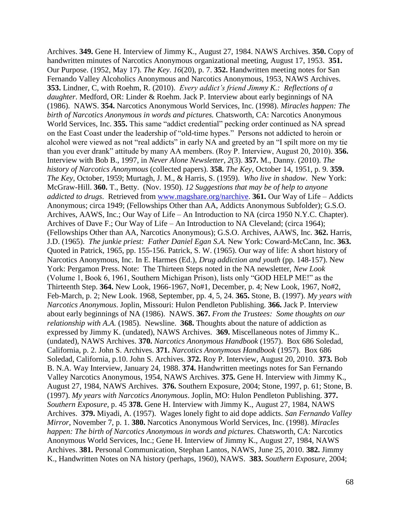Archives. **349.** Gene H. Interview of Jimmy K., August 27, 1984. NAWS Archives. **350.** Copy of handwritten minutes of Narcotics Anonymous organizational meeting, August 17, 1953. **351.** Our Purpose. (1952, May 17). *The Key*. *16*(20), p. 7. **352.** Handwritten meeting notes for San Fernando Valley Alcoholics Anonymous and Narcotics Anonymous, 1953, NAWS Archives. **353.** Lindner, C, with Roehm, R. (2010). *Every addict's friend Jimmy K.: Reflections of a daughter*. Medford, OR: Linder & Roehm. Jack P. Interview about early beginnings of NA (1986). NAWS. **354.** Narcotics Anonymous World Services, Inc. (1998). *Miracles happen: The birth of Narcotics Anonymous in words and pictures.* Chatsworth, CA: Narcotics Anonymous World Services, Inc. **355.** This same "addict credential" pecking order continued as NA spread on the East Coast under the leadership of "old-time hypes." Persons not addicted to heroin or alcohol were viewed as not "real addicts" in early NA and greeted by an "I spilt more on my tie than you ever drank" attitude by many AA members. (Roy P. Interview, August 20, 2010). **356.** Interview with Bob B., 1997, in *Never Alone Newsletter*, *2*(3). **357.** M., Danny. (2010). *The history of Narcotics Anonymous* (collected papers). **358.** *The Key*, October 14, 1951, p. 9. **359.** *The Key*, October, 1959; Murtagh, J. M., & Harris, S. (1959). *Who live in shadow*. New York: McGraw-Hill. **360.** T., Betty. (Nov. 1950). *12 Suggestions that may be of help to anyone addicted to drugs*. Retrieved from [www.magshare.org/narchive.](http://www.magshare.org/narchive) **361.** Our Way of Life – Addicts Anonymous; circa 1949; (Fellowships Other than AA, Addicts Anonymous Subfolder); G.S.O. Archives, AAWS, Inc.; Our Way of Life – An Introduction to NA (circa 1950 N.Y.C. Chapter). Archives of Dave F.; Our Way of Life – An Introduction to NA Cleveland; (circa 1964); (Fellowships Other than AA, Narcotics Anonymous); G.S.O. Archives, AAWS, Inc. **362.** Harris, J.D. (1965). *The junkie priest: Father Daniel Egan S.A.* New York: Coward-McCann, Inc. **363.** Quoted in Patrick, 1965, pp. 155-156. Patrick, S. W. (1965). Our way of life: A short history of Narcotics Anonymous, Inc. In E. Harmes (Ed.), *Drug addiction and youth* (pp. 148-157). New York: Pergamon Press. Note: The Thirteen Steps noted in the NA newsletter, *New Look* (Volume 1, Book 6, 1961, Southern Michigan Prison), lists only "GOD HELP ME!" as the Thirteenth Step. **364.** New Look, 1966-1967, No#1, December, p. 4; New Look, 1967, No#2, Feb-March, p. 2; New Look. 1968, September, pp. 4, 5, 24. **365.** Stone, B. (1997). *My years with Narcotics Anonymous*. Joplin, Missouri: Hulon Pendleton Publishing. **366.** Jack P. Interview about early beginnings of NA (1986). NAWS. **367.** *From the Trustees: Some thoughts on our relationship with A.A.* (1985). Newsline. **368.** Thoughts about the nature of addiction as expressed by Jimmy K. (undated), NAWS Archives. **369.** Miscellaneous notes of Jimmy K.. (undated), NAWS Archives. **370.** *Narcotics Anonymous Handbook* (1957). Box 686 Soledad, California, p. 2. John S. Archives. **371.** *Narcotics Anonymous Handbook* (1957). Box 686 Soledad, California, p.10. John S. Archives. **372.** Roy P. Interview, August 20, 2010. **373.** Bob B. N.A. Way Interview, January 24, 1988. **374.** Handwritten meetings notes for San Fernando Valley Narcotics Anonymous, 1954, NAWS Archives. **375.** Gene H. Interview with Jimmy K., August 27, 1984, NAWS Archives. **376.** Southern Exposure, 2004; Stone, 1997, p. 61; Stone, B. (1997). *My years with Narcotics Anonymous*. Joplin, MO: Hulon Pendleton Publishing. **377.** *Southern Exposure*, p. 45 **378.** Gene H. Interview with Jimmy K., August 27, 1984, NAWS Archives. **379.** Miyadi, A. (1957). Wages lonely fight to aid dope addicts. *San Fernando Valley Mirror*, November 7, p. 1. **380.** Narcotics Anonymous World Services, Inc. (1998). *Miracles happen: The birth of Narcotics Anonymous in words and pictures. Chatsworth, CA: Narcotics* Anonymous World Services, Inc.; Gene H. Interview of Jimmy K., August 27, 1984, NAWS Archives. **381.** Personal Communication, Stephan Lantos, NAWS, June 25, 2010. **382.** Jimmy K., Handwritten Notes on NA history (perhaps, 1960), NAWS. **383.** *Southern Exposure*, 2004;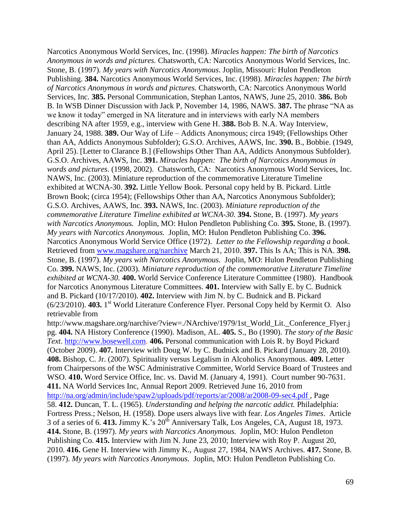Narcotics Anonymous World Services, Inc. (1998). *Miracles happen: The birth of Narcotics Anonymous in words and pictures.* Chatsworth, CA: Narcotics Anonymous World Services, Inc. Stone, B. (1997). *My years with Narcotics Anonymous*. Joplin, Missouri: Hulon Pendleton Publishing. **384.** Narcotics Anonymous World Services, Inc. (1998). *Miracles happen: The birth of Narcotics Anonymous in words and pictures.* Chatsworth, CA: Narcotics Anonymous World Services, Inc. **385.** Personal Communication, Stephan Lantos, NAWS, June 25, 2010. **386.** Bob B. In WSB Dinner Discussion with Jack P, November 14, 1986, NAWS. **387.** The phrase "NA as we know it today" emerged in NA literature and in interviews with early NA members describing NA after 1959, e.g., interview with Gene H. **388.** Bob B. N.A. Way Interview, January 24, 1988. **389.** Our Way of Life – Addicts Anonymous; circa 1949; (Fellowships Other than AA, Addicts Anonymous Subfolder); G.S.O. Archives, AAWS, Inc. **390.** B., Bobbie. (1949, April 25). [Letter to Clarance B.] (Fellowships Other Than AA, Addicts Anonymous Subfolder). G.S.O. Archives, AAWS, Inc. **391.** *Miracles happen: The birth of Narcotics Anonymous in words and pictures*. (1998, 2002). Chatsworth, CA: Narcotics Anonymous World Services, Inc. NAWS, Inc. (2003). Miniature reproduction of the commemorative Literature Timeline exhibited at WCNA-30. **392.** Little Yellow Book. Personal copy held by B. Pickard. Little Brown Book; (circa 1954); (Fellowships Other than AA, Narcotics Anonymous Subfolder); G.S.O. Archives, AAWS, Inc. **393.** NAWS, Inc. (2003). *Miniature reproduction of the commemorative Literature Timeline exhibited at WCNA-30.* **394.** Stone, B. (1997). *My years with Narcotics Anonymous.* Joplin, MO: Hulon Pendleton Publishing Co. **395.** Stone, B. (1997). *My years with Narcotics Anonymous.* Joplin, MO: Hulon Pendleton Publishing Co. **396.** Narcotics Anonymous World Service Office (1972). *Letter to the Fellowship regarding a book*. Retrieved from [www.magshare.org/narchive](http://www.magshare.org/narchive) March 21, 2010. **397.** This Is AA; This is NA. **398.**  Stone, B. (1997). *My years with Narcotics Anonymous.* Joplin, MO: Hulon Pendleton Publishing Co. **399.** NAWS, Inc. (2003). *Miniature reproduction of the commemorative Literature Timeline exhibited at WCNA-30.* **400.** World Service Conference Literature Committee (1980). Handbook for Narcotics Anonymous Literature Committees. **401.** Interview with Sally E. by C. Budnick and B. Pickard (10/17/2010). **402.** Interview with Jim N. by C. Budnick and B. Pickard (6/23/2010). **403.** 1 st World Literature Conference Flyer. Personal Copy held by Kermit O. Also retrievable from http://www.magshare.org/narchive/?view=./NArchive/1979/1st\_World\_Lit.\_Conference\_Flyer.j pg. **404.** NA History Conference (1990). Madison, AL. **405.** S., Bo (1990). *The story of the Basic Text*. [http://www.bosewell.com.](http://www.bosewell.com/) **406.** Personal communication with Lois R. by Boyd Pickard (October 2009). **407.** Interview with Doug W. by C. Budnick and B. Pickard (January 28, 2010). **408.** Bishop, C. Jr. (2007). Spirituality versus Legalism in Alcoholics Anonymous. **409.** Letter from Chairpersons of the WSC Administrative Committee, World Service Board of Trustees and

WSO. **410.** Word Service Office, Inc. vs. David M. (January 4, 1991). Court number 90-7631. **411.** NA World Services Inc, Annual Report 2009. Retrieved June 16, 2010 from <http://na.org/admin/include/spaw2/uploads/pdf/reports/ar/2008/ar2008-09-sec4.pdf> , Page 58. **412.** Duncan, T. L. (1965). *Understanding and helping the narcotic addict.* Philadelphia: Fortress Press.; Nelson, H. (1958). Dope users always live with fear. *Los Angeles Times*. Article 3 of a series of 6. **413.** Jimmy K.'s 20th Anniversary Talk, Los Angeles, CA, August 18, 1973. **414.** Stone, B. (1997). *My years with Narcotics Anonymous.* Joplin, MO: Hulon Pendleton Publishing Co. **415.** Interview with Jim N. June 23, 2010; Interview with Roy P. August 20, 2010. **416.** Gene H. Interview with Jimmy K., August 27, 1984, NAWS Archives. **417.** Stone, B. (1997). *My years with Narcotics Anonymous.* Joplin, MO: Hulon Pendleton Publishing Co.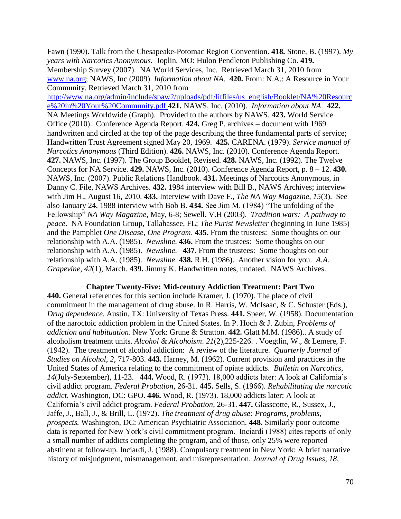Fawn (1990). Talk from the Chesapeake-Potomac Region Convention. **418.** Stone, B. (1997). *My years with Narcotics Anonymous.* Joplin, MO: Hulon Pendleton Publishing Co. **419.** Membership Survey (2007). NA World Services, Inc. Retrieved March 31, 2010 from [www.na.org;](http://www.na.org/) NAWS, Inc (2009). *Information about NA*. **420.** From: N.A.: A Resource in Your Community. Retrieved March 31, 2010 from

[http://www.na.org/admin/include/spaw2/uploads/pdf/litfiles/us\\_english/Booklet/NA%20Resourc](http://www.na.org/admin/include/spaw2/uploads/pdf/litfiles/us_english/Booklet/NA%20Resource%20in%20Your%20Community.pdf) [e%20in%20Your%20Community.pdf](http://www.na.org/admin/include/spaw2/uploads/pdf/litfiles/us_english/Booklet/NA%20Resource%20in%20Your%20Community.pdf) **421.** NAWS, Inc. (2010). *Information about NA*. **422.** NA Meetings Worldwide (Graph). Provided to the authors by NAWS. **423.** World Service Office (2010). Conference Agenda Report. **424.** Greg P. archives – document with 1969 handwritten and circled at the top of the page describing the three fundamental parts of service; Handwritten Trust Agreement signed May 20, 1969. **425.** CARENA. (1979). *Service manual of Narcotics Anonymous* (Third Edition). **426.** NAWS, Inc. (2010). Conference Agenda Report. **427.** NAWS, Inc. (1997). The Group Booklet, Revised. **428.** NAWS, Inc. (1992). The Twelve Concepts for NA Service. **429.** NAWS, Inc. (2010). Conference Agenda Report, p. 8 – 12. **430.** NAWS, Inc. (2007). Public Relations Handbook. **431.** Meetings of Narcotics Anonymous, in Danny C. File, NAWS Archives. **432.** 1984 interview with Bill B., NAWS Archives; interview with Jim H., August 16, 2010. **433.** Interview with Dave F., *The NA Way Magazine, 15*(3). See also January 24, 1988 interview with Bob B. **434.** See Jim M. (1984) "The unfolding of the Fellowship" *NA Way Magazine*, May, 6-8; Sewell. V.H (2003). *Tradition wars: A pathway to peace*. NA Foundation Group, Tallahassee, FL; *The Purist Newsletter* (beginning in June 1985) and the Pamphlet *One Disease, One Program*. **435.** From the trustees: Some thoughts on our relationship with A.A. (1985). *Newsline*. **436.** From the trustees: Some thoughts on our relationship with A.A. (1985). *Newsline*. **437.** From the trustees: Some thoughts on our relationship with A.A. (1985). *Newsline*. **438.** R.H. (1986). Another vision for you. *A.A. Grapevine, 42*(1), March. **439.** Jimmy K. Handwritten notes, undated. NAWS Archives.

### **Chapter Twenty-Five: Mid-century Addiction Treatment: Part Two**

**440.** General references for this section include Kramer, J. (1970). The place of civil commitment in the management of drug abuse. In R. Harris, W. McIsaac, & C. Schuster (Eds.), *Drug dependence*. Austin, TX: University of Texas Press. **441.** Speer, W. (1958). Documentation of the naroctoic addiction problem in the United States. In P. Hoch & J. Zubin, *Problems of addiction and habituation*. New York: Grune & Stratton. **442.** Glatt M.M. (1986).. A study of alcoholism treatment units. *Alcohol & Alcohoism*. *21*(2),225-226. . Voegtlin, W., & Lemere, F. (1942). The treatment of alcohol addiction: A review of the literature. *Quarterly Journal of Studies on Alcohol*, *2,* 717-803. **443.** Harney, M. (1962). Current provision and practices in the United States of America relating to the commitment of opiate addicts. *Bulletin on Narcotics*, *14*(July-September), 11-23. **444.** Wood, R. (1973). 18,000 addicts later: A look at California's civil addict program. *Federal Probation*, 26-31. **445.** Sells, S. (1966). *Rehabilitating the narcotic addict*. Washington, DC: GPO. **446.** Wood, R. (1973). 18,000 addicts later: A look at California's civil addict program. *Federal Probation*, 26-31. **447.** Glasscotte, R., Sussex, J., Jaffe, J., Ball, J., & Brill, L. (1972). *The treatment of drug abuse: Programs, problems, prospects.* Washington, DC: American Psychiatric Association. **448.** Similarly poor outcome data is reported for New York's civil commitment program. Inciardi (1988) cites reports of only a small number of addicts completing the program, and of those, only 25% were reported abstinent at follow-up. Inciardi, J. (1988). Compulsory treatment in New York: A brief narrative history of misjudgment, mismanagement, and misrepresentation. *Journal of Drug Issues, 18*,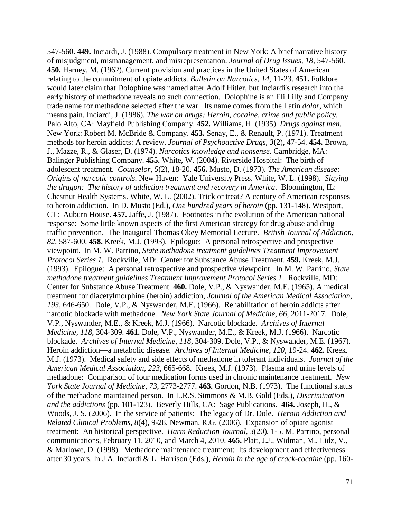547-560. **449.** Inciardi, J. (1988). Compulsory treatment in New York: A brief narrative history of misjudgment, mismanagement, and misrepresentation. *Journal of Drug Issues, 18*, 547-560. **450.** Harney, M. (1962). Current provision and practices in the United States of American relating to the commitment of opiate addicts. *Bulletin on Narcotics, 14*, 11-23. **451.** Folklore would later claim that Dolophine was named after Adolf Hitler, but Inciardi's research into the early history of methadone reveals no such connection. Dolophine is an Eli Lilly and Company trade name for methadone selected after the war. Its name comes from the Latin *dolor,* which means pain. Inciardi, J. (1986). *The war on drugs: Heroin, cocaine, crime and public policy.*  Palo Alto, CA: Mayfield Publishing Company. **452.** Williams, H. (1935). *Drugs against men.*  New York: Robert M. McBride & Company. **453.** Senay, E., & Renault, P. (1971). Treatment methods for heroin addicts: A review. *Journal of Psychoactive Drugs, 3*(2), 47-54. **454.** Brown, J., Mazze, R., & Glaser, D. (1974). *Narcotics knowledge and nonsense*. Cambridge, MA: Balinger Publishing Company. **455.** White, W. (2004). Riverside Hospital: The birth of adolescent treatment. *Counselor*, *5*(2), 18-20. **456.** Musto, D. (1973). *The American disease: Origins of narcotic controls.* New Haven: Yale University Press. White, W. L. (1998). *Slaying the dragon: The history of addiction treatment and recovery in America*. Bloomington, IL: Chestnut Health Systems. White, W. L. (2002). Trick or treat? A century of American responses to heroin addiction. In D. Musto (Ed.), *One hundred years of heroin* (pp. 131-148). Westport, CT: Auburn House. **457.** Jaffe, J. (1987). Footnotes in the evolution of the American national response: Some little known aspects of the first American strategy for drug abuse and drug traffic prevention. The Inaugural Thomas Okey Memorial Lecture. *British Journal of Addiction*, *82*, 587-600. **458.** Kreek, M.J. (1993). Epilogue: A personal retrospective and prospective viewpoint. In M. W. Parrino, *State methadone treatment guidelines Treatment Improvement Protocol Series 1*. Rockville, MD: Center for Substance Abuse Treatment. **459.** Kreek, M.J. (1993). Epilogue: A personal retrospective and prospective viewpoint. In M. W. Parrino, *State methadone treatment guidelines Treatment Improvement Protocol Series 1*. Rockville, MD: Center for Substance Abuse Treatment. **460.** Dole, V.P., & Nyswander, M.E. (1965). A medical treatment for diacetylmorphine (heroin) addiction, *Journal of the American Medical Association*, *193*, 646-650. Dole, V.P., & Nyswander, M.E. (1966). Rehabilitation of heroin addicts after narcotic blockade with methadone. *New York State Journal of Medicine*, *66*, 2011-2017. Dole, V.P., Nyswander, M.E., & Kreek, M.J. (1966). Narcotic blockade. *Archives of Internal Medicine, 118*, 304-309. **461.** Dole, V.P., Nyswander, M.E., & Kreek, M.J. (1966). Narcotic blockade. *Archives of Internal Medicine*, *118*, 304-309. Dole, V.P., & Nyswander, M.E. (1967). Heroin addiction—a metabolic disease. *Archives of Internal Medicine*, *120*, 19-24. **462.** Kreek. M.J. (1973). Medical safety and side effects of methadone in tolerant individuals. *Journal of the American Medical Association*, *223*, 665-668. Kreek, M.J. (1973). Plasma and urine levels of methadone: Comparison of four medication forms used in chronic maintenance treatment. *New York State Journal of Medicine*, *73*, 2773-2777. **463.** Gordon, N.B. (1973). The functional status of the methadone maintained person. In L.R.S. Simmons & M.B. Gold (Eds.), *Discrimination and the addictions* (pp. 101-123). Beverly Hills, CA: Sage Publications. **464.** Joseph, H., & Woods, J. S. (2006). In the service of patients: The legacy of Dr. Dole. *Heroin Addiction and Related Clinical Problems*, *8*(4), 9-28. Newman, R.G. (2006). Expansion of opiate agonist treatment: An historical perspective. *Harm Reduction Journal, 3*(20), 1-5. M. Parrino, personal communications, February 11, 2010, and March 4, 2010. **465.** Platt, J.J., Widman, M., Lidz, V., & Marlowe, D. (1998). Methadone maintenance treatment: Its development and effectiveness after 30 years. In J.A. Inciardi & L. Harrison (Eds.), *Heroin in the age of crack-cocaine* (pp. 160-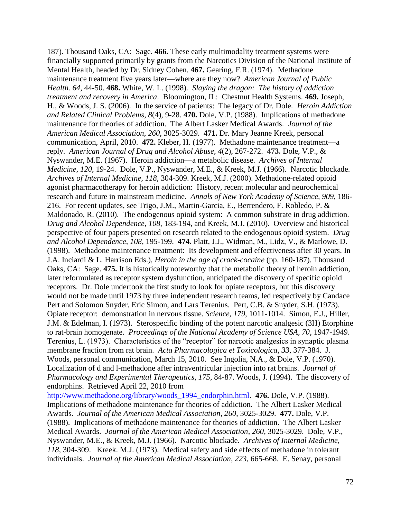187). Thousand Oaks, CA: Sage. **466.** These early multimodality treatment systems were financially supported primarily by grants from the Narcotics Division of the National Institute of Mental Health, headed by Dr. Sidney Cohen. **467.** Gearing, F.R. (1974). Methadone maintenance treatment five years later—where are they now? *American Journal of Public Health. 64*, 44-50. **468.** White, W. L. (1998). *Slaying the dragon: The history of addiction treatment and recovery in America*. Bloomington, IL: Chestnut Health Systems. **469.** Joseph, H., & Woods, J. S. (2006). In the service of patients: The legacy of Dr. Dole. *Heroin Addiction and Related Clinical Problems*, *8*(4), 9-28. **470.** Dole, V.P. (1988). Implications of methadone maintenance for theories of addiction. The Albert Lasker Medical Awards. *Journal of the American Medical Association*, *260*, 3025-3029. **471.** Dr. Mary Jeanne Kreek, personal communication, April, 2010. **472.** Kleber, H. (1977). Methadone maintenance treatment—a reply. *American Journal of Drug and Alcohol Abuse*, *4*(2), 267-272. **473.** Dole, V.P., & Nyswander, M.E. (1967). Heroin addiction—a metabolic disease. *Archives of Internal Medicine*, *120*, 19-24. Dole, V.P., Nyswander, M.E., & Kreek, M.J. (1966). Narcotic blockade. *Archives of Internal Medicine, 118*, 304-309. Kreek, M.J. (2000). Methadone-related opioid agonist pharmacotherapy for heroin addiction: History, recent molecular and neurochemical research and future in mainstream medicine. *Annals of New York Academy of Science, 909*, 186- 216. For recent updates, see Trigo, J.M., Martin-Garcia, E., Berrendero, F. Robledo, P. & Maldonado, R. (2010). The endogenous opioid system: A common substrate in drug addiction. *Drug and Alcohol Dependence*, *108*, 183-194, and Kreek, M.J. (2010). Overview and historical perspective of four papers presented on research related to the endogenous opioid system. *Drug and Alcohol Dependence*, *108*, 195-199. **474.** Platt, J.J., Widman, M., Lidz, V., & Marlowe, D. (1998). Methadone maintenance treatment: Its development and effectiveness after 30 years. In J.A. Inciardi & L. Harrison Eds.), *Heroin in the age of crack-cocaine* (pp. 160-187)*.* Thousand Oaks, CA: Sage. **475.** It is historically noteworthy that the metabolic theory of heroin addiction, later reformulated as receptor system dysfunction, anticipated the discovery of specific opioid receptors. Dr. Dole undertook the first study to look for opiate receptors, but this discovery would not be made until 1973 by three independent research teams, led respectively by Candace Pert and Solomon Snyder, Eric Simon, and Lars Terenius. Pert, C.B. & Snyder, S.H. (1973). Opiate receptor: demonstration in nervous tissue. *Science*, *179*, 1011-1014. Simon, E.J., Hiller, J.M. & Edelman, I. (1973). Sterospecific binding of the potent narcotic analgesic (3H) Etorphine to rat-brain homogenate. *Proceedings of the National Academy of Science USA, 70*, 1947-1949. Terenius, L. (1973). Characteristics of the "receptor" for narcotic analgesics in synaptic plasma membrane fraction from rat brain. *Acta Pharmacologica et Toxicologica*, *33*, 377-384. J. Woods, personal communication, March 15, 2010. See Ingolia, N.A., & Dole, V.P. (1970). Localization of d and l-methadone after intraventricular injection into rat brains. *Journal of Pharmacology and Experimental Therapeutics*, *175*, 84-87. Woods, J. (1994). The discovery of endorphins. Retrieved April 22, 2010 from [http://www.methadone.org/library/woods\\_1994\\_endorphin.html.](http://www.methadone.org/library/woods_1994_endorphin.html) **476.** Dole, V.P. (1988). Implications of methadone maintenance for theories of addiction. The Albert Lasker Medical Awards. *Journal of the American Medical Association*, *260*, 3025-3029. **477.** Dole, V.P. (1988). Implications of methadone maintenance for theories of addiction. The Albert Lasker Medical Awards. *Journal of the American Medical Association*, *260,* 3025-3029. Dole, V.P.,

Nyswander, M.E., & Kreek, M.J. (1966). Narcotic blockade. *Archives of Internal Medicine*, *118*, 304-309. Kreek. M.J. (1973). Medical safety and side effects of methadone in tolerant individuals. *Journal of the American Medical Association*, *223*, 665-668. E. Senay, personal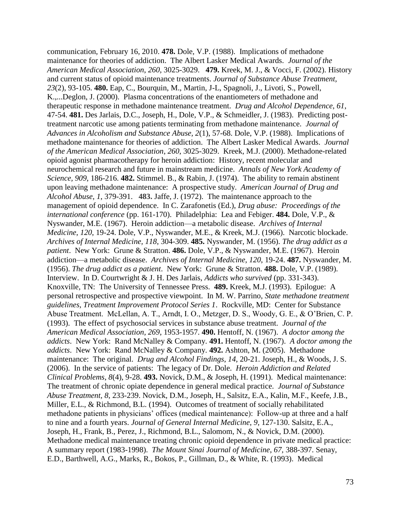communication, February 16, 2010. **478.** Dole, V.P. (1988). Implications of methadone maintenance for theories of addiction. The Albert Lasker Medical Awards. *Journal of the American Medical Association*, *260,* 3025-3029. **479.** Kreek, M. J., & Vocci, F. (2002). History and current status of opioid maintenance treatments. *Journal of Substance Abuse Treatment, 23*(2), 93-105. **480.** Eap, C., Bourquin, M., Martin, J-L, Spagnoli, J., Livoti, S., Powell, K.,...Deglon, J. (2000). Plasma concentrations of the enantiometers of methadone and therapeutic response in methadone maintenance treatment. *Drug and Alcohol Dependence*, *61*, 47-54. **481.** Des Jarlais, D.C., Joseph, H., Dole, V.P., & Schmeidler, J. (1983). Predicting posttreatment narcotic use among patients terminating from methadone maintenance. *Journal of Advances in Alcoholism and Substance Abuse, 2*(1), 57-68. Dole, V.P. (1988). Implications of methadone maintenance for theories of addiction. The Albert Lasker Medical Awards. *Journal of the American Medical Association*, *260*, 3025-3029. Kreek, M.J. (2000). Methadone-related opioid agonist pharmacotherapy for heroin addiction: History, recent molecular and neurochemical research and future in mainstream medicine. *Annals of New York Academy of Science, 909*, 186-216. **482.** Stimmel. B., & Rabin, J. (1974). The ability to remain abstinent upon leaving methadone maintenance: A prospective study. *American Journal of Drug and Alcohol Abuse*, *1*, 379-391. **483.** Jaffe, J. (1972). The maintenance approach to the management of opioid dependence. In C. Zarafonetis (Ed.), *Drug abuse: Proceedings of the international conference* (pp. 161-170). Philadelphia: Lea and Febiger. **484.** Dole, V.P., & Nyswander, M.E. (1967). Heroin addiction—a metabolic disease. *Archives of Internal Medicine*, *120*, 19-24. Dole, V.P., Nyswander, M.E., & Kreek, M.J. (1966). Narcotic blockade. *Archives of Internal Medicine, 118*, 304-309. **485.** Nyswander, M. (1956). *The drug addict as a patient*. New York: Grune & Stratton. **486.** Dole, V.P., & Nyswander, M.E. (1967). Heroin addiction—a metabolic disease. *Archives of Internal Medicine*, *120*, 19-24. **487.** Nyswander, M. (1956). *The drug addict as a patient*. New York: Grune & Stratton. **488.** Dole, V.P. (1989). Interview. In D. Courtwright & J. H. Des Jarlais, *Addicts who survived* (pp. 331-343). Knoxville, TN: The University of Tennessee Press. **489.** Kreek, M.J. (1993). Epilogue: A personal retrospective and prospective viewpoint. In M. W. Parrino, *State methadone treatment guidelines, Treatment Improvement Protocol Series 1*. Rockville, MD: Center for Substance Abuse Treatment. McLellan, A. T., Arndt, I. O., Metzger, D. S., Woody, G. E., & O'Brien, C. P. (1993). The effect of psychosocial services in substance abuse treatment. *Journal of the American Medical Association, 269*, 1953-1957. **490.** Hentoff, N. (1967). *A doctor among the addicts*. New York: Rand McNalley & Company. **491.** Hentoff, N. (1967). *A doctor among the addicts*. New York: Rand McNalley & Company. **492.** Ashton, M. (2005). Methadone maintenance: The original. *Drug and Alcohol Findings*, *14*, 20-21. Joseph, H., & Woods, J. S. (2006). In the service of patients: The legacy of Dr. Dole. *Heroin Addiction and Related Clinical Problems*, *8*(4), 9-28. **493.** Novick, D.M., & Joseph, H. (1991). Medical maintenance: The treatment of chronic opiate dependence in general medical practice. *Journal of Substance Abuse Treatment, 8*, 233-239. Novick, D.M., Joseph, H., Salsitz, E.A., Kalin, M.F., Keefe, J.B., Miller, E.L., & Richmond, B.L. (1994). Outcomes of treatment of socially rehabilitated methadone patients in physicians' offices (medical maintenance): Follow-up at three and a half to nine and a fourth years. *Journal of General Internal Medicine*, *9*, 127-130. Salsitz, E.A., Joseph, H., Frank, B., Perez, J., Richmond, B.L., Salomom, N., & Novick, D.M. (2000). Methadone medical maintenance treating chronic opioid dependence in private medical practice: A summary report (1983-1998). *The Mount Sinai Journal of Medicine*, *67,* 388-397. Senay, E.D., Barthwell, A.G., Marks, R., Bokos, P., Gillman, D., & White, R. (1993). Medical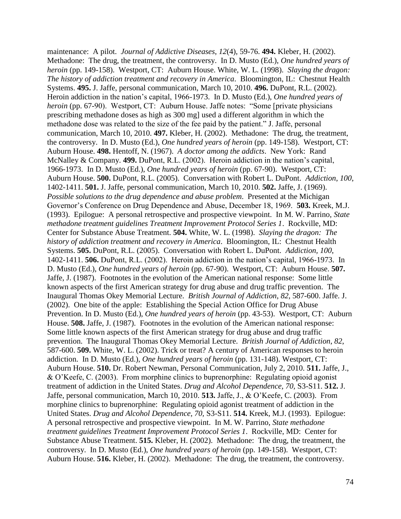maintenance: A pilot. *Journal of Addictive Diseases*, *12*(4), 59-76. **494.** Kleber, H. (2002). Methadone: The drug, the treatment, the controversy. In D. Musto (Ed.), *One hundred years of heroin* (pp. 149-158). Westport, CT: Auburn House. White, W. L. (1998). *Slaying the dragon: The history of addiction treatment and recovery in America*. Bloomington, IL: Chestnut Health Systems. **495.** J. Jaffe, personal communication, March 10, 2010. **496.** DuPont, R.L. (2002). Heroin addiction in the nation's capital, 1966-1973. In D. Musto (Ed.), *One hundred years of heroin* (pp. 67-90). Westport, CT: Auburn House. Jaffe notes: "Some [private physicians] prescribing methadone doses as high as 300 mg] used a different algorithm in which the methadone dose was related to the size of the fee paid by the patient." J. Jaffe, personal communication, March 10, 2010. **497.** Kleber, H. (2002). Methadone: The drug, the treatment, the controversy. In D. Musto (Ed.), *One hundred years of heroin* (pp. 149-158). Westport, CT: Auburn House. **498.** Hentoff, N. (1967). *A doctor among the addicts*. New York: Rand McNalley & Company. **499.** DuPont, R.L. (2002). Heroin addiction in the nation's capital, 1966-1973. In D. Musto (Ed.), *One hundred years of heroin* (pp. 67-90). Westport, CT: Auburn House. **500.** DuPont, R.L. (2005). Conversation with Robert L. DuPont. *Addiction*, *100*, 1402-1411. **501.** J. Jaffe, personal communication, March 10, 2010. **502.** Jaffe, J. (1969). *Possible solutions to the drug dependence and abuse problem*. Presented at the Michigan Governor's Conference on Drug Dependence and Abuse, December 18, 1969. **503.** Kreek, M.J. (1993). Epilogue: A personal retrospective and prospective viewpoint. In M. W. Parrino, *State methadone treatment guidelines Treatment Improvement Protocol Series 1*. Rockville, MD: Center for Substance Abuse Treatment. **504.** White, W. L. (1998). *Slaying the dragon: The history of addiction treatment and recovery in America*. Bloomington, IL: Chestnut Health Systems. **505.** DuPont, R.L. (2005). Conversation with Robert L. DuPont. *Addiction, 100*, 1402-1411. **506.** DuPont, R.L. (2002). Heroin addiction in the nation's capital, 1966-1973. In D. Musto (Ed.), *One hundred years of heroin* (pp. 67-90). Westport, CT: Auburn House. **507.** Jaffe, J. (1987). Footnotes in the evolution of the American national response: Some little known aspects of the first American strategy for drug abuse and drug traffic prevention. The Inaugural Thomas Okey Memorial Lecture. *British Journal of Addiction*, *82*, 587-600. Jaffe. J. (2002). One bite of the apple: Establishing the Special Action Office for Drug Abuse Prevention. In D. Musto (Ed.), *One hundred years of heroin* (pp. 43-53). Westport, CT: Auburn House. **508.** Jaffe, J. (1987). Footnotes in the evolution of the American national response: Some little known aspects of the first American strategy for drug abuse and drug traffic prevention. The Inaugural Thomas Okey Memorial Lecture. *British Journal of Addiction*, *82*, 587-600. **509.** White, W. L. (2002). Trick or treat? A century of American responses to heroin addiction. In D. Musto (Ed.), *One hundred years of heroin* (pp. 131-148). Westport, CT: Auburn House. **510.** Dr. Robert Newman, Personal Communication, July 2, 2010. **511.** Jaffe, J., & O'Keefe, C. (2003). From morphine clinics to buprenorphine: Regulating opioid agonist treatment of addiction in the United States. *Drug and Alcohol Dependence, 70,* S3-S11. **512.** J. Jaffe, personal communication, March 10, 2010. **513.** Jaffe, J., & O'Keefe, C. (2003). From morphine clinics to buprenorphine: Regulating opioid agonist treatment of addiction in the United States. *Drug and Alcohol Dependence, 70,* S3-S11. **514.** Kreek, M.J. (1993). Epilogue: A personal retrospective and prospective viewpoint. In M. W. Parrino, *State methadone treatment guidelines Treatment Improvement Protocol Series 1*. Rockville, MD: Center for Substance Abuse Treatment. **515.** Kleber, H. (2002). Methadone: The drug, the treatment, the controversy. In D. Musto (Ed.), *One hundred years of heroin* (pp. 149-158). Westport, CT: Auburn House. **516.** Kleber, H. (2002). Methadone: The drug, the treatment, the controversy.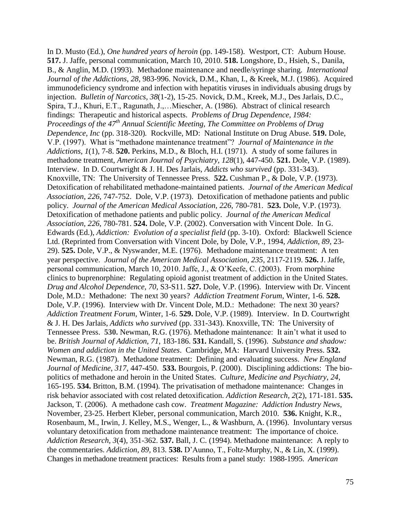In D. Musto (Ed.), *One hundred years of heroin* (pp. 149-158). Westport, CT: Auburn House. **517.** J. Jaffe, personal communication, March 10, 2010. **518.** Longshore, D., Hsieh, S., Danila, B., & Anglin, M.D. (1993). Methadone maintenance and needle/syringe sharing. *International Journal of the Addictions*, *28*, 983-996. Novick, D.M., Khan, I., & Kreek, M.J. (1986). Acquired immunodeficiency syndrome and infection with hepatitis viruses in individuals abusing drugs by injection. *Bulletin of Narcotics*, *38*(1-2), 15-25. Novick, D.M., Kreek, M.J., Des Jarlais, D.C., Spira, T.J., Khuri, E.T., Ragunath, J.,…Miescher, A. (1986). Abstract of clinical research findings: Therapeutic and historical aspects. *Problems of Drug Dependence, 1984: Proceedings of the 47th Annual Scientific Meeting, The Committee on Problems of Drug Dependence, Inc* (pp. 318-320)*.* Rockville, MD: National Institute on Drug Abuse. **519.** Dole, V.P. (1997). What is "methadone maintenance treatment"? *Journal of Maintenance in the Addictions*, *1*(1), 7-8. **520.** Perkins, M.D., & Bloch, H.I. (1971). A study of some failures in methadone treatment, *American Journal of Psychiatry*, *128*(1), 447-450. **521.** Dole, V.P. (1989). Interview. In D. Courtwright & J. H. Des Jarlais, *Addicts who survived* (pp. 331-343). Knoxville, TN: The University of Tennessee Press. **522.** Cushman P., & Dole, V.P. (1973). Detoxification of rehabilitated methadone-maintained patients. *Journal of the American Medical Association*, *226*, 747-752. Dole, V.P. (1973). Detoxification of methadone patients and public policy. *Journal of the American Medical Association, 226*, 780-781. **523.** Dole, V.P. (1973). Detoxification of methadone patients and public policy. *Journal of the American Medical Association, 226*, 780-781. **524.** Dole, V.P. (2002). Conversation with Vincent Dole. In G. Edwards (Ed.), *Addiction: Evolution of a specialist field* (pp. 3-10). Oxford: Blackwell Science Ltd. (Reprinted from Conversation with Vincent Dole, by Dole, V.P., 1994, *Addiction, 89*, 23- 29). **525.** Dole, V.P., & Nyswander, M.E. (1976). Methadone maintenance treatment: A ten year perspective. *Journal of the American Medical Association*, *235*, 2117-2119. **526.** J. Jaffe, personal communication, March 10, 2010. Jaffe, J., & O'Keefe, C. (2003). From morphine clinics to buprenorphine: Regulating opioid agonist treatment of addiction in the United States. *Drug and Alcohol Dependence, 70,* S3-S11. **527.** Dole, V.P. (1996). Interview with Dr. Vincent Dole, M.D.: Methadone: The next 30 years? *Addiction Treatment Forum*, Winter, 1-6. **528.** Dole, V.P. (1996). Interview with Dr. Vincent Dole, M.D.: Methadone: The next 30 years? *Addiction Treatment Forum*, Winter, 1-6. **529.** Dole, V.P. (1989). Interview. In D. Courtwright & J. H. Des Jarlais, *Addicts who survived* (pp. 331-343). Knoxville, TN: The University of Tennessee Press. **530.** Newman, R.G. (1976). Methadone maintenance: It ain't what it used to be. *British Journal of Addiction, 71*, 183-186. **531.** Kandall, S. (1996). *Substance and shadow: Women and addiction in the United States*. Cambridge, MA: Harvard University Press. **532.** Newman, R.G. (1987). Methadone treatment: Defining and evaluating success. *New England Journal of Medicine*, *317*, 447-450. **533.** Bourgois, P. (2000). Disciplining addictions: The biopolitics of methadone and heroin in the United States. *Culture, Medicine and Psychiatry*, *24*, 165-195. **534.** Britton, B.M. (1994). The privatisation of methadone maintenance: Changes in risk behavior associated with cost related detoxification. *Addiction Research*, *2*(2), 171-181. **535.** Jackson, T. (2006). A methadone cash cow. *Treatment Magazine: Addiction Industry News*, November, 23-25. Herbert Kleber, personal communication, March 2010. **536.** Knight, K.R., Rosenbaum, M., Irwin, J. Kelley, M.S., Wenger, L., & Washburn, A. (1996). Involuntary versus voluntary detoxification from methadone maintenance treatment: The importance of choice. *Addiction Research, 3*(4), 351-362. **537.** Ball, J. C. (1994). Methadone maintenance: A reply to the commentaries. *Addiction, 89,* 813. **538.** D'Aunno, T., Foltz-Murphy, N., & Lin, X. (1999). Changes in methadone treatment practices: Results from a panel study: 1988-1995. *American*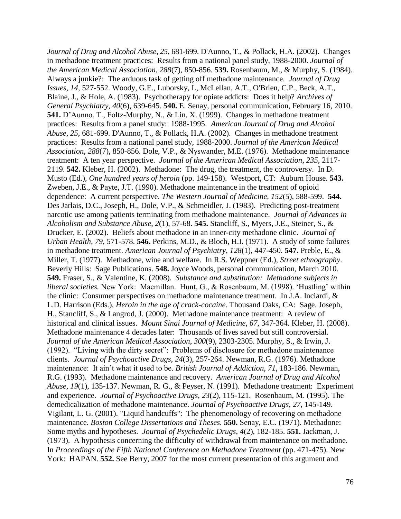*Journal of Drug and Alcohol Abuse*, *25*, 681-699. D'Aunno, T., & Pollack, H.A. (2002). [Changes](http://www.biomedexperts.com/Abstract.bme/12186602/Changes_in_methadone_treatment_practices_results_from_a_national_panel_study_1988-2000)  [in methadone treatment practices: Results from a national panel study, 1988-2000.](http://www.biomedexperts.com/Abstract.bme/12186602/Changes_in_methadone_treatment_practices_results_from_a_national_panel_study_1988-2000) *Journal of the American Medical Association*, *288*(7), 850-856. **539.** Rosenbaum, M., & Murphy, S. (1984). Always a junkie?: The arduous task of getting off methadone maintenance. *Journal of Drug Issues*, *14,* 527-552. Woody, G.E., Luborsky, L, McLellan, A.T., O'Brien, C.P., Beck, A.T., Blaine, J., & Hole, A. (1983). Psychotherapy for opiate addicts: Does it help? *Archives of General Psychiatry, 40*(6), 639-645. **540.** E. Senay, personal communication, February 16, 2010. **541.** D'Aunno, T., Foltz-Murphy, N., & Lin, X. (1999). Changes in methadone treatment practices: Results from a panel study: 1988-1995. *American Journal of Drug and Alcohol Abuse*, *25*, 681-699. D'Aunno, T., & Pollack, H.A. (2002). Changes in methadone treatment practices: Results from a national panel study, 1988-2000. *Journal of the American Medical Association*, *288*(7), 850-856. Dole, V.P., & Nyswander, M.E. (1976). Methadone maintenance treatment: A ten year perspective. *Journal of the American Medical Association*, *235*, 2117- 2119. **542.** Kleber, H. (2002). Methadone: The drug, the treatment, the controversy. In D. Musto (Ed.), *One hundred years of heroin* (pp. 149-158). Westport, CT: Auburn House. **543.** Zweben, J.E., & Payte, J.T. (1990). Methadone maintenance in the treatment of opioid dependence: A current perspective. *The Western Journal of Medicine, 152*(5), 588-599. **544.** Des Jarlais, D.C., Joseph, H., Dole, V.P., & Schmeidler, J. (1983). Predicting post-treatment narcotic use among patients terminating from methadone maintenance. *Journal of Advances in Alcoholism and Substance Abuse*, *2*(1), 57-68. **545.** Stancliff, S., Myers, J.E., Steiner, S., & Drucker, E. (2002). Beliefs about methadone in an inner-city methadone clinic. *Journal of Urban Health, 79*, 571-578. **546.** Perkins, M.D., & Bloch, H.I. (1971). A study of some failures in methadone treatment. *American Journal of Psychiatry*, *128*(1), 447-450. **547.** Preble, E., & Miller, T. (1977). Methadone, wine and welfare. In R.S. Weppner (Ed.), *Street ethnography*. Beverly Hills: Sage Publications. **548.** Joyce Woods, personal communication, March 2010. **549.** Fraser, S., & Valentine, K. (2008). *Substance and substitution: Methadone subjects in liberal societies.* New York: Macmillan. Hunt, G., & Rosenbaum, M. (1998). 'Hustling' within the clinic: Consumer perspectives on methadone maintenance treatment. In J.A. Inciardi, & L.D. Harrison (Eds.), *Heroin in the age of crack-cocaine*. Thousand Oaks, CA: Sage. Joseph, H., Stancliff, S., & Langrod, J. (2000). Methadone maintenance treatment: A review of historical and clinical issues. *Mount Sinai Journal of Medicine*, *67*, 347-364. Kleber, H. (2008). Methadone maintenance 4 decades later: Thousands of lives saved but still controversial. *Journal of the American Medical Association*, *300*(9), 2303-2305. Murphy, S., & Irwin, J. (1992). "Living with the dirty secret": Problems of disclosure for methadone maintenance clients. *Journal of Psychoactive Drugs, 24*(3), 257-264. Newman, R.G. (1976). Methadone maintenance: It ain't what it used to be. *British Journal of Addiction, 71*, 183-186. Newman, R.G. (1993). Methadone maintenance and recovery. *American Journal of Drug and Alcohol Abuse, 19*(1), 135-137. Newman, R. G., & Peyser, N. (1991). Methadone treatment: Experiment and experience. *Journal of Psychoactive Drugs, 23*(2), 115-121. Rosenbaum, M. (1995). The demedicalization of methadone maintenance. *Journal of Psychoactive Drugs*, *27*, 145-149. Vigilant, L. G. (2001). "Liquid handcuffs": The phenomenology of recovering on methadone maintenance. *Boston College Dissertations and Theses.* **550.** Senay, E.C. (1971). Methadone: Some myths and hypotheses*. Journal of Psychedelic Drugs*, *4*(2), 182-185. **551.** Jackman, J. (1973). A hypothesis concerning the difficulty of withdrawal from maintenance on methadone. In *Proceedings of the Fifth National Conference on Methadone Treatment* (pp. 471-475). New York: HAPAN. **552.** See Berry, 2007 for the most current presentation of this argument and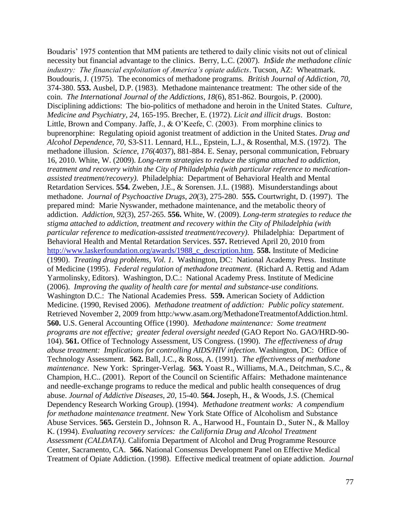Boudaris' 1975 contention that MM patients are tethered to daily clinic visits not out of clinical necessity but financial advantage to the clinics. Berry, L.C. (2007). *In\$ide the methadone clinic industry: The financial exploitation of America's opiate addicts*. Tucson, AZ: Wheatmark. Boudouris, J. (1975). The economics of methadone programs. *British Journal of Addiction*, *70*, 374-380. **553.** Ausbel, D.P. (1983). Methadone maintenance treatment: The other side of the coin. *The International Journal of the Addictions*, *18*(6), 851-862. Bourgois, P. (2000). Disciplining addictions: The bio-politics of methadone and heroin in the United States. *Culture, Medicine and Psychiatry, 24*, 165-195. Brecher, E. (1972). *Licit and illicit drugs*. Boston: Little, Brown and Company. Jaffe, J., & O'Keefe, C. (2003). From morphine clinics to buprenorphine: Regulating opioid agonist treatment of addiction in the United States. *Drug and Alcohol Dependence, 70,* S3-S11. Lennard, H.L., Epstein, L.J., & Rosenthal, M.S. (1972). The methadone illusion. *Science*, *176*(4037), 881-884. E. Senay, personal communication, February 16, 2010. White, W. (2009). *Long-term strategies to reduce the stigma attached to addiction, treatment and recovery within the City of Philadelphia (with particular reference to medicationassisted treatment/recovery)*. Philadelphia: Department of Behavioral Health and Mental Retardation Services. **554.** Zweben, J.E., & Sorensen. J.L. (1988). Misunderstandings about methadone. *Journal of Psychoactive Drugs*, *20*(3), 275-280. **555.** Courtwright, D. (1997). The prepared mind: Marie Nyswander, methadone maintenance, and the metabolic theory of addiction. *Addiction*, *92*(3), 257-265. **556.** White, W. (2009). *Long-term strategies to reduce the stigma attached to addiction, treatment and recovery within the City of Philadelphia (with particular reference to medication-assisted treatment/recovery)*. Philadelphia: Department of Behavioral Health and Mental Retardation Services. **557.** Retrieved April 20, 2010 from [http://www.laskerfoundation.org/awards/1988\\_c\\_description.htm.](http://www.laskerfoundation.org/awards/1988_c_description.htm) **558.** Institute of Medicine (1990). *Treating drug problems, Vol. 1*. Washington, DC: National Academy Press. Institute of Medicine (1995). *Federal regulation of methadone treatment*. (Richard A. Rettig and Adam Yarmolinsky, Editors). Washington, D.C.: National Academy Press. Institute of Medicine (2006). *Improving the quality of health care for mental and substance-use conditions.* Washington D.C.: The National Academies Press. **559.** American Society of Addiction Medicine. (1990, Revised 2006). *Methadone treatment of addiction: Public policy statement*. Retrieved November 2, 2009 from http:/www.asam.org/MethadoneTreatmentofAddiction.html. **560.** U.S. General Accounting Office (1990). *Methadone maintenance: Some treatment programs are not effective; greater federal oversight needed* (GAO Report No. GAO/HRD-90- 104). **561.** Office of Technology Assessment, US Congress. (1990). *The effectiveness of drug abuse treatment: Implications for controlling AIDS/HIV infection*. Washington, DC: Office of Technology Assessment. **562.** Ball, J.C., & Ross, A. (1991). *The effectiveness of methadone maintenance*. New York: Springer-Verlag. **563.** Yoast R., Williams, M.A., Deitchman, S.C., & Champion, H.C.. (2001). Report of the Council on Scientific Affairs: Methadone maintenance and needle-exchange programs to reduce the medical and public health consequences of drug abuse. *Journal of Addictive Diseases, 20*, 15-40. **564.** Joseph, H., & Woods, J.S. (Chemical Dependency Research Working Group). (1994). *Methadone treatment works: A compendium for methadone maintenance treatment*. New York State Office of Alcoholism and Substance Abuse Services. **565.** Gerstein D., Johnson R. A., Harwood H., Fountain D., Suter N., & Malloy K. (1994). *Evaluating recovery services: the California Drug and Alcohol Treatment Assessment (CALDATA)*. California Department of Alcohol and Drug Programme Resource Center, Sacramento, CA. **566.** National Consensus Development Panel on Effective Medical Treatment of Opiate Addiction. (1998). Effective medical treatment of opiate addiction. *Journal*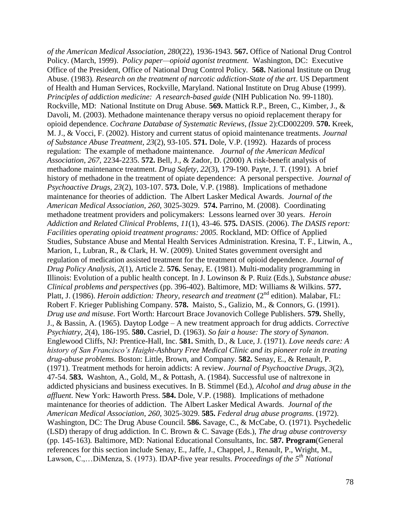*of the American Medical Association, 280*(22), 1936-1943. **567.** Office of National Drug Control Policy. (March, 1999). *Policy paper—opioid agonist treatment.* Washington, DC: Executive Office of the President, Office of National Drug Control Policy. **568.** National Institute on Drug Abuse. (1983)*. Research on the treatment of narcotic addiction-State of the art*. US Department of Health and Human Services, Rockville, Maryland. National Institute on Drug Abuse (1999). *Principles of addiction medicine: A research-based guide* (NIH Publication No. 99-1180). Rockville, MD: National Institute on Drug Abuse. **569.** Mattick R.P., Breen, C., Kimber, J., & Davoli, M. (2003). Methadone maintenance therapy versus no opioid replacement therapy for opioid dependence. *Cochrane Database of Systematic Reviews, (Issue* 2):CD002209. **570.** Kreek, M. J., & Vocci, F. (2002). History and current status of opioid maintenance treatments. *Journal of Substance Abuse Treatment, 23*(2), 93-105. **571.** Dole, V.P. (1992). Hazards of process regulation: The example of methadone maintenance. *Journal of the American Medical Association*, *267*, 2234-2235. **572.** Bell, J., & Zador, D. (2000) A risk-benefit analysis of methadone maintenance treatment. *Drug Safety, 22*(3), 179-190. Payte, J. T. (1991). A brief history of methadone in the treatment of opiate dependence: A personal perspective. *Journal of Psychoactive Drugs, 23*(2), 103-107. **573.** Dole, V.P. (1988). Implications of methadone maintenance for theories of addiction. The Albert Lasker Medical Awards. *Journal of the American Medical Association*, *260*, 3025-3029. **574.** Parrino, M. (2008). Coordinating methadone treatment providers and policymakers: Lessons learned over 30 years. *Heroin Addiction and Related Clinical Problems*, *11*(1), 43-46. **575.** DASIS. (2006). *The DASIS report: Facilities operating opioid treatment programs: 2005.* Rockland, MD: Office of Applied Studies, Substance Abuse and Mental Health Services Administration. Kresina, T. F., Litwin, A., Marion, I., Lubran, R., & Clark, H. W. (2009). United States government oversight and regulation of medication assisted treatment for the treatment of opioid dependence. *Journal of Drug Policy Analysis, 2*(1), Article 2. **576.** Senay, E. (1981). Multi-modality programming in Illinois: Evolution of a public health concept. In J. Lowinson & P. Ruiz (Eds.), *Substance abuse: Clinical problems and perspectives* (pp. 396-402). Baltimore, MD: Williams & Wilkins. **577.** Platt, J. (1986). *Heroin addiction: Theory, research and treatment* (2<sup>nd</sup> edition). Malabar. FL: Robert F. Krieger Publishing Company. **578.** Maisto, S., Galizio, M., & Connors, G. (1991). *Drug use and misuse*. Fort Worth: Harcourt Brace Jovanovich College Publishers. **579.** Shelly, J., & Bassin, A. (1965). Daytop Lodge – A new treatment approach for drug addicts. *Corrective Psychiatry, 2*(4), 186-195. **580.** Casriel, D. (1963). *So fair a house: The story of Synanon*. Englewood Cliffs, NJ: Prentice-Hall, Inc. **581.** Smith, D., & Luce, J. (1971). *Love needs care: A history of San Francisco's Haight-Ashbury Free Medical Clinic and its pioneer role in treating drug-abuse problems.* Boston: Little, Brown, and Company. **582.** Senay, E., & Renault, P. (1971). Treatment methods for heroin addicts: A review. *Journal of Psychoactive Drugs, 3*(2), 47-54. **583.** Washton, A., Gold, M., & Pottash, A. (1984). Successful use of naltrexone in addicted physicians and business executives. In B. Stimmel (Ed.), *Alcohol and drug abuse in the affluent*. New York: Haworth Press. **584.** Dole, V.P. (1988). Implications of methadone maintenance for theories of addiction. The Albert Lasker Medical Awards. *Journal of the American Medical Association*, *260*, 3025-3029. **585.** *Federal drug abuse programs*. (1972). Washington, DC: The Drug Abuse Council. **586.** Savage, C., & McCabe, O. (1971). Psychedelic (LSD) therapy of drug addiction. In C. Brown & C. Savage (Eds.), *The drug abuse controversy* (pp. 145-163)*.* Baltimore, MD: National Educational Consultants, Inc. **587. Program**(General references for this section include Senay, E., Jaffe, J., Chappel, J., Renault, P., Wright, M., Lawson, C.,…DiMenza, S. (1973). IDAP-five year results. *Proceedings of the 5th National*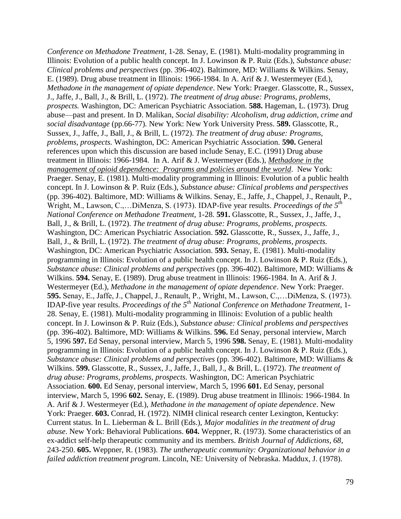*Conference on Methadone Treatment*, 1-28. Senay, E. (1981). Multi-modality programming in Illinois: Evolution of a public health concept. In J. Lowinson & P. Ruiz (Eds.), *Substance abuse: Clinical problems and perspectives* (pp. 396-402). Baltimore, MD: Williams & Wilkins. Senay, E. (1989). Drug abuse treatment in Illinois: 1966-1984. In A. Arif & J. Westermeyer (Ed.), *Methadone in the management of opiate dependence*. New York: Praeger. Glasscotte, R., Sussex, J., Jaffe, J., Ball, J., & Brill, L. (1972). *The treatment of drug abuse: Programs, problems, prospects.* Washington, DC: American Psychiatric Association. **588.** Hageman, L. (1973). Drug abuse—past and present. In D. Malikan, *Social disability: Alcoholism, drug addiction, crime and social disadvantage* (pp.66-77)*.* New York: New York University Press. **589.** Glasscotte, R., Sussex, J., Jaffe, J., Ball, J., & Brill, L. (1972). *The treatment of drug abuse: Programs, problems, prospects.* Washington, DC: American Psychiatric Association. **590.** General references upon which this discussion are based include Senay, E.C. (1991) Drug abuse treatment in Illinois: 1966-1984. In A. Arif & J. Westermeyer (Eds.), *Methadone in the management of opioid dependence: Programs and policies around the world*. New York: Praeger. Senay, E. (1981). Multi-modality programming in Illinois: Evolution of a public health concept. In J. Lowinson & P. Ruiz (Eds.), *Substance abuse: Clinical problems and perspectives*  (pp. 396-402). Baltimore, MD: Williams & Wilkins. Senay, E., Jaffe, J., Chappel, J., Renault, P., Wright, M., Lawson, C.,…DiMenza, S. (1973). IDAP-five year results. *Proceedings of the 5th National Conference on Methadone Treatment*, 1-28. **591.** Glasscotte, R., Sussex, J., Jaffe, J., Ball, J., & Brill, L. (1972). *The treatment of drug abuse: Programs, problems, prospects.*  Washington, DC: American Psychiatric Association. **592.** Glasscotte, R., Sussex, J., Jaffe, J., Ball, J., & Brill, L. (1972). *The treatment of drug abuse: Programs, problems, prospects.*  Washington, DC: American Psychiatric Association. **593.** Senay, E. (1981). Multi-modality programming in Illinois: Evolution of a public health concept. In J. Lowinson & P. Ruiz (Eds.), *Substance abuse: Clinical problems and perspectives* (pp. 396-402). Baltimore, MD: Williams & Wilkins. **594.** Senay, E. (1989). Drug abuse treatment in Illinois: 1966-1984. In A. Arif & J. Westermeyer (Ed.), *Methadone in the management of opiate dependence*. New York: Praeger. **595.** Senay, E., Jaffe, J., Chappel, J., Renault, P., Wright, M., Lawson, C.,…DiMenza, S. (1973). IDAP-five year results. *Proceedings of the 5th National Conference on Methadone Treatment*, 1- 28. Senay, E. (1981). Multi-modality programming in Illinois: Evolution of a public health concept. In J. Lowinson & P. Ruiz (Eds.), *Substance abuse: Clinical problems and perspectives*  (pp. 396-402). Baltimore, MD: Williams & Wilkins. **596.** Ed Senay, personal interview, March 5, 1996 **597.** Ed Senay, personal interview, March 5, 1996 **598.** Senay, E. (1981). Multi-modality programming in Illinois: Evolution of a public health concept. In J. Lowinson & P. Ruiz (Eds.), *Substance abuse: Clinical problems and perspectives* (pp. 396-402). Baltimore, MD: Williams & Wilkins. **599.** Glasscotte, R., Sussex, J., Jaffe, J., Ball, J., & Brill, L. (1972). *The treatment of drug abuse: Programs, problems, prospects.* Washington, DC: American Psychiatric Association. **600.** Ed Senay, personal interview, March 5, 1996 **601.** Ed Senay, personal interview, March 5, 1996 **602.** Senay, E. (1989). Drug abuse treatment in Illinois: 1966-1984. In A. Arif & J. Westermeyer (Ed.), *Methadone in the management of opiate dependence*. New York: Praeger. **603.** Conrad, H. (1972). NIMH clinical research center Lexington, Kentucky: Current status. In L. Lieberman & L. Brill (Eds.), *Major modalities in the treatment of drug abuse*. New York: Behavioral Publications. **604.** Weppner, R. (1973). Some characteristics of an ex-addict self-help therapeutic community and its members. *British Journal of Addictions, 68*, 243-250. **605.** Weppner, R. (1983). *The untherapeutic community: Organizational behavior in a failed addiction treatment program*. Lincoln, NE: University of Nebraska. Maddux, J. (1978).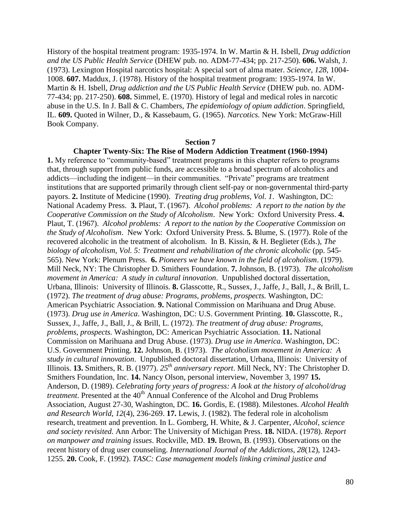History of the hospital treatment program: 1935-1974. In W. Martin & H. Isbell, *Drug addiction and the US Public Health Service* (DHEW pub. no. ADM-77-434; pp. 217-250). **606.** Walsh, J. (1973). Lexington Hospital narcotics hospital: A special sort of alma mater. *Science, 128*, 1004- 1008. **607.** Maddux, J. (1978). History of the hospital treatment program: 1935-1974. In W. Martin & H. Isbell, *Drug addiction and the US Public Health Service* (DHEW pub. no. ADM-77-434; pp. 217-250). **608.** Simmel, E. (1970). History of legal and medical roles in narcotic abuse in the U.S. In J. Ball & C. Chambers, *The epidemiology of opium addiction*. Springfield, IL. **609.** Quoted in Wilner, D., & Kassebaum, G. (1965). *Narcotics.* New York: McGraw-Hill Book Company.

## **Section 7**

**Chapter Twenty-Six: The Rise of Modern Addiction Treatment (1960-1994) 1.** My reference to "community-based" treatment programs in this chapter refers to programs that, through support from public funds, are accessible to a broad spectrum of alcoholics and addicts—including the indigent—in their communities. "Private" programs are treatment institutions that are supported primarily through client self-pay or non-governmental third-party payors. **2.** Institute of Medicine (1990). *Treating drug problems, Vol. 1*. Washington, DC: National Academy Press. **3.** Plaut, T. (1967). *Alcohol problems: A report to the nation by the Cooperative Commission on the Study of Alcoholism*. New York: Oxford University Press. **4.** Plaut, T. (1967). *Alcohol problems: A report to the nation by the Cooperative Commission on the Study of Alcoholism*. New York: Oxford University Press. **5.** Blume, S. (1977). Role of the recovered alcoholic in the treatment of alcoholism. In B. Kissin, & H. Beglieter (Eds.), *The biology of alcoholism, Vol. 5: Treatment and rehabilitation of the chronic alcoholic* (pp. 545- 565). New York: Plenum Press. **6.** *Pioneers we have known in the field of alcoholism*. (1979). Mill Neck, NY: The Christopher D. Smithers Foundation. **7.** Johnson, B. (1973). *The alcoholism movement in America: A study in cultural innovation*. Unpublished doctoral dissertation, Urbana, Illinois: University of Illinois. **8.** Glasscotte, R., Sussex, J., Jaffe, J., Ball, J., & Brill, L. (1972). *The treatment of drug abuse: Programs, problems, prospects.* Washington, DC: American Psychiatric Association. **9.** National Commission on Marihuana and Drug Abuse. (1973). *Drug use in America*. Washington, DC: U.S. Government Printing. **10.** Glasscotte, R., Sussex, J., Jaffe, J., Ball, J., & Brill, L. (1972). *The treatment of drug abuse: Programs, problems, prospects.* Washington, DC: American Psychiatric Association. **11.** National Commission on Marihuana and Drug Abuse. (1973). *Drug use in America*. Washington, DC: U.S. Government Printing. **12.** Johnson, B. (1973). *The alcoholism movement in America: A study in cultural innovation*. Unpublished doctoral dissertation, Urbana, Illinois: University of Illinois. **13.** Smithers, R. B. (1977). *25th anniversary report*. Mill Neck, NY: The Christopher D. Smithers Foundation, Inc. **14.** Nancy Olson, personal interview, November 3, 1997 **15.** Anderson, D. (1989). *Celebrating forty years of progress: A look at the history of alcohol/drug treatment*. Presented at the 40<sup>th</sup> Annual Conference of the Alcohol and Drug Problems Association, August 27-30, Washington, DC. **16.** Gordis, E. (1988). Milestones. *Alcohol Health and Research World, 12*(4), 236-269. **17.** Lewis, J. (1982). The federal role in alcoholism research, treatment and prevention. In L. Gomberg, H. White, & J. Carpenter, *Alcohol, science and society revisited*. Ann Arbor: The University of Michigan Press. **18.** NIDA. (1978). *Report on manpower and training issues*. Rockville, MD. **19.** Brown, B. (1993). Observations on the recent history of drug user counseling. *International Journal of the Addictions, 28*(12), 1243- 1255. **20.** Cook, F. (1992). *TASC: Case management models linking criminal justice and*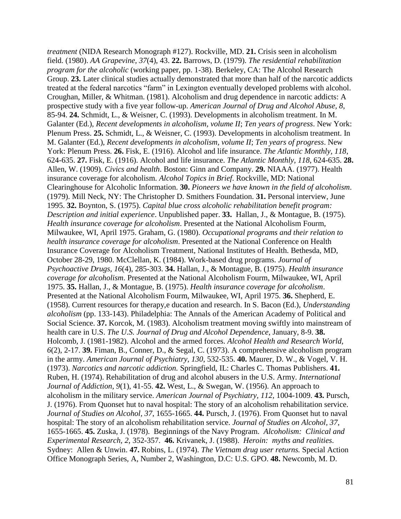*treatment* (NIDA Research Monograph #127). Rockville, MD. **21.** Crisis seen in alcoholism field. (1980). *AA Grapevine, 37*(4), 43. **22.** Barrows, D. (1979). *The residential rehabilitation program for the alcoholic* (working paper, pp. 1-38). Berkeley, CA: The Alcohol Research Group. **23.** Later clinical studies actually demonstrated that more than half of the narcotic addicts treated at the federal narcotics "farm" in Lexington eventually developed problems with alcohol. Croughan, Miller, & Whitman. (1981). Alcoholism and drug dependence in narcotic addicts: A prospective study with a five year follow-up. *American Journal of Drug and Alcohol Abuse, 8*, 85-94. **24.** Schmidt, L., & Weisner, C. (1993). Developments in alcoholism treatment. In M. Galanter (Ed.), *Recent developments in alcoholism, volume II*; *Ten years of progress*. New York: Plenum Press. **25.** Schmidt, L., & Weisner, C. (1993). Developments in alcoholism treatment. In M. Galanter (Ed.), *Recent developments in alcoholism, volume II*; *Ten years of progress*. New York: Plenum Press. **26.** Fisk, E. (1916). Alcohol and life insurance. *The Atlantic Monthly, 118*, 624-635. **27.** Fisk, E. (1916). Alcohol and life insurance. *The Atlantic Monthly, 118*, 624-635. **28.** Allen, W. (1909). *Civics and health*. Boston: Ginn and Company. **29.** NIAAA. (1977). Health insurance coverage for alcoholism. *Alcohol Topics in Brief*. Rockville, MD: National Clearinghouse for Alcoholic Information. **30.** *Pioneers we have known in the field of alcoholism*. (1979). Mill Neck, NY: The Christopher D. Smithers Foundation. **31.** Personal interview, June 1995. **32.** Boynton, S. (1975). *Capital blue cross alcoholic rehabilitation benefit program: Description and initial experience*. Unpublished paper. **33.** Hallan, J., & Montague, B. (1975). *Health insurance coverage for alcoholism*. Presented at the National Alcoholism Fourm, Milwaukee, WI, April 1975. Graham, G. (1980). *Occupational programs and their relation to health insurance coverage for alcoholism*. Presented at the National Conference on Health Insurance Coverage for Alcoholism Treatment, National Institutes of Health. Bethesda, MD, October 28-29, 1980. McClellan, K. (1984). Work-based drug programs. *Journal of Psychoactive Drugs, 16*(4), 285-303. **34.** Hallan, J., & Montague, B. (1975). *Health insurance coverage for alcoholism*. Presented at the National Alcoholism Fourm, Milwaukee, WI, April 1975. **35.** Hallan, J., & Montague, B. (1975). *Health insurance coverage for alcoholism*. Presented at the National Alcoholism Fourm, Milwaukee, WI, April 1975. **36.** Shepherd, E. (1958). Current resources for therapy,e ducation and research. In S. Bacon (Ed.), *Understanding alcoholism* (pp. 133-143). Philadelphia: The Annals of the American Academy of Political and Social Science. **37.** Korcok, M. (1983). Alcoholism treatment moving swiftly into mainstream of health care in U.S. *The U.S. Journal of Drug and Alcohol Dependence*, January, 8-9. **38.** Holcomb, J. (1981-1982). Alcohol and the armed forces. *Alcohol Health and Research World, 6*(2), 2-17. **39.** Fiman, B., Conner, D., & Segal, C. (1973). A comprehensive alcoholism program in the army. *American Journal of Psychiatry, 130*, 532-535. **40.** Maurer, D. W., & Vogel, V. H. (1973). *Narcotics and narcotic addiction.* Springfield, IL: Charles C. Thomas Publishers. **41.** Ruben, H. (1974). Rehabilitation of drug and alcohol abusers in the U.S. Army. *International Journal of Addiction, 9*(1), 41-55. **42.** West, L., & Swegan, W. (1956). An approach to alcoholism in the military service. *American Journal of Psychiatry, 112*, 1004-1009. **43.** Pursch, J. (1976). From Quonset hut to naval hospital: The story of an alcoholism rehabilitation service. *Journal of Studies on Alcohol, 37*, 1655-1665. **44.** Pursch, J. (1976). From Quonset hut to naval hospital: The story of an alcoholism rehabilitation service. *Journal of Studies on Alcohol, 37*, 1655-1665. **45.** Zuska, J. (1978). Beginnings of the Navy Program. *Alcoholism: Clinical and Experimental Research, 2*, 352-357. **46.** Krivanek, J. (1988). *Heroin: myths and realities*. Sydney: Allen & Unwin. **47.** Robins, L. (1974). *The Vietnam drug user returns.* Special Action Office Monograph Series, A, Number 2, Washington, D.C: U.S. GPO. **48.** Newcomb, M. D.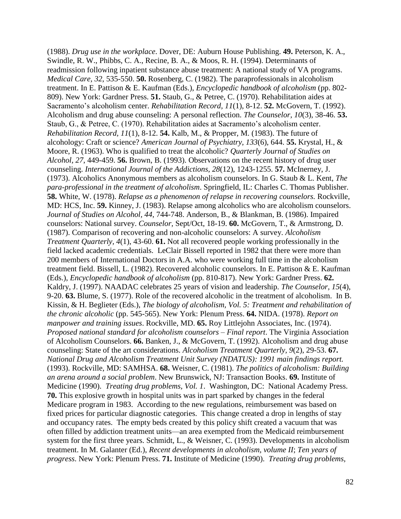(1988). *Drug use in the workplace*. Dover, DE: Auburn House Publishing. **49.** Peterson, K. A., Swindle, R. W., Phibbs, C. A., Recine, B. A., & Moos, R. H. (1994). Determinants of readmission following inpatient substance abuse treatment: A national study of VA programs. *Medical Care, 32*, 535-550. **50.** Rosenberg, C. (1982). The paraprofessionals in alcoholism treatment. In E. Pattison & E. Kaufman (Eds.), *Encyclopedic handbook of alcoholism* (pp. 802- 809). New York: Gardner Press. **51.** Staub, G., & Petree, C. (1970). Rehabilitation aides at Sacramento's alcoholism center. *Rehabilitation Record, 11*(1), 8-12. **52.** McGovern, T. (1992). Alcoholism and drug abuse counseling: A personal reflection. *The Counselor, 10*(3), 38-46. **53.** Staub, G., & Petree, C. (1970). Rehabilitation aides at Sacramento's alcoholism center. *Rehabilitation Record, 11*(1), 8-12. **54.** Kalb, M., & Propper, M. (1983). The future of alcohology: Craft or science? *American Journal of Psychiatry, 133*(6), 644. **55.** Krystal, H., & Moore, R. (1963). Who is qualified to treat the alcoholic? *Quarterly Journal of Studies on Alcohol, 27*, 449-459. **56.** Brown, B. (1993). Observations on the recent history of drug user counseling. *International Journal of the Addictions, 28*(12), 1243-1255. **57.** McInerney, J. (1973). Alcoholics Anonymous members as alcoholism counselors. In G. Staub & L. Kent, *The para-professional in the treatment of alcoholism*. Springfield, IL: Charles C. Thomas Publisher. **58.** White, W. (1978). *Relapse as a phenomenon of relapse in recovering counselors.* Rockville, MD: HCS, Inc. **59.** Kinney, J. (1983). Relapse among alcoholics who are alcoholism counselors. *Journal of Studies on Alcohol, 44*, 744-748. Anderson, B., & Blankman, B. (1986). Impaired counselors: National survey. *Counselor,* Sept/Oct, 18-19. **60.** McGovern, T., & Armstrong, D. (1987). Comparison of recovering and non-alcoholic counselors: A survey. *Alcoholism Treatment Quarterly, 4*(1), 43-60. **61.** Not all recovered people working professionally in the field lacked academic credentials. LeClair Bissell reported in 1982 that there were more than 200 members of International Doctors in A.A. who were working full time in the alcoholism treatment field. Bissell, L. (1982). Recovered alcoholic counselors. In E. Pattison & E. Kaufman (Eds.), *Encyclopedic handbook of alcoholism* (pp. 810-817). New York: Gardner Press. **62.** Kaldry, J. (1997). NAADAC celebrates 25 years of vision and leadership. *The Counselor, 15*(4), 9-20. **63.** Blume, S. (1977). Role of the recovered alcoholic in the treatment of alcoholism. In B. Kissin, & H. Beglieter (Eds.), *The biology of alcoholism, Vol. 5: Treatment and rehabilitation of the chronic alcoholic* (pp. 545-565). New York: Plenum Press. **64.** NIDA. (1978). *Report on manpower and training issues*. Rockville, MD. **65.** Roy Littlejohn Associates, Inc. (1974). *Proposed national standard for alcoholism counselors – Final report*. The Virginia Association of Alcoholism Counselors. **66.** Banken, J., & McGovern, T. (1992). Alcoholism and drug abuse counseling: State of the art considerations. *Alcoholism Treatment Quarterly, 9*(2), 29-53. **67.** *National Drug and Alcoholism Treatment Unit Survey (NDATUS): 1991 main findings report.*  (1993). Rockville, MD: SAMHSA. **68.** Weisner, C. (1981). *The politics of alcoholism: Building an arena around a social problem*. New Brunswick, NJ: Transaction Books. **69.** Institute of Medicine (1990). *Treating drug problems, Vol. 1*. Washington, DC: National Academy Press. **70.** This explosive growth in hospital units was in part sparked by changes in the federal Medicare program in 1983. According to the new regulations, reimbursement was based on fixed prices for particular diagnostic categories. This change created a drop in lengths of stay and occupancy rates. The empty beds created by this policy shift created a vacuum that was often filled by addiction treatment units—an area exempted from the Medicaid reimbursement system for the first three years. Schmidt, L., & Weisner, C. (1993). Developments in alcoholism treatment. In M. Galanter (Ed.), *Recent developments in alcoholism, volume II*; *Ten years of progress*. New York: Plenum Press. **71.** Institute of Medicine (1990). *Treating drug problems,*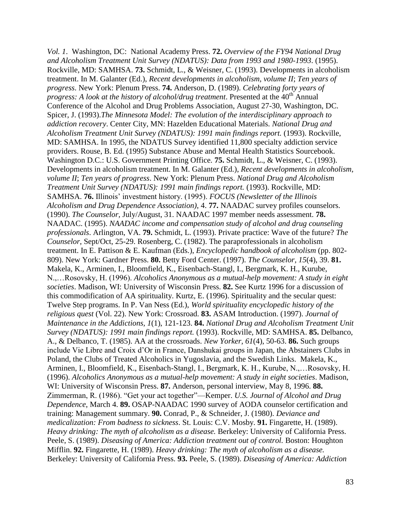*Vol. 1*. Washington, DC: National Academy Press. **72.** *Overview of the FY94 National Drug and Alcoholism Treatment Unit Survey (NDATUS): Data from 1993 and 1980-1993*. (1995). Rockville, MD: SAMHSA. **73.** Schmidt, L., & Weisner, C. (1993). Developments in alcoholism treatment. In M. Galanter (Ed.), *Recent developments in alcoholism, volume II*; *Ten years of progress*. New York: Plenum Press. **74.** Anderson, D. (1989). *Celebrating forty years of progress: A look at the history of alcohol/drug treatment.* Presented at the 40<sup>th</sup> Annual Conference of the Alcohol and Drug Problems Association, August 27-30, Washington, DC. Spicer, J. (1993).*The Minnesota Model: The evolution of the interdisciplinary approach to addiction recovery*. Center City, MN: Hazelden Educational Materials. *National Drug and Alcoholism Treatment Unit Survey (NDATUS): 1991 main findings report.* (1993). Rockville, MD: SAMHSA. In 1995, the NDATUS Survey identified 11,800 specialty addiction service providers. Rouse, B. Ed. (1995) Substance Abuse and Mental Health Statistics Sourcebook. Washington D.C.: U.S. Government Printing Office. **75.** Schmidt, L., & Weisner, C. (1993). Developments in alcoholism treatment. In M. Galanter (Ed.), *Recent developments in alcoholism, volume II*; *Ten years of progress*. New York: Plenum Press. *National Drug and Alcoholism Treatment Unit Survey (NDATUS): 1991 main findings report.* (1993). Rockville, MD: SAMHSA. **76.** Illinois' investment history. (1995). *FOCUS (Newsletter of the Illinois Alcoholism and Drug Dependence Association)*, 4. **77.** NAADAC survey profiles counselors. (1990). *The Counselor,* July/August, 31. NAADAC 1997 member needs assessment. **78.** NAADAC. (1995). *NAADAC income and compensation study of alcohol and drug counseling professionals*. Arlington, VA. **79.** Schmidt, L. (1993). Private practice: Wave of the future? *The Counselor*, Sept/Oct, 25-29. Rosenberg, C. (1982). The paraprofessionals in alcoholism treatment. In E. Pattison & E. Kaufman (Eds.), *Encyclopedic handbook of alcoholism* (pp. 802- 809). New York: Gardner Press. **80.** Betty Ford Center. (1997). *The Counselor, 15*(4), 39. **81.** Makela, K., Arminen, I., Bloomfield, K., Eisenbach-Stangl, I., Bergmark, K. H., Kurube, N.,…Rosovsky, H. (1996). *Alcoholics Anonymous as a mutual-help movement: A study in eight societies*. Madison, WI: University of Wisconsin Press. **82.** See Kurtz 1996 for a discussion of this commodification of AA spirituality. Kurtz, E. (1996). Spirituality and the secular quest: Twelve Step programs. In P. Van Ness (Ed.), *World spirituality encyclopedic history of the religious quest* (Vol. 22). New York: Crossroad. **83.** ASAM Introduction. (1997). *Journal of Maintenance in the Addictions, 1*(1), 121-123. **84.** *National Drug and Alcoholism Treatment Unit Survey (NDATUS): 1991 main findings report.* (1993). Rockville, MD: SAMHSA. **85.** Delbanco, A., & Delbanco, T. (1985). AA at the crossroads. *New Yorker, 61*(4), 50-63. **86.** Such groups include Vie Libre and Croix d'Or in France, Danshukai groups in Japan, the Abstainers Clubs in Poland, the Clubs of Treated Alcoholics in Yugoslavia, and the Swedish Links. Makela, K., Arminen, I., Bloomfield, K., Eisenbach-Stangl, I., Bergmark, K. H., Kurube, N.,…Rosovsky, H. (1996). *Alcoholics Anonymous as a mutual-help movement: A study in eight societies*. Madison, WI: University of Wisconsin Press. **87.** Anderson, personal interview, May 8, 1996. **88.**  Zimmerman, R. (1986). "Get your act together"—Kemper. *U.S. Journal of Alcohol and Drug Dependence*, March 4. **89.** OSAP-NAADAC 1990 survey of AODA counselor certification and training: Management summary. **90.** Conrad, P., & Schneider, J. (1980). *Deviance and medicalization: From badness to sickness*. St. Louis: C.V. Mosby. **91.** Fingarette, H. (1989). *Heavy drinking: The myth of alcoholism as a disease.* Berkeley: University of California Press. Peele, S. (1989). *Diseasing of America: Addiction treatment out of control.* Boston: Houghton Mifflin. **92.** Fingarette, H. (1989). *Heavy drinking: The myth of alcoholism as a disease.*  Berkeley: University of California Press. **93.** Peele, S. (1989). *Diseasing of America: Addiction*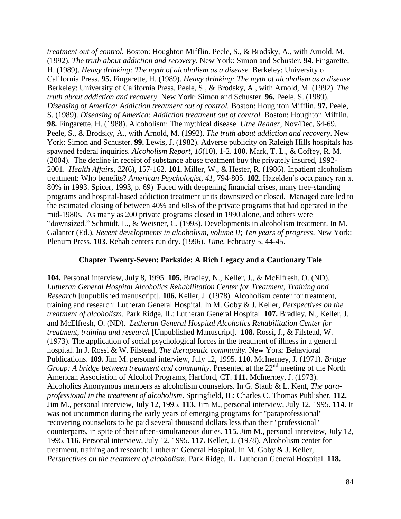*treatment out of control.* Boston: Houghton Mifflin. Peele, S., & Brodsky, A., with Arnold, M. (1992). *The truth about addiction and recovery*. New York: Simon and Schuster. **94.** Fingarette, H. (1989). *Heavy drinking: The myth of alcoholism as a disease.* Berkeley: University of California Press. **95.** Fingarette, H. (1989). *Heavy drinking: The myth of alcoholism as a disease.*  Berkeley: University of California Press. Peele, S., & Brodsky, A., with Arnold, M. (1992). *The truth about addiction and recovery*. New York: Simon and Schuster. **96.** Peele, S. (1989). *Diseasing of America: Addiction treatment out of control.* Boston: Houghton Mifflin. **97.** Peele, S. (1989). *Diseasing of America: Addiction treatment out of control.* Boston: Houghton Mifflin. **98.** Fingarette, H. (1988). Alcoholism: The mythical disease. *Utne Reader*, Nov/Dec, 64-69. Peele, S., & Brodsky, A., with Arnold, M. (1992). *The truth about addiction and recovery*. New York: Simon and Schuster. **99.** Lewis, J. (1982). Adverse publicity on Raleigh Hills hospitals has spawned federal inquiries. *Alcoholism Report, 10*(10), 1-2. **100.** Mark, T. L., & Coffey, R. M. (2004). The decline in receipt of substance abuse treatment buy the privately insured, 1992- 2001. *Health Affairs*, *22*(6), 157-162. **101.** Miller, W., & Hester, R. (1986). Inpatient alcoholism treatment: Who benefits? *American Psychologist, 41*, 794-805. **102.** Hazelden's occupancy ran at 80% in 1993. Spicer, 1993, p. 69) Faced with deepening financial crises, many free-standing programs and hospital-based addiction treatment units downsized or closed. Managed care led to the estimated closing of between 40% and 60% of the private programs that had operated in the mid-1980s. As many as 200 private programs closed in 1990 alone, and others were "downsized." Schmidt, L., & Weisner, C. (1993). Developments in alcoholism treatment. In M. Galanter (Ed.), *Recent developments in alcoholism, volume II*; *Ten years of progress*. New York: Plenum Press. **103.** Rehab centers run dry. (1996). *Time*, February 5, 44-45.

## **Chapter Twenty-Seven: Parkside: A Rich Legacy and a Cautionary Tale**

**104.** Personal interview, July 8, 1995. **105.** Bradley, N., Keller, J., & McElfresh, O. (ND). *Lutheran General Hospital Alcoholics Rehabilitation Center for Treatment, Training and Research* [unpublished manuscript]. **106.** Keller, J. (1978). Alcoholism center for treatment, training and research: Lutheran General Hospital. In M. Goby & J. Keller, *Perspectives on the treatment of alcoholism*. Park Ridge, IL: Lutheran General Hospital. **107.** Bradley, N., Keller, J. and McElfresh, O. (ND). *Lutheran General Hospital Alcoholics Rehabilitation Center for treatment, training and research* [Unpublished Manuscript]. **108.** Rossi, J., & Filstead, W. (1973). The application of social psychological forces in the treatment of illness in a general hospital. In J. Rossi & W. Filstead, *The therapeutic community*. New York: Behavioral Publications. **109.** Jim M. personal interview, July 12, 1995. **110.** McInerney, J. (1971). *Bridge Group: A bridge between treatment and community.* Presented at the 22<sup>nd</sup> meeting of the North American Association of Alcohol Programs, Hartford, CT. **111.** McInerney, J. (1973). Alcoholics Anonymous members as alcoholism counselors. In G. Staub & L. Kent, *The paraprofessional in the treatment of alcoholism*. Springfield, IL: Charles C. Thomas Publisher. **112.** Jim M., personal interview, July 12, 1995. **113.** Jim M., personal interview, July 12, 1995. **114.** It was not uncommon during the early years of emerging programs for "paraprofessional" recovering counselors to be paid several thousand dollars less than their "professional" counterparts, in spite of their often-simultaneous duties. **115.** Jim M., personal interview, July 12, 1995. **116.** Personal interview, July 12, 1995. **117.** Keller, J. (1978). Alcoholism center for treatment, training and research: Lutheran General Hospital. In M. Goby & J. Keller, *Perspectives on the treatment of alcoholism*. Park Ridge, IL: Lutheran General Hospital. **118.**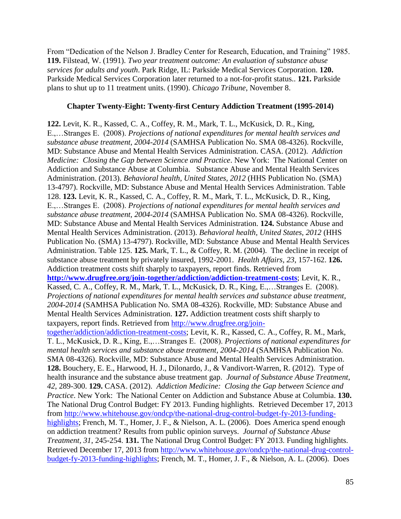From "Dedication of the Nelson J. Bradley Center for Research, Education, and Training" 1985. **119.** Filstead, W. (1991). *Two year treatment outcome: An evaluation of substance abuse services for adults and youth*. Park Ridge, IL: Parkside Medical Services Corporation. **120.**  Parkside Medical Services Corporation later returned to a not-for-profit status.. **121.** Parkside plans to shut up to 11 treatment units. (1990). *Chicago Tribune*, November 8.

## **Chapter Twenty-Eight: Twenty-first Century Addiction Treatment (1995-2014)**

**122.** Levit, K. R., Kassed, C. A., Coffey, R. M., Mark, T. L., McKusick, D. R., King, E.,…Stranges E. (2008). *Projections of national expenditures for mental health services and substance abuse treatment, 2004-2014* (SAMHSA Publication No. SMA 08-4326). Rockville, MD: Substance Abuse and Mental Health Services Administration. CASA. (2012). *Addiction Medicine: Closing the Gap between Science and Practice*. New York: The National Center on Addiction and Substance Abuse at Columbia. Substance Abuse and Mental Health Services Administration. (2013). *Behavioral health, United States, 2012* (HHS Publication No. (SMA) 13-4797). Rockville, MD: Substance Abuse and Mental Health Services Administration. Table 128. **123.** Levit, K. R., Kassed, C. A., Coffey, R. M., Mark, T. L., McKusick, D. R., King, E.,…Stranges E. (2008). *Projections of national expenditures for mental health services and substance abuse treatment, 2004-2014* (SAMHSA Publication No. SMA 08-4326). Rockville, MD: Substance Abuse and Mental Health Services Administration. **124.** Substance Abuse and Mental Health Services Administration. (2013). *Behavioral health, United States, 2012* (HHS Publication No. (SMA) 13-4797). Rockville, MD: Substance Abuse and Mental Health Services Administration. Table 125. **125.** Mark, T. L., & Coffey, R. M. (2004). The decline in receipt of substance abuse treatment by privately insured, 1992-2001. *Health Affairs*, *23*, 157-162. **126.** Addiction treatment costs shift sharply to taxpayers, report finds. Retrieved from **<http://www.drugfree.org/join-together/addiction/addiction-treatment-costs>**; Levit, K. R., Kassed, C. A., Coffey, R. M., Mark, T. L., McKusick, D. R., King, E.,…Stranges E. (2008). *Projections of national expenditures for mental health services and substance abuse treatment, 2004-2014* (SAMHSA Publication No. SMA 08-4326). Rockville, MD: Substance Abuse and Mental Health Services Administration. **127.** Addiction treatment costs shift sharply to taxpayers, report finds. Retrieved from [http://www.drugfree.org/join](http://www.drugfree.org/join-together/addiction/addiction-treatment-costs)[together/addiction/addiction-treatment-costs;](http://www.drugfree.org/join-together/addiction/addiction-treatment-costs) Levit, K. R., Kassed, C. A., Coffey, R. M., Mark, T. L., McKusick, D. R., King, E.,…Stranges E. (2008). *Projections of national expenditures for mental health services and substance abuse treatment, 2004-2014* (SAMHSA Publication No. SMA 08-4326). Rockville, MD: Substance Abuse and Mental Health Services Administration. **128.** Bouchery, E. E., Harwood, H. J., Dilonardo, J., & Vandivort-Warren, R. (2012). Type of health insurance and the substance abuse treatment gap. *Journal of Substance Abuse Treatment*, *42*, 289-300. **129.** CASA. (2012). *Addiction Medicine: Closing the Gap between Science and Practice*. New York: The National Center on Addiction and Substance Abuse at Columbia. **130.** The National Drug Control Budget: FY 2013. Funding highlights. Retrieved December 17, 2013 from [http://www.whitehouse.gov/ondcp/the-national-drug-control-budget-fy-2013-funding](http://www.whitehouse.gov/ondcp/the-national-drug-control-budget-fy-2013-funding-highlights)[highlights;](http://www.whitehouse.gov/ondcp/the-national-drug-control-budget-fy-2013-funding-highlights) French, M. T., Homer, J. F., & Nielson, A. L. (2006). Does America spend enough on addiction treatment? Results from public opinion surveys. *Journal of Substance Abuse Treatment, 31*, 245-254. **131.** The National Drug Control Budget: FY 2013. Funding highlights. Retrieved December 17, 2013 from [http://www.whitehouse.gov/ondcp/the-national-drug-control](http://www.whitehouse.gov/ondcp/the-national-drug-control-budget-fy-2013-funding-highlights)[budget-fy-2013-funding-highlights;](http://www.whitehouse.gov/ondcp/the-national-drug-control-budget-fy-2013-funding-highlights) French, M. T., Homer, J. F., & Nielson, A. L. (2006). Does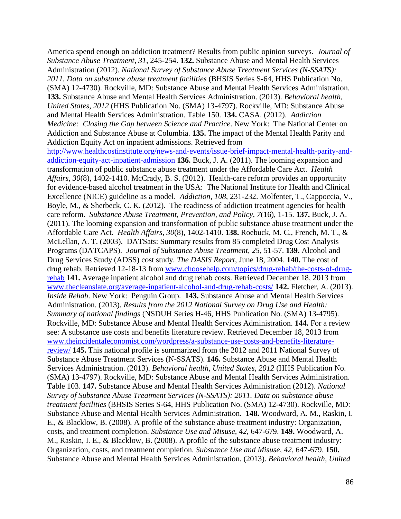America spend enough on addiction treatment? Results from public opinion surveys. *Journal of Substance Abuse Treatment, 31*, 245-254. **132.** Substance Abuse and Mental Health Services Administration (2012). *National Survey of Substance Abuse Treatment Services (N-SSATS): 2011. Data on substance abuse treatment facilities* (BHSIS Series S-64, HHS Publication No. (SMA) 12-4730). Rockville, MD: Substance Abuse and Mental Health Services Administration. **133.** Substance Abuse and Mental Health Services Administration. (2013). *Behavioral health, United States, 2012* (HHS Publication No. (SMA) 13-4797). Rockville, MD: Substance Abuse and Mental Health Services Administration. Table 150. **134.** CASA. (2012). *Addiction Medicine: Closing the Gap between Science and Practice*. New York: The National Center on Addiction and Substance Abuse at Columbia. **135.** The impact of the Mental Health Parity and Addiction Equity Act on inpatient admissions. Retrieved from [http://www.healthcostinstitute.org/news-and-events/issue-brief-impact-mental-health-parity-and](http://www.healthcostinstitute.org/news-and-events/issue-brief-impact-mental-health-parity-and-addiction-equity-act-inpatient-admission)[addiction-equity-act-inpatient-admission](http://www.healthcostinstitute.org/news-and-events/issue-brief-impact-mental-health-parity-and-addiction-equity-act-inpatient-admission) **136.** Buck, J. A. (2011). The looming expansion and transformation of public substance abuse treatment under the Affordable Care Act. *Health Affairs*, *30*(8), 1402-1410. McCrady, B. S. (2012). Health-care reform provides an opportunity for evidence-based alcohol treatment in the USA: The National Institute for Health and Clinical Excellence (NICE) guideline as a model. *Addiction*, *108*, 231-232. Molfenter, T., Cappoccia, V., Boyle, M., & Sherbeck, C. K. (2012). The readiness of addiction treatment agencies for health care reform. *Substance Abuse Treatment, Prevention, and Policy*, *7*(16), 1-15. **137.** Buck, J. A. (2011). The looming expansion and transformation of public substance abuse treatment under the Affordable Care Act. *Health Affairs*, *30*(8), 1402-1410. **138.** Roebuck, M. C., French, M. T., & McLellan, A. T. (2003). DATSats: Summary results from 85 completed Drug Cost Analysis Programs (DATCAPS). *Journal of Substance Abuse Treatment*, *25*, 51-57. **139.** Alcohol and Drug Services Study (ADSS) cost study. *The DASIS Report*, June 18, 2004. **140.** The cost of drug rehab. Retrieved 12-18-13 from [www.choosehelp.com/topics/drug-rehab/the-costs-of-drug](http://www.choosehelp.com/topics/drug-rehab/the-costs-of-drug-rehab)[rehab](http://www.choosehelp.com/topics/drug-rehab/the-costs-of-drug-rehab) **141.** Average inpatient alcohol and drug rehab costs. Retrieved December 18, 2013 from [www.thecleanslate.org/average-inpatient-alcohol-and-drug-rehab-costs/](http://www.thecleanslate.org/average-inpatient-alcohol-and-drug-rehab-costs/) **142.** Fletcher, A. (2013). *Inside Rehab*. New York: Penguin Group. **143.** Substance Abuse and Mental Health Services Administration. (2013). *Results from the 2012 National Survey on Drug Use and Health: Summary of national findings* (NSDUH Series H-46, HHS Publication No. (SMA) 13-4795). Rockville, MD: Substance Abuse and Mental Health Services Administration. **144.** For a review see: A substance use costs and benefits literature review. Retrieved December 18, 2013 from [www.theincidentaleconomist.com/wordpress/a-substance-use-costs-and-benefits-literature](http://www.theincidentaleconomist.com/wordpress/a-substance-use-costs-and-benefits-literature-review/)[review/](http://www.theincidentaleconomist.com/wordpress/a-substance-use-costs-and-benefits-literature-review/) **145.** This national profile is summarized from the 2012 and 2011 National Survey of Substance Abuse Treatment Services (N-SSATS). **146.** Substance Abuse and Mental Health Services Administration. (2013). *Behavioral health, United States, 2012* (HHS Publication No. (SMA) 13-4797). Rockville, MD: Substance Abuse and Mental Health Services Administration. Table 103. **147.** Substance Abuse and Mental Health Services Administration (2012). *National Survey of Substance Abuse Treatment Services (N-SSATS): 2011. Data on substance abuse treatment facilities* (BHSIS Series S-64, HHS Publication No. (SMA) 12-4730). Rockville, MD: Substance Abuse and Mental Health Services Administration. **148.** Woodward, A. M., Raskin, I. E., & Blacklow, B. (2008). A profile of the substance abuse treatment industry: Organization, costs, and treatment completion. *Substance Use and Misuse, 42*, 647-679. **149.** Woodward, A. M., Raskin, I. E., & Blacklow, B. (2008). A profile of the substance abuse treatment industry: Organization, costs, and treatment completion. *Substance Use and Misuse, 42*, 647-679. **150.** Substance Abuse and Mental Health Services Administration. (2013). *Behavioral health, United*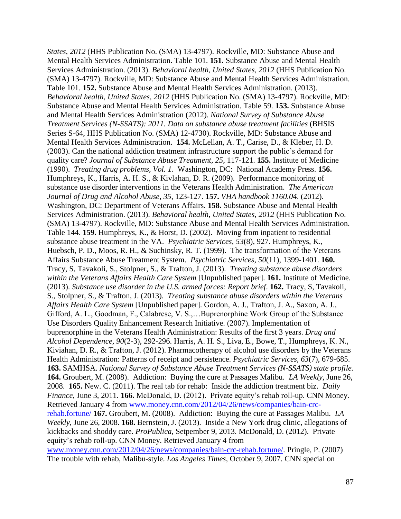*States, 2012* (HHS Publication No. (SMA) 13-4797). Rockville, MD: Substance Abuse and Mental Health Services Administration. Table 101. **151.** Substance Abuse and Mental Health Services Administration. (2013). *Behavioral health, United States, 2012* (HHS Publication No. (SMA) 13-4797). Rockville, MD: Substance Abuse and Mental Health Services Administration. Table 101. **152.** Substance Abuse and Mental Health Services Administration. (2013). *Behavioral health, United States, 2012* (HHS Publication No. (SMA) 13-4797). Rockville, MD: Substance Abuse and Mental Health Services Administration. Table 59. **153.** Substance Abuse and Mental Health Services Administration (2012). *National Survey of Substance Abuse Treatment Services (N-SSATS): 2011. Data on substance abuse treatment facilities* (BHSIS Series S-64, HHS Publication No. (SMA) 12-4730). Rockville, MD: Substance Abuse and Mental Health Services Administration. **154.** McLellan, A. T., Carise, D., & Kleber, H. D. (2003). Can the national addiction treatment infrastructure support the public's demand for quality care? *Journal of Substance Abuse Treatment, 25*, 117-121. **155.** Institute of Medicine (1990). *Treating drug problems, Vol. 1*. Washington, DC: National Academy Press. **156.** Humphreys, K., Harris, A. H. S., & Kivlahan, D. R. (2009). Performance monitoring of substance use disorder interventions in the Veterans Health Administration. *The American Journal of Drug and Alcohol Abuse*, *35*, 123-127. **157.** *VHA handbook 1160.04*. (2012). Washington, DC: Department of Veterans Affairs. **158.** Substance Abuse and Mental Health Services Administration. (2013). *Behavioral health, United States, 2012* (HHS Publication No. (SMA) 13-4797). Rockville, MD: Substance Abuse and Mental Health Services Administration. Table 144. **159.** Humphreys, K., & Horst, D. (2002). Moving from inpatient to residential substance abuse treatment in the VA. *Psychiatric Services*, *53*(8), 927. Humphreys, K., Huebsch, P. D., Moos, R. H., & Suchinsky, R. T. (1999). The transformation of the Veterans Affairs Substance Abuse Treatment System. *Psychiatric Services*, *50*(11), 1399-1401. **160.** Tracy, S, Tavakoli, S., Stolpner, S., & Trafton, J. (2013). *Treating substance abuse disorders within the Veterans Affairs Health Care System* [Unpublished paper]. **161.** Institute of Medicine. (2013). *Substance use disorder in the U.S. armed forces: Report brief*. **162.** Tracy, S, Tavakoli, S., Stolpner, S., & Trafton, J. (2013). *Treating substance abuse disorders within the Veterans Affairs Health Care System* [Unpublished paper]. Gordon, A. J., Trafton, J. A., Saxon, A. J., Gifford, A. L., Goodman, F., Calabrese, V. S.,…Buprenorphine Work Group of the Substance Use Disorders Quality Enhancement Research Initiative. (2007). Implementation of buprenorphine in the Veterans Health Administration: Results of the first 3 years. *Drug and Alcohol Dependence, 90*(2-3), 292-296. Harris, A. H. S., Liva, E., Bowe, T., Humphreys, K. N., Kiviahan, D. R., & Trafton, J. (2012). Pharmacotherapy of alcohol use disorders by the Veterans Health Administration: Patterns of receipt and persistence. *Psychiatric Services, 63*(7), 679-685. **163.** SAMHSA. *National Survey of Substance Abuse Treatment Services (N-SSATS) state profile.*  **164.** Groubert, M. (2008). Addiction: Buying the cure at Passages Malibu. *LA Weekly*, June 26, 2008. **165.** New. C. (2011). The real tab for rehab: Inside the addiction treatment biz. *Daily Finance*, June 3, 2011. **166.** McDonald, D. (2012). Private equity's rehab roll-up. CNN Money. Retrieved January 4 from [www.money.cnn.com/2012/04/26/news/companies/bain-crc](http://www.money.cnn.com/2012/04/26/news/companies/bain-crc-rehab.fortune/)[rehab.fortune/](http://www.money.cnn.com/2012/04/26/news/companies/bain-crc-rehab.fortune/) **167.** Groubert, M. (2008). Addiction: Buying the cure at Passages Malibu. *LA Weekly*, June 26, 2008. **168.** Bernstein, J. (2013). Inside a New York drug clinic, allegations of kickbacks and shoddy care. *ProPublica,* Setpember 9, 2013. McDonald, D. (2012). Private equity's rehab roll-up. CNN Money. Retrieved January 4 from [www.money.cnn.com/2012/04/26/news/companies/bain-crc-rehab.fortune/.](http://www.money.cnn.com/2012/04/26/news/companies/bain-crc-rehab.fortune/) Pringle, P. (2007) The trouble with rehab, Malibu-style. *Los Angeles Times*, October 9, 2007. CNN special on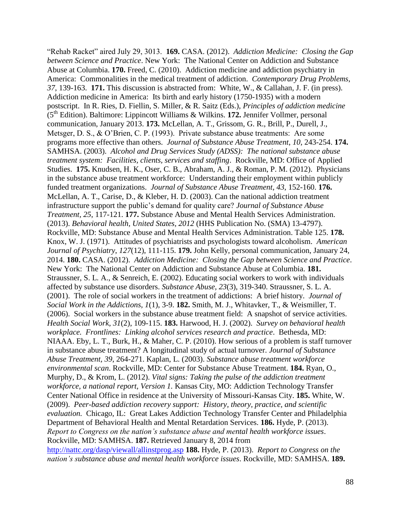"Rehab Racket" aired July 29, 3013. **169.** CASA. (2012). *Addiction Medicine: Closing the Gap between Science and Practice*. New York: The National Center on Addiction and Substance Abuse at Columbia. **170.** Freed, C. (2010). Addiction medicine and addiction psychiatry in America: Commonalities in the medical treatment of addiction. *Contemporary Drug Problems*, *37*, 139-163. **171.** This discussion is abstracted from: White, W., & Callahan, J. F. (in press). Addiction medicine in America: Its birth and early history (1750-1935) with a modern postscript. In R. Ries, D. Fiellin, S. Miller, & R. Saitz (Eds.), *Principles of addiction medicine* (5th Edition). Baltimore: Lippincott Williams & Wilkins. **172.** Jennifer Vollmer, personal communication, January 2013. **173.** McLellan, A. T., Grissom, G. R., Brill, P., Durell, J., Metsger, D. S., & O'Brien, C. P. (1993). Private substance abuse treatments: Are some programs more effective than others. *Journal of Substance Abuse Treatment*, *10*, 243-254. **174.** SAMHSA. (2003). *Alcohol and Drug Services Study (ADSS): The national substance abuse treatment system: Facilities, clients, services and staffing*. Rockville, MD: Office of Applied Studies. **175.** Knudsen, H. K., Oser, C. B., Abraham, A. J., & Roman, P. M. (2012). Physicians in the substance abuse treatment workforce: Understanding their employment within publicly funded treatment organizations. *Journal of Substance Abuse Treatment*, *43*, 152-160. **176.** McLellan, A. T., Carise, D., & Kleber, H. D. (2003). Can the national addiction treatment infrastructure support the public's demand for quality care? *Journal of Substance Abuse Treatment, 25*, 117-121. **177.** Substance Abuse and Mental Health Services Administration. (2013). *Behavioral health, United States, 2012* (HHS Publication No. (SMA) 13-4797). Rockville, MD: Substance Abuse and Mental Health Services Administration. Table 125. **178.** Knox, W. J. (1971). Attitudes of psychiatrists and psychologists toward alcoholism. *American Journal of Psychiatry*, *127*(12), 111-115. **179.** John Kelly, personal communication, January 24, 2014. **180.** CASA. (2012). *Addiction Medicine: Closing the Gap between Science and Practice*. New York: The National Center on Addiction and Substance Abuse at Columbia. **181.** Straussner, S. L. A., & Senreich, E. (2002). Educating social workers to work with individuals affected by substance use disorders. *Substance Abuse, 23*(3), 319-340. Straussner, S. L. A. (2001). The role of social workers in the treatment of addictions: A brief history. *Journal of Social Work in the Addictions, 1*(1), 3-9. **182.** Smith, M. J., Whitavker, T., & Weismiller, T. (2006). Social workers in the substance abuse treatment field: A snapshot of service activities. *Health Social Work*, *31*(2), 109-115. **183.** Harwood, H. J. (2002). *Survey on behavioral health workplace. Frontlines: Linking alcohol services research and practice*. Bethesda, MD: NIAAA. Eby, L. T., Burk, H., & Maher, C. P. (2010). How serious of a problem is staff turnover in substance abuse treatment? A longitudinal study of actual turnover. *Journal of Substance Abuse Treatment, 39*, 264-271. Kaplan, L. (2003). *Substance abuse treatment workforce environmental scan*. Rockville, MD: Center for Substance Abuse Treatment. **184.** Ryan, O., Murphy, D., & Krom, L. (2012). *Vital signs: Taking the pulse of the addiction treatment workforce, a national report, Version 1.* Kansas City, MO: Addiction Technology Transfer Center National Office in residence at the University of Missouri-Kansas City. **185.** White, W. (2009). *Peer-based addiction recovery support: History, theory, practice, and scientific evaluation.* Chicago, IL: Great Lakes Addiction Technology Transfer Center and Philadelphia Department of Behavioral Health and Mental Retardation Services. **186.** Hyde, P. (2013). *Report to Congress on the nation's substance abuse and mental health workforce issues*. Rockville, MD: SAMHSA. **187.** Retrieved January 8, 2014 from <http://nattc.org/dasp/viewall/allinstprog.asp> **188.** Hyde, P. (2013). *Report to Congress on the nation's substance abuse and mental health workforce issues*. Rockville, MD: SAMHSA. **189.**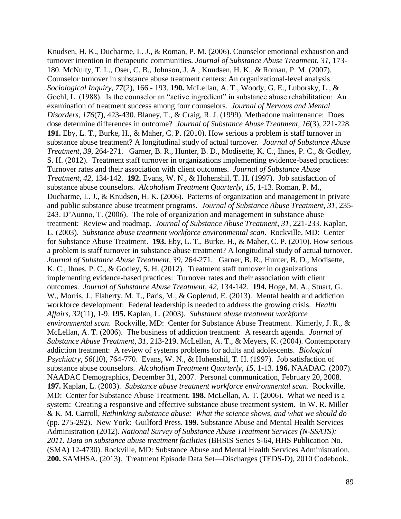Knudsen, H. K., Ducharme, L. J., & Roman, P. M. (2006). Counselor emotional exhaustion and turnover intention in therapeutic communities. *Journal of Substance Abuse Treatment, 31*, 173- 180. McNulty, T. L., Oser, C. B., Johnson, J. A., Knudsen, H. K., & Roman, P. M. (2007). Counselor turnover in substance abuse treatment centers: An organizational-level analysis. *Sociological Inquiry, 77*(2), 166 - 193. **190.** McLellan, A. T., Woody, G. E., Luborsky, L., & Goehl, L. (1988). Is the counselor an "active ingredient" in substance abuse rehabilitation: An examination of treatment success among four counselors*. Journal of Nervous and Mental Disorders*, *176*(7), 423-430. Blaney, T., & Craig, R. J. (1999). Methadone maintenance: Does dose determine differences in outcome? *Journal of Substance Abuse Treatment*, *16*(3), 221-228. **191.** Eby, L. T., Burke, H., & Maher, C. P. (2010). How serious a problem is staff turnover in substance abuse treatment? A longitudinal study of actual turnover*. Journal of Substance Abuse Treatment*, *39*, 264-271. Garner, B. R., Hunter, B. D., Modisette, K. C., Ihnes, P. C., & Godley, S. H. (2012). Treatment staff turnover in organizations implementing evidence-based practices: Turnover rates and their association with client outcomes. *Journal of Substance Abuse Treatment*, *42*, 134-142. **192.** Evans, W. N., & Hohenshil, T. H. (1997). Job satisfaction of substance abuse counselors. *Alcoholism Treatment Quarterly*, *15*, 1-13. Roman, P. M., Ducharme, L. J., & Knudsen, H. K. (2006). Patterns of organization and management in private and public substance abuse treatment programs. *Journal of Substance Abuse Treatment*, *31*, 235- 243. D'Aunno, T. (2006). The role of organization and management in substance abuse treatment: Review and roadmap. *Journal of Substance Abuse Treatment*, *31*, 221-233. Kaplan, L. (2003). *Substance abuse treatment workforce environmental scan*. Rockville, MD: Center for Substance Abuse Treatment. **193.** Eby, L. T., Burke, H., & Maher, C. P. (2010). How serious a problem is staff turnover in substance abuse treatment? A longitudinal study of actual turnover*. Journal of Substance Abuse Treatment*, *39*, 264-271. Garner, B. R., Hunter, B. D., Modisette, K. C., Ihnes, P. C., & Godley, S. H. (2012). Treatment staff turnover in organizations implementing evidence-based practices: Turnover rates and their association with client outcomes. *Journal of Substance Abuse Treatment*, *42*, 134-142. **194.** Hoge, M. A., Stuart, G. W., Morris, J., Flaherty, M. T., Paris, M., & Goplerud, E. (2013). Mental health and addiction workforce development: Federal leadership is needed to address the growing crisis. *Health Affairs*, *32*(11), 1-9. **195.** Kaplan, L. (2003). *Substance abuse treatment workforce environmental scan*. Rockville, MD: Center for Substance Abuse Treatment. Kimerly, J. R., & McLellan, A. T. (2006). The business of addiction treatment: A research agenda. *Journal of Substance Abuse Treatment*, *31*, 213-219. McLellan, A. T., & Meyers, K. (2004). Contemporary addiction treatment: A review of systems problems for adults and adolescents. *Biological Psychiatry*, *56*(10), 764-770. Evans, W. N., & Hohenshil, T. H. (1997). Job satisfaction of substance abuse counselors. *Alcoholism Treatment Quarterly*, *15*, 1-13. **196.** NAADAC. (2007). NAADAC Demographics, December 31, 2007. Personal communication, February 20, 2008. **197.** Kaplan, L. (2003). *Substance abuse treatment workforce environmental scan*. Rockville, MD: Center for Substance Abuse Treatment. **198.** McLellan, A. T. (2006). What we need is a system: Creating a responsive and effective substance abuse treatment system. In W. R. Miller & K. M. Carroll, *Rethinking substance abuse: What the science shows, and what we should do*  (pp. 275-292). New York: Guilford Press. **199.** Substance Abuse and Mental Health Services Administration (2012). *National Survey of Substance Abuse Treatment Services (N-SSATS): 2011. Data on substance abuse treatment facilities* (BHSIS Series S-64, HHS Publication No. (SMA) 12-4730). Rockville, MD: Substance Abuse and Mental Health Services Administration. **200.** SAMHSA. (2013). Treatment Episode Data Set—Discharges (TEDS-D), 2010 Codebook.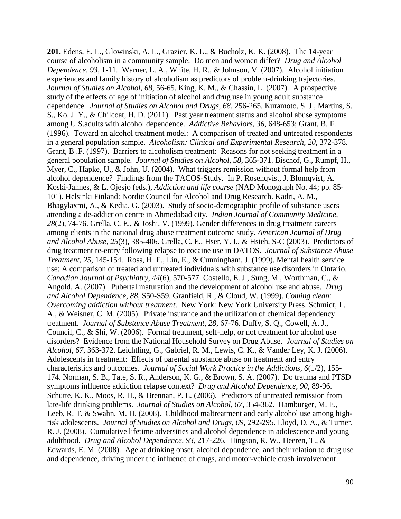**201.** Edens, E. L., Glowinski, A. L., Grazier, K. L., & Bucholz, K. K. (2008). The 14-year course of alcoholism in a community sample: Do men and women differ? *Drug and Alcohol Dependence, 93*, 1-11. Warner, L. A., White, H. R., & Johnson, V. (2007). Alcohol initiation experiences and family history of alcoholism as predictors of problem-drinking trajectories. *Journal of Studies on Alcohol, 68,* 56-65. King, K. M., & Chassin, L. (2007). A prospective study of the effects of age of initiation of alcohol and drug use in young adult substance dependence. *Journal of Studies on Alcohol and Drugs, 68*, 256-265. Kuramoto, S. J., Martins, S. S., Ko. J. Y., & Chilcoat, H. D. (2011). Past year treatment status and alcohol abuse symptoms among U.S.adults with alcohol dependence. *Addictive Behaviors, 36*, 648-653; Grant, B. F. (1996). Toward an alcohol treatment model: A comparison of treated and untreated respondents in a general population sample. *Alcoholism: Clinical and Experimental Research, 20*, 372-378. Grant, B .F. (1997). Barriers to alcoholism treatment: Reasons for not seeking treatment in a general population sample. *Journal of Studies on Alcohol, 58*, 365-371. Bischof, G., Rumpf, H., Myer, C., Hapke, U., & John, U. (2004). What triggers remission without formal help from alcohol dependence? Findings from the TACOS-Study. In P. Rosenqvist, J. Blomqvist, A. Koski-Jannes, & L. Ojesjo (eds.), *Addiction and life course* (NAD Monograph No. 44; pp. 85- 101). Helsinki Finland: Nordic Council for Alcohol and Drug Research. Kadri, A. M., Bhagylaxmi, A., & Kedia, G. (2003). Study of socio-demographic profile of substance users attending a de-addiction centre in Ahmedabad city. *Indian Journal of Community Medicine, 28*(2), 74-76. Grella, C. E., & Joshi, V. (1999). Gender differences in drug treatment careers among clients in the national drug abuse treatment outcome study. *American Journal of Drug and Alcohol Abuse, 25*(3), 385-406. Grella, C. E., Hser, Y. I., & Hsieh, S-C (2003). Predictors of drug treatment re-entry following relapse to cocaine use in DATOS. *Journal of Substance Abuse Treatment, 25*, 145-154. Ross, H. E., Lin, E., & Cunningham, J. (1999). Mental health service use: A comparison of treated and untreated individuals with substance use disorders in Ontario. *Canadian Journal of Psychiatry, 44*(6), 570-577. Costello, E. J., Sung, M., Worthman, C., & Angold, A. (2007). Pubertal maturation and the development of alcohol use and abuse. *Drug and Alcohol Dependence, 88*, S50-S59. Granfield, R., & Cloud, W. (1999). *Coming clean: Overcoming addiction without treatment*. New York: New York University Press. Schmidt, L. A., & Weisner, C. M. (2005). Private insurance and the utilization of chemical dependency treatment. *Journal of Substance Abuse Treatment, 28*, 67-76. Duffy, S. Q., Cowell, A. J., Council, C., & Shi, W. (2006). Formal treatment, self-help, or not treatment for alcohol use disorders? Evidence from the National Household Survey on Drug Abuse. *Journal of Studies on Alcohol, 67*, 363-372. Leichtling, G., Gabriel, R. M., Lewis, C. K., & Vander Ley, K. J. (2006). Adolescents in treatment: Effects of parental substance abuse on treatment and entry characteristics and outcomes. *Journal of Social Work Practice in the Addictions, 6*(1/2), 155- 174. Norman, S. B., Tate, S. R., Anderson, K. G., & Brown, S. A. (2007). Do trauma and PTSD symptoms influence addiction relapse context? *Drug and Alcohol Dependence, 90*, 89-96. Schutte, K. K., Moos, R. H., & Brennan, P. L. (2006). Predictors of untreated remission from late-life drinking problems. *Journal of Studies on Alcohol, 67*, 354-362. Hamburger, M. E., Leeb, R. T. & Swahn, M. H. (2008). Childhood maltreatment and early alcohol use among highrisk adolescents. *Journal of Studies on Alcohol and Drugs, 69*, 292-295. Lloyd, D. A., & Turner, R. J. (2008). Cumulative lifetime adversities and alcohol dependence in adolescence and young adulthood. *Drug and Alcohol Dependence, 93*, 217-226. Hingson, R. W., Heeren, T., & Edwards, E. M. (2008). Age at drinking onset, alcohol dependence, and their relation to drug use and dependence, driving under the influence of drugs, and motor-vehicle crash involvement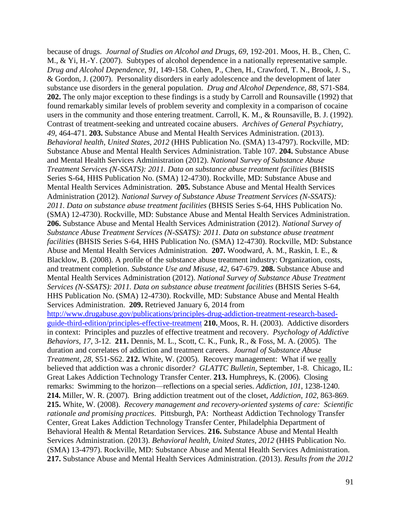because of drugs. *Journal of Studies on Alcohol and Drugs, 69*, 192-201. Moos, H. B., Chen, C. M., & Yi, H.-Y. (2007). Subtypes of alcohol dependence in a nationally representative sample. *Drug and Alcohol Dependence, 91*, 149-158. Cohen, P., Chen, H., Crawford, T. N., Brook, J. S., & Gordon, J. (2007). Personality disorders in early adolescence and the development of later substance use disorders in the general population. *Drug and Alcohol Dependence, 88*, S71-S84. **202.** The only major exception to these findings is a study by Carroll and Rounsaville (1992) that found remarkably similar levels of problem severity and complexity in a comparison of cocaine users in the community and those entering treatment. Carroll, K. M., & Rounsaville, B. J. (1992). Contrast of treatment-seeking and untreated cocaine abusers. *Archives of General Psychiatry, 49*, 464-471. **203.** Substance Abuse and Mental Health Services Administration. (2013). *Behavioral health, United States, 2012* (HHS Publication No. (SMA) 13-4797). Rockville, MD: Substance Abuse and Mental Health Services Administration. Table 107. **204.** Substance Abuse and Mental Health Services Administration (2012). *National Survey of Substance Abuse Treatment Services (N-SSATS): 2011. Data on substance abuse treatment facilities* (BHSIS Series S-64, HHS Publication No. (SMA) 12-4730). Rockville, MD: Substance Abuse and Mental Health Services Administration. **205.** Substance Abuse and Mental Health Services Administration (2012). *National Survey of Substance Abuse Treatment Services (N-SSATS): 2011. Data on substance abuse treatment facilities* (BHSIS Series S-64, HHS Publication No. (SMA) 12-4730). Rockville, MD: Substance Abuse and Mental Health Services Administration. **206.** Substance Abuse and Mental Health Services Administration (2012). *National Survey of Substance Abuse Treatment Services (N-SSATS): 2011. Data on substance abuse treatment facilities* (BHSIS Series S-64, HHS Publication No. (SMA) 12-4730). Rockville, MD: Substance Abuse and Mental Health Services Administration. **207.** Woodward, A. M., Raskin, I. E., & Blacklow, B. (2008). A profile of the substance abuse treatment industry: Organization, costs, and treatment completion. *Substance Use and Misuse, 42*, 647-679. **208.** Substance Abuse and Mental Health Services Administration (2012). *National Survey of Substance Abuse Treatment Services (N-SSATS): 2011. Data on substance abuse treatment facilities (BHSIS Series S-64,* HHS Publication No. (SMA) 12-4730). Rockville, MD: Substance Abuse and Mental Health Services Administration. **209.** Retrieved January 6, 2014 from [http://www.drugabuse.gov/publications/principles-drug-addiction-treatment-research-based](http://www.drugabuse.gov/publications/principles-drug-addiction-treatment-research-based-guide-third-edition/principles-effective-treatment)[guide-third-edition/principles-effective-treatment](http://www.drugabuse.gov/publications/principles-drug-addiction-treatment-research-based-guide-third-edition/principles-effective-treatment) **210.** Moos, R. H. (2003). Addictive disorders in context: Principles and puzzles of effective treatment and recovery. *Psychology of Addictive Behaviors*, *17*, 3-12. **211.** Dennis, M. L., Scott, C. K., Funk, R., & Foss, M. A. (2005). The duration and correlates of addiction and treatment careers. *Journal of Substance Abuse Treatment*, *28*, S51-S62. **212.** White, W. (2005). Recovery management: What if we really believed that addiction was a chronic disorder*? GLATTC Bulletin*, September, 1-8. Chicago, IL: Great Lakes Addiction Technology Transfer Center. **213.** Humphreys, K. (2006). Closing remarks: Swimming to the horizon—reflections on a special series. *Addiction*, *101*, 1238-1240. **214.** Miller, W. R. (2007). Bring addiction treatment out of the closet, *Addiction*, *102*, 863-869. **215.** White, W. (2008). *Recovery management and recovery-oriented systems of care: Scientific rationale and promising practices*. Pittsburgh, PA: Northeast Addiction Technology Transfer Center, Great Lakes Addiction Technology Transfer Center, Philadelphia Department of Behavioral Health & Mental Retardation Services. **216.** Substance Abuse and Mental Health Services Administration. (2013). *Behavioral health, United States, 2012* (HHS Publication No. (SMA) 13-4797). Rockville, MD: Substance Abuse and Mental Health Services Administration. **217.** Substance Abuse and Mental Health Services Administration. (2013). *Results from the 2012*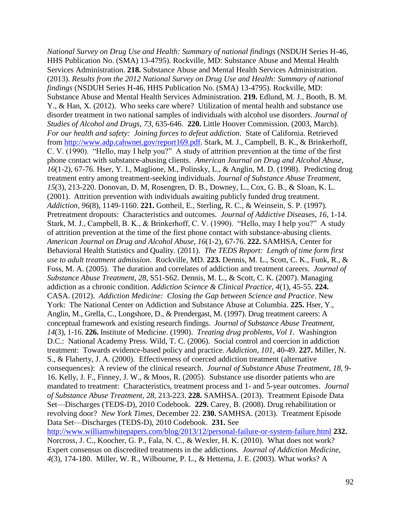*National Survey on Drug Use and Health: Summary of national findings* (NSDUH Series H-46, HHS Publication No. (SMA) 13-4795). Rockville, MD: Substance Abuse and Mental Health Services Administration. **218.** Substance Abuse and Mental Health Services Administration. (2013). *Results from the 2012 National Survey on Drug Use and Health: Summary of national findings* (NSDUH Series H-46, HHS Publication No. (SMA) 13-4795). Rockville, MD: Substance Abuse and Mental Health Services Administration. **219.** Edlund, M. J., Booth, B. M. Y., & Han, X. (2012). Who seeks care where? Utilization of mental health and substance use disorder treatment in two national samples of individuals with alcohol use disorders. *Journal of Studies of Alcohol and Drugs*, *73*, 635-646. **220.** Little Hoover Commission. (2003, March). *For our health and safety: Joining forces to defeat addiction*. State of California. Retrieved from [http://www.adp.cahwnet.gov/report169.pdf.](http://www.adp.cahwnet.gov/report169.pdf) Stark, M. J., Campbell, B. K., & Brinkerhoff, C. V. (1990). "Hello, may I help you?" A study of attrition prevention at the time of the first phone contact with substance-abusing clients. *American Journal on Drug and Alcohol Abuse*, *16*(1-2), 67-76. Hser, Y. I., Maglione, M., Polinsky, L., & Anglin, M. D. (1998). Predicting drug treatment entry among treatment-seeking individuals. *Journal of Substance Abuse Treatment, 15*(3), 213-220. Donovan, D. M, Rosengren, D. B., Downey, L., Cox, G. B., & Sloan, K. L. (2001). Attrition prevention with individuals awaiting publicly funded drug treatment. *Addiction, 96*(8), 1149-1160. **221.** Gottheil, E., Sterling, R. C., & Weinsein, S. P. (1997). Pretreatment dropouts: Characteristics and outcomes. *Journal of Addictive Diseases*, *16*, 1-14. Stark, M. J., Campbell, B. K., & Brinkerhoff, C. V. (1990). "Hello, may I help you?" A study of attrition prevention at the time of the first phone contact with substance-abusing clients. *American Journal on Drug and Alcohol Abuse*, *16*(1-2), 67-76. **222.** SAMHSA, Center for Behavioral Health Statistics and Quality. (2011). *The TEDS Report: Length of time form first use to adult treatment admission*. Rockville, MD. **223.** Dennis, M. L., Scott, C. K., Funk, R., & Foss, M. A. (2005). The duration and correlates of addiction and treatment careers. *Journal of Substance Abuse Treatment*, *28*, S51-S62. Dennis, M. L., & Scott, C. K. (2007). Managing addiction as a chronic condition. *Addiction Science & Clinical Practice*, *4*(1), 45-55. **224.** CASA. (2012). *Addiction Medicine: Closing the Gap between Science and Practice*. New York: The National Center on Addiction and Substance Abuse at Columbia. **225.** Hser, Y., Anglin, M., Grella, C., Longshore, D., & Prendergast, M. (1997). Drug treatment careers: A conceptual framework and existing research findings. *Journal of Substance Abuse Treatment, 14*(3), 1-16. **226.** Institute of Medicine. (1990). *Treating drug problems, Vol 1.* Washington D.C.: National Academy Press. Wild, T. C. (2006). Social control and coercion in addiction treatment: Towards evidence-based policy and practice. *Addiction*, *101*, 40-49. **227.** Miller, N. S., & Flaherty, J. A. (2000). Effectiveness of coerced addiction treatment (alternative consequences): A review of the clinical research. *Journal of Substance Abuse Treatment*, *18*, 9- 16. Kelly, J. F., Finney, J. W., & Moos, R. (2005). Substance use disorder patients who are mandated to treatment: Characteristics, treatment process and 1- and 5-year outcomes. *Journal of Substance Abuse Treatment*, *28*, 213-223. **228.** SAMHSA. (2013). Treatment Episode Data Set—Discharges (TEDS-D), 2010 Codebook. **229.** Carey, B. (2008). Drug rehabilitation or revolving door? *New York Times*, December 22. **230.** SAMHSA. (2013). Treatment Episode Data Set—Discharges (TEDS-D), 2010 Codebook. **231.** See <http://www.williamwhitepapers.com/blog/2013/12/personal-failure-or-system-failure.html> **232.** Norcross, J. C., Koocher, G. P., Fala, N. C., & Wexler, H. K. (2010). What does not work? Expert consensus on discredited treatments in the addictions. *Journal of Addiction Medicine*, *4*(3), 174-180. Miller, W. R., Wilbourne, P. L., & Hettema, J. E. (2003). What works? A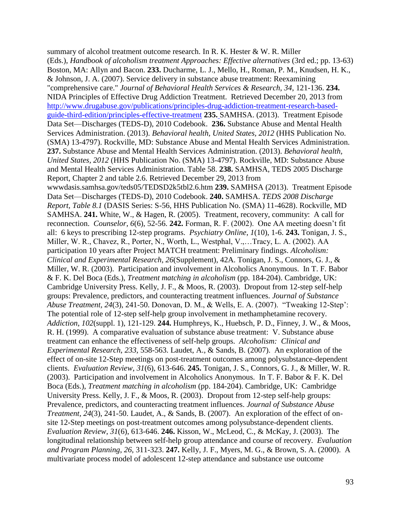summary of alcohol treatment outcome research. In R. K. Hester & W. R. Miller (Eds.), *Handbook of alcoholism treatment Approaches: Effective alternatives* (3rd ed.; pp. 13-63) Boston, MA: Allyn and Bacon. **233.** Ducharme, L. J., Mello, H., Roman, P. M., Knudsen, H. K., & Johnson, J. A. (2007). Service delivery in substance abuse treatment: Reexamining "comprehensive care." *Journal of Behavioral Health Services & Research, 34*, 121-136. **234.** NIDA Principles of Effective Drug Addiction Treatment. Retrieved December 20, 2013 from [http://www.drugabuse.gov/publications/principles-drug-addiction-treatment-research-based](http://www.drugabuse.gov/publications/principles-drug-addiction-treatment-research-based-guide-third-edition/principles-effective-treatment)[guide-third-edition/principles-effective-treatment](http://www.drugabuse.gov/publications/principles-drug-addiction-treatment-research-based-guide-third-edition/principles-effective-treatment) **235.** SAMHSA. (2013). Treatment Episode Data Set—Discharges (TEDS-D), 2010 Codebook. **236.** Substance Abuse and Mental Health Services Administration. (2013). *Behavioral health, United States, 2012* (HHS Publication No. (SMA) 13-4797). Rockville, MD: Substance Abuse and Mental Health Services Administration. **237.** Substance Abuse and Mental Health Services Administration. (2013). *Behavioral health, United States, 2012* (HHS Publication No. (SMA) 13-4797). Rockville, MD: Substance Abuse and Mental Health Services Administration. Table 58. **238.** SAMHSA, TEDS 2005 Discharge Report, Chapter 2 and table 2.6. Retrieved December 29, 2013 from wwwdasis.samhsa.gov/teds05/TEDSD2k5tbl2.6.htm **239.** SAMHSA (2013). Treatment Episode Data Set—Discharges (TEDS-D), 2010 Codebook. **240.** SAMHSA. *TEDS 2008 Discharge Report, Table 8.1* (DASIS Series: S-56, HHS Publication No. (SMA) 11-4628). Rockville, MD SAMHSA. **241.** White, W., & Hagen, R. (2005). Treatment, recovery, community: A call for reconnection. *Counselor*, *6*(6), 52-56. **242.** Forman, R. F. (2002). One AA meeting doesn't fit all: 6 keys to prescribing 12-step programs. *Psychiatry Online*, *1*(10), 1-6. **243.** Tonigan, J. S., Miller, W. R., Chavez, R., Porter, N., Worth, L., Westphal, V.,…Tracy, L. A. (2002). AA participation 10 years after Project MATCH treatment: Preliminary findings. *Alcoholism: Clinical and Experimental Research*, *26*(Supplement), 42A. Tonigan, J. S., Connors, G. J., & Miller, W. R. (2003). Participation and involvement in Alcoholics Anonymous. In T. F. Babor & F. K. Del Boca (Eds.), *Treatment matching in alcoholism* (pp. 184-204). Cambridge, UK: Cambridge University Press. Kelly, J. F., & Moos, R. (2003). Dropout from 12-step self-help groups: Prevalence, predictors, and counteracting treatment influences. *Journal of Substance Abuse Treatment, 24*(3), 241-50. Donovan, D. M., & Wells, E. A. (2007). "Tweaking 12-Step': The potential role of 12-step self-help group involvement in methamphetamine recovery. *Addiction*, *102*(suppl. 1), 121-129. **244.** Humphreys, K., Huebsch, P. D., Finney, J. W., & Moos, R. H. (1999). A comparative evaluation of substance abuse treatment: V. Substance abuse treatment can enhance the effectiveness of self-help groups. *Alcoholism: Clinical and Experimental Research*, *233*, 558-563. Laudet, A., & Sands, B. (2007). An exploration of the effect of on-site 12-Step meetings on post-treatment outcomes among polysubstance-dependent clients. *Evaluation Review*, *31*(6), 613-646. **245.** Tonigan, J. S., Connors, G. J., & Miller, W. R. (2003). Participation and involvement in Alcoholics Anonymous. In T. F. Babor & F. K. Del Boca (Eds.), *Treatment matching in alcoholism* (pp. 184-204). Cambridge, UK: Cambridge University Press. Kelly, J. F., & Moos, R. (2003). Dropout from 12-step self-help groups: Prevalence, predictors, and counteracting treatment influences. *Journal of Substance Abuse Treatment, 24*(3), 241-50. Laudet, A., & Sands, B. (2007). An exploration of the effect of onsite 12-Step meetings on post-treatment outcomes among polysubstance-dependent clients. *Evaluation Review*, *31*(6), 613-646. **246.** Kisson, W., McLeod, C., & McKay, J. (2003). The longitudinal relationship between self-help group attendance and course of recovery. *Evaluation and Program Planning*, *26*, 311-323. **247.** Kelly, J. F., Myers, M. G., & Brown, S. A. (2000). A multivariate process model of adolescent 12-step attendance and substance use outcome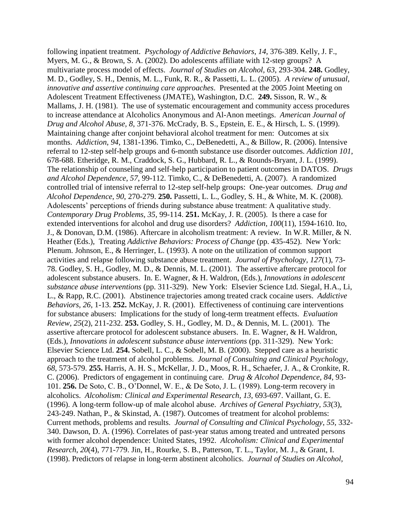following inpatient treatment. *Psychology of Addictive Behaviors*, *14*, 376-389. Kelly, J. F., Myers, M. G., & Brown, S. A. (2002). Do adolescents affiliate with 12-step groups? A multivariate process model of effects. *Journal of Studies on Alcohol, 63*, 293-304. **248.** Godley, M. D., Godley, S. H., Dennis, M. L., Funk, R. R., & Passetti, L. L. (2005). *A review of unusual, innovative and assertive continuing care approaches*. Presented at the 2005 Joint Meeting on Adolescent Treatment Effectiveness (JMATE), Washington, D.C. **249.** Sisson, R. W., & Mallams, J. H. (1981). The use of systematic encouragement and community access procedures to increase attendance at Alcoholics Anonymous and Al-Anon meetings. *American Journal of Drug and Alcohol Abuse, 8*, 371-376. McCrady, B. S., Epstein, E. E., & Hirsch, L. S. (1999). Maintaining change after conjoint behavioral alcohol treatment for men: Outcomes at six months. *Addiction*, *94*, 1381-1396. Timko, C., DeBenedetti, A., & Billow, R. (2006). Intensive referral to 12-step self-help groups and 6-month substance use disorder outcomes. *Addiction 101*, 678-688. Etheridge, R. M., Craddock, S. G., Hubbard, R. L., & Rounds-Bryant, J. L. (1999). The relationship of counseling and self-help participation to patient outcomes in DATOS. *Drugs and Alcohol Dependence*, *57*, 99-112. Timko, C., & DeBenedetti, A. (2007). A randomized controlled trial of intensive referral to 12-step self-help groups: One-year outcomes. *Drug and Alcohol Dependence*, *90*, 270-279. **250.** Passetti, L. L., Godley, S. H., & White, M. K. (2008). Adolescents' perceptions of friends during substance abuse treatment: A qualitative study. *Contemporary Drug Problems, 35*, 99-114. **251.** McKay, J. R. (2005). Is there a case for extended interventions for alcohol and drug use disorders? *Addiction*, *100*(11), 1594-1610. Ito, J., & Donovan, D.M. (1986). Aftercare in alcoholism treatment: A review. In W.R. Miller, & N. Heather (Eds.), Treating *Addictive Behaviors: Process of Change* (pp. 435-452). New York: Plenum. Johnson, E., & Herringer, L. (1993). A note on the utilization of common support activities and relapse following substance abuse treatment. *Journal of Psychology, 127*(1), 73- 78. Godley, S. H., Godley, M. D., & Dennis, M. L. (2001). The assertive aftercare protocol for adolescent substance abusers. In. E. Wagner, & H. Waldron, (Eds.), *Innovations in adolescent substance abuse interventions* (pp. 311-329). New York: Elsevier Science Ltd. Siegal, H.A., Li, L., & Rapp, R.C. (2001). Abstinence trajectories among treated crack cocaine users. *Addictive Behaviors*, *26*, 1-13. **252.** McKay, J. R. (2001). Effectiveness of continuing care interventions for substance abusers: Implications for the study of long-term treatment effects. *Evaluation Review, 25*(2)*,* 211-232. **253.** Godley, S. H., Godley, M. D., & Dennis, M. L. (2001). The assertive aftercare protocol for adolescent substance abusers. In. E. Wagner, & H. Waldron, (Eds.), *Innovations in adolescent substance abuse interventions* (pp. 311-329). New York: Elsevier Science Ltd. **254.** Sobell, L. C., & Sobell, M. B. (2000). Stepped care as a heuristic approach to the treatment of alcohol problems. *Journal of Consulting and Clinical Psychology*, *68*, 573-579. **255.** Harris, A. H. S., McKellar, J. D., Moos, R. H., Schaefer, J. A., & Cronkite, R. C. (2006). Predictors of engagement in continuing care. *Drug & Alcohol Dependence*, *84*, 93- 101. **256.** De Soto, C. B., O'Donnel, W. E., & De Soto, J. L. (1989). Long-term recovery in alcoholics. *Alcoholism: Clinical and Experimental Research*, *13*, 693-697. Vaillant, G. E. (1996). A long-term follow-up of male alcohol abuse. *Archives of General Psychiatry, 53*(3), 243-249. Nathan, P., & Skinstad, A. (1987). Outcomes of treatment for alcohol problems: Current methods, problems and results. *Journal of Consulting and Clinical Psychology*, *55*, 332- 340. Dawson, D. A. (1996). Correlates of past-year status among treated and untreated persons with former alcohol dependence: United States, 1992. *Alcoholism: Clinical and Experimental Research*, *20*(4), 771-779. Jin, H., Rourke, S. B., Patterson, T. L., Taylor, M. J., & Grant, I. (1998). Predictors of relapse in long-term abstinent alcoholics. *Journal of Studies on Alcohol,*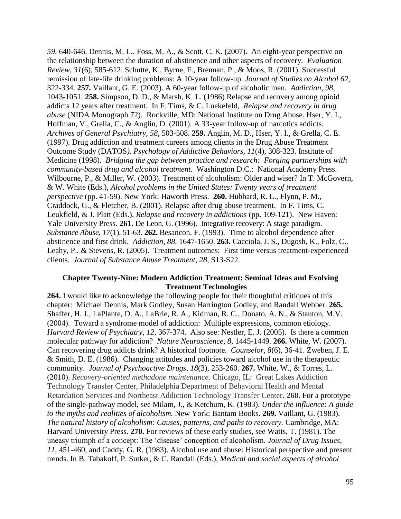*59*, 640-646. Dennis, M. L., Foss, M. A., & Scott, C. K. (2007). An eight-year perspective on the relationship between the duration of abstinence and other aspects of recovery. *Evaluation Review*, *31*(6), 585-612. Schutte, K., Byrne, F., Brennan, P., & Moos, R. (2001). Successful remission of late-life drinking problems: A 10-year follow-up. *Journal of Studies on Alcohol 62,*  322-334. **257.** Vaillant, G. E. (2003). A 60-year follow-up of alcoholic men. *Addiction*, *98,* 1043-1051. **258.** Simpson, D. D., & Marsh, K. L. (1986) Relapse and recovery among opioid addicts 12 years after treatment. In F. Tims, & C. Luekefeld, *Relapse and recovery in drug abuse* (NIDA Monograph 72). Rockville, MD: National Institute on Drug Abuse. Hser, Y. I., Hoffman, V., Grella, C., & Anglin, D. (2001). A 33-year follow-up of narcotics addicts. *Archives of General Psychiatry, 58*, 503-508. **259.** Anglin, M. D., Hser, Y. I., & Grella, C. E. (1997). Drug addiction and treatment careers among clients in the Drug Abuse Treatment Outcome Study (DATOS*). Psychology of Addictive Behaviors, 11*(4), 308-323. Institute of Medicine (1998). *Bridging the gap between practice and research: Forging partnerships with community-based drug and alcohol treatment*. Washington D.C.: National Academy Press. Wilbourne, P., & Miller, W. (2003). Treatment of alcoholism: Older and wiser? In T. McGovern, & W. White (Eds.), *Alcohol problems in the United States: Twenty years of treatment perspective* (pp. 41-59). New York: Haworth Press. **260.** Hubbard, R. L., Flynn, P. M., Craddock, G., & Fletcher, B. (2001). Relapse after drug abuse treatment. In F. Tims, C. Leukfield, & J. Platt (Eds.), *Relapse and recovery in addictions* (pp. 109-121). New Haven: Yale University Press. **261.** De Leon, G. (1996). Integrative recovery: A stage paradigm. *Substance Abuse, 17*(1), 51-63. **262.** Besancon. F. (1993). Time to alcohol dependence after abstinence and first drink. *Addiction*, *88*, 1647-1650. **263.** Cacciola, J. S., Dugosh, K., Folz, C., Leahy, P., & Stevens, R. (2005). Treatment outcomes: First time versus treatment-experienced clients. *Journal of Substance Abuse Treatment*, *28*, S13-S22.

## **Chapter Twenty-Nine: Modern Addiction Treatment: Seminal Ideas and Evolving Treatment Technologies**

**264.** I would like to acknowledge the following people for their thoughtful critiques of this chapter: Michael Dennis, Mark Godley, Susan Harrington Godley, and Randall Webber. **265.** Shaffer, H. J., LaPlante, D. A., LaBrie, R. A., Kidman, R. C., Donato, A. N., & Stanton, M.V. (2004). Toward a syndrome model of addiction: Multiple expressions, common etiology. *Harvard Review of Psychiatry*, *12*, 367-374. Also see: Nestler, E. J. (2005). Is there a common molecular pathway for addiction? *Nature Neuroscience*, *8*, 1445-1449. **266.** White, W. (2007). Can recovering drug addicts drink? A historical footnote. *Counselor*, *8*(6), 36-41. Zweben, J. E. & Smith, D. E. (1986). Changing attitudes and policies toward alcohol use in the therapeutic community. *Journal of Psychoactive Drugs*, *18*(3), 253-260. **267.** White, W., & Torres, L. (2010). *Recovery-oriented methadone maintenance*. Chicago, IL: Great Lakes Addiction Technology Transfer Center, Philadelphia Department of Behavioral Health and Mental Retardation Services and Northeast Addiction Technology Transfer Center. **268.** For a prototype of the single-pathway model, see Milam, J., & Ketchum, K. (1983). *Under the influence: A guide to the myths and realities of alcoholism.* New York: Bantam Books. **269.** Vaillant, G. (1983). *The natural history of alcoholism: Causes, patterns, and paths to recovery. Cambridge, MA:* Harvard University Press. **270.** For reviews of these early studies, see Watts, T. (1981). The uneasy triumph of a concept: The 'disease' conception of alcoholism. *Journal of Drug Issues, 11*, 451-460, and Caddy, G. R. (1983). Alcohol use and abuse: Historical perspective and present trends. In B. Tabakoff, P. Sutker, & C. Randall (Eds.), *Medical and social aspects of alcohol*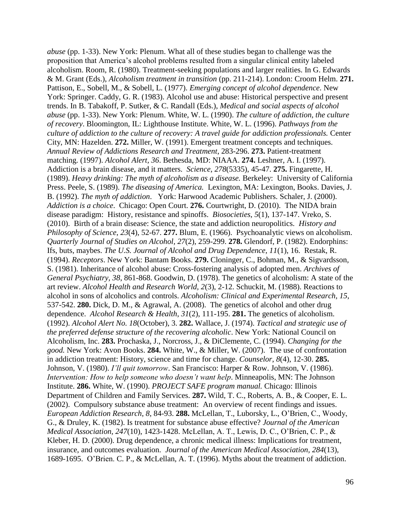*abuse* (pp. 1-33). New York: Plenum. What all of these studies began to challenge was the proposition that America's alcohol problems resulted from a singular clinical entity labeled alcoholism. Room, R. (1980). Treatment-seeking populations and larger realities. In G. Edwards & M. Grant (Eds.), *Alcoholism treatment in transition* (pp. 211-214). London: Croom Helm. **271.** Pattison, E., Sobell, M., & Sobell, L. (1977). *Emerging concept of alcohol dependence*. New York: Springer. Caddy, G. R. (1983). Alcohol use and abuse: Historical perspective and present trends. In B. Tabakoff, P. Sutker, & C. Randall (Eds.), *Medical and social aspects of alcohol abuse* (pp. 1-33). New York: Plenum. White, W. L. (1990). *The culture of addiction, the culture of recovery*. Bloomington, IL: Lighthouse Institute. White, W. L. (1996). *Pathways from the culture of addiction to the culture of recovery: A travel guide for addiction professionals.* Center City, MN: Hazelden. **272.** Miller, W. (1991). Emergent treatment concepts and techniques. *Annual Review of Addictions Research and Treatment*, 283-296. **273.** Patient-treatment matching. (1997). *Alcohol Alert, 36*. Bethesda, MD: NIAAA. **274.** Leshner, A. I. (1997). Addiction is a brain disease, and it matters. *Science*, *278*(5335), 45-47. **275.** Fingarette, H. (1989). *Heavy drinking: The myth of alcoholism as a disease.* Berkeley: University of California Press. Peele, S. (1989). *The diseasing of America.* Lexington, MA: Lexington, Books. Davies, J. B. (1992). *The myth of addiction*. York: Harwood Academic Publishers. Schaler, J. (2000). *Addiction is a choice*. Chicago: Open Court. **276.** Courtwright, D. (2010). The NIDA brain disease paradigm: History, resistance and spinoffs. *Biosocieties*, *5*(1), 137-147. Vreko, S. (2010). Birth of a brain disease: Science, the state and addiction neuropolitics. *History and Philosophy of Science*, *23*(4), 52-67. **277.** Blum, E. (1966). Psychoanalytic views on alcoholism. *Quarterly Journal of Studies on Alcohol, 27*(2), 259-299. **278.** Glendorf, P. (1982). Endorphins: Ifs, buts, maybes. *The U.S. Journal of Alcohol and Drug Dependence, 11*(1), 16. Restak, R. (1994). *Receptors*. New York: Bantam Books. **279.** Cloninger, C., Bohman, M., & Sigvardsson, S. (1981). Inheritance of alcohol abuse: Cross-fostering analysis of adopted men. *Archives of General Psychiatry, 38*, 861-868. Goodwin, D. (1978). The genetics of alcoholism: A state of the art review. *Alcohol Health and Research World, 2*(3), 2-12. Schuckit, M. (1988). Reactions to alcohol in sons of alcoholics and controls. *Alcoholism: Clinical and Experimental Research, 15*, 537-542. **280.** Dick, D. M., & Agrawal, A. (2008). The genetics of alcohol and other drug dependence. *Alcohol Research & Health*, *31*(2), 111-195. **281.** The genetics of alcoholism. (1992). *Alcohol Alert No. 18*(October), 3. **282.** Wallace, J. (1974). *Tactical and strategic use of the preferred defense structure of the recovering alcoholic*. New York: National Council on Alcoholism, Inc. **283.** Prochaska, J., Norcross, J., & DiClemente, C. (1994). *Changing for the good.* New York: Avon Books. **284.** White, W., & Miller, W. (2007). The use of confrontation in addiction treatment: History, science and time for change. *Counselor*, *8*(4), 12-30. **285.**  Johnson, V. (1980). *I'll quit tomorrow*. San Francisco: Harper & Row. Johnson, V. (1986). *Intervention: How to help someone who doesn't want help. Minneapolis, MN: The Johnson* Institute. **286.** White, W. (1990). *PROJECT SAFE program manual.* Chicago: Illinois Department of Children and Family Services. **287.** Wild, T. C., Roberts, A. B., & Cooper, E. L. (2002). Compulsory substance abuse treatment: An overview of recent findings and issues. *European Addiction Research*, *8*, 84-93. **288.** McLellan, T., Luborsky, L., O'Brien, C., Woody, G., & Druley, K. (1982). Is treatment for substance abuse effective? *Journal of the American Medical Association, 247*(10), 1423-1428. McLellan, A. T., Lewis, D. C., O'Brien, C. P., & Kleber, H. D. (2000). Drug dependence, a chronic medical illness: Implications for treatment, insurance, and outcomes evaluation. *Journal of the American Medical Association, 284*(13), 1689-1695. O'Brien. C. P., & McLellan, A. T. (1996). Myths about the treatment of addiction.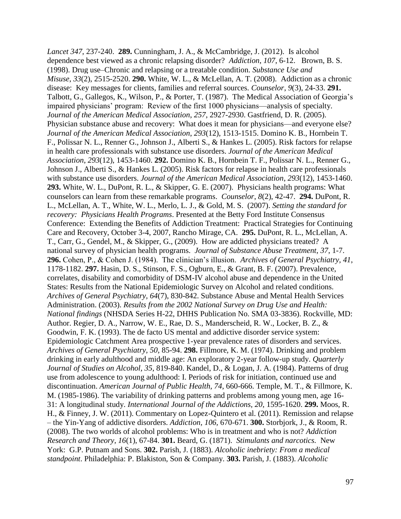*Lancet 347*, 237-240. **289.** Cunningham, J. A., & McCambridge, J. (2012). Is alcohol dependence best viewed as a chronic relapsing disorder? *Addiction*, *107*, 6-12. Brown, B. S. (1998). Drug use–Chronic and relapsing or a treatable condition. *Substance Use and Misuse*, *33*(2), 2515-2520. **290.** White, W. L., & McLellan, A. T. (2008). Addiction as a chronic disease: Key messages for clients, families and referral sources. *Counselor*, *9*(3), 24-33. **291.**  Talbott, G., Gallegos, K., Wilson, P., & Porter, T. (1987). The Medical Association of Georgia's impaired physicians' program: Review of the first 1000 physicians—analysis of specialty. *Journal of the American Medical Association*, *257*, 2927-2930. Gastfriend, D. R. (2005). Physician substance abuse and recovery: What does it mean for physicians—and everyone else? *Journal of the American Medical Association*, *293*(12), 1513-1515. Domino K. B., Hornbein T. F., Polissar N. L., Renner G., Johnson J., Alberti S., & Hankes L. (2005). Risk factors for relapse in health care professionals with substance use disorders. *Journal of the American Medical Association*, *293*(12), 1453-1460. **292.** Domino K. B., Hornbein T. F., Polissar N. L., Renner G., Johnson J., Alberti S., & Hankes L. (2005). Risk factors for relapse in health care professionals with substance use disorders. *Journal of the American Medical Association*, *293*(12), 1453-1460. **293.** White, W. L., DuPont, R. L., & Skipper, G. E. (2007). Physicians health programs: What counselors can learn from these remarkable programs. *Counselor*, *8*(2), 42-47. **294.** DuPont, R. L., McLellan, A. T., White, W. L., Merlo, L. J., & Gold, M. S. (2007). *Setting the standard for recovery: Physicians Health Programs*. Presented at the Betty Ford Institute Consensus Conference: Extending the Benefits of Addiction Treatment: Practical Strategies for Continuing Care and Recovery, October 3-4, 2007, Rancho Mirage, CA. **295.** DuPont, R. L., McLellan, A. T., Carr, G., Gendel, M., & Skipper, G., (2009). How are addicted physicians treated? A national survey of physician health programs. *Journal of Substance Abuse Treatment*, *37*, 1-7. **296.** Cohen, P., & Cohen J. (1984). The clinician's illusion. *Archives of General Psychiatry, 41*, 1178-1182. **297.** Hasin, D. S., Stinson, F. S., Ogburn, E., & Grant, B. F. (2007). Prevalence, correlates, disability and comorbidity of DSM-IV alcohol abuse and dependence in the United States: Results from the National Epidemiologic Survey on Alcohol and related conditions. *Archives of General Psychiatry, 64*(7), 830-842. Substance Abuse and Mental Health Services Administration. (2003). *Results from the 2002 National Survey on Drug Use and Health: National findings* (NHSDA Series H-22, DHHS Publication No. SMA 03-3836). Rockville, MD: Author. Regier, D. A., Narrow, W. E., Rae, D. S., Manderscheid, R. W., Locker, B. Z., & Goodwin, F. K. (1993). The de facto US mental and addictive disorder service system: Epidemiologic Catchment Area prospective 1-year prevalence rates of disorders and services. *Archives of General Psychiatry, 50*, 85-94. **298.** Fillmore, K. M. (1974). Drinking and problem drinking in early adulthood and middle age: An exploratory 2-year follow-up study. *Quarterly Journal of Studies on Alcohol, 35*, 819-840. Kandel, D., & Logan, J. A. (1984). Patterns of drug use from adolescence to young adulthood: I. Periods of risk for initiation, continued use and discontinuation. *American Journal of Public Health, 74*, 660-666. Temple, M. T., & Fillmore, K. M. (1985-1986). The variability of drinking patterns and problems among young men, age 16- 31: A longitudinal study. *International Journal of the Addictions, 20*, 1595-1620. **299.** Moos, R. H., & Finney, J. W. (2011). Commentary on Lopez-Quintero et al. (2011). Remission and relapse – the Yin-Yang of addictive disorders. *Addiction, 106,* 670-671. **300.** Storbjork, J., & Room, R. (2008). The two worlds of alcohol problems: Who is in treatment and who is not? *Addiction Research and Theory, 16*(1), 67-84. **301.** Beard, G. (1871). *Stimulants and narcotics.* New York: G.P. Putnam and Sons. **302.** Parish, J. (1883). *Alcoholic inebriety: From a medical standpoint*. Philadelphia: P. Blakiston, Son & Company. **303.** Parish, J. (1883). *Alcoholic*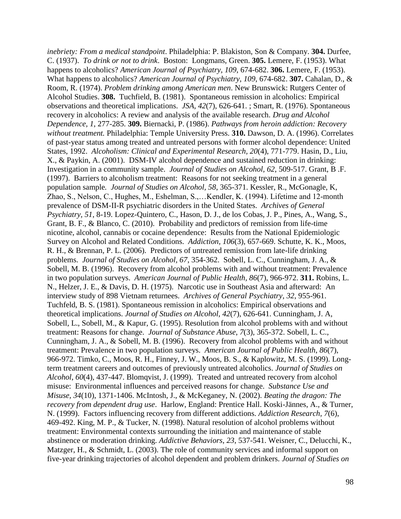*inebriety: From a medical standpoint*. Philadelphia: P. Blakiston, Son & Company. **304.** Durfee, C. (1937). *To drink or not to drink*. Boston: Longmans, Green. **305.** Lemere, F. (1953). What happens to alcoholics? *American Journal of Psychiatry, 109*, 674-682. **306.** Lemere, F. (1953). What happens to alcoholics? *American Journal of Psychiatry, 109*, 674-682. **307.** Cahalan, D., & Room, R. (1974). *Problem drinking among American men*. New Brunswick: Rutgers Center of Alcohol Studies. **308.** Tuchfield, B. (1981). Spontaneous remission in alcoholics: Empirical observations and theoretical implications. *JSA, 42*(7), 626-641. ; Smart, R. (1976). Spontaneous recovery in alcoholics: A review and analysis of the available research. *Drug and Alcohol Dependence, 1*, 277-285. **309.** Biernacki, P. (1986). *Pathways from heroin addiction: Recovery without treatment.* Philadelphia: Temple University Press. **310.** Dawson, D. A. (1996). Correlates of past-year status among treated and untreated persons with former alcohol dependence: United States, 1992. *Alcoholism: Clinical and Experimental Research, 20*(4), 771-779. Hasin, D., Liu, X., & Paykin, A. (2001). DSM-IV alcohol dependence and sustained reduction in drinking: Investigation in a community sample. *Journal of Studies on Alcohol, 62*, 509-517. Grant, B .F. (1997). Barriers to alcoholism treatment: Reasons for not seeking treatment in a general population sample*. Journal of Studies on Alcohol, 58*, 365-371. Kessler, R., McGonagle, K, Zhao, S., Nelson, C., Hughes, M., Eshelman, S.,…Kendler, K. (1994). Lifetime and 12-month prevalence of DSM-II-R psychiatric disorders in the United States. *Archives of General Psychiatry, 51*, 8-19. Lopez-Quintero, C., Hason, D. J., de los Cobas, J. P., Pines, A., Wang, S., Grant, B. F., & Blanco, C. (2010). Probability and predictors of remission from life-time nicotine, alcohol, cannabis or cocaine dependence: Results from the National Epidemiologic Survey on Alcohol and Related Conditions. *Addiction, 106*(3), 657-669. Schutte, K. K., Moos, R. H., & Brennan, P. L. (2006). Predictors of untreated remission from late-life drinking problems. *Journal of Studies on Alcohol, 67*, 354-362. Sobell, L. C., Cunningham, J. A., & Sobell, M. B. (1996). Recovery from alcohol problems with and without treatment: Prevalence in two population surveys. *American Journal of Public Health, 86*(7), 966-972. **311.** Robins, L. N., Helzer, J. E., & Davis, D. H. (1975). Narcotic use in Southeast Asia and afterward: An interview study of 898 Vietnam returnees. *Archives of General Psychiatry*, *32*, 955-961. Tuchfeld, B. S. (1981). Spontaneous remission in alcoholics: Empirical observations and theoretical implications. *Journal of Studies on Alcohol*, *42*(7), 626-641. Cunningham, J. A, Sobell, L., Sobell, M., & Kapur, G. (1995). Resolution from alcohol problems with and without treatment: Reasons for change. *Journal of Substance Abuse*, *7*(3), 365-372. Sobell, L. C., Cunningham, J. A., & Sobell, M. B. (1996). Recovery from alcohol problems with and without treatment: Prevalence in two population surveys. *American Journal of Public Health*, *86*(7), 966-972. Timko, C., Moos, R. H., Finney, J. W., Moos, B. S., & Kaplowitz, M. S. (1999). Longterm treatment careers and outcomes of previously untreated alcoholics. *Journal of Studies on Alcohol*, *60*(4), 437-447. Blomqvist, J. (1999). Treated and untreated recovery from alcohol misuse: Environmental influences and perceived reasons for change. *Substance Use and Misuse, 34*(10), 1371-1406. McIntosh, J., & McKeganey, N. (2002). *Beating the dragon: The recovery from dependent drug use*. Harlow, England: Prentice Hall. Koski-Jännes, A., & Turner, N. (1999). Factors influencing recovery from different addictions. *Addiction Research, 7*(6), 469-492. King, M. P., & Tucker, N. (1998). Natural resolution of alcohol problems without treatment: Environmental contexts surrounding the initiation and maintenance of stable abstinence or moderation drinking. *Addictive Behaviors*, *23*, 537-541. Weisner, C., Delucchi, K., Matzger, H., & Schmidt, L. (2003). The role of community services and informal support on five-year drinking trajectories of alcohol dependent and problem drinkers. *Journal of Studies on*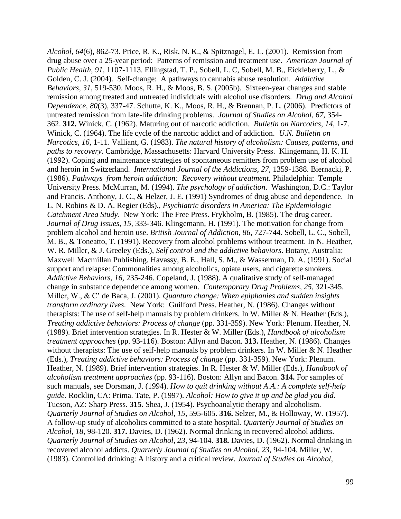*Alcohol*, *64*(6), 862-73. Price, R. K., Risk, N. K., & Spitznagel, E. L. (2001). Remission from drug abuse over a 25-year period: Patterns of remission and treatment use. *American Journal of Public Health*, *91*, 1107-1113. Ellingstad, T. P., Sobell, L. C, Sobell, M. B., Eickleberry, L., & Golden, C. J. (2004). Self-change: A pathways to cannabis abuse resolution. *Addictive Behaviors*, *31*, 519-530. Moos, R. H., & Moos, B. S. (2005b). Sixteen-year changes and stable remission among treated and untreated individuals with alcohol use disorders. *Drug and Alcohol Dependence*, *80*(3), 337-47. Schutte, K. K., Moos, R. H., & Brennan, P. L. (2006). Predictors of untreated remission from late-life drinking problems. *Journal of Studies on Alcohol*, *67*, 354- 362. **312.** Winick, C. (1962). Maturing out of narcotic addiction. *Bulletin on Narcotics*, *14,* 1-7. Winick, C. (1964). The life cycle of the narcotic addict and of addiction. *U.N. Bulletin on Narcotics, 16,* 1-11. Valliant, G. (1983). *The natural history of alcoholism: Causes, patterns, and paths to recovery*. Cambridge, Massachusetts: Harvard University Press. Klingemann, H. K. H. (1992). Coping and maintenance strategies of spontaneous remitters from problem use of alcohol and heroin in Switzerland. *International Journal of the Addictions, 27,* 1359-1388. Biernacki, P. (1986). *Pathways from heroin addiction: Recovery without treatment.* Philadelphia: Temple University Press. McMurran, M. (1994). *The psychology of addiction*. Washington, D.C.: Taylor and Francis. Anthony, J. C., & Helzer, J. E. (1991) Syndromes of drug abuse and dependence. In L. N. Robins & D. A. Regier (Eds)., *Psychiatric disorders in America: The Epidemiologic Catchment Area Study*. New York: The Free Press. Frykholm, B. (1985). The drug career. *Journal of Drug Issues, 15,* 333-346. Klingemann, H. (1991). The motivation for change from problem alcohol and heroin use. *British Journal of Addiction, 86*, 727-744. Sobell, L. C., Sobell, M. B., & Toneatto, T. (1991). Recovery from alcohol problems without treatment. In N. Heather, W. R. Miller, & J. Greeley (Eds.), *Self control and the addictive behaviors*. Botany, Australia: Maxwell Macmillan Publishing. Havassy, B. E., Hall, S. M., & Wasserman, D. A. (1991). Social support and relapse: Commonalities among alcoholics, opiate users, and cigarette smokers. *Addictive Behaviors, 16,* 235-246. Copeland, J. (1988). A qualitative study of self-managed change in substance dependence among women. *Contemporary Drug Problems, 25,* 321-345. Miller, W., & C' de Baca, J. (2001). *Quantum change: When epiphanies and sudden insights transform ordinary lives*. New York: Guilford Press. Heather, N. (1986). Changes without therapists: The use of self-help manuals by problem drinkers. In W. Miller & N. Heather (Eds.), *Treating addictive behaviors: Process of change* (pp. 331-359). New York: Plenum. Heather, N. (1989). Brief intervention strategies. In R. Hester & W. Miller (Eds.), *Handbook of alcoholism treatment approaches* (pp. 93-116). Boston: Allyn and Bacon. **313.** Heather, N. (1986). Changes without therapists: The use of self-help manuals by problem drinkers. In W. Miller  $&N$ . Heather (Eds.), *Treating addictive behaviors: Process of change* (pp. 331-359). New York: Plenum. Heather, N. (1989). Brief intervention strategies. In R. Hester & W. Miller (Eds.), *Handbook of alcoholism treatment approaches* (pp. 93-116). Boston: Allyn and Bacon. **314.** For samples of such manuals, see Dorsman, J. (1994). *How to quit drinking without A.A.: A complete self-help guide*. Rocklin, CA: Prima. Tate, P. (1997). *Alcohol: How to give it up and be glad you did*. Tucson, AZ: Sharp Press. **315.** Shea, J. (1954). Psychoanalytic therapy and alcoholism. *Quarterly Journal of Studies on Alcohol, 15*, 595-605. **316.** Selzer, M., & Holloway, W. (1957). A follow-up study of alcoholics committed to a state hospital. *Quarterly Journal of Studies on Alcohol, 18*, 98-120. **317.** Davies, D. (1962). Normal drinking in recovered alcohol addicts. *Quarterly Journal of Studies on Alcohol, 23*, 94-104. **318.** Davies, D. (1962). Normal drinking in recovered alcohol addicts. *Quarterly Journal of Studies on Alcohol, 23*, 94-104. Miller, W. (1983). Controlled drinking: A history and a critical review. *Journal of Studies on Alcohol,*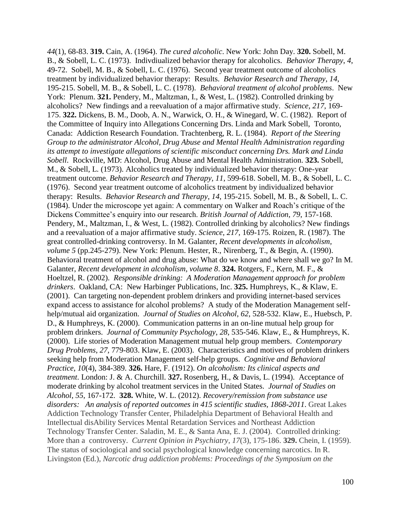*44*(1), 68-83. **319.** Cain, A. (1964). *The cured alcoholic*. New York: John Day. **320.** Sobell, M. B., & Sobell, L. C. (1973). Indivdiualized behavior therapy for alcoholics*. Behavior Therapy*, *4*, 49-72. Sobell, M. B., & Sobell, L. C. (1976). Second year treatment outcome of alcoholics treatment by individualized behavior therapy: Results. *Behavior Research and Therapy*, *14*, 195-215. Sobell, M. B., & Sobell, L. C. (1978). *Behavioral treatment of alcohol problems*. New York: Plenum. **321.** Pendery, M., Maltzman, I., & West, L. (1982). Controlled drinking by alcoholics? New findings and a reevaluation of a major affirmative study. *Science, 217,* 169- 175. **322.** Dickens, B. M., Doob, A. N., Warwick, O. H., & Winegard, W. C. (1982). Report of the Committee of Inquiry into Allegations Concerning Drs. Linda and Mark Sobell, Toronto, Canada: Addiction Research Foundation. Trachtenberg, R. L. (1984). *Report of the Steering Group to the administrator Alcohol, Drug Abuse and Mental Health Administration regarding its attempt to investigate allegations of scientific misconduct concerning Drs. Mark and Linda Sobell*. Rockville, MD: Alcohol, Drug Abuse and Mental Health Administration. **323.** Sobell, M., & Sobell, L. (1973). Alcoholics treated by individualized behavior therapy: One-year treatment outcome. *Behavior Research and Therapy, 11*, 599-618. Sobell, M. B., & Sobell, L. C. (1976). Second year treatment outcome of alcoholics treatment by individualized behavior therapy: Results. *Behavior Research and Therapy*, *14*, 195-215. Sobell, M. B., & Sobell, L. C. (1984). Under the microscope yet again: A commentary on Walker and Roach's critique of the Dickens Committee's enquiry into our research. *British Journal of Addiction*, *79*, 157-168. Pendery, M., Maltzman, I., & West, L. (1982). Controlled drinking by alcoholics? New findings and a reevaluation of a major affirmative study. *Science, 217*, 169-175. Roizen, R. (1987). The great controlled-drinking controversy. In M. Galanter, *Recent developments in alcoholism, volume 5* (pp.245-279). New York: Plenum. Hester, R., Nirenberg, T., & Begin, A. (1990). Behavioral treatment of alcohol and drug abuse: What do we know and where shall we go? In M. Galanter, *Recent development in alcoholism, volume 8*. **324.** Rotgers, F., Kern, M. F., & Hoeltzel, R. (2002). *Responsible drinking: A Moderation Management approach for problem drinkers*. Oakland, CA: New Harbinger Publications, Inc. **325.** Humphreys, K., & Klaw, E. (2001). Can targeting non-dependent problem drinkers and providing internet-based services expand access to assistance for alcohol problems? A study of the Moderation Management selfhelp/mutual aid organization. *Journal of Studies on Alcohol*, *62*, 528-532. Klaw, E., Huebsch, P. D., & Humphreys, K. (2000). Communication patterns in an on-line mutual help group for problem drinkers. *Journal of Community Psychology*, *28*, 535-546. Klaw, E., & Humphreys, K. (2000). Life stories of Moderation Management mutual help group members. *Contemporary Drug Problems*, *27*, 779-803. Klaw, E. (2003). Characteristics and motives of problem drinkers seeking help from Moderation Management self-help groups. *Cognitive and Behavioral Practice*, *10*(4), 384-389. **326.** Hare, F. (1912). *On alcoholism: Its clinical aspects and treatment*. London: J. & A. Churchill. **327.** Rosenberg, H., & Davis, L. (1994). Acceptance of moderate drinking by alcohol treatment services in the United States. *Journal of Studies on Alcohol*, *55*, 167-172. **328.** White, W. L. (2012). *Recovery/remission from substance use disorders: An analysis of reported outcomes in 415 scientific studies, 1868-2011*. Great Lakes Addiction Technology Transfer Center, Philadelphia Department of Behavioral Health and Intellectual disAbility Services Mental Retardation Services and Northeast Addiction Technology Transfer Center. Saladin, M. E., & Santa Ana, E. J. (2004). Controlled drinking: More than a controversy. *Current Opinion in Psychiatry, 17*(3), 175-186. **329.** Chein, I. (1959). The status of sociological and social psychological knowledge concerning narcotics. In R. Livingston (Ed.), *Narcotic drug addiction problems: Proceedings of the Symposium on the*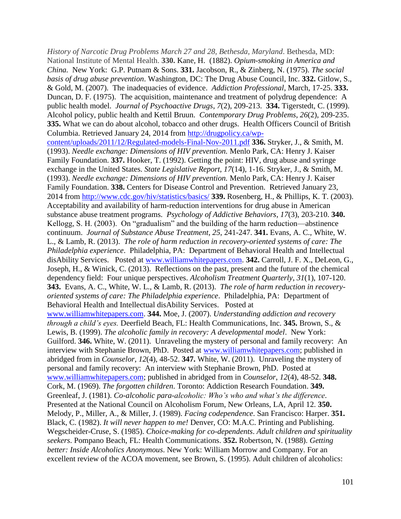*History of Narcotic Drug Problems March 27 and 28, Bethesda, Maryland*. Bethesda, MD: National Institute of Mental Health. **330.** Kane, H. (1882). *Opium-smoking in America and China.* New York: G.P. Putnam & Sons. **331.** Jacobson, R., & Zinberg, N. (1975). *The social basis of drug abuse prevention*. Washington, DC: The Drug Abuse Council, Inc. **332.** Gitlow, S., & Gold, M. (2007). The inadequacies of evidence. *Addiction Professional*, March, 17-25. **333.** Duncan, D. F. (1975). The acquisition, maintenance and treatment of polydrug dependence: A public health model. *Journal of Psychoactive Drugs*, *7*(2), 209-213. **334.** Tigerstedt, C. (1999). Alcohol policy, public health and Kettil Bruun. *Contemporary Drug Problems*, *26*(2), 209-235. **335.** What we can do about alcohol, tobacco and other drugs. Health Officers Council of British Columbia. Retrieved January 24, 2014 from [http://drugpolicy.ca/wp](http://drugpolicy.ca/wp-content/uploads/2011/12/Regulated-models-Final-Nov-2011.pdf)[content/uploads/2011/12/Regulated-models-Final-Nov-2011.pdf](http://drugpolicy.ca/wp-content/uploads/2011/12/Regulated-models-Final-Nov-2011.pdf) **336.** Stryker, J., & Smith, M. (1993). *Needle exchange: Dimensions of HIV prevention.* Menlo Park, CA: Henry J. Kaiser Family Foundation. **337.** Hooker, T. (1992). Getting the point: HIV, drug abuse and syringe exchange in the United States. *State Legislative Report, 17*(14), 1-16. Stryker, J., & Smith, M. (1993). *Needle exchange: Dimensions of HIV prevention.* Menlo Park, CA: Henry J. Kaiser Family Foundation. **338.** Centers for Disease Control and Prevention. Retrieved January 23, 2014 from<http://www.cdc.gov/hiv/statistics/basics/> **339.** Rosenberg, H., & Phillips, K. T. (2003). Acceptability and availability of harm-reduction interventions for drug abuse in American substance abuse treatment programs. *Psychology of Addictive Behaviors*, *17*(3), 203-210. **340.** Kellogg, S. H. (2003). On "gradualism" and the building of the harm reduction—abstinence continuum. *Journal of Substance Abuse Treatment*, *25*, 241-247. **341.** Evans, A. C., White, W. L., & Lamb, R. (2013). *The role of harm reduction in recovery-oriented systems of care: The Philadelphia experience*. Philadelphia, PA: Department of Behavioral Health and Intellectual disAbility Services. Posted at [www.williamwhitepapers.com.](http://www.williamwhitepapers.com/) **342.** Carroll, J. F. X., DeLeon, G., Joseph, H., & Winick, C. (2013). Reflections on the past, present and the future of the chemical dependency field: Four unique perspectives. *Alcoholism Treatment Quarterly*, *31*(1), 107-120. **343.** Evans, A. C., White, W. L., & Lamb, R. (2013). *The role of harm reduction in recoveryoriented systems of care: The Philadelphia experience*. Philadelphia, PA: Department of Behavioral Health and Intellectual disAbility Services. Posted at [www.williamwhitepapers.com.](http://www.williamwhitepapers.com/) **344.** Moe, J. (2007). *Understanding addiction and recovery through a child's eyes.* Deerfield Beach, FL: Health Communications, Inc. **345.** Brown, S., & Lewis, B. (1999). *The alcoholic family in recovery: A developmental model*. New York: Guilford. **346.** White, W. (2011). Unraveling the mystery of personal and family recovery: An interview with Stephanie Brown, PhD. Posted at [www.williamwhitepapers.com;](http://www.williamwhitepapers.com/) published in abridged from in *Counselor*, *12*(4), 48-52. **347.** White, W. (2011). Unraveling the mystery of personal and family recovery: An interview with Stephanie Brown, PhD. Posted at [www.williamwhitepapers.com;](http://www.williamwhitepapers.com/) published in abridged from in *Counselor*, *12*(4), 48-52. **348.** Cork, M. (1969). *The forgotten children*. Toronto: Addiction Research Foundation. **349.** Greenleaf, J. (1981). *Co-alcoholic para-alcoholic: Who's who and what's the difference*. Presented at the National Council on Alcoholism Forum, New Orleans, LA, April 12. **350.** Melody, P., Miller, A., & Miller, J. (1989). *Facing codependence*. San Francisco: Harper. **351.** Black, C. (1982). *It will never happen to me!* Denver, CO: M.A.C. Printing and Publishing. Wegscheider-Cruse, S. (1985). *Choice-making for co-dependents*. *Adult children and spirituality seekers*. Pompano Beach, FL: Health Communications. **352.** Robertson, N. (1988). *Getting better: Inside Alcoholics Anonymous*. New York: William Morrow and Company. For an excellent review of the ACOA movement, see Brown, S. (1995). Adult children of alcoholics: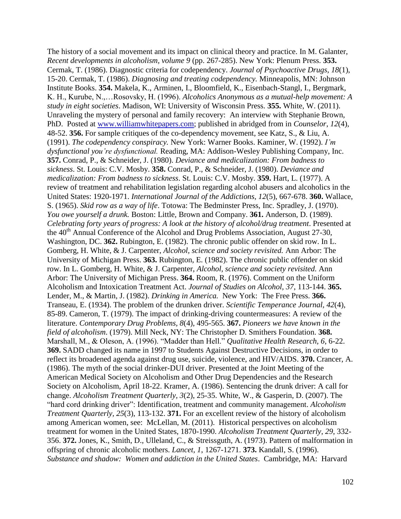The history of a social movement and its impact on clinical theory and practice. In M. Galanter, *Recent developments in alcoholism, volume 9* (pp. 267-285). New York: Plenum Press. **353.** Cermak, T. (1986). Diagnostic criteria for codependency. *Journal of Psychoactive Drugs, 18*(1), 15-20. Cermak, T. (1986). *Diagnosing and treating codependency.* Minneapolis, MN: Johnson Institute Books. **354.** Makela, K., Arminen, I., Bloomfield, K., Eisenbach-Stangl, I., Bergmark, K. H., Kurube, N.,…Rosovsky, H. (1996). *Alcoholics Anonymous as a mutual-help movement: A study in eight societies*. Madison, WI: University of Wisconsin Press. **355.** White, W. (2011). Unraveling the mystery of personal and family recovery: An interview with Stephanie Brown, PhD. Posted at [www.williamwhitepapers.com;](http://www.williamwhitepapers.com/) published in abridged from in *Counselor*, *12*(4), 48-52. **356.** For sample critiques of the co-dependency movement, see Katz, S., & Liu, A. (1991). *The codependency conspiracy.* New York: Warner Books. Kaminer, W. (1992). *I'm dysfunctional you're dysfunctional.* Reading, MA: Addison-Wesley Publishing Company, Inc. **357.** Conrad, P., & Schneider, J. (1980). *Deviance and medicalization: From badness to sickness*. St. Louis: C.V. Mosby. **358.** Conrad, P., & Schneider, J. (1980). *Deviance and medicalization: From badness to sickness*. St. Louis: C.V. Mosby. **359.** Hart, L. (1977). A review of treatment and rehabilitation legislation regarding alcohol abusers and alcoholics in the United States: 1920-1971. *International Journal of the Addictions, 12*(5), 667-678. **360.** Wallace, S. (1965). *Skid row as a way of life*. Totowa: The Bedminster Press, Inc. Spradley, J. (1970). *You owe yourself a drunk.* Boston: Little, Brown and Company. **361.** Anderson, D. (1989). *Celebrating forty years of progress: A look at the history of alcohol/drug treatment*. Presented at the  $40<sup>th</sup>$  Annual Conference of the Alcohol and Drug Problems Association, August 27-30, Washington, DC. **362.** Rubington, E. (1982). The chronic public offender on skid row. In L. Gomberg, H. White, & J. Carpenter, *Alcohol, science and society revisited.* Ann Arbor: The University of Michigan Press. **363.** Rubington, E. (1982). The chronic public offender on skid row. In L. Gomberg, H. White, & J. Carpenter, *Alcohol, science and society revisited.* Ann Arbor: The University of Michigan Press. **364.** Room, R. (1976). Comment on the Uniform Alcoholism and Intoxication Treatment Act. *Journal of Studies on Alcohol, 37*, 113-144. **365.** Lender, M., & Martin, J. (1982). *Drinking in America.* New York: The Free Press. **366.** Transeau, E. (1934). The problem of the drunken driver. *Scientific Temperance Journal, 42*(4), 85-89. Cameron, T. (1979). The impact of drinking-driving countermeasures: A review of the literature. *Contemporary Drug Problems, 8*(4), 495-565. **367.** *Pioneers we have known in the field of alcoholism*. (1979). Mill Neck, NY: The Christopher D. Smithers Foundation. **368.**  Marshall, M., & Oleson, A. (1996). "Madder than Hell." *Qualitative Health Research, 6*, 6-22. **369.** SADD changed its name in 1997 to Students Against Destructive Decisions, in order to reflect its broadened agenda against drug use, suicide, violence, and HIV/AIDS. **370.** Crancer, A. (1986). The myth of the social drinker-DUI driver. Presented at the Joint Meeting of the American Medical Society on Alcoholism and Other Drug Dependencies and the Research Society on Alcoholism, April 18-22. Kramer, A. (1986). Sentencing the drunk driver: A call for change. *Alcoholism Treatment Quarterly, 3*(2), 25-35. White, W., & Gasperin, D. (2007). The "hard cord drinking driver": Identification, treatment and community management. *Alcoholism Treatment Quarterly, 25*(3), 113-132. **371.** For an excellent review of the history of alcoholism among American women, see: McLellan, M. (2011). Historical perspectives on alcoholism treatment for women in the United States, 1870-1990. *Alcoholism Treatment Quarterly*, *29*, 332- 356. **372.** Jones, K., Smith, D., Ulleland, C., & Streissguth, A. (1973). Pattern of malformation in offspring of chronic alcoholic mothers. *Lancet, 1*, 1267-1271. **373.** Kandall, S. (1996). *Substance and shadow: Women and addiction in the United States*. Cambridge, MA: Harvard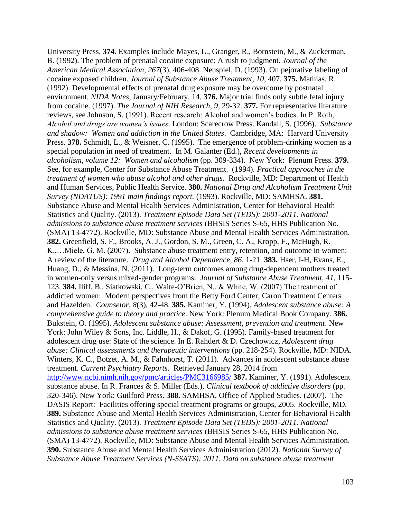University Press. **374.** Examples include Mayes, L., Granger, R., Bornstein, M., & Zuckerman, B. (1992). The problem of prenatal cocaine exposure: A rush to judgment. *Journal of the American Medical Association, 267*(3), 406-408. Neuspiel, D. (1993). On pejorative labeling of cocaine exposed children. *Journal of Substance Abuse Treatment, 10*, 407. **375.** Mathias, R. (1992). Developmental effects of prenatal drug exposure may be overcome by postnatal environment. *NIDA Notes*, January/February, 14. **376.** Major trial finds only subtle fetal injury from cocaine. (1997). *The Journal of NIH Research, 9*, 29-32. **377.** For representative literature reviews, see Johnson, S. (1991). Recent research: Alcohol and women's bodies. In P. Roth, *Alcohol and drugs are women's issues*. London: Scarecrow Press. Kandall, S. (1996). *Substance and shadow: Women and addiction in the United States*. Cambridge, MA: Harvard University Press. **378.** Schmidt, L., & Weisner, C. (1995). The emergence of problem-drinking women as a special population in need of treatment. In M. Galanter (Ed.), *Recent developments in alcoholism, volume 12: Women and alcoholism* (pp. 309-334). New York: Plenum Press. **379.**  See, for example, Center for Substance Abuse Treatment. (1994). *Practical approaches in the treatment of women who abuse alcohol and other drugs.* Rockville, MD: Department of Health and Human Services, Public Health Service. **380.** *National Drug and Alcoholism Treatment Unit Survey (NDATUS): 1991 main findings report.* (1993). Rockville, MD: SAMHSA. **381.** Substance Abuse and Mental Health Services Administration, Center for Behavioral Health Statistics and Quality. (2013). *Treatment Episode Data Set (TEDS): 2001-2011. National admissions to substance abuse treatment services* (BHSIS Series S-65, HHS Publication No. (SMA) 13-4772). Rockville, MD: Substance Abuse and Mental Health Services Administration. **382.** Greenfield, S. F., Brooks, A. J., Gordon, S. M., Green, C. A., Kropp, F., McHugh, R. K.,…Miele, G. M. (2007). Substance abuse treatment entry, retention, and outcome in women: A review of the literature. *Drug and Alcohol Dependence*, *86*, 1-21. **383.** Hser, I-H, Evans, E., Huang, D., & Messina, N. (2011). Long-term outcomes among drug-dependent mothers treated in women-only versus mixed-gender programs. *Journal of Substance Abuse Treatment*, *41*, 115- 123. **384.** Iliff, B., Siatkowski, C., Waite-O'Brien, N., & White, W. (2007) The treatment of addicted women: Modern perspectives from the Betty Ford Center, Caron Treatment Centers and Hazelden. *Counselor*, *8*(3), 42-48. **385.** Kaminer, Y. (1994). *Adolescent substance abuse: A comprehensive guide to theory and practice*. New York: Plenum Medical Book Company. **386.** Bukstein, O. (1995). *Adolescent substance abuse: Assessment, prevention and treatment*. New York: John Wiley & Sons, Inc. Liddle, H., & Dakof, G. (1995). Family-based treatment for adolescent drug use: State of the science. In E. Rahdert & D. Czechowicz, *Adolescent drug abuse: Clinical assessments and therapeutic interventions* (pp. 218-254). Rockville, MD: NIDA. Winters, K. C., Botzet, A. M., & Fahnhorst, T. (2011). Advances in adolescent substance abuse treatment. *Current Psychiatry Reports*. Retrieved January 28, 2014 from <http://www.ncbi.nimh.nih.gov/pmc/articles/PMC3166985/> **387.** Kaminer, Y. (1991). Adolescent substance abuse. In R. Frances & S. Miller (Eds.), *Clinical textbook of addictive disorders* (pp. 320-346). New York: Guilford Press. **388.** SAMHSA, Office of Applied Studies. (2007). The DASIS Report: Facilities offering special treatment programs or groups, 2005. Rockville, MD. **389.** Substance Abuse and Mental Health Services Administration, Center for Behavioral Health Statistics and Quality. (2013). *Treatment Episode Data Set (TEDS): 2001-2011. National admissions to substance abuse treatment services* (BHSIS Series S-65, HHS Publication No. (SMA) 13-4772). Rockville, MD: Substance Abuse and Mental Health Services Administration. **390.** Substance Abuse and Mental Health Services Administration (2012). *National Survey of Substance Abuse Treatment Services (N-SSATS): 2011. Data on substance abuse treatment*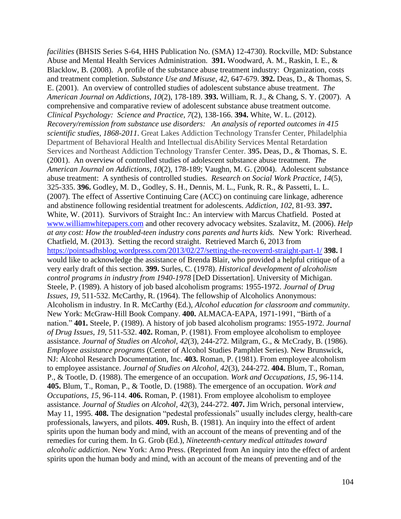*facilities* (BHSIS Series S-64, HHS Publication No. (SMA) 12-4730). Rockville, MD: Substance Abuse and Mental Health Services Administration. **391.** Woodward, A. M., Raskin, I. E., & Blacklow, B. (2008). A profile of the substance abuse treatment industry: Organization, costs and treatment completion. *Substance Use and Misuse*, *42*, 647-679. **392.** Deas, D., & Thomas, S. E. (2001). An overview of controlled studies of adolescent substance abuse treatment. *The American Journal on Addictions*, *10*(2), 178-189. **393.** William, R. J., & Chang, S. Y. (2007). A comprehensive and comparative review of adolescent substance abuse treatment outcome. *Clinical Psychology: Science and Practice, 7*(2), 138-166. **394.** White, W. L. (2012). *Recovery/remission from substance use disorders: An analysis of reported outcomes in 415 scientific studies, 1868-2011*. Great Lakes Addiction Technology Transfer Center, Philadelphia Department of Behavioral Health and Intellectual disAbility Services Mental Retardation Services and Northeast Addiction Technology Transfer Center. **395.** Deas, D., & Thomas, S. E. (2001). An overview of controlled studies of adolescent substance abuse treatment. *The American Journal on Addictions*, *10*(2), 178-189; Vaughn, M. G. (2004). Adolescent substance abuse treatment: A synthesis of controlled studies. *Research on Social Work Practice*, *14*(5), 325-335. **396.** Godley, M. D., Godley, S. H., Dennis, M. L., Funk, R. R., & Passetti, L. L. (2007). The effect of Assertive Continuing Care (ACC) on continuing care linkage, adherence and abstinence following residential treatment for adolescents. *Addiction, 102*, 81-93. **397.**  White, W. (2011). Survivors of Straight Inc.: An interview with Marcus Chatfield. Posted at [www.williamwhitepapers.com](http://www.williamwhitepapers.com/) and other recovery advocacy websites. Szalavitz, M. (2006). *Help at any cost: How the troubled-teen industry cons parents and hurts kids.* New York: Riverhead. Chatfield, M. (2013). Setting the record straight. Retrieved March 6, 2013 from <https://pointsadhsblog.wordpress.com/2013/02/27/setting-the-recoverrd-straight-part-1/> **398.** I would like to acknowledge the assistance of Brenda Blair, who provided a helpful critique of a very early draft of this section. **399.** Surles, C. (1978). *Historical development of alcoholism control programs in industry from 1940-1978* [DeD Dissertation]. University of Michigan. Steele, P. (1989). A history of job based alcoholism programs: 1955-1972. *Journal of Drug Issues, 19*, 511-532. McCarthy, R. (1964). The fellowship of Alcoholics Anonymous: Alcoholism in industry. In R. McCarthy (Ed.), *Alcohol education for classroom and community*. New York: McGraw-Hill Book Company. **400.** ALMACA-EAPA, 1971-1991, "Birth of a nation." **401.** Steele, P. (1989). A history of job based alcoholism programs: 1955-1972. *Journal of Drug Issues, 19*, 511-532. **402.** Roman, P. (1981). From employee alcoholism to employee assistance. *Journal of Studies on Alcohol, 42*(3), 244-272. Milgram, G., & McCrady, B. (1986). *Employee assistance programs* (Center of Alcohol Studies Pamphlet Series). New Brunswick, NJ: Alcohol Research Documentation, Inc. **403.** Roman, P. (1981). From employee alcoholism to employee assistance. *Journal of Studies on Alcohol, 42*(3), 244-272. **404.** Blum, T., Roman, P., & Tootle, D. (1988). The emergence of an occupation. *Work and Occupations, 15*, 96-114. **405.** Blum, T., Roman, P., & Tootle, D. (1988). The emergence of an occupation. *Work and Occupations, 15*, 96-114. **406.** Roman, P. (1981). From employee alcoholism to employee assistance. *Journal of Studies on Alcohol, 42*(3), 244-272. **407.** Jim Wrich, personal interview, May 11, 1995. **408.** The designation "pedestal professionals" usually includes clergy, health-care professionals, lawyers, and pilots. **409.** Rush, B. (1981). An inquiry into the effect of ardent spirits upon the human body and mind, with an account of the means of preventing and of the remedies for curing them. In G. Grob (Ed.), *Nineteenth-century medical attitudes toward alcoholic addiction*. New York: Arno Press. (Reprinted from An inquiry into the effect of ardent spirits upon the human body and mind, with an account of the means of preventing and of the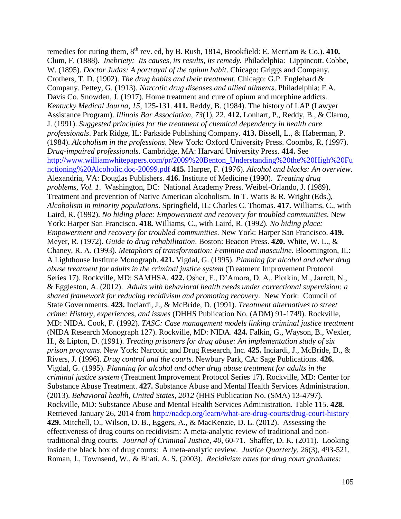remedies for curing them,  $8^{th}$  rev. ed, by B. Rush, 1814, Brookfield: E. Merriam & Co.). 410. Clum, F. (1888). *Inebriety: Its causes, its results, its remedy.* Philadelphia: Lippincott. Cobbe, W. (1895). *Doctor Judas: A portrayal of the opium habit*. Chicago: Griggs and Company. Crothers, T. D. (1902). *The drug habits and their treatment*. Chicago: G.P. Englehard & Company. Pettey, G. (1913). *Narcotic drug diseases and allied ailments*. Philadelphia: F.A. Davis Co. Snowden, J. (1917). Home treatment and cure of opium and morphine addicts. *Kentucky Medical Journa, 15*, 125-131. **411.** Reddy, B. (1984). The history of LAP (Lawyer Assistance Program). *Illinois Bar Association, 73*(1), 22. **412.** Lonhart, P., Reddy, B., & Clarno, J. (1991). *Suggested principles for the treatment of chemical dependency in health care professionals*. Park Ridge, IL: Parkside Publishing Company. **413.** Bissell, L., & Haberman, P. (1984). *Alcoholism in the professions*. New York: Oxford University Press. Coombs, R. (1997). *Drug-impaired professionals*. Cambridge, MA: Harvard University Press. **414.** See [http://www.williamwhitepapers.com/pr/2009%20Benton\\_Understanding%20the%20High%20Fu](http://www.williamwhitepapers.com/pr/2009%20Benton_Understanding%20the%20High%20Functioning%20Alcoholic.doc-20099.pdf) [nctioning%20Alcoholic.doc-20099.pdf](http://www.williamwhitepapers.com/pr/2009%20Benton_Understanding%20the%20High%20Functioning%20Alcoholic.doc-20099.pdf) **415.** Harper, F. (1976). *Alcohol and blacks: An overview*. Alexandria, VA: Douglas Publishers. **416.** Institute of Medicine (1990). *Treating drug problems, Vol. 1*. Washington, DC: National Academy Press. Weibel-Orlando, J. (1989). Treatment and prevention of Native American alcoholism. In T. Watts & R. Wright (Eds.), *Alcoholism in minority populations*. Springfield, IL: Charles C. Thomas. **417.** Williams, C., with Laird, R. (1992). *No hiding place: Empowerment and recovery for troubled communities*. New York: Harper San Francisco. **418.** Williams, C., with Laird, R. (1992). *No hiding place: Empowerment and recovery for troubled communities*. New York: Harper San Francisco. **419.** Meyer, R. (1972). *Guide to drug rehabilitation*. Boston: Beacon Press. **420.** White, W. L., & Chaney, R. A. (1993). *Metaphors of transformation: Feminine and masculine.* Bloomington, IL: A Lighthouse Institute Monograph. **421.** Vigdal, G. (1995). *Planning for alcohol and other drug abuse treatment for adults in the criminal justice system* (Treatment Improvement Protocol Series 17). Rockville, MD: SAMHSA. **422.** Osher, F., D'Amora, D. A., Plotkin, M., Jarrett, N., & Eggleston, A. (2012). *Adults with behavioral health needs under correctional supervision: a shared framework for reducing recidivism and promoting recovery*. New York: Council of State Governments. **423.** Inciardi, J., & McBride, D. (1991). *Treatment alternatives to street crime: History, experiences, and issues* (DHHS Publication No. (ADM) 91-1749). Rockville, MD: NIDA. Cook, F. (1992). *TASC: Case management models linking criminal justice treatment*  (NIDA Research Monograph 127). Rockville, MD: NIDA. **424.** Falkin, G., Wayson, B., Wexler, H., & Lipton, D. (1991). *Treating prisoners for drug abuse: An implementation study of six prison programs*. New York: Narcotic and Drug Research, Inc. **425.** Inciardi, J., McBride, D., & Rivers, J. (1996). *Drug control and the courts.* Newbury Park, CA: Sage Publications. **426.** Vigdal, G. (1995). *Planning for alcohol and other drug abuse treatment for adults in the criminal justice system* (Treatment Improvement Protocol Series 17). Rockville, MD: Center for Substance Abuse Treatment. **427.** Substance Abuse and Mental Health Services Administration. (2013). *Behavioral health, United States, 2012* (HHS Publication No. (SMA) 13-4797). Rockville, MD: Substance Abuse and Mental Health Services Administration. Table 115. **428.**  Retrieved January 26, 2014 from<http://nadcp.org/learn/what-are-drug-courts/drug-court-history> **429.** Mitchell, O., Wilson, D. B., Eggers, A., & MacKenzie, D. L. (2012). Assessing the effectiveness of drug courts on recidivism: A meta-analytic review of traditional and nontraditional drug courts. *Journal of Criminal Justice*, *40*, 60-71. Shaffer, D. K. (2011). Looking inside the black box of drug courts: A meta-analytic review. *Justice Quarterly*, *28*(3), 493-521. Roman, J., Townsend, W., & Bhati, A. S. (2003). *Recidivism rates for drug court graduates:*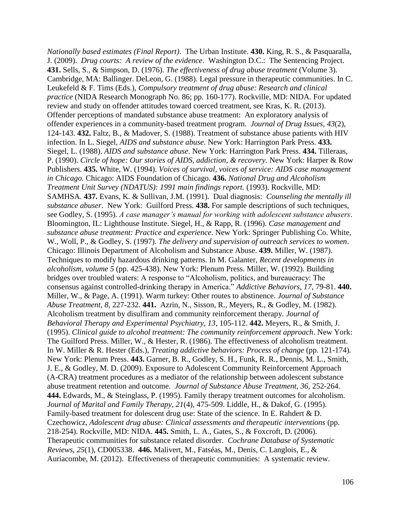*Nationally based estimates (Final Report)*. The Urban Institute. **430.** King, R. S., & Pasquaralla, J. (2009). *Drug courts: A review of the evidence*. Washington D.C.: The Sentencing Project. **431.** Sells, S., & Simpson, D. (1976). *The effectiveness of drug abuse treatment* (Volume 3). Cambridge, MA: Ballinger. DeLeon, G. (1988). Legal pressure in therapeutic communities. In C. Leukefeld & F. Tims (Eds.), *Compulsory treatment of drug abuse: Research and clinical practice* (NIDA Research Monograph No. 86; pp. 160-177). Rockville, MD: NIDA. For updated review and study on offender attitudes toward coerced treatment, see Kras, K. R. (2013). Offender perceptions of mandated substance abuse treatment: An exploratory analysis of offender experiences in a community-based treatment program. *Journal of Drug Issues*, *43*(2), 124-143. **432.** Faltz, B., & Madover, S. (1988). Treatment of substance abuse patients with HIV infection. In L. Siegel, *AIDS and substance abuse*. New York: Harrington Park Press. **433.**  Siegel, L. (1988). *AIDS and substance abuse*. New York: Harrington Park Press. **434.** Tilleraas, P. (1990). *Circle of hope: Our stories of AIDS, addiction, & recovery*. New York: Harper & Row Publishers. **435.** White, W. (1994). *Voices of survival, voices of service: AIDS case management in Chicago.* Chicago: AIDS Foundation of Chicago. **436.** *National Drug and Alcoholism Treatment Unit Survey (NDATUS): 1991 main findings report.* (1993). Rockville, MD: SAMHSA. **437.** Evans, K. & Sullivan, J.M. (1991). Dual diagnosis: *Counseling the mentally ill substance abuser*. New York: Guilford Press. **438.** For sample descriptions of such techniques, see Godley, S. (1995). *A case manager's manual for working with adolescent substance abusers*. Bloomington, IL: Lighthouse Institute. Siegel, H., & Rapp, R. (1996). *Case management and substance abuse treatment: Practice and experience*. New York: Springer Publishing Co. White, W., Woll, P., & Godley, S. (1997). *The delivery and supervision of outreach services to women*. Chicago: Illinois Department of Alcoholism and Substance Abuse. **439.** Miller, W. (1987). Techniques to modify hazardous drinking patterns. In M. Galanter, *Recent developments in alcoholism, volume 5* (pp. 425-438). New York: Plenum Press. Miller, W. (1992). Building bridges over troubled waters: A response to "Alcoholism, politics, and bureaucracy: The consensus against controlled-drinking therapy in America." *Addictive Behaviors, 17*, 79-81. **440.** Miller, W., & Page, A. (1991). Warm turkey: Other routes to abstinence. *Journal of Substance Abuse Treatment, 8*, 227-232. **441.** Azrin, N., Sisson, R., Meyers, R., & Godley, M. (1982). Alcoholism treatment by disulfiram and community reinforcement therapy. *Journal of Behavioral Therapy and Experimental Psychiatry, 13*, 105-112. **442.** Meyers, R., & Smith, J. (1995). *Clinical guide to alcohol treatment: The community reinforcement approach*. New York: The Guilford Press. Miller, W., & Hester, R. (1986). The effectiveness of alcoholism treatment. In W. Miller & R. Hester (Eds.), *Treating addictive behaviors: Process of change* (pp. 121-174)*.*  New York: Plenum Press. **443.** Garner, B. R., Godley, S. H., Funk, R. R., Dennis, M. L., Smith, J. E., & Godley, M. D. (2009). Exposure to Adolescent Community Reinforcement Approach (A-CRA) treatment procedures as a mediator of the relationship between adolescent substance abuse treatment retention and outcome. *Journal of Substance Abuse Treatment, 36,* 252-264. **444.** Edwards, M., & Steinglass, P. (1995). Family therapy treatment outcomes for alcoholism. *Journal of Marital and Family Therapy, 21*(4), 475-509. Liddle, H., & Dakof, G. (1995). Family-based treatment for dolescent drug use: State of the science. In E. Rahdert & D. Czechowicz, *Adolescent drug abuse: Clinical assessments and therapeutic interventions* (pp. 218-254). Rockville, MD: NIDA. **445.** Smith, L. A., Gates, S., & Foxcroft, D. (2006). Therapeutic communities for substance related disorder. *Cochrane Database of Systematic Reviews*, *25*(1), CD005338. **446.** Malivert, M., Fatséas, M., Denis, C. Langlois, E., & Auriacombe, M. (2012). Effectiveness of therapeutic communities: A systematic review.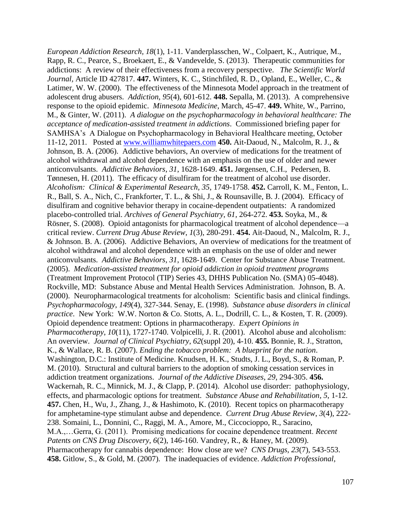*European Addiction Research, 18*(1), 1-11. Vanderplasschen, W., Colpaert, K., Autrique, M., Rapp, R. C., Pearce, S., Broekaert, E., & Vandevelde, S. (2013). Therapeutic communities for addictions: A review of their effectiveness from a recovery perspective. *The Scientific World Journal,* Article ID 427817. **447.** Winters, K. C., Stinchfiled, R. D., Opland, E., Weller, C., & Latimer, W. W. (2000). The effectiveness of the Minnesota Model approach in the treatment of adolescent drug abusers. *Addiction*, *95*(4), 601-612. **448.** Sepalla, M. (2013). A comprehensive response to the opioid epidemic. *Minnesota Medicine*, March, 45-47. **449.** White, W., Parrino, M., & Ginter, W. (2011). *A dialogue on the psychopharmacology in behavioral healthcare: The acceptance of medication-assisted treatment in addictions*. Commissioned briefing paper for SAMHSA's A Dialogue on Psychopharmacology in Behavioral Healthcare meeting, October 11-12, 2011. Posted at [www.williamwhitepaers.com](http://www.williamwhitepaers.com/) **450.** Ait-Daoud, N., Malcolm, R. J., & Johnson, B. A. (2006). Addictive behaviors, An overview of medications for the treatment of alcohol withdrawal and alcohol dependence with an emphasis on the use of older and newer anticonvulsants. *Addictive Behaviors*, *31*, 1628-1649. **451.** Jørgensen, C.H., Pedersen, B. Tønnesen, H. (2011). The efficacy of disulfiram for the treatment of alcohol use disorder. *Alcoholism: Clinical & Experimental Research, 35*, 1749-1758. **452.** Carroll, K. M., Fenton, L. R., Ball, S. A., Nich, C., Frankforter, T. L., & Shi, J., & Rounsaville, B. J. (2004). Efficacy of disulfiram and cognitive behavior therapy in cocaine-dependent outpatients: A randomized placebo-controlled trial. *Archives of General Psychiatry*, *61*, 264-272. **453.** Soyka, M., & Rösner, S. (2008). Opioid antagonists for pharmacological treatment of alcohol dependence—a critical review. *Current Drug Abuse Review*, *1*(3), 280-291. **454.** Ait-Daoud, N., Malcolm, R. J., & Johnson. B. A. (2006). Addictive Behaviors, An overview of medications for the treatment of alcohol withdrawal and alcohol dependence with an emphasis on the use of older and newer anticonvulsants. *Addictive Behaviors*, *31*, 1628-1649. Center for Substance Abuse Treatment. (2005). *Medication-assisted treatment for opioid addiction in opioid treatment programs* (Treatment Improvement Protocol (TIP) Series 43, DHHS Publication No. (SMA) 05-4048). Rockville, MD: Substance Abuse and Mental Health Services Administration. Johnson, B. A. (2000). Neuropharmacological treatments for alcoholism: Scientific basis and clinical findings. *Psychopharmacology*, *149*(4), 327-344. Senay, E. (1998). *Substance abuse disorders in clinical practice*. New York: W.W. Norton & Co. Stotts, A. L., Dodrill, C. L., & Kosten, T. R. (2009). Opioid dependence treatment: Options in pharmacotherapy. *Expert Opinions in Pharmacotherapy*, *10*(11), 1727-1740. Volpicelli, J. R. (2001). Alcohol abuse and alcoholism: An overview. *Journal of Clinical Psychiatry*, *62*(suppl 20), 4-10. **455.** Bonnie, R. J., Stratton, K., & Wallace, R. B. (2007). *Ending the tobacco problem: A blueprint for the nation*. Washington, D.C.: Institute of Medicine. Knudsen, H. K., Studts, J. L., Boyd, S., & Roman, P. M. (2010). Structural and cultural barriers to the adoption of smoking cessation services in addiction treatment organizations. *Journal of the Addictive Diseases*, *29*, 294-305. **456.**  Wackernah, R. C., Minnick, M. J., & Clapp, P. (2014). Alcohol use disorder: pathophysiology, effects, and pharmacologic options for treatment. *Substance Abuse and Rehabilitation*, *5*, 1-12. **457.** Chen, H., Wu, J., Zhang, J., & Hashimoto, K. (2010). Recent topics on pharmacotherapy for amphetamine-type stimulant aubse and dependence. *Current Drug Abuse Review*, *3*(4), 222- 238. Somaini, L., Donnini, C., Raggi, M. A., Amore, M., Ciccocioppo, R., Saracino, M.A.,…Gerra, G. (2011). Promising medications for cocaine dependence treatment. *Recent Patents on CNS Drug Discovery*, *6*(2), 146-160. Vandrey, R., & Haney, M. (2009). Pharmacotherapy for cannabis dependence: How close are we? *CNS Drugs, 23*(7), 543-553. **458.** Gitlow, S., & Gold, M. (2007). The inadequacies of evidence. *Addiction Professional*,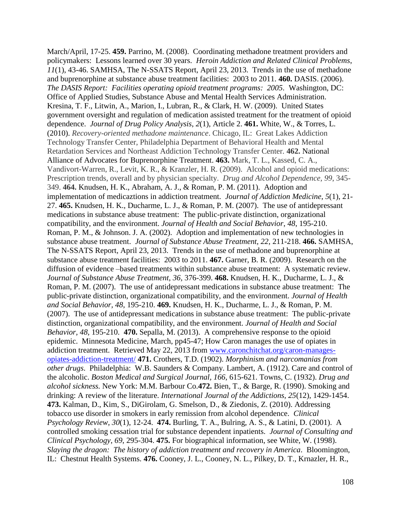March/April, 17-25. **459.** Parrino, M. (2008). Coordinating methadone treatment providers and policymakers: Lessons learned over 30 years. *Heroin Addiction and Related Clinical Problems*, *11*(1), 43-46. SAMHSA, The N-SSATS Report, April 23, 2013. Trends in the use of methadone and buprenorphine at substance abuse treatment facilities: 2003 to 2011. **460.** DASIS. (2006). *The DASIS Report: Facilities operating opioid treatment programs: 2005.* Washington, DC: Office of Applied Studies, Substance Abuse and Mental Health Services Administration. Kresina, T. F., Litwin, A., Marion, I., Lubran, R., & Clark, H. W. (2009). United States government oversight and regulation of medication assisted treatment for the treatment of opioid dependence. *Journal of Drug Policy Analysis*, *2*(1), Article 2. **461.** White, W., & Torres, L. (2010). *Recovery-oriented methadone maintenance*. Chicago, IL: Great Lakes Addiction Technology Transfer Center, Philadelphia Department of Behavioral Health and Mental Retardation Services and Northeast Addiction Technology Transfer Center. **462.** National Alliance of Advocates for Buprenorphine Treatment. **463.** Mark, T. L., Kassed, C. A., Vandivort-Warren, R., Levit, K. R., & Kranzler, H. R. (2009). Alcohol and opioid medications: Prescription trends, overall and by physician specialty. *Drug and Alcohol Dependence, 99*, 345- 349. **464.** Knudsen, H. K., Abraham, A. J., & Roman, P. M. (2011). Adoption and implementation of medicaztions in addiction treatment. *Journal of Addiction Medicine*, *5*(1), 21- 27. **465.** Knudsen, H. K., Ducharme, L. J., & Roman, P. M. (2007). The use of antidepressant medications in substance abuse treatment: The public-private distinction, organizational compatibility, and the environment. *Journal of Health and Social Behavior*, *48*, 195-210. Roman, P. M., & Johnson. J. A. (2002). Adoption and implementation of new technologies in substance abuse treatment. *Journal of Substance Abuse Treatment, 22*, 211-218. **466.** SAMHSA, The N-SSATS Report, April 23, 2013. Trends in the use of methadone and buprenorphine at substance abuse treatment facilities: 2003 to 2011. **467.** Garner, B. R. (2009). Research on the diffusion of evidence –based treatments within substance abuse treatment: A systematic review. *Journal of Substance Abuse Treatment, 36,* 376-399. **468.** Knudsen, H. K., Ducharme, L. J., & Roman, P. M. (2007). The use of antidepressant medications in substance abuse treatment: The public-private distinction, organizational compatibility, and the environment. *Journal of Health and Social Behavior, 48*, 195-210. **469.** Knudsen, H. K., Ducharme, L. J., & Roman, P. M. (2007). The use of antidepressant medications in substance abuse treatment: The public-private distinction, organizational compatibility, and the environment. *Journal of Health and Social Behavior, 48*, 195-210. **470.** Sepalla, M. (2013). A comprehensive response to the opioid epidemic. Minnesota Medicine, March, pp45-47; How Caron manages the use of opiates in addiction treatment. Retrieved May 22, 2013 from [www.caronchitchat.org/caron-manages](http://www.caronchitchat.org/caron-manages-opiates-addiction-treatment/)[opiates-addiction-treatment/](http://www.caronchitchat.org/caron-manages-opiates-addiction-treatment/) **471.** Crothers, T.D. (1902). *Morphinism and narcomanias from other drugs*. Philadelphia: W.B. Saunders & Company. Lambert, A. (1912). Care and control of the alcoholic. *Boston Medical and Surgical Journal, 166*, 615-621. Towns, C. (1932). *Drug and alcohol sickness.* New York: M.M. Barbour Co.**472.** Bien, T., & Barge, R. (1990). Smoking and drinking: A review of the literature. *International Journal of the Addictions, 25*(12), 1429-1454. **473.** Kalman, D., Kim, S., DiGirolam, G. Smelson, D., & Ziedonis, Z. (2010). Addressing tobacco use disorder in smokers in early remission from alcohol dependence. *Clinical Psychology Review*, *30*(1), 12-24. **474.** Burling, T. A., Bulring, A. S., & Latini, D. (2001). A controlled smoking cessation trial for substance dependent inpatients. *Journal of Consulting and Clinical Psychology*, *69*, 295-304. **475.** For biographical information, see White, W. (1998). *Slaying the dragon: The history of addiction treatment and recovery in America*. Bloomington, IL: Chestnut Health Systems. **476.** Cooney, J. L., Cooney, N. L., Pilkey, D. T., Krnazler, H. R.,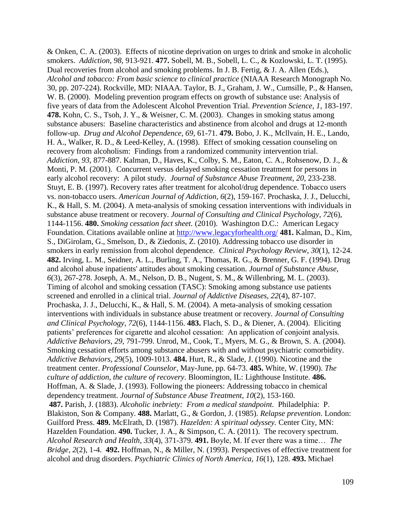& Onken, C. A. (2003). Effects of nicotine deprivation on urges to drink and smoke in alcoholic smokers. *Addiction*, *98*, 913-921. **477.** Sobell, M. B., Sobell, L. C., & Kozlowski, L. T. (1995). Dual recoveries from alcohol and smoking problems. In J. B. Fertig, & J. A. Allen (Eds.), *Alcohol and tobacco: From basic science to clinical practice* (NIAAA Research Monograph No. 30, pp. 207-224). Rockville, MD: NIAAA. Taylor, B. J., Graham, J. W., Cumsille, P., & Hansen, W. B. (2000). Modeling prevention program effects on growth of substance use: Analysis of five years of data from the Adolescent Alcohol Prevention Trial. *Prevention Science*, *1*, 183-197. **478.** Kohn, C. S., Tsoh, J. Y., & Weisner, C. M. (2003). Changes in smoking status among substance abusers: Baseline characteristics and abstinence from alcohol and drugs at 12-month follow-up. *Drug and Alcohol Dependence*, *69*, 61-71. **479.** Bobo, J. K., Mcllvain, H. E., Lando, H. A., Walker, R. D., & Leed-Kelley, A. (1998). Effect of smoking cessation counseling on recovery from alcoholism: Findings from a randomized community intervention trial. *Addiction, 93*, 877-887. Kalman, D., Haves, K., Colby, S. M., Eaton, C. A., Rohsenow, D. J., & Monti, P. M. (2001). Concurrent versus delayed smoking cessation treatment for persons in early alcohol recovery: A pilot study. *Journal of Substance Abuse Treatment*, *20*, 233-238. Stuyt, E. B. (1997). Recovery rates after treatment for alcohol/drug dependence. Tobacco users vs. non-tobacco users. *American Journal of Addiction, 6*(2), 159-167. Prochaska, J. J., Delucchi, K., & Hall, S. M. (2004). A meta-analysis of smoking cessation interventions with individuals in substance abuse treatment or recovery. *Journal of Consulting and Clinical Psychology*, *72*(6), 1144-1156. **480.** *Smoking cessation fact sheet.* (2010). Washington D.C.: American Legacy Foundation. Citations available online at<http://www.legacyforhealth.org/> **481.** Kalman, D., Kim, S., DiGirolam, G., Smelson, D., & Ziedonis, Z. (2010). Addressing tobacco use disorder in smokers in early remission from alcohol dependence. *Clinical Psychology Review*, *30*(1), 12-24. **482.** Irving, L. M., Seidner, A. L., Burling, T. A., Thomas, R. G., & Brenner, G. F. (1994). Drug and alcohol abuse inpatients' attitudes about smoking cessation. *Journal of Substance Abuse, 6*(3), 267-278. Joseph, A. M., Nelson, D. B., Nugent, S. M., & Willenbring, M. L. (2003). Timing of alcohol and smoking cessation (TASC): Smoking among substance use patients screened and enrolled in a clinical trial. *Journal of Addictive Diseases, 22*(4), 87-107. Prochaska, J. J., Delucchi, K., & Hall, S. M. (2004). A meta-analysis of smoking cessation interventions with individuals in substance abuse treatment or recovery. *Journal of Consulting and Clinical Psychology*, *72*(6), 1144-1156. **483.** Flach, S. D., & Diener, A. (2004). Eliciting patients' preferences for cigarette and alcohol cessation: An application of conjoint analysis. *Addictive Behaviors*, *29*, 791-799. Unrod, M., Cook, T., Myers, M. G., & Brown, S. A. (2004). Smoking cessation efforts among substance abusers with and without psychiatric comorbidity. *Addictive Behaviors, 2*9(5), 1009-1013. **484.** Hurt, R., & Slade, J. (1990). Nicotine and the treatment center. *Professional Counselor*, May-June, pp. 64-73. **485.** White, W. (1990). *The culture of addiction, the culture of recovery*. Bloomington, IL: Lighthouse Institute. **486.** Hoffman, A. & Slade, J. (1993). Following the pioneers: Addressing tobacco in chemical dependency treatment. *Journal of Substance Abuse Treatment*, *10*(2), 153-160. **487.** Parish, J. (1883). *Alcoholic inebriety: From a medical standpoint.* Philadelphia: P. Blakiston, Son & Company. **488.** Marlatt, G., & Gordon, J. (1985). *Relapse prevention*. London: Guilford Press. **489.** McElrath, D. (1987). *Hazelden: A spiritual odyssey.* Center City, MN: Hazelden Foundation. **490.** Tucker, J. A., & Simpson, C. A. (2011). The recovery spectrum. *Alcohol Research and Health*, *33*(4), 371-379. **491.** Boyle, M. If ever there was a time… *The Bridge, 2*(2), 1-4. **492.** Hoffman, N., & Miller, N. (1993). Perspectives of effective treatment for alcohol and drug disorders. *Psychiatric Clinics of North America, 16*(1), 128. **493.** Michael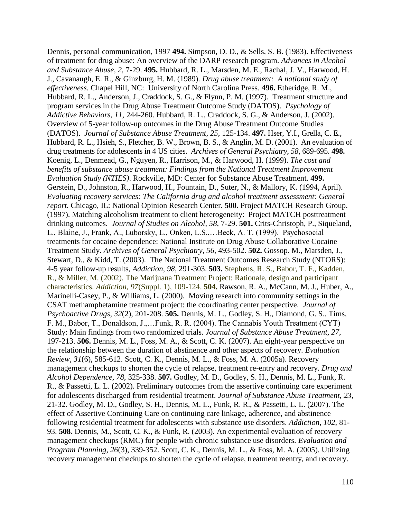Dennis, personal communication, 1997 **494.** Simpson, D. D., & Sells, S. B. (1983). Effectiveness of treatment for drug abuse: An overview of the DARP research program. *Advances in Alcohol and Substance Abuse, 2*, 7-29. **495.** Hubbard, R. L., Marsden, M. E., Rachal, J. V., Harwood, H. J., Cavanaugh, E. R., & Ginzburg, H. M. (1989). *Drug abuse treatment: A national study of effectiveness*. Chapel Hill, NC: University of North Carolina Press. **496.** Etheridge, R. M., Hubbard, R. L., Anderson, J., Craddock, S. G., & Flynn, P. M. (1997). Treatment structure and program services in the Drug Abuse Treatment Outcome Study (DATOS). *Psychology of Addictive Behaviors*, *11*, 244-260. Hubbard, R. L., Craddock, S. G., & Anderson, J. (2002). Overview of 5-year follow-up outcomes in the Drug Abuse Treatment Outcome Studies (DATOS). *Journal of Substance Abuse Treatment*, *25*, 125-134. **497.** Hser, Y.I., Grella, C. E., Hubbard, R. L., Hsieh, S., Fletcher, B. W., Brown, B. S., & Anglin, M. D. (2001). An evaluation of drug treatments for adolescents in 4 US cities. *Archives of General Psychiatry*, *58*, 689-695. **498.**  Koenig, L., Denmead, G., Nguyen, R., Harrison, M., & Harwood, H. (1999). *The cost and benefits of substance abuse treatment: Findings from the National Treatment Improvement Evaluation Study (NTIES)*. Rockville, MD: Center for Substance Abuse Treatment. **499.**  Gerstein, D., Johnston, R., Harwood, H., Fountain, D., Suter, N., & Mallory, K. (1994, April). *Evaluating recovery services: The California drug and alcohol treatment assessment: General report.* Chicago, IL: National Opinion Research Center. **500.** Project MATCH Research Group. (1997). Matching alcoholism treatment to client heterogeneity: Project MATCH posttreatment drinking outcomes. *Journal of Studies on Alcohol*, *58*, 7-29. **501.** Crits-Christoph, P., Siqueland, L., Blaine, J., Frank, A., Luborsky, L., Onken, L.S.,…Beck, A. T. (1999). Psychosocial treatments for cocaine dependence: National Institute on Drug Abuse Collaborative Cocaine Treatment Study. *Archives of General Psychiatry*, *56*, 493-502. **502.** Gossop. M., Marsden, J., Stewart, D., & Kidd, T. (2003). The National Treatment Outcomes Research Study (NTORS): 4-5 year follow-up results, *Addiction*, *98*, 291-303. **503.** Stephens, R. S., Babor, T. F., Kadden, R., & Miller, M. (2002). The Marijuana Treatment Project: Rationale, design and participant characteristics. *Addiction*, *97*(Suppl. 1), 109-124. **504.** Rawson, R. A., McCann, M. J., Huber, A., Marinelli-Casey, P., & Williams, L. (2000). Moving research into community settings in the CSAT methamphetamine treatment project: the coordinating center perspective. *Journal of Psychoactive Drugs*, *32*(2), 201-208. **505.** Dennis, M. L., Godley, S. H., Diamond, G. S., Tims, F. M., Babor, T., Donaldson, J.,…Funk, R. R. (2004). The Cannabis Youth Treatment (CYT) Study: Main findings from two randomized trials. *Journal of Substance Abuse Treatment, 27*, 197-213. **506.** Dennis, M. L., Foss, M. A., & Scott, C. K. (2007). An eight-year perspective on the relationship between the duration of abstinence and other aspects of recovery. *Evaluation Review, 31*(6), 585-612. Scott, C. K., Dennis, M. L., & Foss, M. A. (2005a). Recovery management checkups to shorten the cycle of relapse, treatment re-entry and recovery. *Drug and Alcohol Dependence, 78*, 325-338. **507.** Godley, M. D., Godley, S. H., Dennis, M. L., Funk, R. R., & Passetti, L. L. (2002). Preliminary outcomes from the assertive continuing care experiment for adolescents discharged from residential treatment. *Journal of Substance Abuse Treatment, 23*, 21-32. Godley, M. D., Godley, S. H., Dennis, M. L., Funk, R. R., & Passetti, L. L. (2007). The effect of Assertive Continuing Care on continuing care linkage, adherence, and abstinence following residential treatment for adolescents with substance use disorders. *Addiction, 102*, 81- 93. **508.** Dennis, M., Scott, C. K., & Funk, R. (2003). An experimental evaluation of recovery management checkups (RMC) for people with chronic substance use disorders. *Evaluation and Program Planning, 26*(3), 339-352. Scott, C. K., Dennis, M. L., & Foss, M. A. (2005). Utilizing recovery management checkups to shorten the cycle of relapse, treatment reentry, and recovery.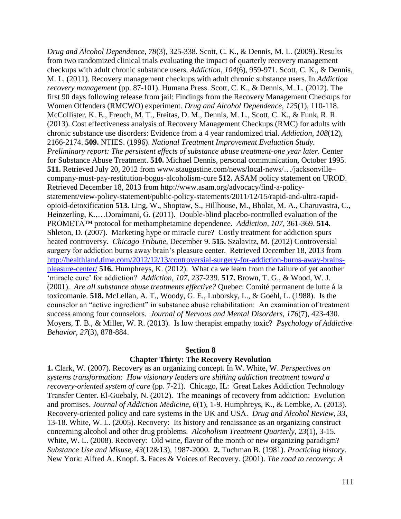*Drug and Alcohol Dependence, 78*(3), 325-338. Scott, C. K., & Dennis, M. L. (2009). Results from two randomized clinical trials evaluating the impact of quarterly recovery management checkups with adult chronic substance users. *Addiction, 104*(6), 959-971. Scott, C. K., & Dennis, M. L. (2011). Recovery management checkups with adult chronic substance users. In *Addiction recovery management* (pp. 87-101). Humana Press. Scott, C. K., & Dennis, M. L. (2012). The first 90 days following release from jail: Findings from the Recovery Management Checkups for Women Offenders (RMCWO) experiment. *Drug and Alcohol Dependence, 125*(1), 110-118. McCollister, K. E., French, M. T., Freitas, D. M., Dennis, M. L., Scott, C. K., & Funk, R. R. (2013). Cost effectiveness analysis of Recovery Management Checkups (RMC) for adults with chronic substance use disorders: Evidence from a 4 year randomized trial. *Addiction, 108*(12), 2166-2174. **509.** NTIES. (1996). *National Treatment Improvement Evaluation Study. Preliminary report: The persistent effects of substance abuse treatment-one year later*. Center for Substance Abuse Treatment. **510.** Michael Dennis, personal communication, October 1995. **511.** Retrieved July 20, 2012 from www.staugustine.com/news/local-news/…/jacksonville– company-must-pay-restitution-bogus-alcoholism-cure **512.** ASAM policy statement on UROD. Retrieved December 18, 2013 from http://www.asam.org/advocacy/find-a-policystatement/view-policy-statement/public-policy-statements/2011/12/15/rapid-and-ultra-rapidopioid-detoxification **513.** Ling, W., Shoptaw, S., Hillhouse, M., Bholat, M. A., Charuvastra, C., Heinzerling, K.,…Doraimani, G. (2011). Double-blind placebo-controlled evaluation of the PROMETA™ protocol for methamphetamine dependence. *Addiction*, *107,* 361-369. **514.** Shleton, D. (2007). Marketing hype or miracle cure? Costly treatment for addiction spurs heated controversy. *Chicago Tribune*, December 9. **515.** Szalavitz, M. (2012) Controversial surgery for addiction burns away brain's pleasure center. Retrieved December 18, 2013 from [http://healthland.time.com/2012/12/13/controversial-surgery-for-addiction-burns-away-brains](http://healthland.time.com/2012/12/13/controversial-surgery-for-addiction-burns-away-brains-pleasure-center/)[pleasure-center/](http://healthland.time.com/2012/12/13/controversial-surgery-for-addiction-burns-away-brains-pleasure-center/) **516.** Humphreys, K. (2012). What ca we learn from the failure of yet another 'miracle cure' for addiction? *Addiction*, *107*, 237-239. **517.** Brown, T. G., & Wood, W. J. (2001). *Are all substance abuse treatments effective?* Quebec: Comité permanent de lutte á la toxicomanie. **518.** McLellan, A. T., Woody, G. E., Luborsky, L., & Goehl, L. (1988). Is the counselor an "active ingredient" in substance abuse rehabilitation: An examination of treatment success among four counselors*. Journal of Nervous and Mental Disorders*, *176*(7), 423-430. Moyers, T. B., & Miller, W. R. (2013). Is low therapist empathy toxic? *Psychology of Addictive Behavior*, *27*(3), 878-884.

## **Section 8 Chapter Thirty: The Recovery Revolution**

**1.** Clark, W. (2007). Recovery as an organizing concept. In W. White, W. *Perspectives on systems transformation: How visionary leaders are shifting addiction treatment toward a recovery-oriented system of care* (pp. 7-21). Chicago, IL: Great Lakes Addiction Technology Transfer Center. El-Guebaly, N. (2012). The meanings of recovery from addiction: Evolution and promises. *Journal of Addiction Medicine, 6*(1), 1-9. Humphreys, K., & Lembke, A. (2013). Recovery-oriented policy and care systems in the UK and USA. *Drug and Alcohol Review, 33*, 13-18. White, W. L. (2005). Recovery: Its history and renaissance as an organizing construct concerning alcohol and other drug problems. *Alcoholism Treatment Quarterly, 23*(1), 3-15. White, W. L. (2008). Recovery: Old wine, flavor of the month or new organizing paradigm? *Substance Use and Misuse, 43*(12&13), 1987-2000. **2.** Tuchman B. (1981). *Practicing history*. New York: Alfred A. Knopf. **3.** Faces & Voices of Recovery. (2001). *The road to recovery: A*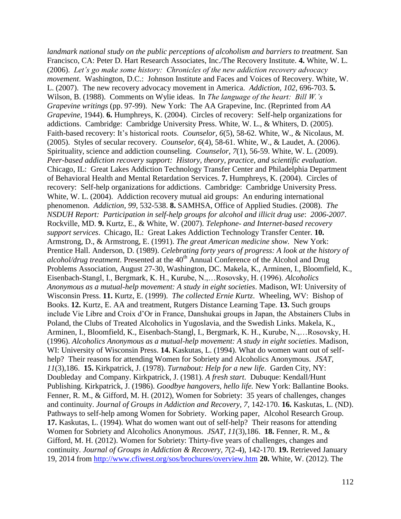*landmark national study on the public perceptions of alcoholism and barriers to treatment.* San Francisco, CA: Peter D. Hart Research Associates, Inc./The Recovery Institute. **4.** White, W. L. (2006). *Let's go make some history: Chronicles of the new addiction recovery advocacy movement*. Washington, D.C.: Johnson Institute and Faces and Voices of Recovery. White, W. L. (2007). The new recovery advocacy movement in America. *Addiction, 102,* 696-703. **5.**  Wilson, B. (1988). Comments on Wylie ideas. In *The language of the heart: Bill W.'s Grapevine writings* (pp. 97-99). New York: The AA Grapevine, Inc. (Reprinted from *AA Grapevine,* 1944). **6.** Humphreys, K. (2004). Circles of recovery: Self-help organizations for addictions. Cambridge: Cambridge University Press. White, W. L., & Whiters, D. (2005). Faith-based recovery: It's historical roots. *Counselor, 6*(5), 58-62. White, W., & Nicolaus, M. (2005). Styles of secular recovery. *Counselor, 6*(4), 58-61. White, W., & Laudet, A. (2006). Spirituality, science and addiction counseling. *Counselor, 7*(1), 56-59. White, W. L. (2009). *Peer-based addiction recovery support: History, theory, practice, and scientific evaluation*. Chicago, IL: Great Lakes Addiction Technology Transfer Center and Philadelphia Department of Behavioral Health and Mental Retardation Services. **7.** Humphreys, K. (2004). Circles of recovery: Self-help organizations for addictions. Cambridge: Cambridge University Press. White, W. L. (2004). Addiction recovery mutual aid groups: An enduring international phenomenon. *Addiction, 99*, 532-538. **8.** SAMHSA, Office of Applied Studies. (2008). *The NSDUH Report: Participation in self-help groups for alcohol and illicit drug use*: *2006-2007*. Rockville, MD. **9.** Kurtz, E., & White, W. (2007). *Telephone- and Internet-based recovery support services*. Chicago, IL: Great Lakes Addiction Technology Transfer Center. **10.**  Armstrong, D., & Armstrong, E. (1991). *The great American medicine show.* New York: Prentice Hall. Anderson, D. (1989). *Celebrating forty years of progress: A look at the history of alcohol/drug treatment*. Presented at the 40<sup>th</sup> Annual Conference of the Alcohol and Drug Problems Association, August 27-30, Washington, DC. Makela, K., Arminen, I., Bloomfield, K., Eisenbach-Stangl, I., Bergmark, K. H., Kurube, N.,…Rosovsky, H. (1996). *Alcoholics Anonymous as a mutual-help movement: A study in eight societies*. Madison, WI: University of Wisconsin Press. **11.** Kurtz, E. (1999). *The collected Ernie Kurtz*. Wheeling, WV: Bishop of Books. **12.** Kurtz, E. AA and treatment, Rutgers Distance Learning Tape. **13.** Such groups include Vie Libre and Croix d'Or in France, Danshukai groups in Japan, the Abstainers Clubs in Poland, the Clubs of Treated Alcoholics in Yugoslavia, and the Swedish Links. Makela, K., Arminen, I., Bloomfield, K., Eisenbach-Stangl, I., Bergmark, K. H., Kurube, N.,…Rosovsky, H. (1996). *Alcoholics Anonymous as a mutual-help movement: A study in eight societies*. Madison, WI: University of Wisconsin Press. **14.** Kaskutas, L. (1994). What do women want out of selfhelp? Their reasons for attending Women for Sobriety and Alcoholics Anonymous. *JSAT, 11*(3),186. **15.** Kirkpatrick, J. (1978). *Turnabout: Help for a new life*. Garden City, NY: Doubleday and Company. Kirkpatrick, J. (1981). *A fresh start*. Dubuque: Kendall/Hunt Publishing. Kirkpatrick, J. (1986). *Goodbye hangovers, hello life.* New York: Ballantine Books. Fenner, R. M., & Gifford, M. H. (2012), Women for Sobriety: 35 years of challenges, changes and continuity. *Journal of Groups in Addiction and Recovery, 7*, 142-170. **16.** Kaskutas, L. (ND). Pathways to self-help among Women for Sobriety. Working paper, Alcohol Research Group. **17.** Kaskutas, L. (1994). What do women want out of self-help? Their reasons for attending Women for Sobriety and Alcoholics Anonymous. *JSAT, 11*(3),186. **18.** Fenner, R. M., & Gifford, M. H. (2012). Women for Sobriety: Thirty-five years of challenges, changes and continuity. *Journal of Groups in Addiction & Recovery, 7*(2-4), 142-170. **19.** Retrieved January 19, 2014 from <http://www.cfiwest.org/sos/brochures/overview.htm> **20.** White, W. (2012). The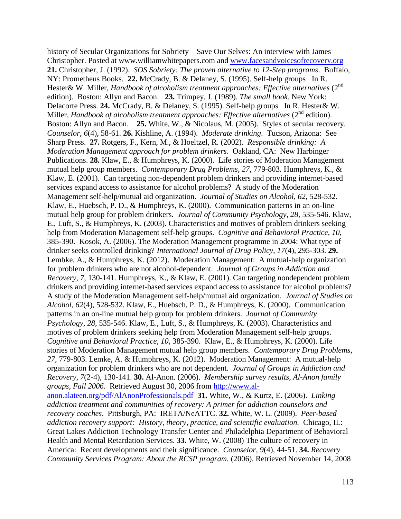history of Secular Organizations for Sobriety—Save Our Selves: An interview with James Christopher. Posted at www.williamwhitepapers.com and [www.facesandvoicesofrecovery.org](http://www.facesandvoicesofrecovery.org/) **21.** Christopher, J. (1992). *SOS Sobriety: The proven alternative to 12-Step programs*. Buffalo, NY: Prometheus Books. **22.** McCrady, B. & Delaney, S. (1995). Self-help groups In R. Hester& W. Miller, *Handbook of alcoholism treatment approaches: Effective alternatives* (2<sup>nd</sup>) edition). Boston: Allyn and Bacon. **23.** Trimpey, J. (1989). *The small book.* New York: Delacorte Press. **24.** McCrady, B. & Delaney, S. (1995). Self-help groups In R. Hester& W. Miller, *Handbook of alcoholism treatment approaches: Effective alternatives* (2<sup>nd</sup> edition). Boston: Allyn and Bacon. **25.** White, W., & Nicolaus, M. (2005). Styles of secular recovery. *Counselor*, *6*(4), 58-61. **26.** Kishline, A. (1994). *Moderate drinking*. Tucson, Arizona: See Sharp Press. **27.** Rotgers, F., Kern, M., & Hoeltzel, R. (2002). *Responsible drinking: A Moderation Management approach for problem drinkers*. Oakland, CA: New Harbinger Publications. **28.** Klaw, E., & Humphreys, K. (2000). Life stories of Moderation Management mutual help group members. *Contemporary Drug Problems*, *27*, 779-803. Humphreys, K., & Klaw, E. (2001). Can targeting non-dependent problem drinkers and providing internet-based services expand access to assistance for alcohol problems? A study of the Moderation Management self-help/mutual aid organization. *Journal of Studies on Alcohol*, *62*, 528-532. Klaw, E., Huebsch, P. D., & Humphreys, K. (2000). Communication patterns in an on-line mutual help group for problem drinkers. *Journal of Community Psychology*, *28*, 535-546. Klaw, E., Luft, S., & Humphreys, K. (2003). Characteristics and motives of problem drinkers seeking help from Moderation Management self-help groups. *Cognitive and Behavioral Practice, 10*, 385-390. Kosok, A. (2006). The Moderation Management programme in 2004: What type of drinker seeks controlled drinking? *International Journal of Drug Policy, 17*(4), 295-303. **29.**  Lembke, A., & Humphreys, K. (2012). Moderation Management: A mutual-help organization for problem drinkers who are not alcohol-dependent*. Journal of Groups in Addiction and Recovery*, *7*, 130-141. Humphreys, K., & Klaw, E. (2001). Can targeting nondependent problem drinkers and providing internet-based services expand access to assistance for alcohol problems? A study of the Moderation Management self-help/mutual aid organization. *Journal of Studies on Alcohol, 62*(4), 528-532. Klaw, E., Huebsch, P. D., & Humphreys, K. (2000). Communication patterns in an on-line mutual help group for problem drinkers. *Journal of Community Psychology*, *28*, 535-546. Klaw, E., Luft, S., & Humphreys, K. (2003). Characteristics and motives of problem drinkers seeking help from Moderation Management self-help groups. *Cognitive and Behavioral Practice, 10*, 385-390. Klaw, E., & Humphreys, K. (2000). Life stories of Moderation Management mutual help group members. *Contemporary Drug Problems*, *27,* 779-803. Lemke, A. & Humphreys, K. (2012). Moderation Management: A mutual-help organization for problem drinkers who are not dependent. *Journal of Groups in Addiction and Recovery*, *7*(2-4), 130-141. **30.** Al-Anon. (2006). *Membership survey results, Al-Anon family groups, Fall 2006*. Retrieved August 30, 2006 from [http://www.al](http://www.al-anon.alateen.org/pdf/AlAnonProfessionals.pdf)[anon.alateen.org/pdf/AlAnonProfessionals.pdf](http://www.al-anon.alateen.org/pdf/AlAnonProfessionals.pdf) **31.** White, W., & Kurtz, E. (2006). *Linking addiction treatment and communities of recovery: A primer for addiction counselors and recovery coaches*. Pittsburgh, PA: IRETA/NeATTC. **32.** White, W. L. (2009). *Peer-based addiction recovery support: History, theory, practice, and scientific evaluation.* Chicago, IL: Great Lakes Addiction Technology Transfer Center and Philadelphia Department of Behavioral Health and Mental Retardation Services. **33.** White, W. (2008) The culture of recovery in America: Recent developments and their significance. *Counselor*, *9*(4), 44-51. **34.** *Recovery Community Services Program: About the RCSP program.* (2006). Retrieved November 14, 2008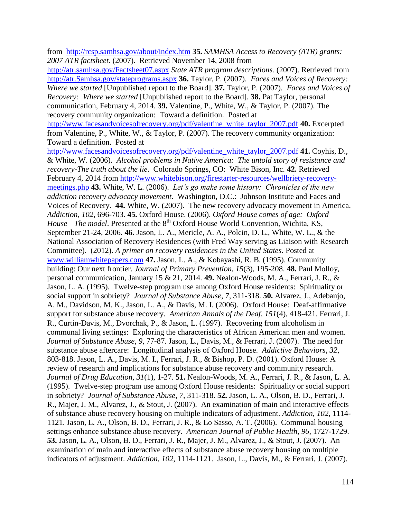from <http://rcsp.samhsa.gov/about/index.htm> **35.** *SAMHSA Access to Recovery (ATR) grants: 2007 ATR factsheet.* (2007). Retrieved November 14, 2008 from <http://atr.samhsa.gov/Factsheet07.aspx> *State ATR program descriptions.* (2007). Retrieved from [http://atr.Samhsa.gov/stateprograms.aspx](http://atr.samhsa.gov/stateprograms.aspx) **36.** Taylor, P. (2007). *Faces and Voices of Recovery: Where we started* [Unpublished report to the Board]. **37.** Taylor, P. (2007). *Faces and Voices of Recovery: Where we started* [Unpublished report to the Board]. **38.** Pat Taylor, personal communication, February 4, 2014. **39.** Valentine, P., White, W., & Taylor, P. (2007). The recovery community organization: Toward a definition. Posted at [http://www.facesandvoicesofrecovery.org/pdf/valentine\\_white\\_taylor\\_2007.pdf](http://www.facesandvoicesofrecovery.org/pdf/valentine_white_taylor_2007.pdf) **40.** Excerpted from Valentine, P., White, W., & Taylor, P. (2007). The recovery community organization: Toward a definition. Posted at [http://www.facesandvoicesofrecovery.org/pdf/valentine\\_white\\_taylor\\_2007.pdf](http://www.facesandvoicesofrecovery.org/pdf/valentine_white_taylor_2007.pdf) **41.** Coyhis, D., & White, W. (2006). *Alcohol problems in Native America: The untold story of resistance and recovery-The truth about the lie*. Colorado Springs, CO: White Bison, Inc. **42.** Retrieved February 4, 2014 from [http://www.whitebison.org/firestarter-resources/wellbriety-recovery](http://www.whitebison.org/firestarter-resources/wellbriety-recovery-meetings.php)[meetings.php](http://www.whitebison.org/firestarter-resources/wellbriety-recovery-meetings.php) **43.** White, W. L. (2006). *Let's go make some history: Chronicles of the new addiction recovery advocacy movement*. Washington, D.C.: Johnson Institute and Faces and Voices of Recovery. **44.** White, W. (2007). The new recovery advocacy movement in America. *Addiction, 102,* 696-703. **45.** Oxford House. (2006). *Oxford House comes of age: Oxford House—The model*. Presented at the 8<sup>th</sup> Oxford House World Convention, Wichita, KS, September 21-24, 2006. **46.** Jason, L. A., Mericle, A. A., Polcin, D. L., White, W. L., & the National Association of Recovery Residences (with Fred Way serving as Liaison with Research Committee). (2012). *A primer on recovery residences in the United States.* Posted at [www.williamwhitepapers.com](http://www.williamwhitepapers.com/) **47.** Jason, L. A., & Kobayashi, R. B. (1995). Community building: Our next frontier. *Journal of Primary Prevention, 15*(3), 195-208. **48.** Paul Molloy, personal communication, January 15 & 21, 2014. **49.** Nealon-Woods, M. A., Ferrari, J. R., & Jason, L. A. (1995). Twelve-step program use among Oxford House residents: Spirituality or social support in sobriety? *Journal of Substance Abuse*, *7*, 311-318. **50.** Alvarez, J., Adebanjo, A. M., Davidson, M. K., Jason, L. A., & Davis, M. I. (2006). Oxford House: Deaf-affirmative support for substance abuse recovery. *American Annals of the Deaf*, *151*(4), 418-421. Ferrari, J. R., Curtin-Davis, M., Dvorchak, P., & Jason, L. (1997). Recovering from alcoholism in communal living settings: Exploring the characteristics of African American men and women. *Journal of Substance Abuse*, *9*, 77-87. Jason, L., Davis, M., & Ferrari, J. (2007). The need for substance abuse aftercare: Longitudinal analysis of Oxford House. *Addictive Behaviors*, *32*, 803-818. Jason, L. A., Davis, M. I., Ferrari, J. R., & Bishop, P. D. (2001). Oxford House: A review of research and implications for substance abuse recovery and community research. *Journal of Drug Education, 31*(1), 1-27. **51.** Nealon-Woods, M. A., Ferrari, J. R., & Jason, L. A. (1995). Twelve-step program use among Oxford House residents: Spirituality or social support in sobriety? *Journal of Substance Abuse*, *7*, 311-318. **52.** Jason, L. A., Olson, B. D., Ferrari, J. R., Majer, J. M., Alvarez, J., & Stout, J. (2007). An examination of main and interactive effects of substance abuse recovery housing on multiple indicators of adjustment. *Addiction*, *102*, 1114- 1121. Jason, L. A., Olson, B. D., Ferrari, J. R., & Lo Sasso, A. T. (2006). Communal housing settings enhance substance abuse recovery. *American Journal of Public Health, 96*, 1727-1729. **53.** Jason, L. A., Olson, B. D., Ferrari, J. R., Majer, J. M., Alvarez, J., & Stout, J. (2007). An examination of main and interactive effects of substance abuse recovery housing on multiple indicators of adjustment. *Addiction*, *102*, 1114-1121. Jason, L., Davis, M., & Ferrari, J. (2007).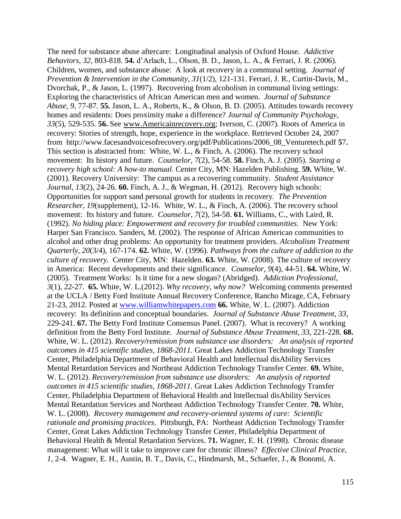The need for substance abuse aftercare: Longitudinal analysis of Oxford House. *Addictive Behaviors*, *32*, 803-818. **54.** d'Arlach, L., Olson, B. D., Jason, L. A., & Ferrari, J. R. (2006). Children, women, and substance abuse: A look at recovery in a communal setting. *Journal of Prevention & Intervention in the Community*, *31*(1/2), 121-131. Ferrari, J. R., Curtin-Davis, M., Dvorchak, P., & Jason, L. (1997). Recovering from alcoholism in communal living settings: Exploring the characteristics of African American men and women. *Journal of Substance Abuse*, *9*, 77-87. **55.** Jason, L. A., Roberts, K., & Olson, B. D. (2005). Attitudes towards recovery homes and residents: Does proximity make a difference? *Journal of Community Psychology, 33*(5), 529-535. **56.** See [www.Americainrecovery.org;](http://www.americainrecovery.org/) Iverson, C. (2007). Roots of America in recovery: Stories of strength, hope, experience in the workplace. Retrieved October 24, 2007 from [http://www.facesandvoicesofrecovery.org/pdf/Publications/2006\\_08\\_Venturetech.pdf](http://www.facesandvoicesofrecovery.org/pdf/Publications/2006_08_Venturetech.pdf%2058) **5**7**.**  This section is abstracted from: White, W. L., & Finch, A. (2006). The recovery school movement: Its history and future. *Counselor, 7*(2), 54-58. **58.** Finch, A. J. (2005). *Starting a recovery high school: A how-to manual*. Center City, MN: Hazelden Publishing. **59.** White, W. (2001). Recovery University: The campus as a recovering community. *Student Assistance Journal*, *13*(2), 24-26. **60.** Finch, A. J., & Wegman, H. (2012). Recovery high schools: Opportunities for support sand personal growth for students in recovery. *The Prevention Researcher*, *19*(supplement), 12-16. White, W. L., & Finch, A. (2006). The recovery school movement: Its history and future. *Counselor, 7*(2), 54-58. **61.** Williams, C., with Laird, R. (1992). *No hiding place: Empowerment and recovery for troubled communities*. New York: Harper San Francisco. Sanders, M. (2002). The response of African American communities to alcohol and other drug problems: An opportunity for treatment providers. *Alcoholism Treatment Quarterly, 20*(3/4), 167-174. **62.** White, W. (1996). *Pathways from the culture of addiction to the culture of recovery*. Center City, MN: Hazelden. **63.** White, W. (2008). The culture of recovery in America: Recent developments and their significance. *Counselor*, *9*(4), 44-51. **64.** White, W. (2005). Treatment Works: Is it time for a new slogan? (Abridged). *Addiction Professional*, *3*(1), 22-27. **65.** White, W. L.(2012). *Why recovery, why now?* Welcoming comments presented at the UCLA / Betty Ford Institute Annual Recovery Conference, Rancho Mirage, CA, February 21-23, 2012. Posted at [www.williamwhitepapers.com](http://www.williamwhitepapers.com/) **66.** White, W. L. (2007). Addiction recovery: Its definition and conceptual boundaries. *Journal of Substance Abuse Treatment*, *33*, 229-241. **67.** The Betty Ford Institute Consensus Panel. (2007). What is recovery? A working definition from the Betty Ford Institute. *Journal of Substance Abuse Treatment*, *33*, 221-228. **68.**  White, W. L. (2012). *Recovery/remission from substance use disorders: An analysis of reported outcomes in 415 scientific studies, 1868-2011*. Great Lakes Addiction Technology Transfer Center, Philadelphia Department of Behavioral Health and Intellectual disAbility Services Mental Retardation Services and Northeast Addiction Technology Transfer Center. **69.** White, W. L. (2012). *Recovery/remission from substance use disorders: An analysis of reported outcomes in 415 scientific studies, 1868-2011*. Great Lakes Addiction Technology Transfer Center, Philadelphia Department of Behavioral Health and Intellectual disAbility Services Mental Retardation Services and Northeast Addiction Technology Transfer Center. **70.** White, W. L. (2008). *Recovery management and recovery-oriented systems of care: Scientific rationale and promising practices*. Pittsburgh, PA: Northeast Addiction Technology Transfer Center, Great Lakes Addiction Technology Transfer Center, Philadelphia Department of Behavioral Health & Mental Retardation Services. **71.** Wagner, E. H. (1998). Chronic disease management: What will it take to improve care for chronic illness? *Effective Clinical Practice*, *1*, 2-4. Wagner, E. H., Austin, B. T., Davis, C., Hindmarsh, M., Schaefer, J., & Bonomi, A.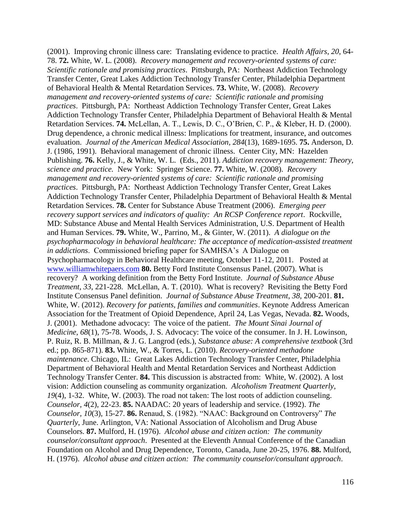(2001). Improving chronic illness care: Translating evidence to practice. *Health Affairs*, *20*, 64- 78. **72.** White, W. L. (2008). *Recovery management and recovery-oriented systems of care: Scientific rationale and promising practices*. Pittsburgh, PA: Northeast Addiction Technology Transfer Center, Great Lakes Addiction Technology Transfer Center, Philadelphia Department of Behavioral Health & Mental Retardation Services. **73.** White, W. (2008). *Recovery management and recovery-oriented systems of care: Scientific rationale and promising practices*. Pittsburgh, PA: Northeast Addiction Technology Transfer Center, Great Lakes Addiction Technology Transfer Center, Philadelphia Department of Behavioral Health & Mental Retardation Services. **74.** McLellan, A. T., Lewis, D. C., O'Brien, C. P., & Kleber, H. D. (2000). Drug dependence, a chronic medical illness: Implications for treatment, insurance, and outcomes evaluation. *Journal of the American Medical Association, 284*(13), 1689-1695. **75.** Anderson, D. J. (1986, 1991). Behavioral management of chronic illness. Center City, MN: Hazelden Publishing. **76.** Kelly, J., & White, W. L. (Eds., 2011). *Addiction recovery management: Theory, science and practice.* New York: Springer Science. **77.** White, W. (2008). *Recovery management and recovery-oriented systems of care: Scientific rationale and promising practices*. Pittsburgh, PA: Northeast Addiction Technology Transfer Center, Great Lakes Addiction Technology Transfer Center, Philadelphia Department of Behavioral Health & Mental Retardation Services. **78.** Center for Substance Abuse Treatment (2006). *Emerging peer recovery support services and indicators of quality: An RCSP Conference report*. Rockville, MD: Substance Abuse and Mental Health Services Administration, U.S. Department of Health and Human Services. **79.** White, W., Parrino, M., & Ginter, W. (2011). *A dialogue on the psychopharmacology in behavioral healthcare: The acceptance of medication-assisted treatment in addictions*. Commissioned briefing paper for SAMHSA's A Dialogue on Psychopharmacology in Behavioral Healthcare meeting, October 11-12, 2011. Posted at [www.williamwhitepaers.com](http://www.williamwhitepaers.com/) **80.** Betty Ford Institute Consensus Panel. (2007). What is recovery? A working definition from the Betty Ford Institute. *Journal of Substance Abuse Treatment*, *33*, 221-228. McLellan, A. T. (2010). What is recovery? Revisiting the Betty Ford Institute Consensus Panel definition. *Journal of Substance Abuse Treatment*, *38*, 200-201. **81.** White, W. (2012). *Recovery for patients, families and communities*. Keynote Address American Association for the Treatment of Opioid Dependence, April 24, Las Vegas, Nevada. **82.** Woods, J. (2001). Methadone advocacy: The voice of the patient. *The Mount Sinai Journal of Medicine*, *68*(1), 75-78. Woods, J. S. Advocacy: The voice of the consumer. In J. H. Lowinson, P. Ruiz, R. B. Millman, & J. G. Langrod (eds.), *Substance abuse: A comprehensive textbook* (3rd ed.; pp. 865-871). **83.** White, W., & Torres, L. (2010). *Recovery-oriented methadone maintenance*. Chicago, IL: Great Lakes Addiction Technology Transfer Center, Philadelphia Department of Behavioral Health and Mental Retardation Services and Northeast Addiction Technology Transfer Center. **84.** This discussion is abstracted from: White, W. (2002). A lost vision: Addiction counseling as community organization. *Alcoholism Treatment Quarterly, 19*(4), 1-32. White, W. (2003). The road not taken: The lost roots of addiction counseling. *Counselor, 4*(2), 22-23. **85.** NAADAC: 20 years of leadership and service. (1992). *The Counselor, 10*(3), 15-27. **86.** Renaud, S. (1982). "NAAC: Background on Controversy" *The Quarterly*, June. Arlington, VA: National Association of Alcoholism and Drug Abuse Counselors. **87.** Mulford, H. (1976). *Alcohol abuse and citizen action: The community counselor/consultant approach*. Presented at the Eleventh Annual Conference of the Canadian Foundation on Alcohol and Drug Dependence, Toronto, Canada, June 20-25, 1976. **88.** Mulford, H. (1976). *Alcohol abuse and citizen action: The community counselor/consultant approach*.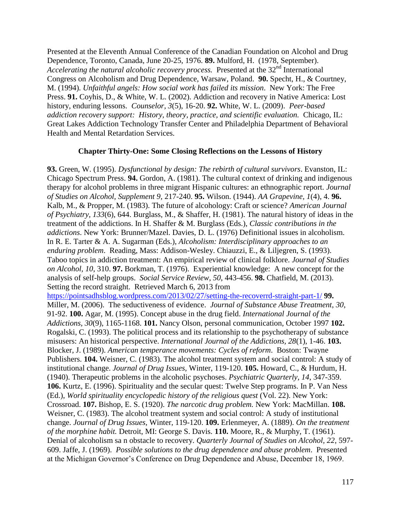Presented at the Eleventh Annual Conference of the Canadian Foundation on Alcohol and Drug Dependence, Toronto, Canada, June 20-25, 1976. **89.** Mulford, H. (1978, September). *Accelerating the natural alcoholic recovery process.* Presented at the 32<sup>nd</sup> International Congress on Alcoholism and Drug Dependence, Warsaw, Poland. **90.** Specht, H., & Courtney, M. (1994). *Unfaithful angels: How social work has failed its mission*. New York: The Free Press. **91.** Coyhis, D., & White, W. L. (2002). Addiction and recovery in Native America: Lost history, enduring lessons. *Counselor, 3*(5), 16-20. **92.** White, W. L. (2009). *Peer-based addiction recovery support: History, theory, practice, and scientific evaluation.* Chicago, IL: Great Lakes Addiction Technology Transfer Center and Philadelphia Department of Behavioral Health and Mental Retardation Services.

## **Chapter Thirty-One: Some Closing Reflections on the Lessons of History**

**93.** Green, W. (1995). *Dysfunctional by design: The rebirth of cultural survivors*. Evanston, IL: Chicago Spectrum Press. **94.** Gordon, A. (1981). The cultural context of drinking and indigenous therapy for alcohol problems in three migrant Hispanic cultures: an ethnographic report. *Journal of Studies on Alcohol, Supplement 9*, 217-240. **95.** Wilson. (1944). *AA Grapevine, 1*(4), 4. **96.** Kalb, M., & Propper, M. (1983). The future of alcohology: Craft or science? *American Journal of Psychiatry, 133*(6), 644. Burglass, M., & Shaffer, H. (1981). The natural history of ideas in the treatment of the addictions. In H. Shaffer & M. Burglass (Eds.), *Classic contributions in the addictions*. New York: Brunner/Mazel. Davies, D. L. (1976) Definitional issues in alcoholism. In R. E. Tarter & A. A. Sugarman (Eds.), *Alcoholism: Interdisciplinary approaches to an enduring problem*. Reading, Mass: Addison-Wesley. Chiauzzi, E., & Liljegren, S. (1993). Taboo topics in addiction treatment: An empirical review of clinical folklore. *Journal of Studies on Alcohol, 10*, 310. **97.** Borkman, T. (1976). Experiential knowledge: A new concept for the analysis of self-help groups. *Social Service Review, 50*, 443-456. **98.** Chatfield, M. (2013). Setting the record straight. Retrieved March 6, 2013 from <https://pointsadhsblog.wordpress.com/2013/02/27/setting-the-recoverrd-straight-part-1/> **99.**  Miller, M. (2006). The seductiveness of evidence. *Journal of Substance Abuse Treatment*, *30*, 91-92. **100.** Agar, M. (1995). Concept abuse in the drug field. *International Journal of the Addictions, 30*(9), 1165-1168. **101.** Nancy Olson, personal communication, October 1997 **102.** Rogalski, C. (1993). The political process and its relationship to the psychotherapy of substance misusers: An historical perspective. *International Journal of the Addictions, 28*(1), 1-46. **103.**  Blocker, J. (1989). *American temperance movements: Cycles of reform*. Boston: Twayne Publishers. **104.** Weisner, C. (1983). The alcohol treatment system and social control: A study of institutional change. *Journal of Drug Issues,* Winter, 119-120. **105.** Howard, C., & Hurdum, H. (1940). Therapeutic problems in the alcoholic psychoses. *Psychiatric Quarterly, 14*, 347-359. **106.** Kurtz, E. (1996). Spirituality and the secular quest: Twelve Step programs. In P. Van Ness (Ed.), *World spirituality encyclopedic history of the religious quest* (Vol. 22). New York: Crossroad. **107.** Bishop, E. S. (1920). *The narcotic drug problem.* New York: MacMillan. **108.**  Weisner, C. (1983). The alcohol treatment system and social control: A study of institutional change. *Journal of Drug Issues,* Winter, 119-120. **109.** Erlenmeyer, A. (1889). *On the treatment of the morphine habit.* Detroit, MI: George S. Davis. **110.** Moore, R., & Murphy, T. (1961). Denial of alcoholism sa n obstacle to recovery. *Quarterly Journal of Studies on Alcohol, 22*, 597- 609. Jaffe, J. (1969). *Possible solutions to the drug dependence and abuse problem*. Presented at the Michigan Governor's Conference on Drug Dependence and Abuse, December 18, 1969.